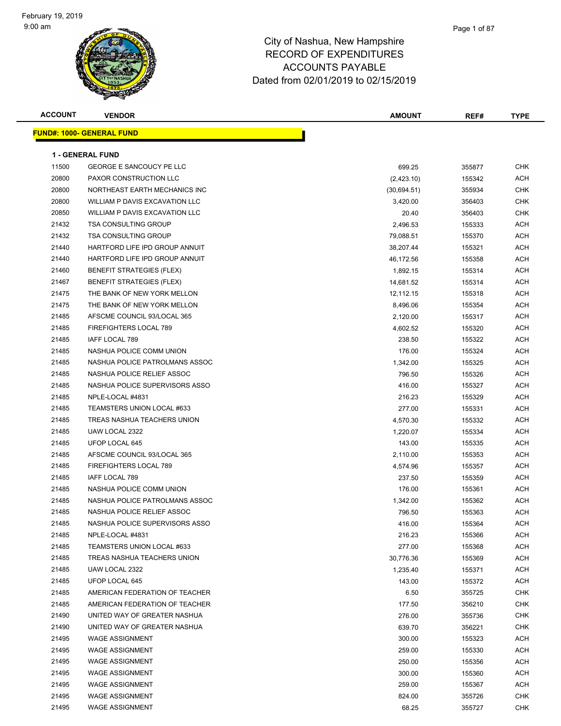### Page 1 of 87

| <b>ACCOUNT</b> | <b>VENDOR</b>                    | <b>AMOUNT</b> | REF#   | <b>TYPE</b> |
|----------------|----------------------------------|---------------|--------|-------------|
|                | <b>FUND#: 1000- GENERAL FUND</b> |               |        |             |
|                |                                  |               |        |             |
|                | <b>1 - GENERAL FUND</b>          |               |        |             |
| 11500          | <b>GEORGE E SANCOUCY PE LLC</b>  | 699.25        | 355877 | <b>CHK</b>  |
| 20800          | PAXOR CONSTRUCTION LLC           | (2,423.10)    | 155342 | <b>ACH</b>  |
| 20800          | NORTHEAST EARTH MECHANICS INC    | (30,694.51)   | 355934 | <b>CHK</b>  |
| 20800          | WILLIAM P DAVIS EXCAVATION LLC   | 3,420.00      | 356403 | <b>CHK</b>  |
| 20850          | WILLIAM P DAVIS EXCAVATION LLC   | 20.40         | 356403 | <b>CHK</b>  |
| 21432          | <b>TSA CONSULTING GROUP</b>      | 2,496.53      | 155333 | <b>ACH</b>  |
| 21432          | <b>TSA CONSULTING GROUP</b>      | 79,088.51     | 155370 | ACH         |
| 21440          | HARTFORD LIFE IPD GROUP ANNUIT   | 38,207.44     | 155321 | <b>ACH</b>  |
| 21440          | HARTFORD LIFE IPD GROUP ANNUIT   | 46,172.56     | 155358 | <b>ACH</b>  |
| 21460          | <b>BENEFIT STRATEGIES (FLEX)</b> | 1,892.15      | 155314 | ACH         |
| 21467          | <b>BENEFIT STRATEGIES (FLEX)</b> | 14,681.52     | 155314 | <b>ACH</b>  |
| 21475          | THE BANK OF NEW YORK MELLON      | 12,112.15     | 155318 | ACH         |
| 21475          | THE BANK OF NEW YORK MELLON      | 8,496.06      | 155354 | ACH         |
| 21485          | AFSCME COUNCIL 93/LOCAL 365      | 2,120.00      | 155317 | ACH         |
| 21485          | FIREFIGHTERS LOCAL 789           | 4,602.52      | 155320 | ACH         |
| 21485          | <b>IAFF LOCAL 789</b>            | 238.50        | 155322 | <b>ACH</b>  |
| 21485          | NASHUA POLICE COMM UNION         | 176.00        | 155324 | <b>ACH</b>  |
| 21485          | NASHUA POLICE PATROLMANS ASSOC   | 1,342.00      | 155325 | ACH         |
| 21485          | NASHUA POLICE RELIEF ASSOC       | 796.50        | 155326 | <b>ACH</b>  |
| 21485          | NASHUA POLICE SUPERVISORS ASSO   | 416.00        | 155327 | <b>ACH</b>  |
| 21485          | NPLE-LOCAL #4831                 | 216.23        | 155329 | ACH         |
| 21485          | TEAMSTERS UNION LOCAL #633       | 277.00        | 155331 | ACH         |
| 21485          | TREAS NASHUA TEACHERS UNION      | 4,570.30      | 155332 | ACH         |
| 21485          | UAW LOCAL 2322                   | 1,220.07      | 155334 | <b>ACH</b>  |
| 21485          | UFOP LOCAL 645                   | 143.00        | 155335 | <b>ACH</b>  |
| 21485          | AFSCME COUNCIL 93/LOCAL 365      | 2,110.00      | 155353 | ACH         |
| 21485          | FIREFIGHTERS LOCAL 789           | 4,574.96      | 155357 | <b>ACH</b>  |
| 21485          | IAFF LOCAL 789                   | 237.50        | 155359 | <b>ACH</b>  |
| 21485          | NASHUA POLICE COMM UNION         | 176.00        | 155361 | <b>ACH</b>  |
| 21485          | NASHUA POLICE PATROLMANS ASSOC   | 1,342.00      | 155362 | <b>ACH</b>  |
| 21485          | NASHUA POLICE RELIEF ASSOC       | 796.50        | 155363 | <b>ACH</b>  |
| 21485          | NASHUA POLICE SUPERVISORS ASSO   | 416.00        | 155364 | <b>ACH</b>  |
| 21485          | NPLE-LOCAL #4831                 | 216.23        | 155366 | <b>ACH</b>  |
| 21485          | TEAMSTERS UNION LOCAL #633       | 277.00        | 155368 | ACH         |
| 21485          | TREAS NASHUA TEACHERS UNION      | 30,776.36     | 155369 | <b>ACH</b>  |
| 21485          | UAW LOCAL 2322                   | 1,235.40      | 155371 | <b>ACH</b>  |
| 21485          | UFOP LOCAL 645                   | 143.00        | 155372 | <b>ACH</b>  |
| 21485          | AMERICAN FEDERATION OF TEACHER   | 6.50          | 355725 | <b>CHK</b>  |
| 21485          | AMERICAN FEDERATION OF TEACHER   | 177.50        | 356210 | <b>CHK</b>  |
| 21490          | UNITED WAY OF GREATER NASHUA     | 276.00        | 355736 | <b>CHK</b>  |
| 21490          | UNITED WAY OF GREATER NASHUA     | 639.70        | 356221 | <b>CHK</b>  |
| 21495          | <b>WAGE ASSIGNMENT</b>           | 300.00        | 155323 | <b>ACH</b>  |
| 21495          | <b>WAGE ASSIGNMENT</b>           | 259.00        | 155330 | <b>ACH</b>  |
| 21495          | <b>WAGE ASSIGNMENT</b>           | 250.00        | 155356 | <b>ACH</b>  |
| 21495          | <b>WAGE ASSIGNMENT</b>           | 300.00        | 155360 | <b>ACH</b>  |
| 21495          | <b>WAGE ASSIGNMENT</b>           | 259.00        | 155367 | <b>ACH</b>  |
| 21495          | <b>WAGE ASSIGNMENT</b>           | 824.00        | 355726 | <b>CHK</b>  |
| 21495          | <b>WAGE ASSIGNMENT</b>           | 68.25         | 355727 | <b>CHK</b>  |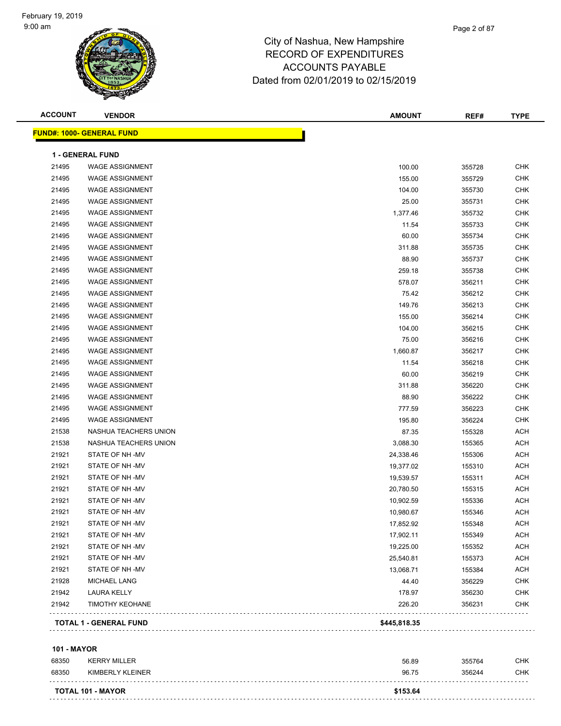| <b>ACCOUNT</b> | <b>VENDOR</b>                    | <b>AMOUNT</b> | REF#   | <b>TYPE</b> |
|----------------|----------------------------------|---------------|--------|-------------|
|                | <b>FUND#: 1000- GENERAL FUND</b> |               |        |             |
|                | 1 - GENERAL FUND                 |               |        |             |
| 21495          | <b>WAGE ASSIGNMENT</b>           | 100.00        | 355728 | <b>CHK</b>  |
| 21495          | <b>WAGE ASSIGNMENT</b>           | 155.00        | 355729 | <b>CHK</b>  |
| 21495          | <b>WAGE ASSIGNMENT</b>           | 104.00        | 355730 | <b>CHK</b>  |
| 21495          | <b>WAGE ASSIGNMENT</b>           | 25.00         | 355731 | <b>CHK</b>  |
| 21495          | <b>WAGE ASSIGNMENT</b>           | 1,377.46      | 355732 | <b>CHK</b>  |
| 21495          | <b>WAGE ASSIGNMENT</b>           | 11.54         | 355733 | <b>CHK</b>  |
| 21495          | <b>WAGE ASSIGNMENT</b>           | 60.00         | 355734 | <b>CHK</b>  |
| 21495          | <b>WAGE ASSIGNMENT</b>           | 311.88        | 355735 | <b>CHK</b>  |
| 21495          | <b>WAGE ASSIGNMENT</b>           | 88.90         | 355737 | <b>CHK</b>  |
| 21495          | <b>WAGE ASSIGNMENT</b>           | 259.18        | 355738 | <b>CHK</b>  |
| 21495          | <b>WAGE ASSIGNMENT</b>           | 578.07        | 356211 | <b>CHK</b>  |
| 21495          | <b>WAGE ASSIGNMENT</b>           | 75.42         | 356212 | <b>CHK</b>  |
| 21495          | <b>WAGE ASSIGNMENT</b>           | 149.76        | 356213 | <b>CHK</b>  |
| 21495          | <b>WAGE ASSIGNMENT</b>           | 155.00        | 356214 | <b>CHK</b>  |
| 21495          | <b>WAGE ASSIGNMENT</b>           | 104.00        | 356215 | <b>CHK</b>  |
| 21495          | <b>WAGE ASSIGNMENT</b>           | 75.00         | 356216 | <b>CHK</b>  |
| 21495          | <b>WAGE ASSIGNMENT</b>           | 1,660.87      | 356217 | <b>CHK</b>  |
| 21495          | <b>WAGE ASSIGNMENT</b>           | 11.54         | 356218 | <b>CHK</b>  |
| 21495          | <b>WAGE ASSIGNMENT</b>           | 60.00         | 356219 | <b>CHK</b>  |
| 21495          | <b>WAGE ASSIGNMENT</b>           | 311.88        | 356220 | <b>CHK</b>  |
| 21495          | <b>WAGE ASSIGNMENT</b>           | 88.90         | 356222 | <b>CHK</b>  |
| 21495          | <b>WAGE ASSIGNMENT</b>           | 777.59        | 356223 | <b>CHK</b>  |
| 21495          | <b>WAGE ASSIGNMENT</b>           | 195.80        | 356224 | CHK         |
| 21538          | NASHUA TEACHERS UNION            | 87.35         | 155328 | <b>ACH</b>  |
| 21538          | NASHUA TEACHERS UNION            | 3,088.30      | 155365 | <b>ACH</b>  |
| 21921          | STATE OF NH-MV                   | 24,338.46     | 155306 | <b>ACH</b>  |
| 21921          | STATE OF NH-MV                   | 19,377.02     | 155310 | <b>ACH</b>  |
| 21921          | STATE OF NH-MV                   | 19,539.57     | 155311 | <b>ACH</b>  |
| 21921          | STATE OF NH-MV                   | 20,780.50     | 155315 | <b>ACH</b>  |
| 21921          | STATE OF NH-MV                   | 10,902.59     | 155336 | ACH         |
| 21921          | STATE OF NH-MV                   | 10,980.67     | 155346 | <b>ACH</b>  |
| 21921          | STATE OF NH-MV                   | 17,852.92     | 155348 | <b>ACH</b>  |
| 21921          | STATE OF NH-MV                   | 17,902.11     | 155349 | ACH         |
| 21921          | STATE OF NH-MV                   | 19,225.00     | 155352 | ACH         |
| 21921          | STATE OF NH-MV                   | 25,540.81     | 155373 | <b>ACH</b>  |
| 21921          | STATE OF NH-MV                   | 13,068.71     | 155384 | <b>ACH</b>  |
| 21928          | <b>MICHAEL LANG</b>              | 44.40         | 356229 | <b>CHK</b>  |
| 21942          | <b>LAURA KELLY</b>               | 178.97        | 356230 | <b>CHK</b>  |
| 21942          | <b>TIMOTHY KEOHANE</b>           | 226.20        | 356231 | CHK         |
|                | <b>TOTAL 1 - GENERAL FUND</b>    | \$445,818.35  |        |             |
|                |                                  |               |        |             |

#### **101 - MAYOR**

|       | <b>TOTAL 101 - MAYOR</b> | \$153.64 |        |            |
|-------|--------------------------|----------|--------|------------|
| 68350 | KIMBERLY KLEINER         | 96.75    | 356244 | <b>CHK</b> |
| 68350 | <b>KERRY MILLER</b>      | 56.89    | 355764 | CHK        |
| .     |                          |          |        |            |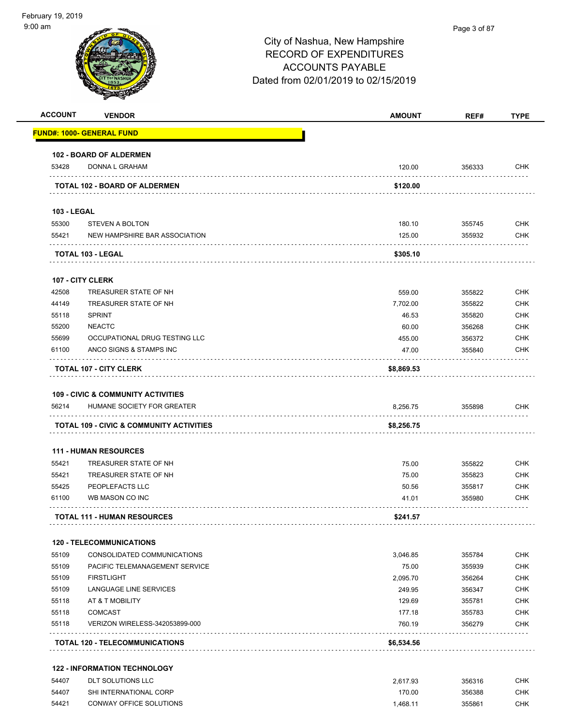| <b>ACCOUNT</b>     | <b>VENDOR</b>                                                               | <b>AMOUNT</b> | REF#   | <b>TYPE</b> |
|--------------------|-----------------------------------------------------------------------------|---------------|--------|-------------|
|                    | <b>FUND#: 1000- GENERAL FUND</b>                                            |               |        |             |
|                    | 102 - BOARD OF ALDERMEN                                                     |               |        |             |
| 53428              | DONNA L GRAHAM                                                              | 120.00        | 356333 | <b>CHK</b>  |
|                    | TOTAL 102 - BOARD OF ALDERMEN                                               | \$120.00      |        |             |
| <b>103 - LEGAL</b> |                                                                             |               |        |             |
| 55300              | <b>STEVEN A BOLTON</b>                                                      | 180.10        | 355745 | <b>CHK</b>  |
| 55421              | NEW HAMPSHIRE BAR ASSOCIATION                                               | 125.00        | 355932 | <b>CHK</b>  |
|                    | <b>TOTAL 103 - LEGAL</b>                                                    | \$305.10      |        |             |
|                    | <b>107 - CITY CLERK</b>                                                     |               |        |             |
| 42508              | TREASURER STATE OF NH                                                       | 559.00        | 355822 | <b>CHK</b>  |
| 44149              | TREASURER STATE OF NH                                                       | 7,702.00      | 355822 | <b>CHK</b>  |
| 55118              | <b>SPRINT</b>                                                               | 46.53         | 355820 | <b>CHK</b>  |
| 55200              | <b>NEACTC</b>                                                               | 60.00         | 356268 | <b>CHK</b>  |
| 55699              | OCCUPATIONAL DRUG TESTING LLC                                               | 455.00        | 356372 | <b>CHK</b>  |
| 61100              | ANCO SIGNS & STAMPS INC                                                     | 47.00         | 355840 | <b>CHK</b>  |
|                    | <b>TOTAL 107 - CITY CLERK</b>                                               | \$8,869.53    |        |             |
|                    |                                                                             |               |        |             |
| 56214              | <b>109 - CIVIC &amp; COMMUNITY ACTIVITIES</b><br>HUMANE SOCIETY FOR GREATER | 8,256.75      | 355898 | <b>CHK</b>  |
|                    | <b>TOTAL 109 - CIVIC &amp; COMMUNITY ACTIVITIES</b>                         | \$8,256.75    |        |             |
|                    | <b>111 - HUMAN RESOURCES</b>                                                |               |        |             |
| 55421              | TREASURER STATE OF NH                                                       | 75.00         | 355822 | <b>CHK</b>  |
| 55421              | TREASURER STATE OF NH                                                       | 75.00         | 355823 | <b>CHK</b>  |
| 55425              | PEOPLEFACTS LLC                                                             | 50.56         | 355817 | <b>CHK</b>  |
| 61100              | WB MASON CO INC                                                             | 41.01         | 355980 | CHK         |
|                    | <b>TOTAL 111 - HUMAN RESOURCES</b>                                          | \$241.57      |        |             |
|                    | <b>120 - TELECOMMUNICATIONS</b>                                             |               |        |             |
| 55109              | CONSOLIDATED COMMUNICATIONS                                                 | 3,046.85      | 355784 | <b>CHK</b>  |
| 55109              | PACIFIC TELEMANAGEMENT SERVICE                                              | 75.00         | 355939 | <b>CHK</b>  |
| 55109              | <b>FIRSTLIGHT</b>                                                           | 2,095.70      | 356264 | CHK         |
| 55109              | LANGUAGE LINE SERVICES                                                      | 249.95        | 356347 | <b>CHK</b>  |
| 55118              | AT & T MOBILITY                                                             | 129.69        | 355781 | <b>CHK</b>  |
| 55118              | <b>COMCAST</b>                                                              | 177.18        | 355783 | <b>CHK</b>  |
| 55118              | VERIZON WIRELESS-342053899-000                                              | 760.19        | 356279 | <b>CHK</b>  |
|                    | <b>TOTAL 120 - TELECOMMUNICATIONS</b>                                       | \$6,534.56    |        |             |
|                    | <b>122 - INFORMATION TECHNOLOGY</b>                                         |               |        |             |
| 54407              | DLT SOLUTIONS LLC                                                           | 2,617.93      | 356316 | CHK         |
| 54407              | SHI INTERNATIONAL CORP                                                      | 170.00        | 356388 | <b>CHK</b>  |

54421 CONWAY OFFICE SOLUTIONS 1,468.11 355861 CHK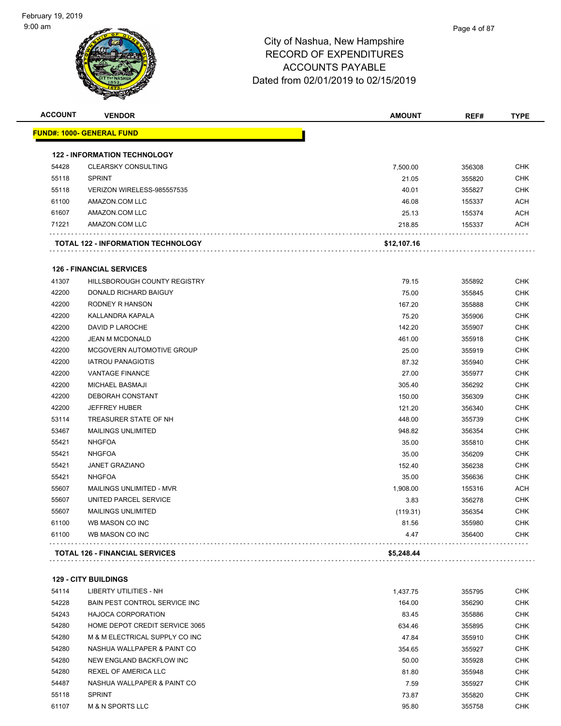| <b>ACCOUNT</b> | <b>VENDOR</b>                         | <b>AMOUNT</b> | REF#             | <b>TYPE</b> |
|----------------|---------------------------------------|---------------|------------------|-------------|
|                | <u> FUND#: 1000- GENERAL FUND</u>     |               |                  |             |
|                | <b>122 - INFORMATION TECHNOLOGY</b>   |               |                  |             |
| 54428          | <b>CLEARSKY CONSULTING</b>            | 7,500.00      | 356308           | <b>CHK</b>  |
| 55118          | <b>SPRINT</b>                         | 21.05         | 355820           | <b>CHK</b>  |
| 55118          | VERIZON WIRELESS-985557535            | 40.01         | 355827           | <b>CHK</b>  |
| 61100          | AMAZON.COM LLC                        | 46.08         | 155337           | <b>ACH</b>  |
| 61607          | AMAZON.COM LLC                        | 25.13         | 155374           | ACH         |
| 71221          | AMAZON.COM LLC                        | 218.85        | 155337           | <b>ACH</b>  |
|                | TOTAL 122 - INFORMATION TECHNOLOGY    | \$12,107.16   |                  |             |
|                |                                       |               |                  |             |
|                | <b>126 - FINANCIAL SERVICES</b>       |               |                  |             |
| 41307          | HILLSBOROUGH COUNTY REGISTRY          | 79.15         | 355892           | CHK         |
| 42200          | <b>DONALD RICHARD BAIGUY</b>          | 75.00         | 355845           | <b>CHK</b>  |
| 42200          | RODNEY R HANSON                       | 167.20        | 355888           | CHK         |
| 42200          | KALLANDRA KAPALA                      | 75.20         | 355906           | CHK         |
| 42200          | DAVID P LAROCHE                       | 142.20        | 355907           | CHK         |
| 42200          | JEAN M MCDONALD                       | 461.00        | 355918           | CHK         |
| 42200          | MCGOVERN AUTOMOTIVE GROUP             | 25.00         | 355919           | CHK         |
| 42200          | <b>IATROU PANAGIOTIS</b>              | 87.32         | 355940           | <b>CHK</b>  |
| 42200          | <b>VANTAGE FINANCE</b>                | 27.00         | 355977           | CHK         |
| 42200          | <b>MICHAEL BASMAJI</b>                | 305.40        | 356292           | <b>CHK</b>  |
| 42200          | DEBORAH CONSTANT                      | 150.00        | 356309           | <b>CHK</b>  |
| 42200          | <b>JEFFREY HUBER</b>                  | 121.20        | 356340           | <b>CHK</b>  |
| 53114          | TREASURER STATE OF NH                 | 448.00        | 355739           | <b>CHK</b>  |
| 53467          | <b>MAILINGS UNLIMITED</b>             | 948.82        | 356354           | <b>CHK</b>  |
| 55421          | <b>NHGFOA</b>                         | 35.00         | 355810           | CHK         |
| 55421          | <b>NHGFOA</b>                         | 35.00         | 356209           | <b>CHK</b>  |
| 55421          | <b>JANET GRAZIANO</b>                 | 152.40        | 356238           | CHK         |
| 55421          | <b>NHGFOA</b>                         | 35.00         | 356636           | <b>CHK</b>  |
| 55607          | MAILINGS UNLIMITED - MVR              | 1,908.00      | 155316           | <b>ACH</b>  |
| 55607          | UNITED PARCEL SERVICE                 | 3.83          | 356278           | CHK         |
| 55607          | <b>MAILINGS UNLIMITED</b>             | (119.31)      | 356354           | <b>CHK</b>  |
| 61100<br>61100 | WB MASON CO INC<br>WB MASON CO INC    | 81.56<br>4.47 | 355980<br>356400 | CHK<br>CHK  |
|                |                                       |               |                  |             |
|                | <b>TOTAL 126 - FINANCIAL SERVICES</b> | \$5,248.44    |                  |             |
|                | <b>129 - CITY BUILDINGS</b>           |               |                  |             |
| 54114          | <b>LIBERTY UTILITIES - NH</b>         | 1,437.75      | 355795           | <b>CHK</b>  |
| 54228          | BAIN PEST CONTROL SERVICE INC         | 164.00        | 356290           | <b>CHK</b>  |
| 54243          | <b>HAJOCA CORPORATION</b>             | 83.45         | 355886           | CHK         |
| 54280          | HOME DEPOT CREDIT SERVICE 3065        | 634.46        | 355895           | <b>CHK</b>  |
| 54280          | M & M ELECTRICAL SUPPLY CO INC        | 47.84         | 355910           | <b>CHK</b>  |
| 54280          | NASHUA WALLPAPER & PAINT CO           | 354.65        | 355927           | CHK         |
| 54280          | NEW ENGLAND BACKFLOW INC              | 50.00         | 355928           | CHK         |
| 54280          | REXEL OF AMERICA LLC                  | 81.80         | 355948           | CHK         |
| 54487          | NASHUA WALLPAPER & PAINT CO           | 7.59          | 355927           | <b>CHK</b>  |

 SPRINT 73.87 355820 CHK M & N SPORTS LLC 95.80 355758 CHK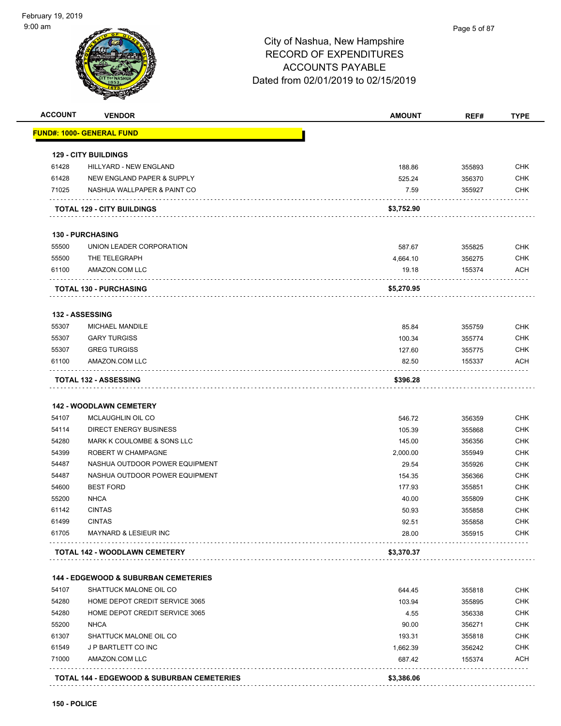| <b>ACCOUNT</b> | <b>VENDOR</b>                                     | <b>AMOUNT</b>  | REF#             | <b>TYPE</b>              |
|----------------|---------------------------------------------------|----------------|------------------|--------------------------|
|                | <u> FUND#: 1000- GENERAL FUND</u>                 |                |                  |                          |
|                | <b>129 - CITY BUILDINGS</b>                       |                |                  |                          |
| 61428          | <b>HILLYARD - NEW ENGLAND</b>                     | 188.86         | 355893           | <b>CHK</b>               |
| 61428          | NEW ENGLAND PAPER & SUPPLY                        | 525.24         | 356370           | <b>CHK</b>               |
| 71025          | NASHUA WALLPAPER & PAINT CO                       | 7.59           | 355927           | <b>CHK</b>               |
|                | <b>TOTAL 129 - CITY BUILDINGS</b>                 | \$3,752.90     |                  |                          |
|                | <b>130 - PURCHASING</b>                           |                |                  |                          |
| 55500          | UNION LEADER CORPORATION                          | 587.67         | 355825           | <b>CHK</b>               |
| 55500          | THE TELEGRAPH                                     | 4,664.10       | 356275           | <b>CHK</b>               |
| 61100          | AMAZON.COM LLC                                    | 19.18          | 155374           | <b>ACH</b>               |
|                | <b>TOTAL 130 - PURCHASING</b>                     | \$5,270.95     |                  |                          |
|                | 132 - ASSESSING                                   |                |                  |                          |
| 55307          | MICHAEL MANDILE                                   | 85.84          | 355759           | <b>CHK</b>               |
| 55307          | <b>GARY TURGISS</b>                               | 100.34         | 355774           | <b>CHK</b>               |
| 55307          | <b>GREG TURGISS</b>                               | 127.60         | 355775           | <b>CHK</b>               |
| 61100          | AMAZON.COM LLC                                    | 82.50          | 155337           | ACH                      |
|                | <b>TOTAL 132 - ASSESSING</b>                      | \$396.28       |                  |                          |
|                |                                                   |                |                  |                          |
|                | <b>142 - WOODLAWN CEMETERY</b>                    |                |                  |                          |
| 54107          | MCLAUGHLIN OIL CO                                 | 546.72         | 356359           | <b>CHK</b>               |
| 54114          | <b>DIRECT ENERGY BUSINESS</b>                     | 105.39         | 355868           | <b>CHK</b>               |
| 54280          | MARK K COULOMBE & SONS LLC                        | 145.00         | 356356           | <b>CHK</b>               |
| 54399          | ROBERT W CHAMPAGNE                                | 2,000.00       | 355949           | <b>CHK</b>               |
| 54487          | NASHUA OUTDOOR POWER EQUIPMENT                    | 29.54          | 355926           | <b>CHK</b>               |
| 54487          | NASHUA OUTDOOR POWER EQUIPMENT                    | 154.35         | 356366           | <b>CHK</b>               |
| 54600          | <b>BEST FORD</b>                                  | 177.93         | 355851           | <b>CHK</b>               |
| 55200          | <b>NHCA</b>                                       | 40.00          | 355809           | <b>CHK</b>               |
| 61142          | <b>CINTAS</b>                                     | 50.93          | 355858           | <b>CHK</b>               |
| 61499<br>61705 | <b>CINTAS</b><br><b>MAYNARD &amp; LESIEUR INC</b> | 92.51<br>28.00 | 355858<br>355915 | <b>CHK</b><br><b>CHK</b> |
|                | TOTAL 142 - WOODLAWN CEMETERY                     | \$3,370.37     |                  |                          |
|                |                                                   |                |                  |                          |
|                | <b>144 - EDGEWOOD &amp; SUBURBAN CEMETERIES</b>   |                |                  |                          |
| 54107          | SHATTUCK MALONE OIL CO                            | 644.45         | 355818           | <b>CHK</b>               |
| 54280          | HOME DEPOT CREDIT SERVICE 3065                    | 103.94         | 355895           | <b>CHK</b>               |
| 54280          | HOME DEPOT CREDIT SERVICE 3065                    | 4.55           | 356338           | <b>CHK</b>               |
| 55200          | <b>NHCA</b>                                       | 90.00          | 356271           | <b>CHK</b>               |
| 61307          | SHATTUCK MALONE OIL CO                            | 193.31         | 355818           | <b>CHK</b>               |
| 61549          | J P BARTLETT CO INC                               | 1,662.39       | 356242           | <b>CHK</b>               |
| 71000          | AMAZON.COM LLC                                    | 687.42         | 155374           | <b>ACH</b>               |
|                | TOTAL 144 - EDGEWOOD & SUBURBAN CEMETERIES        | \$3,386.06     |                  |                          |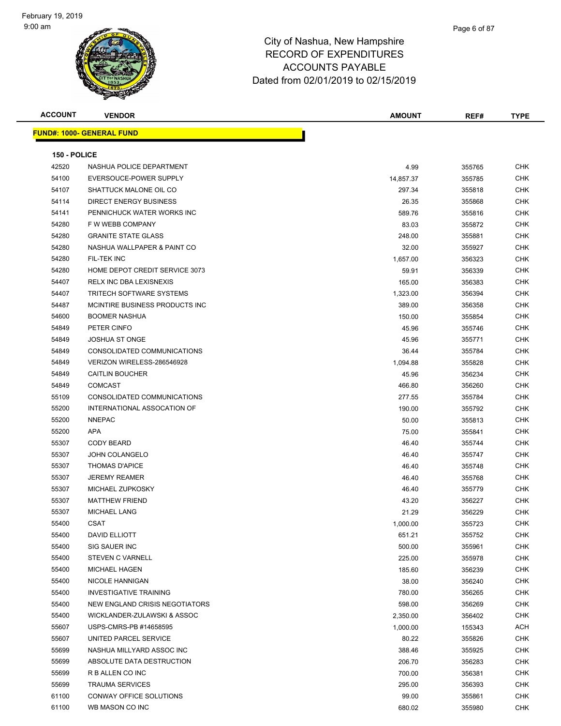| <b>ACCOUNT</b> | <b>VENDOR</b>                    | <b>AMOUNT</b> | REF#   | <b>TYPE</b> |
|----------------|----------------------------------|---------------|--------|-------------|
|                | <b>FUND#: 1000- GENERAL FUND</b> |               |        |             |
|                |                                  |               |        |             |
| 150 - POLICE   |                                  |               |        |             |
| 42520          | NASHUA POLICE DEPARTMENT         | 4.99          | 355765 | <b>CHK</b>  |
| 54100          | EVERSOUCE-POWER SUPPLY           | 14,857.37     | 355785 | <b>CHK</b>  |
| 54107          | SHATTUCK MALONE OIL CO           | 297.34        | 355818 | CHK         |
| 54114          | <b>DIRECT ENERGY BUSINESS</b>    | 26.35         | 355868 | <b>CHK</b>  |
| 54141          | PENNICHUCK WATER WORKS INC       | 589.76        | 355816 | CHK         |
| 54280          | F W WEBB COMPANY                 | 83.03         | 355872 | CHK         |
| 54280          | <b>GRANITE STATE GLASS</b>       | 248.00        | 355881 | CHK         |
| 54280          | NASHUA WALLPAPER & PAINT CO      | 32.00         | 355927 | <b>CHK</b>  |
| 54280          | FIL-TEK INC                      | 1,657.00      | 356323 | CHK         |
| 54280          | HOME DEPOT CREDIT SERVICE 3073   | 59.91         | 356339 | <b>CHK</b>  |
| 54407          | RELX INC DBA LEXISNEXIS          | 165.00        | 356383 | CHK         |
| 54407          | <b>TRITECH SOFTWARE SYSTEMS</b>  | 1,323.00      | 356394 | CHK         |
| 54487          | MCINTIRE BUSINESS PRODUCTS INC.  | 389.00        | 356358 | CHK         |
| 54600          | <b>BOOMER NASHUA</b>             | 150.00        | 355854 | CHK         |
| 54849          | PETER CINFO                      | 45.96         | 355746 | CHK         |
| 54849          | <b>JOSHUA ST ONGE</b>            | 45.96         | 355771 | CHK         |
| 54849          | CONSOLIDATED COMMUNICATIONS      | 36.44         | 355784 | CHK         |
| 54849          | VERIZON WIRELESS-286546928       | 1,094.88      | 355828 | CHK         |
| 54849          | <b>CAITLIN BOUCHER</b>           | 45.96         | 356234 | <b>CHK</b>  |
| 54849          | <b>COMCAST</b>                   | 466.80        | 356260 | <b>CHK</b>  |
| 55109          | CONSOLIDATED COMMUNICATIONS      | 277.55        | 355784 | CHK         |
| 55200          | INTERNATIONAL ASSOCATION OF      | 190.00        | 355792 | CHK         |
| 55200          | <b>NNEPAC</b>                    | 50.00         | 355813 | CHK         |
| 55200          | <b>APA</b>                       | 75.00         | 355841 | CHK         |
| 55307          | <b>CODY BEARD</b>                | 46.40         | 355744 | CHK         |
| 55307          | <b>JOHN COLANGELO</b>            | 46.40         | 355747 | CHK         |
| 55307          | <b>THOMAS D'APICE</b>            | 46.40         | 355748 | CHK         |
| 55307          | <b>JEREMY REAMER</b>             | 46.40         | 355768 | <b>CHK</b>  |
| 55307          | MICHAEL ZUPKOSKY                 | 46.40         | 355779 | CHK         |
| 55307          | <b>MATTHEW FRIEND</b>            | 43.20         | 356227 | <b>CHK</b>  |
| 55307          | <b>MICHAEL LANG</b>              | 21.29         | 356229 | <b>CHK</b>  |
| 55400          | <b>CSAT</b>                      | 1,000.00      | 355723 | <b>CHK</b>  |
| 55400          | DAVID ELLIOTT                    | 651.21        | 355752 | CHK         |
| 55400          | SIG SAUER INC                    | 500.00        | 355961 | <b>CHK</b>  |
| 55400          | <b>STEVEN C VARNELL</b>          | 225.00        | 355978 | <b>CHK</b>  |
| 55400          | <b>MICHAEL HAGEN</b>             | 185.60        | 356239 | CHK         |
| 55400          | NICOLE HANNIGAN                  | 38.00         | 356240 | <b>CHK</b>  |
| 55400          | <b>INVESTIGATIVE TRAINING</b>    | 780.00        | 356265 | CHK         |
| 55400          | NEW ENGLAND CRISIS NEGOTIATORS   | 598.00        | 356269 | <b>CHK</b>  |
| 55400          | WICKLANDER-ZULAWSKI & ASSOC      | 2,350.00      | 356402 | <b>CHK</b>  |
| 55607          | USPS-CMRS-PB #14658595           | 1,000.00      | 155343 | ACH         |
| 55607          | UNITED PARCEL SERVICE            | 80.22         | 355826 | <b>CHK</b>  |
| 55699          | NASHUA MILLYARD ASSOC INC        | 388.46        | 355925 | <b>CHK</b>  |
| 55699          | ABSOLUTE DATA DESTRUCTION        | 206.70        | 356283 | CHK         |
| 55699          | R B ALLEN CO INC                 | 700.00        | 356381 | CHK         |
| 55699          | <b>TRAUMA SERVICES</b>           | 295.00        | 356393 | CHK         |
| 61100          | CONWAY OFFICE SOLUTIONS          | 99.00         | 355861 | CHK         |
| 61100          | WB MASON CO INC                  | 680.02        | 355980 | <b>CHK</b>  |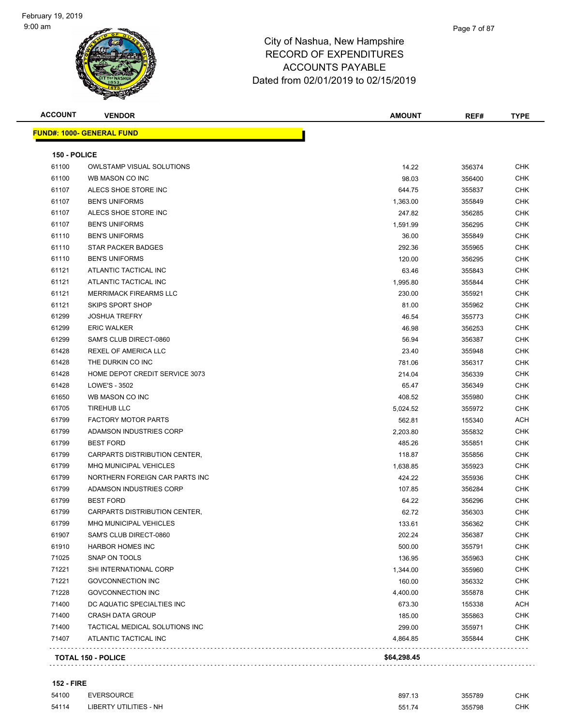| <b>ACCOUNT</b> | <b>VENDOR</b>                    | <b>AMOUNT</b> | REF#   | TYPE       |
|----------------|----------------------------------|---------------|--------|------------|
|                | <b>FUND#: 1000- GENERAL FUND</b> |               |        |            |
| 150 - POLICE   |                                  |               |        |            |
| 61100          | <b>OWLSTAMP VISUAL SOLUTIONS</b> | 14.22         | 356374 | <b>CHK</b> |
| 61100          | WB MASON CO INC                  | 98.03         | 356400 | <b>CHK</b> |
| 61107          | ALECS SHOE STORE INC             | 644.75        | 355837 | CHK        |
| 61107          | <b>BEN'S UNIFORMS</b>            | 1,363.00      | 355849 | CHK        |
| 61107          | ALECS SHOE STORE INC             | 247.82        | 356285 | <b>CHK</b> |
| 61107          | <b>BEN'S UNIFORMS</b>            | 1,591.99      | 356295 | <b>CHK</b> |
| 61110          | <b>BEN'S UNIFORMS</b>            | 36.00         | 355849 | <b>CHK</b> |
| 61110          | STAR PACKER BADGES               | 292.36        | 355965 | <b>CHK</b> |
| 61110          | <b>BEN'S UNIFORMS</b>            | 120.00        | 356295 | <b>CHK</b> |
| 61121          | ATLANTIC TACTICAL INC            | 63.46         | 355843 | <b>CHK</b> |
| 61121          | ATLANTIC TACTICAL INC            | 1,995.80      | 355844 | <b>CHK</b> |
| 61121          | <b>MERRIMACK FIREARMS LLC</b>    | 230.00        | 355921 | <b>CHK</b> |
| 61121          | <b>SKIPS SPORT SHOP</b>          | 81.00         | 355962 | <b>CHK</b> |
| 61299          | <b>JOSHUA TREFRY</b>             | 46.54         | 355773 | CHK        |
| 61299          | <b>ERIC WALKER</b>               | 46.98         | 356253 | CHK        |
| 61299          | SAM'S CLUB DIRECT-0860           | 56.94         | 356387 | <b>CHK</b> |
| 61428          | REXEL OF AMERICA LLC             | 23.40         | 355948 | <b>CHK</b> |
| 61428          | THE DURKIN CO INC                | 781.06        | 356317 | CHK        |
| 61428          | HOME DEPOT CREDIT SERVICE 3073   | 214.04        | 356339 | CHK        |
| 61428          | LOWE'S - 3502                    | 65.47         | 356349 | <b>CHK</b> |
| 61650          | WB MASON CO INC                  | 408.52        | 355980 | <b>CHK</b> |
| 61705          | <b>TIREHUB LLC</b>               | 5,024.52      | 355972 | <b>CHK</b> |
| 61799          | <b>FACTORY MOTOR PARTS</b>       | 562.81        | 155340 | ACH        |
| 61799          | ADAMSON INDUSTRIES CORP          | 2,203.80      | 355832 | <b>CHK</b> |
| 61799          | <b>BEST FORD</b>                 | 485.26        | 355851 | CHK        |
| 61799          | CARPARTS DISTRIBUTION CENTER,    | 118.87        | 355856 | <b>CHK</b> |
| 61799          | <b>MHQ MUNICIPAL VEHICLES</b>    | 1,638.85      | 355923 | <b>CHK</b> |
| 61799          | NORTHERN FOREIGN CAR PARTS INC   | 424.22        | 355936 | CHK        |
| 61799          | ADAMSON INDUSTRIES CORP          | 107.85        | 356284 | CHK        |
| 61799          | <b>BEST FORD</b>                 | 64.22         | 356296 | <b>CHK</b> |
| 61799          | CARPARTS DISTRIBUTION CENTER,    | 62.72         | 356303 | <b>CHK</b> |
| 61799          | MHQ MUNICIPAL VEHICLES           | 133.61        | 356362 | <b>CHK</b> |
| 61907          | SAM'S CLUB DIRECT-0860           | 202.24        | 356387 | CHK        |
| 61910          | <b>HARBOR HOMES INC</b>          | 500.00        | 355791 | <b>CHK</b> |
| 71025          | SNAP ON TOOLS                    | 136.95        | 355963 | <b>CHK</b> |
| 71221          | SHI INTERNATIONAL CORP           | 1,344.00      | 355960 | <b>CHK</b> |
| 71221          | <b>GOVCONNECTION INC</b>         | 160.00        | 356332 | <b>CHK</b> |
| 71228          | <b>GOVCONNECTION INC</b>         | 4,400.00      | 355878 | <b>CHK</b> |
| 71400          | DC AQUATIC SPECIALTIES INC       | 673.30        | 155338 | <b>ACH</b> |
| 71400          | <b>CRASH DATA GROUP</b>          | 185.00        | 355863 | <b>CHK</b> |
| 71400          | TACTICAL MEDICAL SOLUTIONS INC   | 299.00        | 355971 | <b>CHK</b> |
| 71407          | ATLANTIC TACTICAL INC            | 4,864.85      | 355844 | CHK        |
|                | TOTAL 150 - POLICE               | \$64,298.45   |        |            |
|                |                                  |               |        |            |

| <b>152 - FIRE</b> |                        |        |        |     |
|-------------------|------------------------|--------|--------|-----|
| 54100             | EVERSOURCE             | 897.13 | 355789 | CHK |
| 54114             | LIBERTY UTILITIES - NH | 551.74 | 355798 | CHK |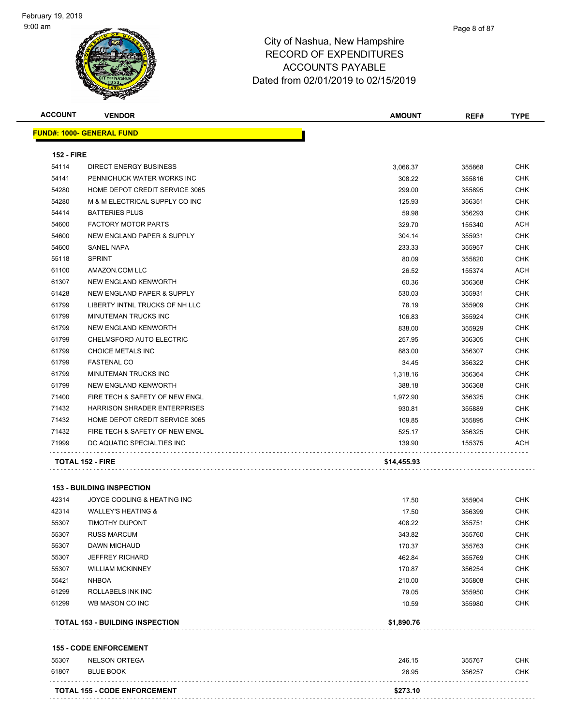| <b>ACCOUNT</b>    | <b>VENDOR</b>                         | <b>AMOUNT</b> | REF#   | <b>TYPE</b> |
|-------------------|---------------------------------------|---------------|--------|-------------|
|                   | <b>FUND#: 1000- GENERAL FUND</b>      |               |        |             |
| <b>152 - FIRE</b> |                                       |               |        |             |
| 54114             | <b>DIRECT ENERGY BUSINESS</b>         | 3,066.37      | 355868 | <b>CHK</b>  |
| 54141             | PENNICHUCK WATER WORKS INC            | 308.22        | 355816 | <b>CHK</b>  |
| 54280             | HOME DEPOT CREDIT SERVICE 3065        | 299.00        | 355895 | <b>CHK</b>  |
| 54280             | M & M ELECTRICAL SUPPLY CO INC        | 125.93        | 356351 | <b>CHK</b>  |
| 54414             | <b>BATTERIES PLUS</b>                 | 59.98         | 356293 | <b>CHK</b>  |
| 54600             | <b>FACTORY MOTOR PARTS</b>            | 329.70        | 155340 | ACH         |
| 54600             | <b>NEW ENGLAND PAPER &amp; SUPPLY</b> | 304.14        | 355931 | CHK         |
| 54600             | <b>SANEL NAPA</b>                     | 233.33        | 355957 | <b>CHK</b>  |
| 55118             | <b>SPRINT</b>                         | 80.09         | 355820 | <b>CHK</b>  |
| 61100             | AMAZON.COM LLC                        | 26.52         | 155374 | <b>ACH</b>  |
| 61307             | <b>NEW ENGLAND KENWORTH</b>           | 60.36         | 356368 | <b>CHK</b>  |
| 61428             | NEW ENGLAND PAPER & SUPPLY            | 530.03        | 355931 | CHK         |
| 61799             | LIBERTY INTNL TRUCKS OF NH LLC        | 78.19         | 355909 | <b>CHK</b>  |
| 61799             | MINUTEMAN TRUCKS INC                  | 106.83        | 355924 | <b>CHK</b>  |
| 61799             | NEW ENGLAND KENWORTH                  | 838.00        | 355929 | CHK         |
| 61799             | CHELMSFORD AUTO ELECTRIC              | 257.95        | 356305 | <b>CHK</b>  |
| 61799             | CHOICE METALS INC                     | 883.00        | 356307 | <b>CHK</b>  |
| 61799             | <b>FASTENAL CO</b>                    | 34.45         | 356322 | <b>CHK</b>  |
| 61799             | <b>MINUTEMAN TRUCKS INC</b>           | 1,318.16      | 356364 | <b>CHK</b>  |
| 61799             | NEW ENGLAND KENWORTH                  | 388.18        | 356368 | <b>CHK</b>  |
| 71400             | FIRE TECH & SAFETY OF NEW ENGL        | 1,972.90      | 356325 | <b>CHK</b>  |
| 71432             | <b>HARRISON SHRADER ENTERPRISES</b>   | 930.81        | 355889 | <b>CHK</b>  |
| 71432             | HOME DEPOT CREDIT SERVICE 3065        | 109.85        | 355895 | CHK         |
| 71432             | FIRE TECH & SAFETY OF NEW ENGL        | 525.17        | 356325 | <b>CHK</b>  |
| 71999             | DC AQUATIC SPECIALTIES INC            | 139.90        | 155375 | ACH         |
|                   | TOTAL 152 - FIRE                      | \$14,455.93   |        |             |

### **153 - BUILDING INSPECTION**

| 42314 | JOYCE COOLING & HEATING INC            | 17.50      | 355904 | <b>CHK</b> |
|-------|----------------------------------------|------------|--------|------------|
| 42314 | <b>WALLEY'S HEATING &amp;</b>          | 17.50      | 356399 | <b>CHK</b> |
| 55307 | <b>TIMOTHY DUPONT</b>                  | 408.22     | 355751 | <b>CHK</b> |
| 55307 | <b>RUSS MARCUM</b>                     | 343.82     | 355760 | <b>CHK</b> |
| 55307 | <b>DAWN MICHAUD</b>                    | 170.37     | 355763 | <b>CHK</b> |
| 55307 | <b>JEFFREY RICHARD</b>                 | 462.84     | 355769 | <b>CHK</b> |
| 55307 | <b>WILLIAM MCKINNEY</b>                | 170.87     | 356254 | <b>CHK</b> |
| 55421 | <b>NHBOA</b>                           | 210.00     | 355808 | <b>CHK</b> |
| 61299 | ROLLABELS INK INC                      | 79.05      | 355950 | <b>CHK</b> |
| 61299 | WB MASON CO INC                        | 10.59      | 355980 | <b>CHK</b> |
|       | <b>TOTAL 153 - BUILDING INSPECTION</b> | \$1,890.76 |        |            |

#### **155 - CODE ENFORCEMENT**

| <b>TOTAL 155 - CODE ENFORCEMENT</b> | \$273.10 |        |            |
|-------------------------------------|----------|--------|------------|
|                                     |          |        |            |
| 61807<br><b>BLUE BOOK</b>           | 26.95    | 356257 | <b>CHK</b> |
| 55307<br>NELSON ORTEGA              | 246.15   | 355767 | <b>CHK</b> |
|                                     |          |        |            |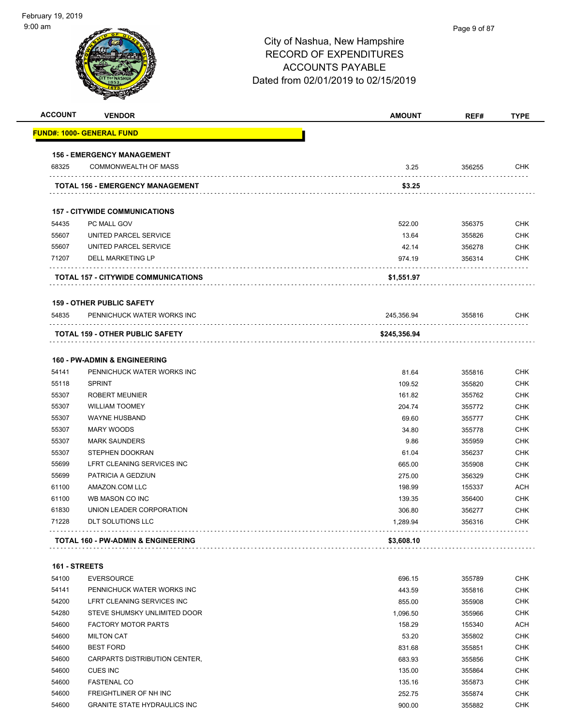| <b>ACCOUNT</b> | <b>VENDOR</b>                                 | <b>AMOUNT</b> | REF#   | <b>TYPE</b> |
|----------------|-----------------------------------------------|---------------|--------|-------------|
|                | <b>FUND#: 1000- GENERAL FUND</b>              |               |        |             |
|                | <b>156 - EMERGENCY MANAGEMENT</b>             |               |        |             |
| 68325          | <b>COMMONWEALTH OF MASS</b>                   | 3.25          | 356255 | <b>CHK</b>  |
|                | TOTAL 156 - EMERGENCY MANAGEMENT              | \$3.25        |        |             |
|                | <b>157 - CITYWIDE COMMUNICATIONS</b>          |               |        |             |
| 54435          | PC MALL GOV                                   | 522.00        | 356375 | <b>CHK</b>  |
| 55607          | UNITED PARCEL SERVICE                         | 13.64         | 355826 | <b>CHK</b>  |
| 55607          | UNITED PARCEL SERVICE                         | 42.14         | 356278 | <b>CHK</b>  |
| 71207          | DELL MARKETING LP                             | 974.19        | 356314 | <b>CHK</b>  |
|                | TOTAL 157 - CITYWIDE COMMUNICATIONS           | \$1,551.97    |        |             |
|                | <b>159 - OTHER PUBLIC SAFETY</b>              |               |        |             |
| 54835          | PENNICHUCK WATER WORKS INC                    | 245,356.94    | 355816 | <b>CHK</b>  |
|                | <b>TOTAL 159 - OTHER PUBLIC SAFETY</b>        | \$245,356.94  |        |             |
|                | <b>160 - PW-ADMIN &amp; ENGINEERING</b>       |               |        |             |
| 54141          | PENNICHUCK WATER WORKS INC                    | 81.64         | 355816 | <b>CHK</b>  |
| 55118          | <b>SPRINT</b>                                 | 109.52        | 355820 | <b>CHK</b>  |
| 55307          | <b>ROBERT MEUNIER</b>                         | 161.82        | 355762 | <b>CHK</b>  |
| 55307          | <b>WILLIAM TOOMEY</b>                         | 204.74        | 355772 | <b>CHK</b>  |
| 55307          | <b>WAYNE HUSBAND</b>                          | 69.60         | 355777 | <b>CHK</b>  |
| 55307          | <b>MARY WOODS</b>                             | 34.80         | 355778 | <b>CHK</b>  |
| 55307          | <b>MARK SAUNDERS</b>                          | 9.86          | 355959 | <b>CHK</b>  |
| 55307          | STEPHEN DOOKRAN                               | 61.04         | 356237 | <b>CHK</b>  |
| 55699          | LFRT CLEANING SERVICES INC                    | 665.00        | 355908 | <b>CHK</b>  |
| 55699          | PATRICIA A GEDZIUN                            | 275.00        | 356329 | <b>CHK</b>  |
| 61100          | AMAZON.COM LLC                                | 198.99        | 155337 | <b>ACH</b>  |
| 61100          | WB MASON CO INC                               | 139.35        | 356400 | <b>CHK</b>  |
| 61830          | UNION LEADER CORPORATION                      | 306.80        | 356277 | <b>CHK</b>  |
| 71228          | DLT SOLUTIONS LLC                             | 1,289.94      | 356316 | <b>CHK</b>  |
|                | <b>TOTAL 160 - PW-ADMIN &amp; ENGINEERING</b> | \$3,608.10    |        |             |
| 161 - STREETS  |                                               |               |        |             |
| 54100          | <b>EVERSOURCE</b>                             | 696.15        | 355789 | <b>CHK</b>  |
| 54141          | PENNICHUCK WATER WORKS INC                    | 443.59        | 355816 | <b>CHK</b>  |
| 54200          | LFRT CLEANING SERVICES INC                    | 855.00        | 355908 | <b>CHK</b>  |
| 54280          | STEVE SHUMSKY UNLIMITED DOOR                  | 1,096.50      | 355966 | <b>CHK</b>  |
| 54600          | <b>FACTORY MOTOR PARTS</b>                    | 158.29        | 155340 | <b>ACH</b>  |
| 54600          | <b>MILTON CAT</b>                             | 53.20         | 355802 | <b>CHK</b>  |
| 54600          | <b>BEST FORD</b>                              | 831.68        | 355851 | <b>CHK</b>  |
| 54600          | CARPARTS DISTRIBUTION CENTER,                 | 683.93        | 355856 | <b>CHK</b>  |
| 54600          | <b>CUES INC</b>                               | 135.00        | 355864 | <b>CHK</b>  |
| 54600          | <b>FASTENAL CO</b>                            | 135.16        | 355873 | <b>CHK</b>  |
| 54600          | FREIGHTLINER OF NH INC                        | 252.75        | 355874 | <b>CHK</b>  |
| 54600          | <b>GRANITE STATE HYDRAULICS INC</b>           | 900.00        | 355882 | <b>CHK</b>  |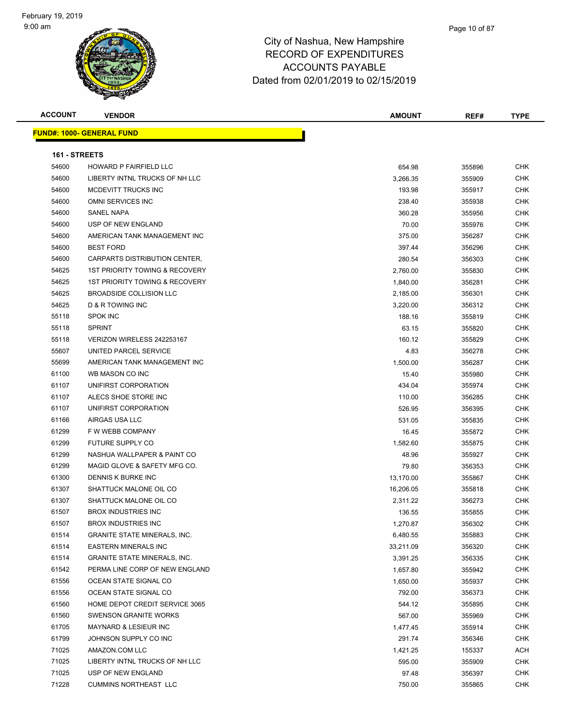#### Page 10 of 87

| <b>ACCOUNT</b> | <b>VENDOR</b>                       | <b>AMOUNT</b> | REF#   | <b>TYPE</b> |
|----------------|-------------------------------------|---------------|--------|-------------|
|                | <b>FUND#: 1000- GENERAL FUND</b>    |               |        |             |
|                |                                     |               |        |             |
| 161 - STREETS  |                                     |               |        |             |
| 54600          | HOWARD P FAIRFIELD LLC              | 654.98        | 355896 | CHK         |
| 54600          | LIBERTY INTNL TRUCKS OF NH LLC      | 3,266.35      | 355909 | CHK         |
| 54600          | MCDEVITT TRUCKS INC                 | 193.98        | 355917 | CHK         |
| 54600          | OMNI SERVICES INC                   | 238.40        | 355938 | CHK         |
| 54600          | <b>SANEL NAPA</b>                   | 360.28        | 355956 | CHK         |
| 54600          | USP OF NEW ENGLAND                  | 70.00         | 355976 | CHK         |
| 54600          | AMERICAN TANK MANAGEMENT INC        | 375.00        | 356287 | CHK         |
| 54600          | <b>BEST FORD</b>                    | 397.44        | 356296 | CHK         |
| 54600          | CARPARTS DISTRIBUTION CENTER,       | 280.54        | 356303 | CHK         |
| 54625          | 1ST PRIORITY TOWING & RECOVERY      | 2,760.00      | 355830 | <b>CHK</b>  |
| 54625          | 1ST PRIORITY TOWING & RECOVERY      | 1,840.00      | 356281 | <b>CHK</b>  |
| 54625          | BROADSIDE COLLISION LLC             | 2,185.00      | 356301 | CHK         |
| 54625          | D & R TOWING INC                    | 3,220.00      | 356312 | <b>CHK</b>  |
| 55118          | <b>SPOK INC</b>                     | 188.16        | 355819 | CHK         |
| 55118          | <b>SPRINT</b>                       | 63.15         | 355820 | CHK         |
| 55118          | VERIZON WIRELESS 242253167          | 160.12        | 355829 | CHK         |
| 55607          | UNITED PARCEL SERVICE               | 4.83          | 356278 | CHK         |
| 55699          | AMERICAN TANK MANAGEMENT INC        | 1,500.00      | 356287 | CHK         |
| 61100          | WB MASON CO INC                     | 15.40         | 355980 | CHK         |
| 61107          | UNIFIRST CORPORATION                | 434.04        | 355974 | CHK         |
| 61107          | ALECS SHOE STORE INC                | 110.00        | 356285 | CHK         |
| 61107          | UNIFIRST CORPORATION                | 526.95        | 356395 | <b>CHK</b>  |
| 61166          | AIRGAS USA LLC                      | 531.05        | 355835 | CHK         |
| 61299          | F W WEBB COMPANY                    | 16.45         | 355872 | <b>CHK</b>  |
| 61299          | FUTURE SUPPLY CO                    | 1,582.60      | 355875 | CHK         |
| 61299          | NASHUA WALLPAPER & PAINT CO         | 48.96         | 355927 | <b>CHK</b>  |
| 61299          | MAGID GLOVE & SAFETY MFG CO.        | 79.80         | 356353 | CHK         |
| 61300          | DENNIS K BURKE INC                  | 13,170.00     | 355867 | CHK         |
| 61307          | SHATTUCK MALONE OIL CO              | 16,206.05     | 355818 | CHK         |
| 61307          | SHATTUCK MALONE OIL CO              | 2,311.22      | 356273 | CHK         |
| 61507          | <b>BROX INDUSTRIES INC</b>          | 136.55        | 355855 | CHK         |
| 61507          | <b>BROX INDUSTRIES INC</b>          | 1,270.87      | 356302 | CHK         |
| 61514          | <b>GRANITE STATE MINERALS, INC.</b> | 6,480.55      | 355883 | <b>CHK</b>  |
| 61514          | <b>EASTERN MINERALS INC</b>         | 33,211.09     | 356320 | CHK         |
| 61514          | <b>GRANITE STATE MINERALS, INC.</b> | 3,391.25      | 356335 | <b>CHK</b>  |
| 61542          | PERMA LINE CORP OF NEW ENGLAND      | 1,657.80      | 355942 | CHK         |
| 61556          | OCEAN STATE SIGNAL CO               | 1,650.00      | 355937 | CHK         |
| 61556          | OCEAN STATE SIGNAL CO               | 792.00        | 356373 | CHK         |
| 61560          | HOME DEPOT CREDIT SERVICE 3065      | 544.12        | 355895 | CHK         |
| 61560          | <b>SWENSON GRANITE WORKS</b>        | 567.00        | 355969 | CHK         |
| 61705          | MAYNARD & LESIEUR INC               | 1,477.45      | 355914 | CHK         |
| 61799          | JOHNSON SUPPLY CO INC               | 291.74        | 356346 | <b>CHK</b>  |
| 71025          | AMAZON.COM LLC                      | 1,421.25      | 155337 | <b>ACH</b>  |
| 71025          | LIBERTY INTNL TRUCKS OF NH LLC      | 595.00        | 355909 | CHK         |
| 71025          | USP OF NEW ENGLAND                  | 97.48         | 356397 | CHK         |
| 71228          | <b>CUMMINS NORTHEAST LLC</b>        | 750.00        | 355865 | <b>CHK</b>  |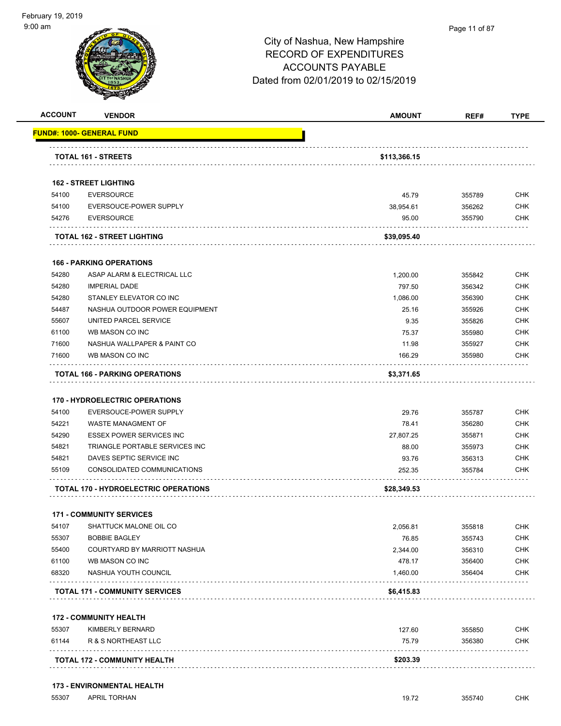|                                                                                        | <b>VENDOR</b>                                                   | <b>AMOUNT</b>      | REF#             | <b>TYPE</b>                                                                                                                                                                 |
|----------------------------------------------------------------------------------------|-----------------------------------------------------------------|--------------------|------------------|-----------------------------------------------------------------------------------------------------------------------------------------------------------------------------|
|                                                                                        | <u> FUND#: 1000- GENERAL FUND</u>                               |                    |                  |                                                                                                                                                                             |
|                                                                                        | <b>TOTAL 161 - STREETS</b>                                      | \$113,366.15       |                  |                                                                                                                                                                             |
|                                                                                        |                                                                 |                    |                  |                                                                                                                                                                             |
|                                                                                        | <b>162 - STREET LIGHTING</b>                                    |                    |                  |                                                                                                                                                                             |
| 54100                                                                                  | <b>EVERSOURCE</b>                                               | 45.79              | 355789           | <b>CHK</b>                                                                                                                                                                  |
| 54100                                                                                  | EVERSOUCE-POWER SUPPLY                                          | 38,954.61          | 356262           | <b>CHK</b>                                                                                                                                                                  |
| 54276                                                                                  | <b>EVERSOURCE</b>                                               | 95.00              | 355790           | CHK                                                                                                                                                                         |
|                                                                                        | TOTAL 162 - STREET LIGHTING                                     | \$39,095.40        |                  |                                                                                                                                                                             |
|                                                                                        | <b>166 - PARKING OPERATIONS</b>                                 |                    |                  |                                                                                                                                                                             |
| 54280                                                                                  | ASAP ALARM & ELECTRICAL LLC                                     | 1,200.00           | 355842           | <b>CHK</b>                                                                                                                                                                  |
| 54280                                                                                  | <b>IMPERIAL DADE</b>                                            | 797.50             | 356342           | <b>CHK</b>                                                                                                                                                                  |
| 54280                                                                                  | STANLEY ELEVATOR CO INC                                         | 1,086.00           | 356390           | <b>CHK</b>                                                                                                                                                                  |
| 54487                                                                                  | NASHUA OUTDOOR POWER EQUIPMENT                                  | 25.16              | 355926           | <b>CHK</b>                                                                                                                                                                  |
| 55607                                                                                  | UNITED PARCEL SERVICE                                           | 9.35               | 355826           | <b>CHK</b>                                                                                                                                                                  |
| 61100                                                                                  | WB MASON CO INC                                                 | 75.37              | 355980           | <b>CHK</b>                                                                                                                                                                  |
| 71600                                                                                  | NASHUA WALLPAPER & PAINT CO                                     | 11.98              | 355927           | <b>CHK</b>                                                                                                                                                                  |
| 71600                                                                                  | WB MASON CO INC                                                 | 166.29             | 355980           | CHK                                                                                                                                                                         |
|                                                                                        | <b>TOTAL 166 - PARKING OPERATIONS</b>                           | \$3,371.65         |                  |                                                                                                                                                                             |
| 54100                                                                                  | <b>170 - HYDROELECTRIC OPERATIONS</b><br>EVERSOUCE-POWER SUPPLY |                    |                  |                                                                                                                                                                             |
|                                                                                        |                                                                 |                    |                  |                                                                                                                                                                             |
|                                                                                        | WASTE MANAGMENT OF                                              | 29.76<br>78.41     | 355787<br>356280 |                                                                                                                                                                             |
|                                                                                        | <b>ESSEX POWER SERVICES INC</b>                                 |                    | 355871           |                                                                                                                                                                             |
|                                                                                        | TRIANGLE PORTABLE SERVICES INC                                  | 27,807.25<br>88.00 | 355973           |                                                                                                                                                                             |
|                                                                                        | DAVES SEPTIC SERVICE INC                                        | 93.76              | 356313           |                                                                                                                                                                             |
|                                                                                        | CONSOLIDATED COMMUNICATIONS                                     | 252.35             | 355784           |                                                                                                                                                                             |
|                                                                                        | <b>TOTAL 170 - HYDROELECTRIC OPERATIONS</b>                     | \$28,349.53        |                  |                                                                                                                                                                             |
|                                                                                        | <b>171 - COMMUNITY SERVICES</b>                                 |                    |                  |                                                                                                                                                                             |
|                                                                                        | SHATTUCK MALONE OIL CO                                          | 2,056.81           | 355818           |                                                                                                                                                                             |
|                                                                                        | <b>BOBBIE BAGLEY</b>                                            | 76.85              | 355743           |                                                                                                                                                                             |
|                                                                                        | COURTYARD BY MARRIOTT NASHUA                                    | 2,344.00           | 356310           |                                                                                                                                                                             |
|                                                                                        | WB MASON CO INC                                                 | 478.17             | 356400           |                                                                                                                                                                             |
|                                                                                        | NASHUA YOUTH COUNCIL                                            | 1,460.00           | 356404           |                                                                                                                                                                             |
|                                                                                        | .<br><b>TOTAL 171 - COMMUNITY SERVICES</b>                      | \$6,415.83         |                  |                                                                                                                                                                             |
| 54221<br>54290<br>54821<br>54821<br>55109<br>54107<br>55307<br>55400<br>61100<br>68320 | <b>172 - COMMUNITY HEALTH</b>                                   |                    |                  |                                                                                                                                                                             |
|                                                                                        | KIMBERLY BERNARD                                                | 127.60             | 355850           |                                                                                                                                                                             |
| 55307<br>61144                                                                         | R & S NORTHEAST LLC<br>.                                        | 75.79              | 356380           | <b>CHK</b><br><b>CHK</b><br><b>CHK</b><br><b>CHK</b><br><b>CHK</b><br>CHK<br><b>CHK</b><br><b>CHK</b><br><b>CHK</b><br><b>CHK</b><br><b>CHK</b><br><b>CHK</b><br><b>CHK</b> |

### **173 - ENVIRONMENTAL HEALTH**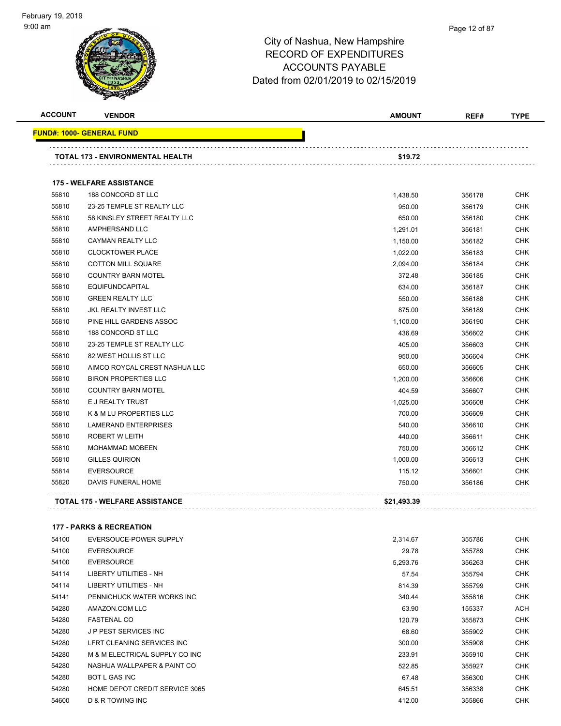#### Page 12 of 87

| <b>ACCOUNT</b> | <b>VENDOR</b>                         | AMOUNT      | REF#   | <b>TYPE</b> |
|----------------|---------------------------------------|-------------|--------|-------------|
|                | <u> FUND#: 1000- GENERAL FUND</u>     |             |        |             |
|                | TOTAL 173 - ENVIRONMENTAL HEALTH      | \$19.72     |        |             |
|                | <b>175 - WELFARE ASSISTANCE</b>       |             |        |             |
| 55810          | 188 CONCORD ST LLC                    | 1,438.50    | 356178 | <b>CHK</b>  |
| 55810          | 23-25 TEMPLE ST REALTY LLC            | 950.00      | 356179 | <b>CHK</b>  |
| 55810          | 58 KINSLEY STREET REALTY LLC          | 650.00      | 356180 | <b>CHK</b>  |
| 55810          | AMPHERSAND LLC                        | 1,291.01    | 356181 | <b>CHK</b>  |
| 55810          | <b>CAYMAN REALTY LLC</b>              | 1,150.00    | 356182 | <b>CHK</b>  |
| 55810          | <b>CLOCKTOWER PLACE</b>               | 1,022.00    | 356183 | <b>CHK</b>  |
| 55810          | <b>COTTON MILL SQUARE</b>             | 2,094.00    | 356184 | <b>CHK</b>  |
| 55810          | <b>COUNTRY BARN MOTEL</b>             | 372.48      | 356185 | <b>CHK</b>  |
| 55810          | <b>EQUIFUNDCAPITAL</b>                | 634.00      | 356187 | <b>CHK</b>  |
| 55810          | <b>GREEN REALTY LLC</b>               | 550.00      | 356188 | <b>CHK</b>  |
| 55810          | <b>JKL REALTY INVEST LLC</b>          | 875.00      | 356189 | <b>CHK</b>  |
| 55810          | PINE HILL GARDENS ASSOC               | 1,100.00    | 356190 | <b>CHK</b>  |
| 55810          | 188 CONCORD ST LLC                    | 436.69      | 356602 | <b>CHK</b>  |
| 55810          | 23-25 TEMPLE ST REALTY LLC            | 405.00      | 356603 | <b>CHK</b>  |
| 55810          | 82 WEST HOLLIS ST LLC                 | 950.00      | 356604 | <b>CHK</b>  |
| 55810          | AIMCO ROYCAL CREST NASHUA LLC         | 650.00      | 356605 | <b>CHK</b>  |
| 55810          | <b>BIRON PROPERTIES LLC</b>           | 1,200.00    | 356606 | <b>CHK</b>  |
| 55810          | <b>COUNTRY BARN MOTEL</b>             | 404.59      | 356607 | <b>CHK</b>  |
| 55810          | E J REALTY TRUST                      | 1,025.00    | 356608 | <b>CHK</b>  |
| 55810          | K & M LU PROPERTIES LLC               | 700.00      | 356609 | <b>CHK</b>  |
| 55810          | <b>LAMERAND ENTERPRISES</b>           | 540.00      | 356610 | <b>CHK</b>  |
| 55810          | <b>ROBERT W LEITH</b>                 | 440.00      | 356611 | <b>CHK</b>  |
| 55810          | <b>MOHAMMAD MOBEEN</b>                | 750.00      | 356612 | <b>CHK</b>  |
| 55810          | <b>GILLES QUIRION</b>                 | 1,000.00    | 356613 | <b>CHK</b>  |
| 55814          | <b>EVERSOURCE</b>                     | 115.12      | 356601 | <b>CHK</b>  |
| 55820          | DAVIS FUNERAL HOME                    | 750.00      | 356186 | <b>CHK</b>  |
|                | <b>TOTAL 175 - WELFARE ASSISTANCE</b> | \$21,493.39 |        |             |

| 54100 | EVERSOUCE-POWER SUPPLY         | 2,314.67 | 355786 | CHK        |
|-------|--------------------------------|----------|--------|------------|
| 54100 | <b>EVERSOURCE</b>              | 29.78    | 355789 | <b>CHK</b> |
| 54100 | <b>EVERSOURCE</b>              | 5,293.76 | 356263 | <b>CHK</b> |
| 54114 | LIBERTY UTILITIES - NH         | 57.54    | 355794 | <b>CHK</b> |
| 54114 | LIBERTY UTILITIES - NH         | 814.39   | 355799 | <b>CHK</b> |
| 54141 | PENNICHUCK WATER WORKS INC     | 340.44   | 355816 | <b>CHK</b> |
| 54280 | AMAZON.COM LLC                 | 63.90    | 155337 | <b>ACH</b> |
| 54280 | <b>FASTENAL CO</b>             | 120.79   | 355873 | <b>CHK</b> |
| 54280 | J P PEST SERVICES INC          | 68.60    | 355902 | <b>CHK</b> |
| 54280 | LFRT CLEANING SERVICES INC     | 300.00   | 355908 | <b>CHK</b> |
| 54280 | M & M ELECTRICAL SUPPLY CO INC | 233.91   | 355910 | <b>CHK</b> |
| 54280 | NASHUA WALLPAPER & PAINT CO    | 522.85   | 355927 | <b>CHK</b> |
| 54280 | <b>BOT L GAS INC</b>           | 67.48    | 356300 | <b>CHK</b> |
| 54280 | HOME DEPOT CREDIT SERVICE 3065 | 645.51   | 356338 | <b>CHK</b> |
| 54600 | D & R TOWING INC               | 412.00   | 355866 | <b>CHK</b> |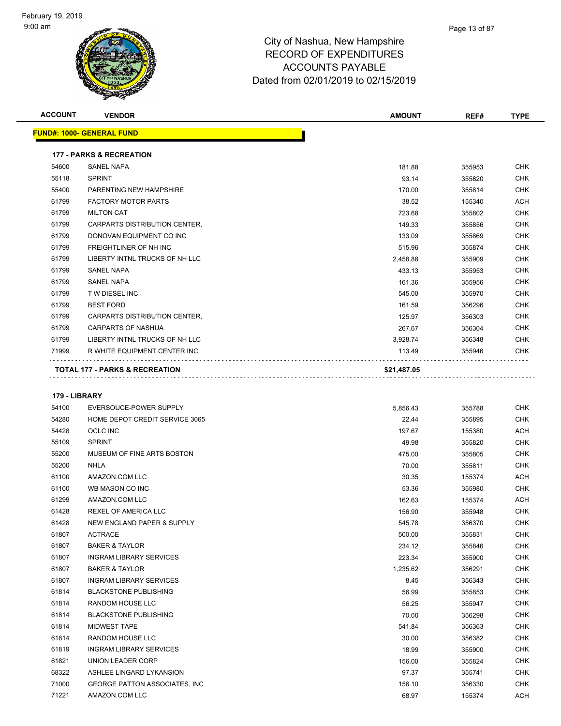

| <b>ACCOUNT</b> | <b>VENDOR</b>                             | <b>AMOUNT</b> | REF#   | <b>TYPE</b> |
|----------------|-------------------------------------------|---------------|--------|-------------|
|                | <b>FUND#: 1000- GENERAL FUND</b>          |               |        |             |
|                | <b>177 - PARKS &amp; RECREATION</b>       |               |        |             |
| 54600          | <b>SANEL NAPA</b>                         | 181.88        | 355953 | <b>CHK</b>  |
| 55118          | <b>SPRINT</b>                             | 93.14         | 355820 | <b>CHK</b>  |
| 55400          | PARENTING NEW HAMPSHIRE                   | 170.00        | 355814 | <b>CHK</b>  |
| 61799          | <b>FACTORY MOTOR PARTS</b>                | 38.52         | 155340 | <b>ACH</b>  |
| 61799          | <b>MILTON CAT</b>                         | 723.68        | 355802 | <b>CHK</b>  |
| 61799          | CARPARTS DISTRIBUTION CENTER,             | 149.33        | 355856 | <b>CHK</b>  |
| 61799          | DONOVAN EQUIPMENT CO INC                  | 133.09        | 355869 | <b>CHK</b>  |
| 61799          | <b>FREIGHTLINER OF NH INC</b>             | 515.96        | 355874 | <b>CHK</b>  |
| 61799          | LIBERTY INTNL TRUCKS OF NH LLC            | 2,458.88      | 355909 | <b>CHK</b>  |
| 61799          | <b>SANEL NAPA</b>                         | 433.13        | 355953 | <b>CHK</b>  |
| 61799          | <b>SANEL NAPA</b>                         | 161.36        | 355956 | <b>CHK</b>  |
| 61799          | T W DIESEL INC                            | 545.00        | 355970 | <b>CHK</b>  |
| 61799          | <b>BEST FORD</b>                          | 161.59        | 356296 | <b>CHK</b>  |
| 61799          | CARPARTS DISTRIBUTION CENTER.             | 125.97        | 356303 | <b>CHK</b>  |
| 61799          | <b>CARPARTS OF NASHUA</b>                 | 267.67        | 356304 | <b>CHK</b>  |
| 61799          | LIBERTY INTNL TRUCKS OF NH LLC            | 3,928.74      | 356348 | <b>CHK</b>  |
| 71999          | R WHITE EQUIPMENT CENTER INC              | 113.49        | 355946 | <b>CHK</b>  |
|                | <b>TOTAL 177 - PARKS &amp; RECREATION</b> | \$21,487.05   |        |             |

#### **179 - LIBRARY**

| 54100 | EVERSOUCE-POWER SUPPLY               | 5,856.43 | 355788 | <b>CHK</b> |
|-------|--------------------------------------|----------|--------|------------|
| 54280 | HOME DEPOT CREDIT SERVICE 3065       | 22.44    | 355895 | <b>CHK</b> |
| 54428 | <b>OCLC INC</b>                      | 197.67   | 155380 | ACH        |
| 55109 | <b>SPRINT</b>                        | 49.98    | 355820 | <b>CHK</b> |
| 55200 | MUSEUM OF FINE ARTS BOSTON           | 475.00   | 355805 | <b>CHK</b> |
| 55200 | <b>NHLA</b>                          | 70.00    | 355811 | <b>CHK</b> |
| 61100 | AMAZON.COM LLC                       | 30.35    | 155374 | <b>ACH</b> |
| 61100 | WB MASON CO INC                      | 53.36    | 355980 | <b>CHK</b> |
| 61299 | AMAZON.COM LLC                       | 162.63   | 155374 | ACH        |
| 61428 | <b>REXEL OF AMERICA LLC</b>          | 156.90   | 355948 | <b>CHK</b> |
| 61428 | NEW ENGLAND PAPER & SUPPLY           | 545.78   | 356370 | <b>CHK</b> |
| 61807 | <b>ACTRACE</b>                       | 500.00   | 355831 | <b>CHK</b> |
| 61807 | <b>BAKER &amp; TAYLOR</b>            | 234.12   | 355846 | <b>CHK</b> |
| 61807 | <b>INGRAM LIBRARY SERVICES</b>       | 223.34   | 355900 | <b>CHK</b> |
| 61807 | <b>BAKER &amp; TAYLOR</b>            | 1,235.62 | 356291 | <b>CHK</b> |
| 61807 | <b>INGRAM LIBRARY SERVICES</b>       | 8.45     | 356343 | <b>CHK</b> |
| 61814 | <b>BLACKSTONE PUBLISHING</b>         | 56.99    | 355853 | <b>CHK</b> |
| 61814 | RANDOM HOUSE LLC                     | 56.25    | 355947 | <b>CHK</b> |
| 61814 | <b>BLACKSTONE PUBLISHING</b>         | 70.00    | 356298 | <b>CHK</b> |
| 61814 | <b>MIDWEST TAPE</b>                  | 541.84   | 356363 | <b>CHK</b> |
| 61814 | RANDOM HOUSE LLC                     | 30.00    | 356382 | <b>CHK</b> |
| 61819 | <b>INGRAM LIBRARY SERVICES</b>       | 18.99    | 355900 | <b>CHK</b> |
| 61821 | UNION LEADER CORP                    | 156.00   | 355824 | <b>CHK</b> |
| 68322 | ASHLEE LINGARD LYKANSION             | 97.37    | 355741 | <b>CHK</b> |
| 71000 | <b>GEORGE PATTON ASSOCIATES, INC</b> | 156.10   | 356330 | <b>CHK</b> |
| 71221 | AMAZON.COM LLC                       | 68.97    | 155374 | <b>ACH</b> |
|       |                                      |          |        |            |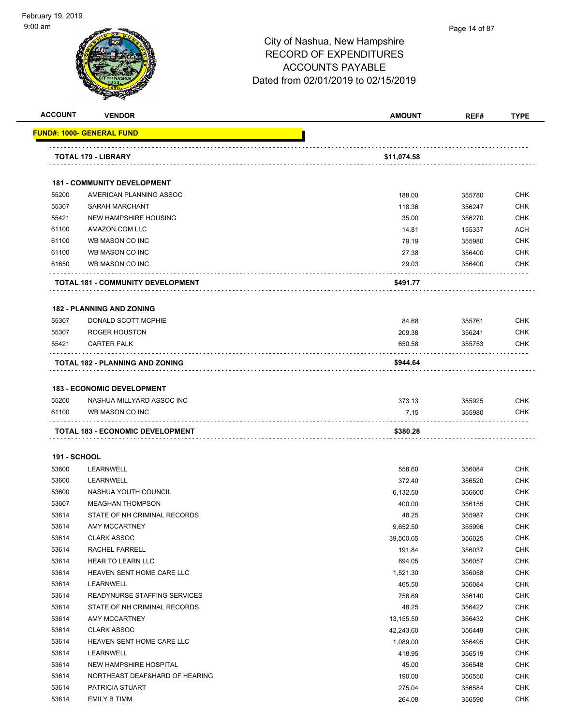

### Page 14 of 87

|                     |                                                   | <b>AMOUNT</b>    | REF#             | <b>TYPE</b>              |
|---------------------|---------------------------------------------------|------------------|------------------|--------------------------|
|                     | FUND#: 1000- GENERAL FUND                         |                  |                  |                          |
|                     | TOTAL 179 - LIBRARY                               | \$11,074.58      |                  |                          |
|                     | <b>181 - COMMUNITY DEVELOPMENT</b>                |                  |                  |                          |
| 55200               | AMERICAN PLANNING ASSOC                           | 188.00           | 355780           | <b>CHK</b>               |
| 55307               | <b>SARAH MARCHANT</b>                             | 118.36           | 356247           | <b>CHK</b>               |
| 55421               | <b>NEW HAMPSHIRE HOUSING</b>                      | 35.00            | 356270           | <b>CHK</b>               |
| 61100               | AMAZON.COM LLC                                    | 14.81            | 155337           | <b>ACH</b>               |
| 61100               | WB MASON CO INC                                   | 79.19            | 355980           | <b>CHK</b>               |
| 61100               | WB MASON CO INC                                   | 27.38            | 356400           | <b>CHK</b>               |
| 61650               | WB MASON CO INC                                   | 29.03            | 356400           | <b>CHK</b>               |
|                     | <b>TOTAL 181 - COMMUNITY DEVELOPMENT</b>          | \$491.77         |                  |                          |
|                     | <b>182 - PLANNING AND ZONING</b>                  |                  |                  |                          |
| 55307               | DONALD SCOTT MCPHIE                               | 84.68            | 355761           | <b>CHK</b>               |
| 55307               | ROGER HOUSTON                                     | 209.38           | 356241           | <b>CHK</b>               |
| 55421               | <b>CARTER FALK</b>                                | 650.58           | 355753           | <b>CHK</b>               |
|                     | TOTAL 182 - PLANNING AND ZONING                   | \$944.64         |                  |                          |
|                     | <b>183 - ECONOMIC DEVELOPMENT</b>                 |                  |                  |                          |
| 55200               | NASHUA MILLYARD ASSOC INC                         | 373.13           | 355925           | <b>CHK</b>               |
| 61100               | WB MASON CO INC                                   | 7.15             | 355980           | <b>CHK</b>               |
|                     |                                                   |                  |                  |                          |
|                     |                                                   |                  |                  |                          |
|                     | TOTAL 183 - ECONOMIC DEVELOPMENT                  | \$380.28         |                  |                          |
| <b>191 - SCHOOL</b> |                                                   |                  |                  |                          |
| 53600               | LEARNWELL                                         | 558.60           | 356084           | <b>CHK</b>               |
| 53600               | LEARNWELL                                         | 372.40           | 356520           | <b>CHK</b>               |
| 53600               | NASHUA YOUTH COUNCIL                              | 6,132.50         | 356600           | <b>CHK</b>               |
| 53607               | <b>MEAGHAN THOMPSON</b>                           | 400.00           | 356155           | <b>CHK</b>               |
| 53614               | STATE OF NH CRIMINAL RECORDS                      | 48.25            | 355987           | <b>CHK</b>               |
| 53614               | AMY MCCARTNEY                                     | 9,652.50         | 355996           | CHK                      |
| 53614               | <b>CLARK ASSOC</b>                                | 39,500.65        | 356025           | <b>CHK</b>               |
| 53614               | RACHEL FARRELL                                    | 191.84           | 356037           | <b>CHK</b>               |
| 53614               | HEAR TO LEARN LLC                                 | 894.05           | 356057           | <b>CHK</b>               |
| 53614               | HEAVEN SENT HOME CARE LLC                         | 1,521.30         | 356058           | <b>CHK</b>               |
| 53614               | LEARNWELL                                         | 465.50           | 356084           | <b>CHK</b>               |
| 53614               | READYNURSE STAFFING SERVICES                      | 756.69           | 356140           | <b>CHK</b>               |
| 53614               | STATE OF NH CRIMINAL RECORDS                      | 48.25            | 356422           | <b>CHK</b>               |
| 53614               | AMY MCCARTNEY                                     | 13,155.50        | 356432           | <b>CHK</b>               |
| 53614               | <b>CLARK ASSOC</b>                                | 42,243.60        | 356449           | CHK                      |
| 53614               | HEAVEN SENT HOME CARE LLC                         | 1,089.00         | 356495           | <b>CHK</b>               |
| 53614               | LEARNWELL                                         | 418.95           | 356519           | <b>CHK</b>               |
| 53614               | NEW HAMPSHIRE HOSPITAL                            | 45.00            | 356548           | <b>CHK</b>               |
| 53614<br>53614      | NORTHEAST DEAF&HARD OF HEARING<br>PATRICIA STUART | 190.00<br>275.04 | 356550<br>356584 | <b>CHK</b><br><b>CHK</b> |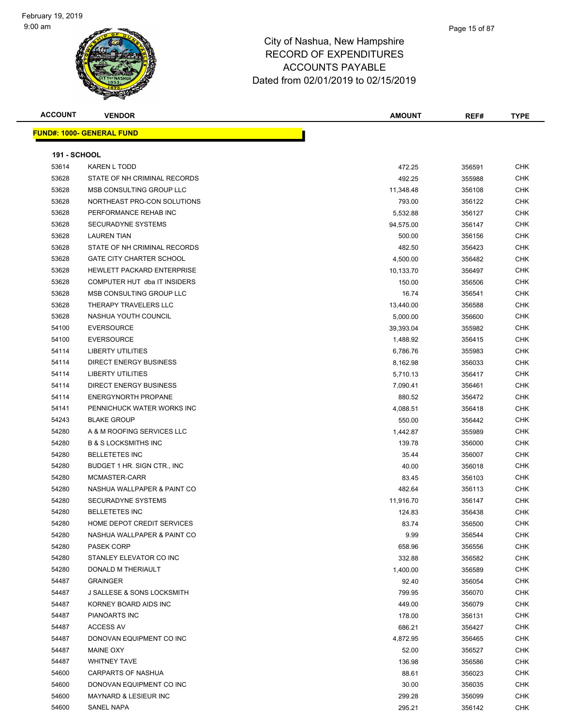### Page 15 of 87

| <b>ACCOUNT</b>      | <b>VENDOR</b>                         | <b>AMOUNT</b> | REF#   | <b>TYPE</b> |
|---------------------|---------------------------------------|---------------|--------|-------------|
|                     | <b>FUND#: 1000- GENERAL FUND</b>      |               |        |             |
|                     |                                       |               |        |             |
| <b>191 - SCHOOL</b> |                                       |               |        |             |
| 53614               | <b>KAREN L TODD</b>                   | 472.25        | 356591 | <b>CHK</b>  |
| 53628               | STATE OF NH CRIMINAL RECORDS          | 492.25        | 355988 | CHK         |
| 53628               | MSB CONSULTING GROUP LLC              | 11,348.48     | 356108 | <b>CHK</b>  |
| 53628               | NORTHEAST PRO-CON SOLUTIONS           | 793.00        | 356122 | CHK         |
| 53628               | PERFORMANCE REHAB INC                 | 5,532.88      | 356127 | CHK         |
| 53628               | <b>SECURADYNE SYSTEMS</b>             | 94,575.00     | 356147 | CHK         |
| 53628               | <b>LAUREN TIAN</b>                    | 500.00        | 356156 | <b>CHK</b>  |
| 53628               | STATE OF NH CRIMINAL RECORDS          | 482.50        | 356423 | CHK         |
| 53628               | <b>GATE CITY CHARTER SCHOOL</b>       | 4,500.00      | 356482 | CHK         |
| 53628               | <b>HEWLETT PACKARD ENTERPRISE</b>     | 10,133.70     | 356497 | CHK         |
| 53628               | COMPUTER HUT dba IT INSIDERS          | 150.00        | 356506 | CHK         |
| 53628               | MSB CONSULTING GROUP LLC              | 16.74         | 356541 | CHK         |
| 53628               | THERAPY TRAVELERS LLC                 | 13,440.00     | 356588 | CHK         |
| 53628               | NASHUA YOUTH COUNCIL                  | 5,000.00      | 356600 | CHK         |
| 54100               | <b>EVERSOURCE</b>                     | 39,393.04     | 355982 | CHK         |
| 54100               | <b>EVERSOURCE</b>                     | 1,488.92      | 356415 | <b>CHK</b>  |
| 54114               | <b>LIBERTY UTILITIES</b>              | 6,786.76      | 355983 | <b>CHK</b>  |
| 54114               | <b>DIRECT ENERGY BUSINESS</b>         | 8,162.98      | 356033 | <b>CHK</b>  |
| 54114               | LIBERTY UTILITIES                     | 5,710.13      | 356417 | CHK         |
| 54114               | <b>DIRECT ENERGY BUSINESS</b>         | 7,090.41      | 356461 | CHK         |
| 54114               | <b>ENERGYNORTH PROPANE</b>            | 880.52        | 356472 | CHK         |
| 54141               | PENNICHUCK WATER WORKS INC            | 4,088.51      | 356418 | CHK         |
| 54243               | <b>BLAKE GROUP</b>                    | 550.00        | 356442 | CHK         |
| 54280               | A & M ROOFING SERVICES LLC            | 1,442.87      | 355989 | CHK         |
| 54280               | <b>B &amp; S LOCKSMITHS INC</b>       | 139.78        | 356000 | <b>CHK</b>  |
| 54280               | <b>BELLETETES INC</b>                 | 35.44         | 356007 | CHK         |
| 54280               | BUDGET 1 HR. SIGN CTR., INC.          | 40.00         | 356018 | <b>CHK</b>  |
| 54280               | MCMASTER-CARR                         | 83.45         | 356103 | <b>CHK</b>  |
| 54280               | NASHUA WALLPAPER & PAINT CO           | 482.64        | 356113 | CHK         |
| 54280               | <b>SECURADYNE SYSTEMS</b>             | 11,916.70     | 356147 | CHK         |
| 54280               | <b>BELLETETES INC</b>                 | 124.83        | 356438 | CHK         |
| 54280               | HOME DEPOT CREDIT SERVICES            | 83.74         | 356500 | <b>CHK</b>  |
| 54280               | NASHUA WALLPAPER & PAINT CO           | 9.99          | 356544 | <b>CHK</b>  |
| 54280               | <b>PASEK CORP</b>                     | 658.96        | 356556 | CHK         |
| 54280               | STANLEY ELEVATOR CO INC               | 332.88        | 356582 | CHK         |
| 54280               | DONALD M THERIAULT                    | 1,400.00      | 356589 | <b>CHK</b>  |
| 54487               | <b>GRAINGER</b>                       | 92.40         | 356054 | <b>CHK</b>  |
| 54487               | <b>J SALLESE &amp; SONS LOCKSMITH</b> | 799.95        | 356070 | CHK         |
| 54487               | KORNEY BOARD AIDS INC                 | 449.00        | 356079 | <b>CHK</b>  |
| 54487               | PIANOARTS INC                         | 178.00        | 356131 | <b>CHK</b>  |
| 54487               | <b>ACCESS AV</b>                      | 686.21        | 356427 | CHK         |
| 54487               | DONOVAN EQUIPMENT CO INC              | 4,872.95      | 356465 | CHK         |
| 54487               | MAINE OXY                             | 52.00         | 356527 | <b>CHK</b>  |
| 54487               | <b>WHITNEY TAVE</b>                   | 136.98        | 356586 | CHK         |
| 54600               | <b>CARPARTS OF NASHUA</b>             | 88.61         | 356023 | CHK         |
| 54600               | DONOVAN EQUIPMENT CO INC              | 30.00         | 356035 | CHK         |
| 54600               | <b>MAYNARD &amp; LESIEUR INC</b>      | 299.28        | 356099 | CHK         |
| 54600               | SANEL NAPA                            | 295.21        | 356142 | <b>CHK</b>  |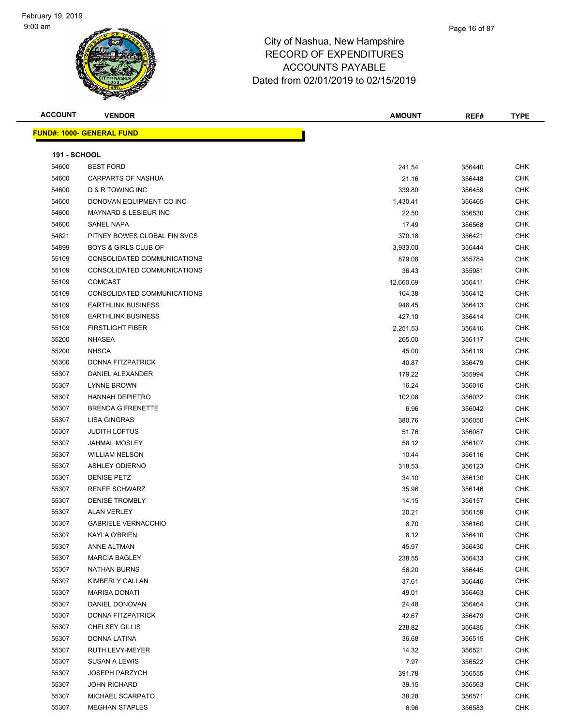#### Page 16 of 87

### City of Nashua, New Hampshire RECORD OF EXPENDITURES ACCOUNTS PAYABLE Dated from 02/01/2019 to 02/15/2019

| <b>ACCOUNT</b>               | <b>VENDOR</b>                    | <b>AMOUNT</b> | REF#             | <b>TYPE</b> |
|------------------------------|----------------------------------|---------------|------------------|-------------|
|                              | <b>FUND#: 1000- GENERAL FUND</b> |               |                  |             |
|                              |                                  |               |                  |             |
| <b>191 - SCHOOL</b><br>54600 | <b>BEST FORD</b>                 | 241.54        |                  | <b>CHK</b>  |
| 54600                        | <b>CARPARTS OF NASHUA</b>        | 21.16         | 356440<br>356448 | <b>CHK</b>  |
| 54600                        | D & R TOWING INC                 | 339.80        | 356459           | <b>CHK</b>  |
| 54600                        | DONOVAN EQUIPMENT CO INC         | 1,430.41      | 356465           | <b>CHK</b>  |
| 54600                        | <b>MAYNARD &amp; LESIEUR INC</b> | 22.50         | 356530           | <b>CHK</b>  |
| 54600                        | SANEL NAPA                       | 17.49         | 356568           | <b>CHK</b>  |
| 54821                        | PITNEY BOWES GLOBAL FIN SVCS     | 370.18        | 356421           | <b>CHK</b>  |
| 54899                        | <b>BOYS &amp; GIRLS CLUB OF</b>  | 3,933.00      | 356444           | <b>CHK</b>  |
| 55109                        | CONSOLIDATED COMMUNICATIONS      | 879.08        | 355784           | <b>CHK</b>  |
| 55109                        | CONSOLIDATED COMMUNICATIONS      | 36.43         | 355981           | <b>CHK</b>  |
| 55109                        | <b>COMCAST</b>                   | 12,660.69     | 356411           | <b>CHK</b>  |
| 55109                        | CONSOLIDATED COMMUNICATIONS      | 104.38        | 356412           | <b>CHK</b>  |
| 55109                        | <b>EARTHLINK BUSINESS</b>        | 946.45        | 356413           | <b>CHK</b>  |
| 55109                        | <b>EARTHLINK BUSINESS</b>        | 427.10        | 356414           | <b>CHK</b>  |
| 55109                        | <b>FIRSTLIGHT FIBER</b>          | 2,251.53      | 356416           | <b>CHK</b>  |
| 55200                        | <b>NHASEA</b>                    | 265.00        | 356117           | <b>CHK</b>  |
| 55200                        | <b>NHSCA</b>                     | 45.00         | 356119           | <b>CHK</b>  |
| 55300                        | DONNA FITZPATRICK                | 40.87         | 356479           | <b>CHK</b>  |
| 55307                        | DANIEL ALEXANDER                 | 179.22        | 355994           | <b>CHK</b>  |
| 55307                        | LYNNE BROWN                      | 16.24         | 356016           | <b>CHK</b>  |
| 55307                        | <b>HANNAH DEPIETRO</b>           | 102.08        | 356032           | <b>CHK</b>  |
| 55307                        | <b>BRENDA G FRENETTE</b>         | 6.96          | 356042           | <b>CHK</b>  |
| 55307                        | <b>LISA GINGRAS</b>              | 380.76        | 356050           | <b>CHK</b>  |
| 55307                        | <b>JUDITH LOFTUS</b>             | 51.76         | 356087           | <b>CHK</b>  |
| 55307                        | <b>JAHMAL MOSLEY</b>             | 58.12         | 356107           | <b>CHK</b>  |
| 55307                        | <b>WILLIAM NELSON</b>            | 10.44         | 356116           | <b>CHK</b>  |
| 55307                        | <b>ASHLEY ODIERNO</b>            | 318.53        | 356123           | <b>CHK</b>  |
| 55307                        | <b>DENISE PETZ</b>               | 34.10         | 356130           | <b>CHK</b>  |
| 55307                        | <b>RENEE SCHWARZ</b>             | 35.96         | 356146           | <b>CHK</b>  |
| 55307                        | <b>DENISE TROMBLY</b>            | 14.15         | 356157           | <b>CHK</b>  |
| 55307                        | <b>ALAN VERLEY</b>               | 20.21         | 356159           | <b>CHK</b>  |
| 55307                        | <b>GABRIELE VERNACCHIO</b>       | 8.70          | 356160           | <b>CHK</b>  |
| 55307                        | KAYLA O'BRIEN                    | 8.12          | 356410           | <b>CHK</b>  |
| 55307                        | ANNE ALTMAN                      | 45.97         | 356430           | <b>CHK</b>  |
| 55307                        | <b>MARCIA BAGLEY</b>             | 238.55        | 356433           | <b>CHK</b>  |
| 55307                        | <b>NATHAN BURNS</b>              | 56.20         | 356445           | <b>CHK</b>  |
| 55307                        | KIMBERLY CALLAN                  | 37.61         | 356446           | <b>CHK</b>  |
| 55307                        | <b>MARISA DONATI</b>             | 49.01         | 356463           | <b>CHK</b>  |
| 55307                        | DANIEL DONOVAN                   | 24.48         | 356464           | <b>CHK</b>  |
| 55307                        | DONNA FITZPATRICK                | 42.67         | 356479           | <b>CHK</b>  |
| 55307                        | <b>CHELSEY GILLIS</b>            | 238.82        | 356485           | <b>CHK</b>  |
| 55307                        | DONNA LATINA                     | 36.68         | 356515           | <b>CHK</b>  |
| 55307                        | RUTH LEVY-MEYER                  | 14.32         | 356521           | <b>CHK</b>  |
| 55307                        | <b>SUSAN A LEWIS</b>             | 7.97          | 356522           | <b>CHK</b>  |
| 55307                        | <b>JOSEPH PARZYCH</b>            | 391.78        | 356555           | <b>CHK</b>  |
| 55307                        | <b>JOHN RICHARD</b>              | 39.15         | 356563           | CHK         |
| 55307                        | MICHAEL SCARPATO                 | 38.28         | 356571           | <b>CHK</b>  |

MEGHAN STAPLES 6.96 356583 CHK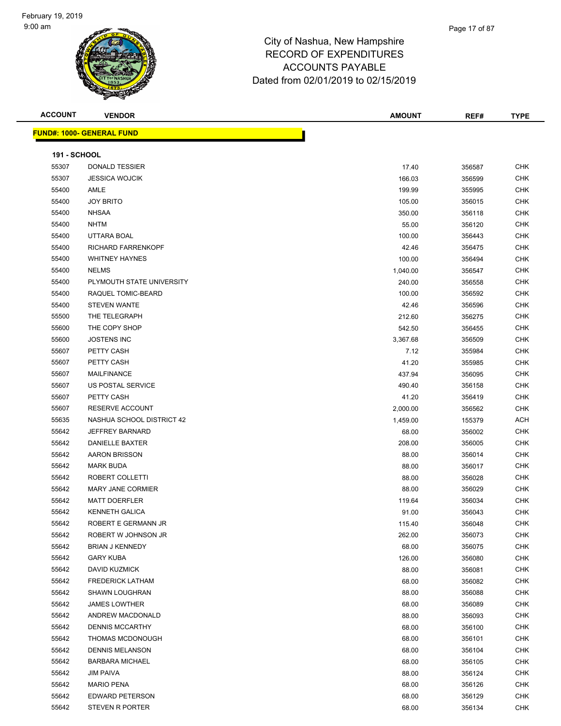#### Page 17 of 87

### City of Nashua, New Hampshire RECORD OF EXPENDITURES ACCOUNTS PAYABLE Dated from 02/01/2019 to 02/15/2019

**FUND#: 1000- GENERAL FUND**

| <b>ACCOUNT</b>      | <b>VENDOR</b>                    | <b>AMOUNT</b> | REF#   | <b>TYPE</b> |
|---------------------|----------------------------------|---------------|--------|-------------|
|                     | <u> IND#: 1000- GENERAL FUND</u> |               |        |             |
| <b>191 - SCHOOL</b> |                                  |               |        |             |
| 55307               | <b>DONALD TESSIER</b>            | 17.40         | 356587 | <b>CHK</b>  |
| 55307               | <b>JESSICA WOJCIK</b>            | 166.03        | 356599 | <b>CHK</b>  |
| 55400               | AMLE                             | 199.99        | 355995 | <b>CHK</b>  |
| 55400               | <b>JOY BRITO</b>                 | 105.00        | 356015 | <b>CHK</b>  |
| 55400               | <b>NHSAA</b>                     | 350.00        | 356118 | <b>CHK</b>  |
| 55400               | <b>NHTM</b>                      | 55.00         | 356120 | CHK         |
| 55400               | UTTARA BOAL                      | 100.00        | 356443 | <b>CHK</b>  |
| 55400               | <b>RICHARD FARRENKOPF</b>        | 42.46         | 356475 | <b>CHK</b>  |
| 55400               | <b>WHITNEY HAYNES</b>            | 100.00        | 356494 | <b>CHK</b>  |
| 55400               | <b>NELMS</b>                     | 1,040.00      | 356547 | <b>CHK</b>  |
| 55400               | PLYMOUTH STATE UNIVERSITY        | 240.00        | 356558 | <b>CHK</b>  |
| 55400               | RAQUEL TOMIC-BEARD               | 100.00        | 356592 | <b>CHK</b>  |
| 55400               | <b>STEVEN WANTE</b>              | 42.46         | 356596 | <b>CHK</b>  |
| 55500               | THE TELEGRAPH                    | 212.60        | 356275 | <b>CHK</b>  |
| 55600               | THE COPY SHOP                    | 542.50        | 356455 | <b>CHK</b>  |
| 55600               | <b>JOSTENS INC</b>               | 3,367.68      | 356509 | <b>CHK</b>  |
| 55607               | PETTY CASH                       | 7.12          | 355984 | <b>CHK</b>  |
| 55607               | PETTY CASH                       | 41.20         | 355985 | <b>CHK</b>  |
| 55607               | <b>MAILFINANCE</b>               | 437.94        | 356095 | <b>CHK</b>  |
| 55607               | US POSTAL SERVICE                | 490.40        | 356158 | <b>CHK</b>  |
| 55607               | PETTY CASH                       | 41.20         | 356419 | <b>CHK</b>  |
| 55607               | <b>RESERVE ACCOUNT</b>           | 2,000.00      | 356562 | <b>CHK</b>  |
| 55635               | NASHUA SCHOOL DISTRICT 42        | 1,459.00      | 155379 | <b>ACH</b>  |
| 55642               | <b>JEFFREY BARNARD</b>           | 68.00         | 356002 | <b>CHK</b>  |
| 55642               | DANIELLE BAXTER                  | 208.00        | 356005 | <b>CHK</b>  |
| 55642               | <b>AARON BRISSON</b>             | 88.00         | 356014 | <b>CHK</b>  |
| 55642               | <b>MARK BUDA</b>                 | 88.00         | 356017 | <b>CHK</b>  |
| 55642               | ROBERT COLLETTI                  | 88.00         | 356028 | <b>CHK</b>  |
| 55642               | MARY JANE CORMIER                | 88.00         | 356029 | <b>CHK</b>  |
| 55642               | MATT DOERFLER                    | 119.64        | 356034 | <b>CHK</b>  |
| 55642               | <b>KENNETH GALICA</b>            | 91.00         | 356043 | <b>CHK</b>  |
| 55642               | ROBERT E GERMANN JR              | 115.40        | 356048 | <b>CHK</b>  |
| 55642               | ROBERT W JOHNSON JR              | 262.00        | 356073 | <b>CHK</b>  |
| 55642               | <b>BRIAN J KENNEDY</b>           | 68.00         | 356075 | <b>CHK</b>  |
| 55642               | <b>GARY KUBA</b>                 | 126.00        | 356080 | <b>CHK</b>  |
| 55642               | DAVID KLIZMICK                   | 88.00         | 356081 | <b>CHK</b>  |

| 55307 | <b>JESSICA WOJCIK</b>     | 166.03   | 356599 | CHK        |
|-------|---------------------------|----------|--------|------------|
| 55400 | AMLE                      | 199.99   | 355995 | <b>CHK</b> |
| 55400 | <b>JOY BRITO</b>          | 105.00   | 356015 | <b>CHK</b> |
| 55400 | <b>NHSAA</b>              | 350.00   | 356118 | <b>CHK</b> |
| 55400 | <b>NHTM</b>               | 55.00    | 356120 | <b>CHK</b> |
| 55400 | UTTARA BOAL               | 100.00   | 356443 | <b>CHK</b> |
| 55400 | RICHARD FARRENKOPF        | 42.46    | 356475 | <b>CHK</b> |
| 55400 | <b>WHITNEY HAYNES</b>     | 100.00   | 356494 | <b>CHK</b> |
| 55400 | <b>NELMS</b>              | 1,040.00 | 356547 | <b>CHK</b> |
| 55400 | PLYMOUTH STATE UNIVERSITY | 240.00   | 356558 | <b>CHK</b> |
| 55400 | RAQUEL TOMIC-BEARD        | 100.00   | 356592 | <b>CHK</b> |
| 55400 | <b>STEVEN WANTE</b>       | 42.46    | 356596 | <b>CHK</b> |
| 55500 | THE TELEGRAPH             | 212.60   | 356275 | <b>CHK</b> |
| 55600 | THE COPY SHOP             | 542.50   | 356455 | <b>CHK</b> |
| 55600 | <b>JOSTENS INC</b>        | 3,367.68 | 356509 | <b>CHK</b> |
| 55607 | PETTY CASH                | 7.12     | 355984 | <b>CHK</b> |
| 55607 | PETTY CASH                | 41.20    | 355985 | <b>CHK</b> |
| 55607 | MAILFINANCE               | 437.94   | 356095 | <b>CHK</b> |
| 55607 | US POSTAL SERVICE         | 490.40   | 356158 | <b>CHK</b> |
| 55607 | PETTY CASH                | 41.20    | 356419 | <b>CHK</b> |
| 55607 | RESERVE ACCOUNT           | 2,000.00 | 356562 | <b>CHK</b> |
| 55635 | NASHUA SCHOOL DISTRICT 42 | 1,459.00 | 155379 | ACH        |
| 55642 | <b>JEFFREY BARNARD</b>    | 68.00    | 356002 | <b>CHK</b> |
| 55642 | DANIELLE BAXTER           | 208.00   | 356005 | <b>CHK</b> |
| 55642 | <b>AARON BRISSON</b>      | 88.00    | 356014 | <b>CHK</b> |
| 55642 | <b>MARK BUDA</b>          | 88.00    | 356017 | <b>CHK</b> |
| 55642 | ROBERT COLLETTI           | 88.00    | 356028 | <b>CHK</b> |
| 55642 | <b>MARY JANE CORMIER</b>  | 88.00    | 356029 | <b>CHK</b> |
| 55642 | <b>MATT DOERFLER</b>      | 119.64   | 356034 | <b>CHK</b> |
| 55642 | <b>KENNETH GALICA</b>     | 91.00    | 356043 | <b>CHK</b> |
| 55642 | ROBERT E GERMANN JR       | 115.40   | 356048 | <b>CHK</b> |
| 55642 | ROBERT W JOHNSON JR       | 262.00   | 356073 | <b>CHK</b> |
| 55642 | <b>BRIAN J KENNEDY</b>    | 68.00    | 356075 | <b>CHK</b> |
| 55642 | <b>GARY KUBA</b>          | 126.00   | 356080 | <b>CHK</b> |
| 55642 | <b>DAVID KUZMICK</b>      | 88.00    | 356081 | <b>CHK</b> |
| 55642 | FREDERICK LATHAM          | 68.00    | 356082 | <b>CHK</b> |
| 55642 | <b>SHAWN LOUGHRAN</b>     | 88.00    | 356088 | <b>CHK</b> |
| 55642 | <b>JAMES LOWTHER</b>      | 68.00    | 356089 | <b>CHK</b> |
| 55642 | ANDREW MACDONALD          | 88.00    | 356093 | <b>CHK</b> |
| 55642 | <b>DENNIS MCCARTHY</b>    | 68.00    | 356100 | <b>CHK</b> |
| 55642 | THOMAS MCDONOUGH          | 68.00    | 356101 | <b>CHK</b> |
| 55642 | <b>DENNIS MELANSON</b>    | 68.00    | 356104 | <b>CHK</b> |
| 55642 | <b>BARBARA MICHAEL</b>    | 68.00    | 356105 | <b>CHK</b> |
| 55642 | <b>JIM PAIVA</b>          | 88.00    | 356124 | <b>CHK</b> |
| 55642 | <b>MARIO PENA</b>         | 68.00    | 356126 | <b>CHK</b> |
| 55642 | <b>EDWARD PETERSON</b>    | 68.00    | 356129 | <b>CHK</b> |
| 55642 | <b>STEVEN R PORTER</b>    | 68.00    | 356134 | <b>CHK</b> |
|       |                           |          |        |            |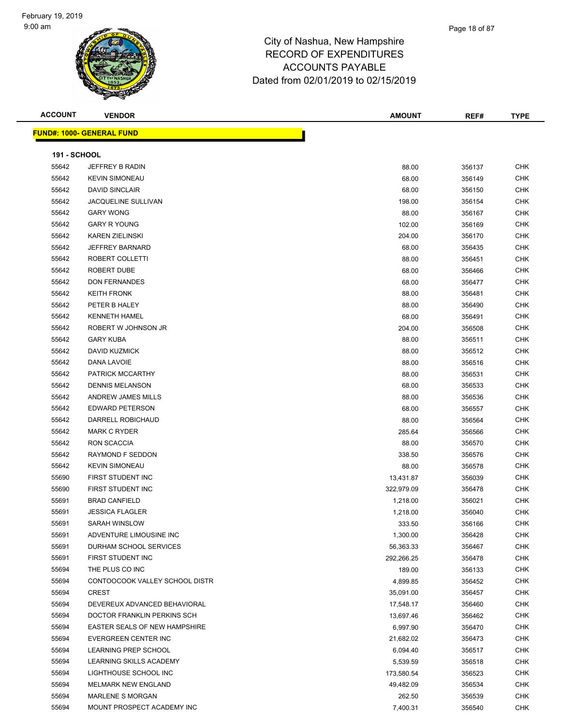| <b>ACCOUNT</b>      | <b>VENDOR</b>                        | <b>AMOUNT</b> | REF#   | <b>TYPE</b> |
|---------------------|--------------------------------------|---------------|--------|-------------|
|                     | <b>FUND#: 1000- GENERAL FUND</b>     |               |        |             |
|                     |                                      |               |        |             |
| <b>191 - SCHOOL</b> |                                      |               |        |             |
| 55642               | JEFFREY B RADIN                      | 88.00         | 356137 | <b>CHK</b>  |
| 55642               | <b>KEVIN SIMONEAU</b>                | 68.00         | 356149 | CHK         |
| 55642               | <b>DAVID SINCLAIR</b>                | 68.00         | 356150 | CHK         |
| 55642               | <b>JACQUELINE SULLIVAN</b>           | 198.00        | 356154 | CHK         |
| 55642               | <b>GARY WONG</b>                     | 88.00         | 356167 | CHK         |
| 55642               | <b>GARY R YOUNG</b>                  | 102.00        | 356169 | CHK         |
| 55642               | <b>KAREN ZIELINSKI</b>               | 204.00        | 356170 | <b>CHK</b>  |
| 55642               | <b>JEFFREY BARNARD</b>               | 68.00         | 356435 | CHK         |
| 55642               | ROBERT COLLETTI                      | 88.00         | 356451 | CHK         |
| 55642               | ROBERT DUBE                          | 68.00         | 356466 | <b>CHK</b>  |
| 55642               | <b>DON FERNANDES</b>                 | 68.00         | 356477 | CHK         |
| 55642               | <b>KEITH FRONK</b>                   | 88.00         | 356481 | CHK         |
| 55642               | PETER B HALEY                        | 88.00         | 356490 | CHK         |
| 55642               | <b>KENNETH HAMEL</b>                 | 68.00         | 356491 | CHK         |
| 55642               | ROBERT W JOHNSON JR                  | 204.00        | 356508 | CHK         |
| 55642               | <b>GARY KUBA</b>                     | 88.00         | 356511 | CHK         |
| 55642               | DAVID KUZMICK                        | 88.00         | 356512 | CHK         |
| 55642               | DANA LAVOIE                          | 88.00         | 356516 | <b>CHK</b>  |
| 55642               | PATRICK MCCARTHY                     | 88.00         | 356531 | CHK         |
| 55642               | <b>DENNIS MELANSON</b>               | 68.00         | 356533 | <b>CHK</b>  |
| 55642               | ANDREW JAMES MILLS                   | 88.00         | 356536 | <b>CHK</b>  |
| 55642               | <b>EDWARD PETERSON</b>               | 68.00         | 356557 | CHK         |
| 55642               | DARRELL ROBICHAUD                    | 88.00         | 356564 | CHK         |
| 55642               | <b>MARK C RYDER</b>                  | 285.64        | 356566 | CHK         |
| 55642               | RON SCACCIA                          | 88.00         | 356570 | CHK         |
| 55642               | RAYMOND F SEDDON                     | 338.50        | 356576 | CHK         |
| 55642               | <b>KEVIN SIMONEAU</b>                | 88.00         | 356578 | CHK         |
| 55690               | FIRST STUDENT INC                    | 13,431.87     | 356039 | CHK         |
| 55690               | FIRST STUDENT INC                    | 322,979.09    | 356478 | CHK         |
| 55691               | <b>BRAD CANFIELD</b>                 | 1,218.00      | 356021 | CHK         |
| 55691               | <b>JESSICA FLAGLER</b>               | 1,218.00      | 356040 | CHK         |
| 55691               | SARAH WINSLOW                        | 333.50        | 356166 | <b>CHK</b>  |
| 55691               | ADVENTURE LIMOUSINE INC              | 1,300.00      | 356428 | <b>CHK</b>  |
| 55691               | DURHAM SCHOOL SERVICES               |               |        | <b>CHK</b>  |
| 55691               | FIRST STUDENT INC                    | 56,363.33     | 356467 |             |
|                     |                                      | 292,266.25    | 356478 | CHK         |
| 55694               | THE PLUS CO INC                      | 189.00        | 356133 | CHK         |
| 55694               | CONTOOCOOK VALLEY SCHOOL DISTR       | 4,899.85      | 356452 | <b>CHK</b>  |
| 55694               | <b>CREST</b>                         | 35,091.00     | 356457 | CHK         |
| 55694               | DEVEREUX ADVANCED BEHAVIORAL         | 17,548.17     | 356460 | <b>CHK</b>  |
| 55694               | DOCTOR FRANKLIN PERKINS SCH          | 13,697.46     | 356462 | <b>CHK</b>  |
| 55694               | <b>EASTER SEALS OF NEW HAMPSHIRE</b> | 6,997.90      | 356470 | <b>CHK</b>  |
| 55694               | EVERGREEN CENTER INC                 | 21,682.02     | 356473 | <b>CHK</b>  |
| 55694               | <b>LEARNING PREP SCHOOL</b>          | 6,094.40      | 356517 | <b>CHK</b>  |
| 55694               | LEARNING SKILLS ACADEMY              | 5,539.59      | 356518 | CHK         |
| 55694               | LIGHTHOUSE SCHOOL INC                | 173,580.54    | 356523 | CHK         |
| 55694               | MELMARK NEW ENGLAND                  | 49,482.09     | 356534 | CHK         |
| 55694               | MARLENE S MORGAN                     | 262.50        | 356539 | CHK         |
| 55694               | MOUNT PROSPECT ACADEMY INC           | 7,400.31      | 356540 | <b>CHK</b>  |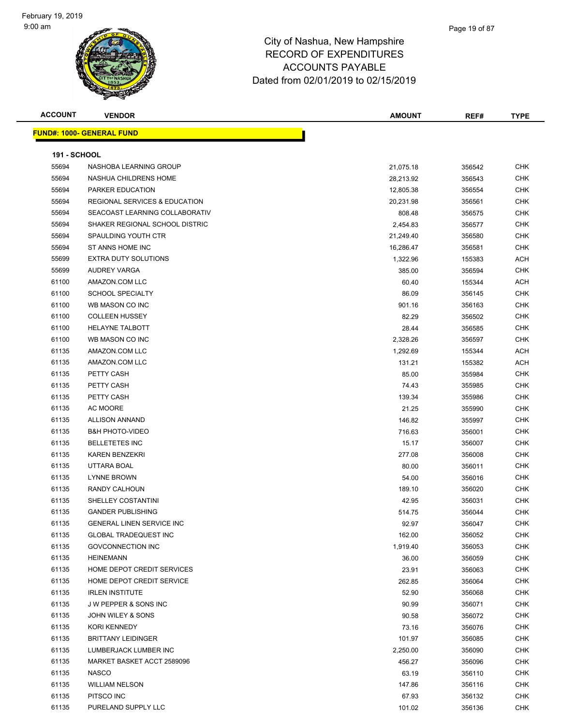#### Page 19 of 87

| <b>ACCOUNT</b>      | <b>VENDOR</b>                    | <b>AMOUNT</b> | REF#   | <b>TYPE</b> |
|---------------------|----------------------------------|---------------|--------|-------------|
|                     | <b>FUND#: 1000- GENERAL FUND</b> |               |        |             |
|                     |                                  |               |        |             |
| <b>191 - SCHOOL</b> |                                  |               |        |             |
| 55694               | NASHOBA LEARNING GROUP           | 21,075.18     | 356542 | <b>CHK</b>  |
| 55694               | NASHUA CHILDRENS HOME            | 28,213.92     | 356543 | <b>CHK</b>  |
| 55694               | PARKER EDUCATION                 | 12,805.38     | 356554 | <b>CHK</b>  |
| 55694               | REGIONAL SERVICES & EDUCATION    | 20,231.98     | 356561 | <b>CHK</b>  |
| 55694               | SEACOAST LEARNING COLLABORATIV   | 808.48        | 356575 | <b>CHK</b>  |
| 55694               | SHAKER REGIONAL SCHOOL DISTRIC   | 2,454.83      | 356577 | <b>CHK</b>  |
| 55694               | SPAULDING YOUTH CTR              | 21,249.40     | 356580 | <b>CHK</b>  |
| 55694               | ST ANNS HOME INC                 | 16,286.47     | 356581 | <b>CHK</b>  |
| 55699               | <b>EXTRA DUTY SOLUTIONS</b>      | 1,322.96      | 155383 | ACH         |
| 55699               | AUDREY VARGA                     | 385.00        | 356594 | <b>CHK</b>  |
| 61100               | AMAZON.COM LLC                   | 60.40         | 155344 | ACH         |
| 61100               | <b>SCHOOL SPECIALTY</b>          | 86.09         | 356145 | <b>CHK</b>  |
| 61100               | WB MASON CO INC                  | 901.16        | 356163 | <b>CHK</b>  |
| 61100               | <b>COLLEEN HUSSEY</b>            | 82.29         | 356502 | CHK         |
| 61100               | <b>HELAYNE TALBOTT</b>           | 28.44         | 356585 | <b>CHK</b>  |
| 61100               | WB MASON CO INC                  | 2,328.26      | 356597 | <b>CHK</b>  |
| 61135               | AMAZON.COM LLC                   | 1,292.69      | 155344 | ACH         |
| 61135               | AMAZON.COM LLC                   | 131.21        | 155382 | ACH         |
| 61135               | PETTY CASH                       | 85.00         | 355984 | <b>CHK</b>  |
| 61135               | PETTY CASH                       | 74.43         | 355985 | <b>CHK</b>  |
| 61135               | PETTY CASH                       | 139.34        | 355986 | <b>CHK</b>  |
| 61135               | AC MOORE                         | 21.25         | 355990 | <b>CHK</b>  |
| 61135               | ALLISON ANNAND                   | 146.82        | 355997 | <b>CHK</b>  |
| 61135               | <b>B&amp;H PHOTO-VIDEO</b>       | 716.63        | 356001 | CHK         |
| 61135               | <b>BELLETETES INC</b>            | 15.17         | 356007 | CHK         |
| 61135               | <b>KAREN BENZEKRI</b>            | 277.08        | 356008 | <b>CHK</b>  |
| 61135               | UTTARA BOAL                      | 80.00         | 356011 | <b>CHK</b>  |
| 61135               | LYNNE BROWN                      | 54.00         | 356016 | <b>CHK</b>  |
| 61135               | RANDY CALHOUN                    | 189.10        | 356020 | <b>CHK</b>  |
| 61135               | SHELLEY COSTANTINI               | 42.95         | 356031 | <b>CHK</b>  |
| 61135               | <b>GANDER PUBLISHING</b>         | 514.75        | 356044 | <b>CHK</b>  |
| 61135               | <b>GENERAL LINEN SERVICE INC</b> | 92.97         | 356047 | <b>CHK</b>  |
| 61135               | <b>GLOBAL TRADEQUEST INC</b>     | 162.00        | 356052 | <b>CHK</b>  |
| 61135               | <b>GOVCONNECTION INC</b>         | 1,919.40      | 356053 | <b>CHK</b>  |
| 61135               | <b>HEINEMANN</b>                 | 36.00         | 356059 | <b>CHK</b>  |
| 61135               | HOME DEPOT CREDIT SERVICES       | 23.91         | 356063 | <b>CHK</b>  |
| 61135               | HOME DEPOT CREDIT SERVICE        | 262.85        | 356064 | <b>CHK</b>  |
| 61135               | <b>IRLEN INSTITUTE</b>           | 52.90         | 356068 | <b>CHK</b>  |
| 61135               | <b>JW PEPPER &amp; SONS INC</b>  | 90.99         | 356071 | <b>CHK</b>  |
| 61135               | JOHN WILEY & SONS                | 90.58         | 356072 | <b>CHK</b>  |
| 61135               | KORI KENNEDY                     | 73.16         | 356076 | <b>CHK</b>  |
| 61135               | <b>BRITTANY LEIDINGER</b>        | 101.97        | 356085 | <b>CHK</b>  |
| 61135               | LUMBERJACK LUMBER INC            | 2,250.00      | 356090 | <b>CHK</b>  |
| 61135               | MARKET BASKET ACCT 2589096       | 456.27        | 356096 | <b>CHK</b>  |
| 61135               | <b>NASCO</b>                     | 63.19         | 356110 | <b>CHK</b>  |
| 61135               | <b>WILLIAM NELSON</b>            | 147.86        | 356116 | <b>CHK</b>  |
| 61135               | PITSCO INC                       | 67.93         | 356132 | <b>CHK</b>  |
| 61135               | PURELAND SUPPLY LLC              | 101.02        | 356136 | <b>CHK</b>  |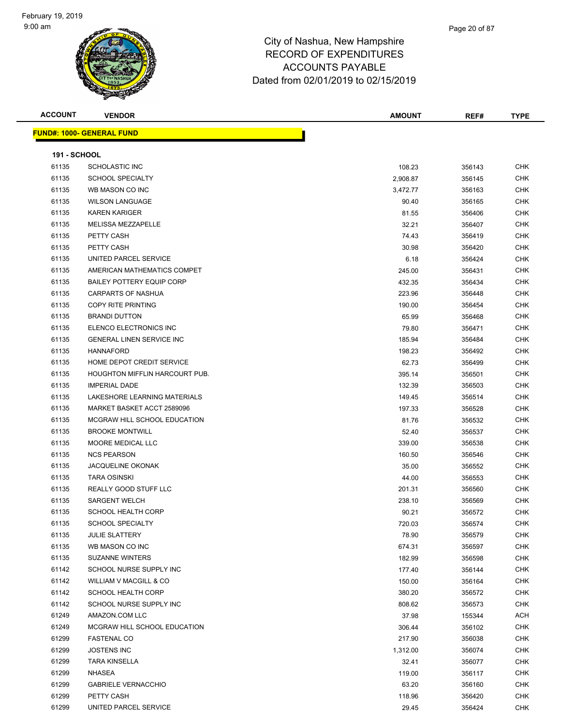#### Page 20 of 87

### City of Nashua, New Hampshire RECORD OF EXPENDITURES ACCOUNTS PAYABLE Dated from 02/01/2019 to 02/15/2019

| <b>ACCOUNT</b> |  |  |  |
|----------------|--|--|--|
|----------------|--|--|--|

|  | <b>FUND#: 1000- GENERAL FUND</b> |  |
|--|----------------------------------|--|
|  |                                  |  |
|  |                                  |  |

|                     |                                  | Dated from 02/01/2019 to 02/15/2019 |         |              |
|---------------------|----------------------------------|-------------------------------------|---------|--------------|
| ACCOUNT             | <b>VENDOR</b>                    | <b>AMOUNT</b>                       | REF#    | <b>TYPE</b>  |
|                     | <u> IND#: 1000- GENERAL FUND</u> |                                     |         |              |
| <b>191 - SCHOOL</b> |                                  |                                     |         |              |
| 61135               | <b>SCHOLASTIC INC</b>            | 108.23                              | 356143  | <b>CHK</b>   |
| 61135               | <b>SCHOOL SPECIALTY</b>          | 2,908.87                            | 356145  | <b>CHK</b>   |
| 61135               | WB MASON CO INC                  | 3,472.77                            | 356163  | <b>CHK</b>   |
| 61135               | <b>WILSON LANGUAGE</b>           | 90.40                               | 356165  | <b>CHK</b>   |
| 61135               | <b>KAREN KARIGER</b>             | 81.55                               | 356406  | <b>CHK</b>   |
| 61135               | <b>MELISSA MEZZAPELLE</b>        | 32.21                               | 356407  | <b>CHK</b>   |
| 61135               | PETTY CASH                       | 74.43                               | 356419  | <b>CHK</b>   |
| 61135               | PETTY CASH                       | 30.98                               | 356420  | <b>CHK</b>   |
| 61135               | UNITED PARCEL SERVICE            | 6.18                                | 356424  | <b>CHK</b>   |
| 61135               | AMERICAN MATHEMATICS COMPET      | 245.00                              | 356431  | <b>CHK</b>   |
| 61135               | <b>BAILEY POTTERY EQUIP CORP</b> | 432.35                              | 356434  | <b>CHK</b>   |
| 61135               | <b>CARPARTS OF NASHUA</b>        | 223.96                              | 356448  | <b>CHK</b>   |
| 61135               | COPY RITE PRINTING               | 190.00                              | 356454  | <b>CHK</b>   |
| 61135               | <b>BRANDI DUTTON</b>             | 65.99                               | 356468  | <b>CHK</b>   |
| 61135               | ELENCO ELECTRONICS INC           | 79.80                               | 356471  | <b>CHK</b>   |
| 61135               | <b>GENERAL LINEN SERVICE INC</b> | 185.94                              | 356484  | <b>CHK</b>   |
| 61135               | <b>HANNAFORD</b>                 | 198.23                              | 356492  | <b>CHK</b>   |
| 61135               | HOME DEPOT CREDIT SERVICE        | 62.73                               | 356499  | <b>CHK</b>   |
| 61135               | HOUGHTON MIFFLIN HARCOURT PUB.   | 395.14                              | 356501  | <b>CHK</b>   |
| 61135               | <b>IMPERIAL DADE</b>             | 132.39                              | 356503  | <b>CHK</b>   |
| 61135               | LAKESHORE LEARNING MATERIALS     | 149.45                              | 356514  | <b>CHK</b>   |
| 61135               | MARKET BASKET ACCT 2589096       | 197.33                              | 356528  | <b>CHK</b>   |
| 61135               | MCGRAW HILL SCHOOL EDUCATION     | 81.76                               | 356532  | <b>CHK</b>   |
| 61135               | <b>BROOKE MONTWILL</b>           | 52.40                               | 356537  | <b>CHK</b>   |
| 61135               | MOORE MEDICAL LLC                | 339.00                              | 356538  | <b>CHK</b>   |
| 61135               | <b>NCS PEARSON</b>               | 160.50                              | 356546  | <b>CHK</b>   |
| 61135               | <b>JACQUELINE OKONAK</b>         | 35.00                               | 356552  | <b>CHK</b>   |
| 61135               | <b>TARA OSINSKI</b>              | 44.00                               | 356553  | <b>CHK</b>   |
| 61135               | REALLY GOOD STUFF LLC            | 201.31                              | 356560  | CHK          |
| 61135               | <b>SARGENT WELCH</b>             | 238.10                              | 356569  | <b>CHK</b>   |
| 61135               | <b>SCHOOL HEALTH CORP</b>        | 90.21                               | 356572  | <b>CHK</b>   |
| 61135               | <b>SCHOOL SPECIALTY</b>          | 720.03                              | 356574  | <b>CHK</b>   |
| 61135               | <b>JULIE SLATTERY</b>            | 78.90                               | 356579  | <b>CHK</b>   |
| 61135               | WB MASON CO INC                  | 674.31                              | 356597  | <b>CHK</b>   |
| 61135               | <b>SUZANNE WINTERS</b>           | 182.99                              | 356598  | <b>CHK</b>   |
| 61142               | SCHOOL NURSE SUPPLY INC          | 177.40                              | 356144  | <b>CHK</b>   |
| 61142               | WILLIAM V MACGILL & CO           | 150.00                              | 356164  | CHK          |
| 61142               | <b>SCHOOL HEALTH CORP</b>        | 380.20                              | 356572  | <b>CHK</b>   |
| 0.1110              | COUQOL MUDOE OUDDLY INC.         | 00000                               | 0000722 | $\sim$ $\mu$ |

| 61135 | HOUGHTON MIFFLIN HARCOURT PUB. | 395.14   | 356501 | <b>CHK</b> |
|-------|--------------------------------|----------|--------|------------|
| 61135 | <b>IMPERIAL DADE</b>           | 132.39   | 356503 | CHK        |
| 61135 | LAKESHORE LEARNING MATERIALS   | 149.45   | 356514 | CHK        |
| 61135 | MARKET BASKET ACCT 2589096     | 197.33   | 356528 | CHK        |
| 61135 | MCGRAW HILL SCHOOL EDUCATION   | 81.76    | 356532 | CHK        |
| 61135 | <b>BROOKE MONTWILL</b>         | 52.40    | 356537 | <b>CHK</b> |
| 61135 | MOORE MEDICAL LLC              | 339.00   | 356538 | CHK        |
| 61135 | <b>NCS PEARSON</b>             | 160.50   | 356546 | CHK        |
| 61135 | JACQUELINE OKONAK              | 35.00    | 356552 | <b>CHK</b> |
| 61135 | <b>TARA OSINSKI</b>            | 44.00    | 356553 | CHK        |
| 61135 | REALLY GOOD STUFF LLC          | 201.31   | 356560 | CHK        |
| 61135 | <b>SARGENT WELCH</b>           | 238.10   | 356569 | <b>CHK</b> |
| 61135 | <b>SCHOOL HEALTH CORP</b>      | 90.21    | 356572 | <b>CHK</b> |
| 61135 | <b>SCHOOL SPECIALTY</b>        | 720.03   | 356574 | <b>CHK</b> |
| 61135 | <b>JULIE SLATTERY</b>          | 78.90    | 356579 | CHK        |
| 61135 | WB MASON CO INC                | 674.31   | 356597 | CHK        |
| 61135 | <b>SUZANNE WINTERS</b>         | 182.99   | 356598 | <b>CHK</b> |
| 61142 | SCHOOL NURSE SUPPLY INC        | 177.40   | 356144 | <b>CHK</b> |
| 61142 | WILLIAM V MACGILL & CO         | 150.00   | 356164 | CHK        |
| 61142 | <b>SCHOOL HEALTH CORP</b>      | 380.20   | 356572 | <b>CHK</b> |
| 61142 | SCHOOL NURSE SUPPLY INC        | 808.62   | 356573 | <b>CHK</b> |
| 61249 | AMAZON.COM LLC                 | 37.98    | 155344 | <b>ACH</b> |
| 61249 | MCGRAW HILL SCHOOL EDUCATION   | 306.44   | 356102 | CHK        |
| 61299 | <b>FASTENAL CO</b>             | 217.90   | 356038 | CHK        |
| 61299 | <b>JOSTENS INC</b>             | 1,312.00 | 356074 | <b>CHK</b> |
| 61299 | <b>TARA KINSELLA</b>           | 32.41    | 356077 | <b>CHK</b> |
| 61299 | NHASEA                         | 119.00   | 356117 | CHK        |
| 61299 | <b>GABRIELE VERNACCHIO</b>     | 63.20    | 356160 | CHK        |
| 61299 | PETTY CASH                     | 118.96   | 356420 | CHK        |
| 61299 | UNITED PARCEL SERVICE          | 29.45    | 356424 | CHK        |
|       |                                |          |        |            |
|       |                                |          |        |            |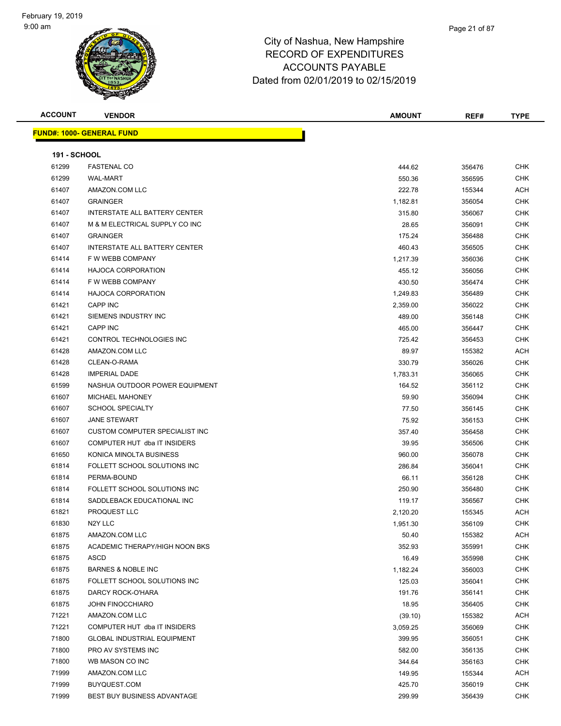| <b>ACCOUNT</b>      | <b>VENDOR</b>                         | <b>AMOUNT</b> | REF#   | <b>TYPE</b> |
|---------------------|---------------------------------------|---------------|--------|-------------|
|                     | <b>FUND#: 1000- GENERAL FUND</b>      |               |        |             |
|                     |                                       |               |        |             |
| <b>191 - SCHOOL</b> |                                       |               |        |             |
| 61299               | <b>FASTENAL CO</b>                    | 444.62        | 356476 | <b>CHK</b>  |
| 61299               | <b>WAL-MART</b>                       | 550.36        | 356595 | <b>CHK</b>  |
| 61407               | AMAZON.COM LLC                        | 222.78        | 155344 | ACH         |
| 61407               | <b>GRAINGER</b>                       | 1,182.81      | 356054 | CHK         |
| 61407               | INTERSTATE ALL BATTERY CENTER         | 315.80        | 356067 | CHK         |
| 61407               | M & M ELECTRICAL SUPPLY CO INC        | 28.65         | 356091 | CHK         |
| 61407               | <b>GRAINGER</b>                       | 175.24        | 356488 | CHK         |
| 61407               | INTERSTATE ALL BATTERY CENTER         | 460.43        | 356505 | CHK         |
| 61414               | F W WEBB COMPANY                      | 1,217.39      | 356036 | CHK         |
| 61414               | <b>HAJOCA CORPORATION</b>             | 455.12        | 356056 | <b>CHK</b>  |
| 61414               | F W WEBB COMPANY                      | 430.50        | 356474 | CHK         |
| 61414               | <b>HAJOCA CORPORATION</b>             | 1,249.83      | 356489 | CHK         |
| 61421               | <b>CAPP INC</b>                       | 2,359.00      | 356022 | CHK         |
| 61421               | SIEMENS INDUSTRY INC                  | 489.00        | 356148 | CHK         |
| 61421               | CAPP INC                              | 465.00        | 356447 | CHK         |
| 61421               | CONTROL TECHNOLOGIES INC              | 725.42        | 356453 | CHK         |
| 61428               | AMAZON.COM LLC                        | 89.97         | 155382 | ACH         |
| 61428               | CLEAN-O-RAMA                          | 330.79        | 356026 | CHK         |
| 61428               | <b>IMPERIAL DADE</b>                  | 1,783.31      | 356065 | CHK         |
| 61599               | NASHUA OUTDOOR POWER EQUIPMENT        | 164.52        | 356112 | CHK         |
| 61607               | <b>MICHAEL MAHONEY</b>                | 59.90         | 356094 | CHK         |
| 61607               | <b>SCHOOL SPECIALTY</b>               | 77.50         | 356145 | CHK         |
| 61607               | <b>JANE STEWART</b>                   | 75.92         | 356153 | <b>CHK</b>  |
| 61607               | <b>CUSTOM COMPUTER SPECIALIST INC</b> | 357.40        | 356458 | <b>CHK</b>  |
| 61607               | COMPUTER HUT dba IT INSIDERS          | 39.95         | 356506 | CHK         |
| 61650               | KONICA MINOLTA BUSINESS               | 960.00        | 356078 | CHK         |
| 61814               | FOLLETT SCHOOL SOLUTIONS INC          | 286.84        | 356041 | CHK         |
| 61814               | PERMA-BOUND                           | 66.11         | 356128 | CHK         |
| 61814               | FOLLETT SCHOOL SOLUTIONS INC          | 250.90        | 356480 | CHK         |
| 61814               | SADDLEBACK EDUCATIONAL INC            | 119.17        | 356567 | CHK         |
| 61821               | PROQUEST LLC                          | 2,120.20      | 155345 | ACH         |
| 61830               | N2Y LLC                               | 1,951.30      | 356109 | <b>CHK</b>  |
| 61875               | AMAZON.COM LLC                        | 50.40         | 155382 | ACH         |
| 61875               | ACADEMIC THERAPY/HIGH NOON BKS        | 352.93        | 355991 | <b>CHK</b>  |
| 61875               | <b>ASCD</b>                           | 16.49         | 355998 | <b>CHK</b>  |
| 61875               | <b>BARNES &amp; NOBLE INC</b>         | 1,182.24      | 356003 | CHK         |
| 61875               | FOLLETT SCHOOL SOLUTIONS INC          | 125.03        | 356041 | <b>CHK</b>  |
| 61875               | DARCY ROCK-O'HARA                     | 191.76        | 356141 | CHK         |
| 61875               | <b>JOHN FINOCCHIARO</b>               | 18.95         | 356405 | CHK         |
| 71221               | AMAZON.COM LLC                        | (39.10)       | 155382 | <b>ACH</b>  |
| 71221               | COMPUTER HUT dba IT INSIDERS          | 3,059.25      | 356069 | <b>CHK</b>  |
| 71800               | <b>GLOBAL INDUSTRIAL EQUIPMENT</b>    | 399.95        | 356051 | <b>CHK</b>  |
| 71800               | PRO AV SYSTEMS INC                    | 582.00        | 356135 | <b>CHK</b>  |
| 71800               | WB MASON CO INC                       | 344.64        | 356163 | CHK         |
| 71999               | AMAZON.COM LLC                        | 149.95        | 155344 | ACH         |
| 71999               | BUYQUEST.COM                          | 425.70        | 356019 | CHK         |
| 71999               | BEST BUY BUSINESS ADVANTAGE           | 299.99        | 356439 | CHK         |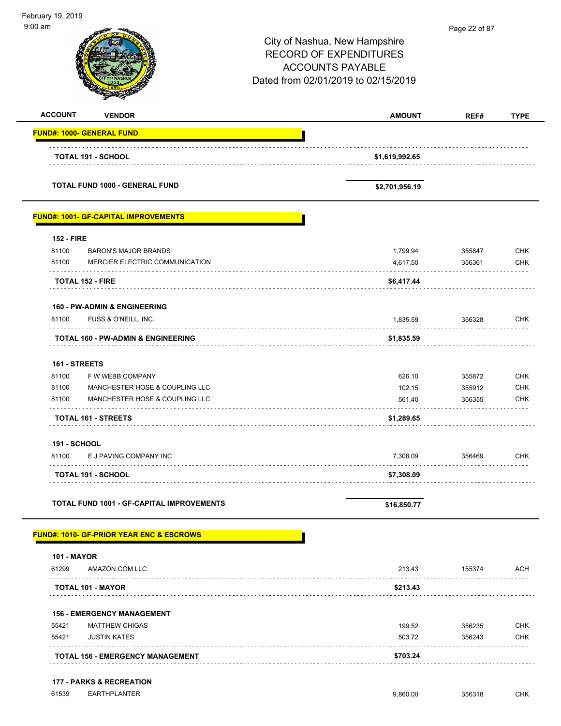| 9:00 am<br>Page 22 of 87<br>City of Nashua, New Hampshire<br><b>RECORD OF EXPENDITURES</b><br><b>ACCOUNTS PAYABLE</b><br>Dated from 02/01/2019 to 02/15/2019<br><b>ACCOUNT</b><br><b>VENDOR</b><br><b>AMOUNT</b><br>REF#<br><b>TYPE</b><br><b>FUND#: 1000- GENERAL FUND</b><br><b>TOTAL 191 - SCHOOL</b><br>\$1,619,992.65<br><b>TOTAL FUND 1000 - GENERAL FUND</b><br>\$2,701,956.19<br><b>FUND#: 1001- GF-CAPITAL IMPROVEMENTS</b><br><b>152 - FIRE</b><br>81100<br>1,799.94<br><b>CHK</b><br><b>BARON'S MAJOR BRANDS</b><br>355847<br>81100<br>MERCIER ELECTRIC COMMUNICATION<br><b>CHK</b><br>4,617.50<br>356361<br><b>TOTAL 152 - FIRE</b><br>\$6,417.44<br><b>160 - PW-ADMIN &amp; ENGINEERING</b><br>1,835.59<br>356328<br><b>CHK</b><br>81100<br>FUSS & O'NEILL, INC.<br>\$1,835.59<br>TOTAL 160 - PW-ADMIN & ENGINEERING<br>161 - STREETS<br>81100<br>F W WEBB COMPANY<br><b>CHK</b><br>626.10<br>355872<br>102.15<br><b>CHK</b><br>81100<br>MANCHESTER HOSE & COUPLING LLC<br>355912<br><b>CHK</b><br>81100<br>MANCHESTER HOSE & COUPLING LLC<br>356355<br>561.40<br><b>TOTAL 161 - STREETS</b><br>\$1,289.65<br><b>191 - SCHOOL</b><br>81100<br>E J PAVING COMPANY INC<br>7,308.09<br>356469<br><b>CHK</b><br>\$7,308.09<br>TOTAL 191 - SCHOOL<br><b>TOTAL FUND 1001 - GF-CAPITAL IMPROVEMENTS</b><br>\$16,850.77<br><b>FUND#: 1010- GF-PRIOR YEAR ENC &amp; ESCROWS</b><br><b>101 - MAYOR</b><br>AMAZON.COM LLC<br>61299<br>213.43<br>155374<br>ACH<br>\$213.43<br>TOTAL 101 - MAYOR<br>.<br><b>156 - EMERGENCY MANAGEMENT</b><br><b>MATTHEW CHIGAS</b><br><b>CHK</b><br>55421<br>199.52<br>356235<br>55421<br><b>JUSTIN KATES</b><br>503.72<br>356243<br>CHK<br><b>TOTAL 156 - EMERGENCY MANAGEMENT</b><br>\$703.24<br><b>177 - PARKS &amp; RECREATION</b><br>61539<br><b>EARTHPLANTER</b><br><b>CHK</b><br>9,860.00<br>356318 | February 19, 2019 |  |  |
|---------------------------------------------------------------------------------------------------------------------------------------------------------------------------------------------------------------------------------------------------------------------------------------------------------------------------------------------------------------------------------------------------------------------------------------------------------------------------------------------------------------------------------------------------------------------------------------------------------------------------------------------------------------------------------------------------------------------------------------------------------------------------------------------------------------------------------------------------------------------------------------------------------------------------------------------------------------------------------------------------------------------------------------------------------------------------------------------------------------------------------------------------------------------------------------------------------------------------------------------------------------------------------------------------------------------------------------------------------------------------------------------------------------------------------------------------------------------------------------------------------------------------------------------------------------------------------------------------------------------------------------------------------------------------------------------------------------------------------------------------------------------------------------------------------------------------------------------|-------------------|--|--|
|                                                                                                                                                                                                                                                                                                                                                                                                                                                                                                                                                                                                                                                                                                                                                                                                                                                                                                                                                                                                                                                                                                                                                                                                                                                                                                                                                                                                                                                                                                                                                                                                                                                                                                                                                                                                                                             |                   |  |  |
|                                                                                                                                                                                                                                                                                                                                                                                                                                                                                                                                                                                                                                                                                                                                                                                                                                                                                                                                                                                                                                                                                                                                                                                                                                                                                                                                                                                                                                                                                                                                                                                                                                                                                                                                                                                                                                             |                   |  |  |
|                                                                                                                                                                                                                                                                                                                                                                                                                                                                                                                                                                                                                                                                                                                                                                                                                                                                                                                                                                                                                                                                                                                                                                                                                                                                                                                                                                                                                                                                                                                                                                                                                                                                                                                                                                                                                                             |                   |  |  |
|                                                                                                                                                                                                                                                                                                                                                                                                                                                                                                                                                                                                                                                                                                                                                                                                                                                                                                                                                                                                                                                                                                                                                                                                                                                                                                                                                                                                                                                                                                                                                                                                                                                                                                                                                                                                                                             |                   |  |  |
|                                                                                                                                                                                                                                                                                                                                                                                                                                                                                                                                                                                                                                                                                                                                                                                                                                                                                                                                                                                                                                                                                                                                                                                                                                                                                                                                                                                                                                                                                                                                                                                                                                                                                                                                                                                                                                             |                   |  |  |
|                                                                                                                                                                                                                                                                                                                                                                                                                                                                                                                                                                                                                                                                                                                                                                                                                                                                                                                                                                                                                                                                                                                                                                                                                                                                                                                                                                                                                                                                                                                                                                                                                                                                                                                                                                                                                                             |                   |  |  |
|                                                                                                                                                                                                                                                                                                                                                                                                                                                                                                                                                                                                                                                                                                                                                                                                                                                                                                                                                                                                                                                                                                                                                                                                                                                                                                                                                                                                                                                                                                                                                                                                                                                                                                                                                                                                                                             |                   |  |  |
|                                                                                                                                                                                                                                                                                                                                                                                                                                                                                                                                                                                                                                                                                                                                                                                                                                                                                                                                                                                                                                                                                                                                                                                                                                                                                                                                                                                                                                                                                                                                                                                                                                                                                                                                                                                                                                             |                   |  |  |
|                                                                                                                                                                                                                                                                                                                                                                                                                                                                                                                                                                                                                                                                                                                                                                                                                                                                                                                                                                                                                                                                                                                                                                                                                                                                                                                                                                                                                                                                                                                                                                                                                                                                                                                                                                                                                                             |                   |  |  |
|                                                                                                                                                                                                                                                                                                                                                                                                                                                                                                                                                                                                                                                                                                                                                                                                                                                                                                                                                                                                                                                                                                                                                                                                                                                                                                                                                                                                                                                                                                                                                                                                                                                                                                                                                                                                                                             |                   |  |  |
|                                                                                                                                                                                                                                                                                                                                                                                                                                                                                                                                                                                                                                                                                                                                                                                                                                                                                                                                                                                                                                                                                                                                                                                                                                                                                                                                                                                                                                                                                                                                                                                                                                                                                                                                                                                                                                             |                   |  |  |
|                                                                                                                                                                                                                                                                                                                                                                                                                                                                                                                                                                                                                                                                                                                                                                                                                                                                                                                                                                                                                                                                                                                                                                                                                                                                                                                                                                                                                                                                                                                                                                                                                                                                                                                                                                                                                                             |                   |  |  |
|                                                                                                                                                                                                                                                                                                                                                                                                                                                                                                                                                                                                                                                                                                                                                                                                                                                                                                                                                                                                                                                                                                                                                                                                                                                                                                                                                                                                                                                                                                                                                                                                                                                                                                                                                                                                                                             |                   |  |  |
|                                                                                                                                                                                                                                                                                                                                                                                                                                                                                                                                                                                                                                                                                                                                                                                                                                                                                                                                                                                                                                                                                                                                                                                                                                                                                                                                                                                                                                                                                                                                                                                                                                                                                                                                                                                                                                             |                   |  |  |
|                                                                                                                                                                                                                                                                                                                                                                                                                                                                                                                                                                                                                                                                                                                                                                                                                                                                                                                                                                                                                                                                                                                                                                                                                                                                                                                                                                                                                                                                                                                                                                                                                                                                                                                                                                                                                                             |                   |  |  |
|                                                                                                                                                                                                                                                                                                                                                                                                                                                                                                                                                                                                                                                                                                                                                                                                                                                                                                                                                                                                                                                                                                                                                                                                                                                                                                                                                                                                                                                                                                                                                                                                                                                                                                                                                                                                                                             |                   |  |  |
|                                                                                                                                                                                                                                                                                                                                                                                                                                                                                                                                                                                                                                                                                                                                                                                                                                                                                                                                                                                                                                                                                                                                                                                                                                                                                                                                                                                                                                                                                                                                                                                                                                                                                                                                                                                                                                             |                   |  |  |
|                                                                                                                                                                                                                                                                                                                                                                                                                                                                                                                                                                                                                                                                                                                                                                                                                                                                                                                                                                                                                                                                                                                                                                                                                                                                                                                                                                                                                                                                                                                                                                                                                                                                                                                                                                                                                                             |                   |  |  |
|                                                                                                                                                                                                                                                                                                                                                                                                                                                                                                                                                                                                                                                                                                                                                                                                                                                                                                                                                                                                                                                                                                                                                                                                                                                                                                                                                                                                                                                                                                                                                                                                                                                                                                                                                                                                                                             |                   |  |  |
|                                                                                                                                                                                                                                                                                                                                                                                                                                                                                                                                                                                                                                                                                                                                                                                                                                                                                                                                                                                                                                                                                                                                                                                                                                                                                                                                                                                                                                                                                                                                                                                                                                                                                                                                                                                                                                             |                   |  |  |
|                                                                                                                                                                                                                                                                                                                                                                                                                                                                                                                                                                                                                                                                                                                                                                                                                                                                                                                                                                                                                                                                                                                                                                                                                                                                                                                                                                                                                                                                                                                                                                                                                                                                                                                                                                                                                                             |                   |  |  |
|                                                                                                                                                                                                                                                                                                                                                                                                                                                                                                                                                                                                                                                                                                                                                                                                                                                                                                                                                                                                                                                                                                                                                                                                                                                                                                                                                                                                                                                                                                                                                                                                                                                                                                                                                                                                                                             |                   |  |  |
|                                                                                                                                                                                                                                                                                                                                                                                                                                                                                                                                                                                                                                                                                                                                                                                                                                                                                                                                                                                                                                                                                                                                                                                                                                                                                                                                                                                                                                                                                                                                                                                                                                                                                                                                                                                                                                             |                   |  |  |
|                                                                                                                                                                                                                                                                                                                                                                                                                                                                                                                                                                                                                                                                                                                                                                                                                                                                                                                                                                                                                                                                                                                                                                                                                                                                                                                                                                                                                                                                                                                                                                                                                                                                                                                                                                                                                                             |                   |  |  |
|                                                                                                                                                                                                                                                                                                                                                                                                                                                                                                                                                                                                                                                                                                                                                                                                                                                                                                                                                                                                                                                                                                                                                                                                                                                                                                                                                                                                                                                                                                                                                                                                                                                                                                                                                                                                                                             |                   |  |  |
|                                                                                                                                                                                                                                                                                                                                                                                                                                                                                                                                                                                                                                                                                                                                                                                                                                                                                                                                                                                                                                                                                                                                                                                                                                                                                                                                                                                                                                                                                                                                                                                                                                                                                                                                                                                                                                             |                   |  |  |
|                                                                                                                                                                                                                                                                                                                                                                                                                                                                                                                                                                                                                                                                                                                                                                                                                                                                                                                                                                                                                                                                                                                                                                                                                                                                                                                                                                                                                                                                                                                                                                                                                                                                                                                                                                                                                                             |                   |  |  |
|                                                                                                                                                                                                                                                                                                                                                                                                                                                                                                                                                                                                                                                                                                                                                                                                                                                                                                                                                                                                                                                                                                                                                                                                                                                                                                                                                                                                                                                                                                                                                                                                                                                                                                                                                                                                                                             |                   |  |  |
|                                                                                                                                                                                                                                                                                                                                                                                                                                                                                                                                                                                                                                                                                                                                                                                                                                                                                                                                                                                                                                                                                                                                                                                                                                                                                                                                                                                                                                                                                                                                                                                                                                                                                                                                                                                                                                             |                   |  |  |
|                                                                                                                                                                                                                                                                                                                                                                                                                                                                                                                                                                                                                                                                                                                                                                                                                                                                                                                                                                                                                                                                                                                                                                                                                                                                                                                                                                                                                                                                                                                                                                                                                                                                                                                                                                                                                                             |                   |  |  |
|                                                                                                                                                                                                                                                                                                                                                                                                                                                                                                                                                                                                                                                                                                                                                                                                                                                                                                                                                                                                                                                                                                                                                                                                                                                                                                                                                                                                                                                                                                                                                                                                                                                                                                                                                                                                                                             |                   |  |  |
|                                                                                                                                                                                                                                                                                                                                                                                                                                                                                                                                                                                                                                                                                                                                                                                                                                                                                                                                                                                                                                                                                                                                                                                                                                                                                                                                                                                                                                                                                                                                                                                                                                                                                                                                                                                                                                             |                   |  |  |
|                                                                                                                                                                                                                                                                                                                                                                                                                                                                                                                                                                                                                                                                                                                                                                                                                                                                                                                                                                                                                                                                                                                                                                                                                                                                                                                                                                                                                                                                                                                                                                                                                                                                                                                                                                                                                                             |                   |  |  |
|                                                                                                                                                                                                                                                                                                                                                                                                                                                                                                                                                                                                                                                                                                                                                                                                                                                                                                                                                                                                                                                                                                                                                                                                                                                                                                                                                                                                                                                                                                                                                                                                                                                                                                                                                                                                                                             |                   |  |  |
|                                                                                                                                                                                                                                                                                                                                                                                                                                                                                                                                                                                                                                                                                                                                                                                                                                                                                                                                                                                                                                                                                                                                                                                                                                                                                                                                                                                                                                                                                                                                                                                                                                                                                                                                                                                                                                             |                   |  |  |
|                                                                                                                                                                                                                                                                                                                                                                                                                                                                                                                                                                                                                                                                                                                                                                                                                                                                                                                                                                                                                                                                                                                                                                                                                                                                                                                                                                                                                                                                                                                                                                                                                                                                                                                                                                                                                                             |                   |  |  |
|                                                                                                                                                                                                                                                                                                                                                                                                                                                                                                                                                                                                                                                                                                                                                                                                                                                                                                                                                                                                                                                                                                                                                                                                                                                                                                                                                                                                                                                                                                                                                                                                                                                                                                                                                                                                                                             |                   |  |  |
|                                                                                                                                                                                                                                                                                                                                                                                                                                                                                                                                                                                                                                                                                                                                                                                                                                                                                                                                                                                                                                                                                                                                                                                                                                                                                                                                                                                                                                                                                                                                                                                                                                                                                                                                                                                                                                             |                   |  |  |
|                                                                                                                                                                                                                                                                                                                                                                                                                                                                                                                                                                                                                                                                                                                                                                                                                                                                                                                                                                                                                                                                                                                                                                                                                                                                                                                                                                                                                                                                                                                                                                                                                                                                                                                                                                                                                                             |                   |  |  |
|                                                                                                                                                                                                                                                                                                                                                                                                                                                                                                                                                                                                                                                                                                                                                                                                                                                                                                                                                                                                                                                                                                                                                                                                                                                                                                                                                                                                                                                                                                                                                                                                                                                                                                                                                                                                                                             |                   |  |  |
|                                                                                                                                                                                                                                                                                                                                                                                                                                                                                                                                                                                                                                                                                                                                                                                                                                                                                                                                                                                                                                                                                                                                                                                                                                                                                                                                                                                                                                                                                                                                                                                                                                                                                                                                                                                                                                             |                   |  |  |
|                                                                                                                                                                                                                                                                                                                                                                                                                                                                                                                                                                                                                                                                                                                                                                                                                                                                                                                                                                                                                                                                                                                                                                                                                                                                                                                                                                                                                                                                                                                                                                                                                                                                                                                                                                                                                                             |                   |  |  |

 $\overline{\phantom{0}}$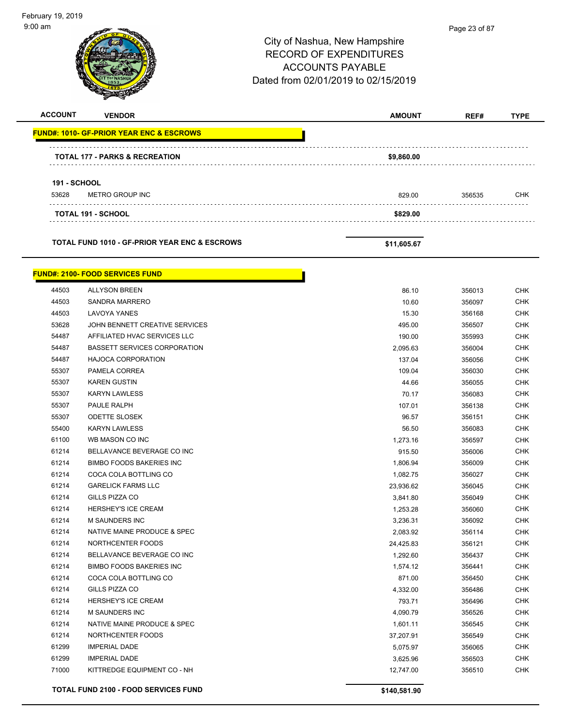9:00 am Page 23 of 87City of Nashua, New Hampshire RECORD OF EXPENDITURES ACCOUNTS PAYABLE Dated from 02/01/2019 to 02/15/2019 **ACCOUNT VENDOR AMOUNT REF# TYPE FUND#: 1010- GF-PRIOR YEAR ENC & ESCROWS TOTAL 177 - PARKS & RECREATION \$9,860.00 191 - SCHOOL** 53628 METRO GROUP INC 829.00 356535 CHK **TOTAL 191 - SCHOOL \$829.00 TOTAL FUND 1010 - GF-PRIOR YEAR ENC & ESCROWS \$11,605.67 FUND#: 2100- FOOD SERVICES FUND** er and the set of the set of the set of the set of the set of the set of the set of the set of the set of the set of the set of the set of the set of the set of the set of the set of the set of the set of the set of the se 44503 SANDRA MARRERO 10.60 356097 CHK 44503 LAVOYA YANES 15.30 356168 CHK 53628 JOHN BENNETT CREATIVE SERVICES 495.00 356507 CHK 54487 AFFILIATED HVAC SERVICES LLC 190.00 355993 CHK 54487 BASSETT SERVICES CORPORATION 2,095.63 356004 CHK 54487 HAJOCA CORPORATION 137.04 356056 CHK 55307 PAMELA CORREA 109.04 356030 CHK 55307 KAREN GUSTIN 44.66 356055 CHK 55307 KARYN LAWLESS 70.17 356083 CHK 55307 PAULE RALPH 107.01 256138 CHK 55307 ODETTE SLOSEK 96.57 356151 CHK 55400 KARYN LAWLESS 56.50 356083 CHK 61100 WB MASON CO INC 1,273.16 356597 CHK 61214 BELLAVANCE BEVERAGE CO INC 915.50 356006 CHK er and the state of the state of the state of the state of the state of the state of the state of the state of the state of the state of the state of the state of the state of the state of the state of the state of the sta 61214 COCA COLA BOTTLING CO 1,082.75 356027 CHK 61214 GARELICK FARMS LLC 23,936.62 356045 CHK 61214 GILLS PIZZA CO 3,841.80 356049 CHK 61214 HERSHEY'S ICE CREAM 1,253.28 356060 CHK 61214 M SAUNDERS INC 3,236.31 356092 CHK 61214 NATIVE MAINE PRODUCE & SPEC **A CHK SPEC ASSESS** 20083.92 356114 CHK 61214 NORTHCENTER FOODS **24,425.83** 356121 CHK 61214 BELLAVANCE BEVERAGE CO INC 1,292.60 356437 CHK er and the state of the state of the state of the state of the state of the state of the state of the state of the state of the state of the state of the state of the state of the state of the state of the state of the sta 61214 COCA COLA BOTTLING CO 871.00 356450 CHK 61214 GILLS PIZZA CO 4,332.00 356486 CHK 61214 HERSHEY'S ICE CREAM 793.71 356496 CHK 61214 M SAUNDERS INC 4,090.79 356526 CHK 61214 NATIVE MAINE PRODUCE & SPEC **1,601.11** 356545 CHK 61214 NORTHCENTER FOODS 37,207.91 356549 CHK 61299 IMPERIAL DADE 5,075.97 356065 CHK 61299 IMPERIAL DADE 3,625.96 356503 CHK 71000 KITTREDGE EQUIPMENT CO - NH 12,747.00 356510 CHK **TOTAL FUND 2100 - FOOD SERVICES FUND \$140,581.90** 

February 19, 2019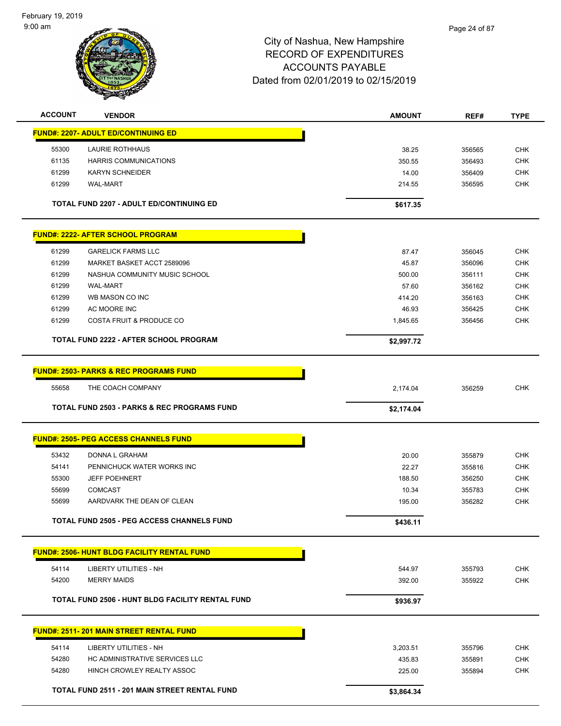

| <b>ACCOUNT</b> | <b>VENDOR</b>                                           | <b>AMOUNT</b> | REF#   | <b>TYPE</b> |
|----------------|---------------------------------------------------------|---------------|--------|-------------|
|                | <b>FUND#: 2207- ADULT ED/CONTINUING ED</b>              |               |        |             |
| 55300          | LAURIE ROTHHAUS                                         | 38.25         | 356565 | <b>CHK</b>  |
| 61135          | <b>HARRIS COMMUNICATIONS</b>                            | 350.55        | 356493 | <b>CHK</b>  |
| 61299          | <b>KARYN SCHNEIDER</b>                                  | 14.00         | 356409 | <b>CHK</b>  |
| 61299          | <b>WAL-MART</b>                                         | 214.55        | 356595 | <b>CHK</b>  |
|                | TOTAL FUND 2207 - ADULT ED/CONTINUING ED                | \$617.35      |        |             |
|                | <u> FUND#: 2222- AFTER SCHOOL PROGRAM</u>               |               |        |             |
| 61299          | <b>GARELICK FARMS LLC</b>                               | 87.47         | 356045 | <b>CHK</b>  |
| 61299          | MARKET BASKET ACCT 2589096                              | 45.87         | 356096 | <b>CHK</b>  |
| 61299          | NASHUA COMMUNITY MUSIC SCHOOL                           | 500.00        | 356111 | <b>CHK</b>  |
| 61299          | <b>WAL-MART</b>                                         | 57.60         | 356162 | <b>CHK</b>  |
| 61299          | WB MASON CO INC                                         | 414.20        | 356163 | <b>CHK</b>  |
| 61299          | AC MOORE INC                                            | 46.93         | 356425 | <b>CHK</b>  |
| 61299          | <b>COSTA FRUIT &amp; PRODUCE CO</b>                     | 1,845.65      | 356456 | <b>CHK</b>  |
|                | <b>TOTAL FUND 2222 - AFTER SCHOOL PROGRAM</b>           | \$2,997.72    |        |             |
|                | <b>FUND#: 2503- PARKS &amp; REC PROGRAMS FUND</b>       |               |        |             |
|                |                                                         |               |        |             |
| 55658          | THE COACH COMPANY                                       | 2,174.04      | 356259 | <b>CHK</b>  |
|                | <b>TOTAL FUND 2503 - PARKS &amp; REC PROGRAMS FUND</b>  | \$2,174.04    |        |             |
|                | <b>FUND#: 2505- PEG ACCESS CHANNELS FUND</b>            |               |        |             |
| 53432          | DONNA L GRAHAM                                          | 20.00         | 355879 | <b>CHK</b>  |
| 54141          | PENNICHUCK WATER WORKS INC                              | 22.27         | 355816 | <b>CHK</b>  |
| 55300          | <b>JEFF POEHNERT</b>                                    | 188.50        | 356250 | <b>CHK</b>  |
| 55699          | <b>COMCAST</b>                                          | 10.34         | 355783 | <b>CHK</b>  |
| 55699          | AARDVARK THE DEAN OF CLEAN                              | 195.00        | 356282 | <b>CHK</b>  |
|                | TOTAL FUND 2505 - PEG ACCESS CHANNELS FUND              | \$436.11      |        |             |
|                | <b>FUND#: 2506- HUNT BLDG FACILITY RENTAL FUND</b>      |               |        |             |
|                |                                                         |               |        |             |
| 54114          | <b>LIBERTY UTILITIES - NH</b>                           | 544.97        | 355793 | <b>CHK</b>  |
| 54200          | <b>MERRY MAIDS</b>                                      | 392.00        | 355922 | <b>CHK</b>  |
|                | <b>TOTAL FUND 2506 - HUNT BLDG FACILITY RENTAL FUND</b> | \$936.97      |        |             |
|                | <b>FUND#: 2511-201 MAIN STREET RENTAL FUND</b>          |               |        |             |
| 54114          | <b>LIBERTY UTILITIES - NH</b>                           | 3,203.51      | 355796 | <b>CHK</b>  |
| 54280          | HC ADMINISTRATIVE SERVICES LLC                          | 435.83        | 355891 | CHK         |
| 54280          | HINCH CROWLEY REALTY ASSOC                              | 225.00        | 355894 | <b>CHK</b>  |
|                | TOTAL FUND 2511 - 201 MAIN STREET RENTAL FUND           | \$3,864.34    |        |             |
|                |                                                         |               |        |             |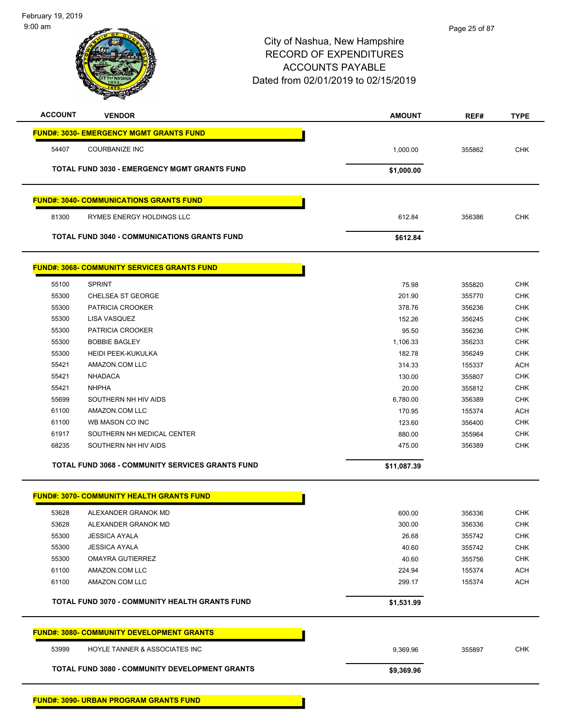| <b>ACCOUNT</b> | <b>VENDOR</b>                                           | <b>AMOUNT</b> | REF#   | <b>TYPE</b> |
|----------------|---------------------------------------------------------|---------------|--------|-------------|
|                | <b>FUND#: 3030- EMERGENCY MGMT GRANTS FUND</b>          |               |        |             |
| 54407          | <b>COURBANIZE INC</b>                                   | 1,000.00      | 355862 | CHK         |
|                | <b>TOTAL FUND 3030 - EMERGENCY MGMT GRANTS FUND</b>     | \$1,000.00    |        |             |
|                | <b>FUND#: 3040- COMMUNICATIONS GRANTS FUND</b>          |               |        |             |
| 81300          | RYMES ENERGY HOLDINGS LLC                               | 612.84        | 356386 | <b>CHK</b>  |
|                | <b>TOTAL FUND 3040 - COMMUNICATIONS GRANTS FUND</b>     | \$612.84      |        |             |
|                | <b>FUND#: 3068- COMMUNITY SERVICES GRANTS FUND</b>      |               |        |             |
| 55100          | <b>SPRINT</b>                                           | 75.98         | 355820 | <b>CHK</b>  |
| 55300          | <b>CHELSEA ST GEORGE</b>                                | 201.90        | 355770 | <b>CHK</b>  |
| 55300          | PATRICIA CROOKER                                        | 378.76        | 356236 | <b>CHK</b>  |
| 55300          | LISA VASQUEZ                                            | 152.26        | 356245 | <b>CHK</b>  |
| 55300          | PATRICIA CROOKER                                        | 95.50         | 356236 | <b>CHK</b>  |
| 55300          | <b>BOBBIE BAGLEY</b>                                    | 1,106.33      | 356233 | <b>CHK</b>  |
| 55300          | <b>HEIDI PEEK-KUKULKA</b>                               | 182.78        | 356249 | <b>CHK</b>  |
| 55421          | AMAZON.COM LLC                                          | 314.33        | 155337 | <b>ACH</b>  |
| 55421          | <b>NHADACA</b>                                          | 130.00        | 355807 | <b>CHK</b>  |
| 55421          | <b>NHPHA</b>                                            | 20.00         | 355812 | <b>CHK</b>  |
| 55699          | SOUTHERN NH HIV AIDS                                    | 6,780.00      | 356389 | <b>CHK</b>  |
| 61100          | AMAZON.COM LLC                                          | 170.95        | 155374 | <b>ACH</b>  |
| 61100          | WB MASON CO INC                                         | 123.60        | 356400 | <b>CHK</b>  |
| 61917          | SOUTHERN NH MEDICAL CENTER                              | 880.00        | 355964 | <b>CHK</b>  |
| 68235          | SOUTHERN NH HIV AIDS                                    | 475.00        | 356389 | <b>CHK</b>  |
|                | <b>TOTAL FUND 3068 - COMMUNITY SERVICES GRANTS FUND</b> | \$11,087.39   |        |             |
|                | <b>FUND#: 3070- COMMUNITY HEALTH GRANTS FUND</b>        |               |        |             |
| 53628          | ALEXANDER GRANOK MD                                     | 600.00        | 356336 | <b>CHK</b>  |
| 53628          | ALEXANDER GRANOK MD                                     | 300.00        | 356336 | <b>CHK</b>  |
| 55300          | <b>JESSICA AYALA</b>                                    | 26.68         | 355742 | <b>CHK</b>  |
| 55300          | <b>JESSICA AYALA</b>                                    | 40.60         | 355742 | <b>CHK</b>  |
| 55300          | <b>OMAYRA GUTIERREZ</b>                                 | 40.60         | 355756 | <b>CHK</b>  |
| 61100          | AMAZON.COM LLC                                          | 224.94        | 155374 | <b>ACH</b>  |
| 61100          | AMAZON.COM LLC                                          | 299.17        | 155374 | <b>ACH</b>  |
|                | <b>TOTAL FUND 3070 - COMMUNITY HEALTH GRANTS FUND</b>   | \$1,531.99    |        |             |
|                | <b>FUND#: 3080- COMMUNITY DEVELOPMENT GRANTS</b>        |               |        |             |
|                | HOYLE TANNER & ASSOCIATES INC                           | 9,369.96      | 355897 | <b>CHK</b>  |
| 53999          |                                                         |               |        |             |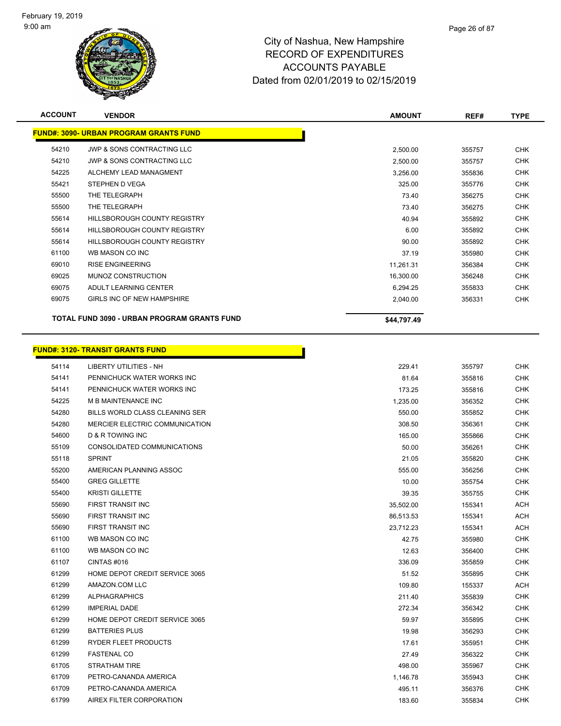

| <b>ACCOUNT</b> | <b>VENDOR</b>                                 | <b>AMOUNT</b> | REF#   | <b>TYPE</b> |
|----------------|-----------------------------------------------|---------------|--------|-------------|
|                | <b>FUND#: 3090- URBAN PROGRAM GRANTS FUND</b> |               |        |             |
| 54210          | JWP & SONS CONTRACTING LLC                    | 2,500.00      | 355757 | <b>CHK</b>  |
| 54210          | JWP & SONS CONTRACTING LLC                    | 2,500.00      | 355757 | CHK         |
| 54225          | ALCHEMY LEAD MANAGMENT                        | 3,256.00      | 355836 | <b>CHK</b>  |
| 55421          | STEPHEN D VEGA                                | 325.00        | 355776 | <b>CHK</b>  |
| 55500          | THE TELEGRAPH                                 | 73.40         | 356275 | <b>CHK</b>  |
| 55500          | THE TELEGRAPH                                 | 73.40         | 356275 | <b>CHK</b>  |
| 55614          | <b>HILLSBOROUGH COUNTY REGISTRY</b>           | 40.94         | 355892 | <b>CHK</b>  |
| 55614          | <b>HILLSBOROUGH COUNTY REGISTRY</b>           | 6.00          | 355892 | CHK         |
| 55614          | HILLSBOROUGH COUNTY REGISTRY                  | 90.00         | 355892 | CHK         |
| 61100          | WB MASON CO INC                               | 37.19         | 355980 | CHK         |
| 69010          | <b>RISE ENGINEERING</b>                       | 11,261.31     | 356384 | <b>CHK</b>  |
| 69025          | MUNOZ CONSTRUCTION                            | 16,300.00     | 356248 | <b>CHK</b>  |
| 69075          | ADULT LEARNING CENTER                         | 6,294.25      | 355833 | <b>CHK</b>  |
| 69075          | GIRLS INC OF NEW HAMPSHIRE                    | 2,040.00      | 356331 | CHK         |
|                | TOTAL FUND 3090 - URBAN PROGRAM GRANTS FUND   | \$44,797.49   |        |             |

Н

# **FUND#: 3120- TRANSIT GRANTS FUND**

| 54114 | LIBERTY UTILITIES - NH                | 229.41    | 355797 | <b>CHK</b> |
|-------|---------------------------------------|-----------|--------|------------|
| 54141 | PENNICHUCK WATER WORKS INC            | 81.64     | 355816 | <b>CHK</b> |
| 54141 | PENNICHUCK WATER WORKS INC            | 173.25    | 355816 | <b>CHK</b> |
| 54225 | <b>M B MAINTENANCE INC</b>            | 1,235.00  | 356352 | <b>CHK</b> |
| 54280 | BILLS WORLD CLASS CLEANING SER        | 550.00    | 355852 | <b>CHK</b> |
| 54280 | <b>MERCIER ELECTRIC COMMUNICATION</b> | 308.50    | 356361 | <b>CHK</b> |
| 54600 | <b>D &amp; R TOWING INC</b>           | 165.00    | 355866 | <b>CHK</b> |
| 55109 | CONSOLIDATED COMMUNICATIONS           | 50.00     | 356261 | <b>CHK</b> |
| 55118 | <b>SPRINT</b>                         | 21.05     | 355820 | <b>CHK</b> |
| 55200 | AMERICAN PLANNING ASSOC               | 555.00    | 356256 | <b>CHK</b> |
| 55400 | <b>GREG GILLETTE</b>                  | 10.00     | 355754 | <b>CHK</b> |
| 55400 | <b>KRISTI GILLETTE</b>                | 39.35     | 355755 | <b>CHK</b> |
| 55690 | FIRST TRANSIT INC                     | 35,502.00 | 155341 | <b>ACH</b> |
| 55690 | FIRST TRANSIT INC                     | 86,513.53 | 155341 | <b>ACH</b> |
| 55690 | FIRST TRANSIT INC                     | 23,712.23 | 155341 | <b>ACH</b> |
| 61100 | WB MASON CO INC                       | 42.75     | 355980 | <b>CHK</b> |
| 61100 | WB MASON CO INC                       | 12.63     | 356400 | <b>CHK</b> |
| 61107 | CINTAS#016                            | 336.09    | 355859 | <b>CHK</b> |
| 61299 | HOME DEPOT CREDIT SERVICE 3065        | 51.52     | 355895 | <b>CHK</b> |
| 61299 | AMAZON.COM LLC                        | 109.80    | 155337 | <b>ACH</b> |
| 61299 | <b>ALPHAGRAPHICS</b>                  | 211.40    | 355839 | <b>CHK</b> |
| 61299 | <b>IMPERIAL DADE</b>                  | 272.34    | 356342 | <b>CHK</b> |
| 61299 | HOME DEPOT CREDIT SERVICE 3065        | 59.97     | 355895 | <b>CHK</b> |
| 61299 | <b>BATTERIES PLUS</b>                 | 19.98     | 356293 | <b>CHK</b> |
| 61299 | <b>RYDER FLEET PRODUCTS</b>           | 17.61     | 355951 | <b>CHK</b> |
| 61299 | <b>FASTENAL CO</b>                    | 27.49     | 356322 | <b>CHK</b> |
| 61705 | STRATHAM TIRE                         | 498.00    | 355967 | <b>CHK</b> |
| 61709 | PETRO-CANANDA AMERICA                 | 1,146.78  | 355943 | <b>CHK</b> |
| 61709 | PETRO-CANANDA AMERICA                 | 495.11    | 356376 | <b>CHK</b> |
| 61799 | AIREX FILTER CORPORATION              | 183.60    | 355834 | <b>CHK</b> |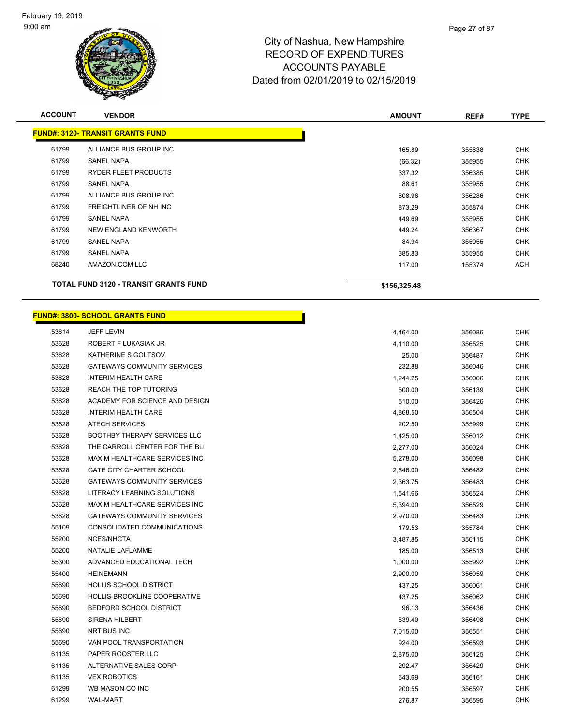

| <b>ACCOUNT</b> | <b>VENDOR</b>                                | <b>AMOUNT</b> | REF#   | <b>TYPE</b> |
|----------------|----------------------------------------------|---------------|--------|-------------|
|                | <b>FUND#: 3120- TRANSIT GRANTS FUND</b>      |               |        |             |
| 61799          | ALLIANCE BUS GROUP INC                       | 165.89        | 355838 | <b>CHK</b>  |
| 61799          | <b>SANEL NAPA</b>                            | (66.32)       | 355955 | <b>CHK</b>  |
| 61799          | <b>RYDER FLEET PRODUCTS</b>                  | 337.32        | 356385 | <b>CHK</b>  |
| 61799          | <b>SANEL NAPA</b>                            | 88.61         | 355955 | <b>CHK</b>  |
| 61799          | ALLIANCE BUS GROUP INC                       | 808.96        | 356286 | <b>CHK</b>  |
| 61799          | FREIGHTLINER OF NH INC                       | 873.29        | 355874 | <b>CHK</b>  |
| 61799          | <b>SANEL NAPA</b>                            | 449.69        | 355955 | <b>CHK</b>  |
| 61799          | NEW ENGLAND KENWORTH                         | 449.24        | 356367 | <b>CHK</b>  |
| 61799          | <b>SANEL NAPA</b>                            | 84.94         | 355955 | <b>CHK</b>  |
| 61799          | <b>SANEL NAPA</b>                            | 385.83        | 355955 | <b>CHK</b>  |
| 68240          | AMAZON.COM LLC                               | 117.00        | 155374 | <b>ACH</b>  |
|                | <b>TOTAL FUND 3120 - TRANSIT GRANTS FUND</b> | \$156,325.48  |        |             |
|                |                                              |               |        |             |

### **FUND#: 3800- SCHOOL GRANTS FUND**

| 53614 | <b>JEFF LEVIN</b>                   | 4,464.00 | 356086 | <b>CHK</b> |
|-------|-------------------------------------|----------|--------|------------|
| 53628 | ROBERT F LUKASIAK JR                | 4,110.00 | 356525 | <b>CHK</b> |
| 53628 | KATHERINE S GOLTSOV                 | 25.00    | 356487 | <b>CHK</b> |
| 53628 | <b>GATEWAYS COMMUNITY SERVICES</b>  | 232.88   | 356046 | <b>CHK</b> |
| 53628 | <b>INTERIM HEALTH CARE</b>          | 1,244.25 | 356066 | <b>CHK</b> |
| 53628 | REACH THE TOP TUTORING              | 500.00   | 356139 | <b>CHK</b> |
| 53628 | ACADEMY FOR SCIENCE AND DESIGN      | 510.00   | 356426 | <b>CHK</b> |
| 53628 | <b>INTERIM HEALTH CARE</b>          | 4,868.50 | 356504 | <b>CHK</b> |
| 53628 | <b>ATECH SERVICES</b>               | 202.50   | 355999 | <b>CHK</b> |
| 53628 | <b>BOOTHBY THERAPY SERVICES LLC</b> | 1,425.00 | 356012 | <b>CHK</b> |
| 53628 | THE CARROLL CENTER FOR THE BLI      | 2,277.00 | 356024 | <b>CHK</b> |
| 53628 | MAXIM HEALTHCARE SERVICES INC       | 5,278.00 | 356098 | <b>CHK</b> |
| 53628 | <b>GATE CITY CHARTER SCHOOL</b>     | 2,646.00 | 356482 | <b>CHK</b> |
| 53628 | <b>GATEWAYS COMMUNITY SERVICES</b>  | 2,363.75 | 356483 | <b>CHK</b> |
| 53628 | LITERACY LEARNING SOLUTIONS         | 1,541.66 | 356524 | <b>CHK</b> |
| 53628 | MAXIM HEALTHCARE SERVICES INC       | 5,394.00 | 356529 | <b>CHK</b> |
| 53628 | <b>GATEWAYS COMMUNITY SERVICES</b>  | 2,970.00 | 356483 | <b>CHK</b> |
| 55109 | CONSOLIDATED COMMUNICATIONS         | 179.53   | 355784 | <b>CHK</b> |
| 55200 | NCES/NHCTA                          | 3,487.85 | 356115 | <b>CHK</b> |
| 55200 | NATALIE LAFLAMME                    | 185.00   | 356513 | <b>CHK</b> |
| 55300 | ADVANCED EDUCATIONAL TECH           | 1,000.00 | 355992 | <b>CHK</b> |
| 55400 | <b>HEINEMANN</b>                    | 2,900.00 | 356059 | <b>CHK</b> |
| 55690 | <b>HOLLIS SCHOOL DISTRICT</b>       | 437.25   | 356061 | <b>CHK</b> |
| 55690 | HOLLIS-BROOKLINE COOPERATIVE        | 437.25   | 356062 | <b>CHK</b> |
| 55690 | <b>BEDFORD SCHOOL DISTRICT</b>      | 96.13    | 356436 | <b>CHK</b> |
| 55690 | SIRENA HILBERT                      | 539.40   | 356498 | <b>CHK</b> |
| 55690 | NRT BUS INC                         | 7,015.00 | 356551 | <b>CHK</b> |
| 55690 | VAN POOL TRANSPORTATION             | 924.00   | 356593 | <b>CHK</b> |
| 61135 | PAPER ROOSTER LLC                   | 2,875.00 | 356125 | <b>CHK</b> |
| 61135 | ALTERNATIVE SALES CORP              | 292.47   | 356429 | <b>CHK</b> |
| 61135 | <b>VEX ROBOTICS</b>                 | 643.69   | 356161 | <b>CHK</b> |
| 61299 | WB MASON CO INC                     | 200.55   | 356597 | CHK        |
| 61299 | <b>WAL-MART</b>                     | 276.87   | 356595 | <b>CHK</b> |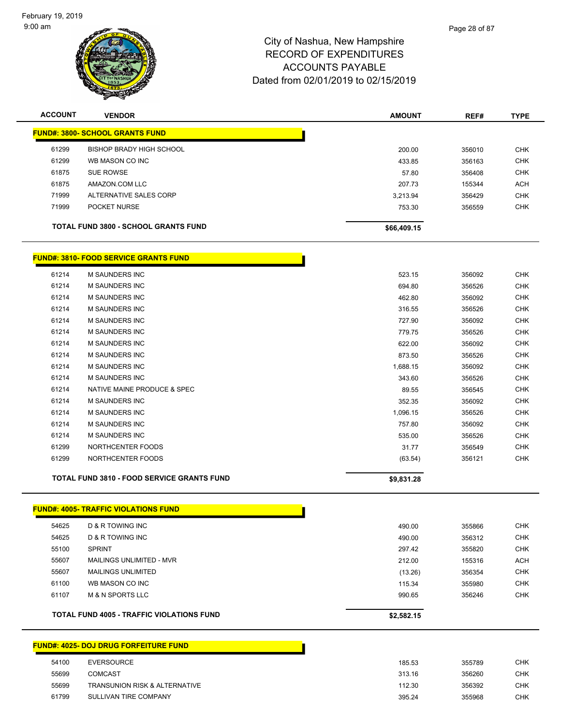

| <b>ACCOUNT</b> | <b>VENDOR</b>                               | <b>AMOUNT</b> | REF#   | <b>TYPE</b> |
|----------------|---------------------------------------------|---------------|--------|-------------|
|                | <b>FUND#: 3800- SCHOOL GRANTS FUND</b>      |               |        |             |
| 61299          | BISHOP BRADY HIGH SCHOOL                    | 200.00        | 356010 | <b>CHK</b>  |
| 61299          | WB MASON CO INC                             | 433.85        | 356163 | <b>CHK</b>  |
| 61875          | SUE ROWSE                                   | 57.80         | 356408 | <b>CHK</b>  |
| 61875          | AMAZON.COM LLC                              | 207.73        | 155344 | <b>ACH</b>  |
| 71999          | ALTERNATIVE SALES CORP                      | 3,213.94      | 356429 | <b>CHK</b>  |
| 71999          | POCKET NURSE                                | 753.30        | 356559 | <b>CHK</b>  |
|                | <b>TOTAL FUND 3800 - SCHOOL GRANTS FUND</b> | \$66,409.15   |        |             |
|                |                                             |               |        |             |

### **FUND#: 3810- FOOD SERVICE GRANTS FUND**

|       | <b>TOTAL FUND 3810 - FOOD SERVICE GRANTS FUND</b> | \$9,831.28 |        |            |
|-------|---------------------------------------------------|------------|--------|------------|
| 61299 | NORTHCENTER FOODS                                 | (63.54)    | 356121 | <b>CHK</b> |
| 61299 | NORTHCENTER FOODS                                 | 31.77      | 356549 | <b>CHK</b> |
| 61214 | <b>M SAUNDERS INC</b>                             | 535.00     | 356526 | <b>CHK</b> |
| 61214 | <b>M SAUNDERS INC</b>                             | 757.80     | 356092 | <b>CHK</b> |
| 61214 | M SAUNDERS INC                                    | 1,096.15   | 356526 | <b>CHK</b> |
| 61214 | <b>M SAUNDERS INC</b>                             | 352.35     | 356092 | <b>CHK</b> |
| 61214 | NATIVE MAINE PRODUCE & SPEC                       | 89.55      | 356545 | <b>CHK</b> |
| 61214 | <b>M SAUNDERS INC</b>                             | 343.60     | 356526 | <b>CHK</b> |
| 61214 | <b>M SAUNDERS INC</b>                             | 1,688.15   | 356092 | <b>CHK</b> |
| 61214 | <b>M SAUNDERS INC</b>                             | 873.50     | 356526 | <b>CHK</b> |
| 61214 | M SAUNDERS INC                                    | 622.00     | 356092 | <b>CHK</b> |
| 61214 | <b>M SAUNDERS INC</b>                             | 779.75     | 356526 | <b>CHK</b> |
| 61214 | <b>M SAUNDERS INC</b>                             | 727.90     | 356092 | <b>CHK</b> |
| 61214 | <b>M SAUNDERS INC</b>                             | 316.55     | 356526 | <b>CHK</b> |
| 61214 | M SAUNDERS INC                                    | 462.80     | 356092 | <b>CHK</b> |
| 61214 | <b>M SAUNDERS INC</b>                             | 694.80     | 356526 | <b>CHK</b> |
| 61214 | <b>M SAUNDERS INC</b>                             | 523.15     | 356092 | <b>CHK</b> |

**FUND#: 4005- TRAFFIC VIOLATIONS FUND**

| 54625 | D & R TOWING INC                                 | 490.00     | 355866 | <b>CHK</b> |
|-------|--------------------------------------------------|------------|--------|------------|
| 54625 | D & R TOWING INC                                 | 490.00     | 356312 | <b>CHK</b> |
| 55100 | <b>SPRINT</b>                                    | 297.42     | 355820 | <b>CHK</b> |
| 55607 | MAILINGS UNLIMITED - MVR                         | 212.00     | 155316 | ACH        |
| 55607 | <b>MAILINGS UNLIMITED</b>                        | (13.26)    | 356354 | <b>CHK</b> |
| 61100 | WB MASON CO INC                                  | 115.34     | 355980 | <b>CHK</b> |
| 61107 | <b>M &amp; N SPORTS LLC</b>                      | 990.65     | 356246 | <b>CHK</b> |
|       | <b>TOTAL FUND 4005 - TRAFFIC VIOLATIONS FUND</b> | \$2,582.15 |        |            |

## **FUND#: 4025- DOJ DRUG FORFEITURE FUND**

| 54100 | <b>EVERSOURCE</b>                        | 185.53 | 355789 | <b>CHK</b> |
|-------|------------------------------------------|--------|--------|------------|
| 55699 | <b>COMCAST</b>                           | 313.16 | 356260 | <b>CHK</b> |
| 55699 | <b>TRANSUNION RISK &amp; ALTERNATIVE</b> | 112.30 | 356392 | <b>CHK</b> |
| 61799 | SULLIVAN TIRE COMPANY                    | 395.24 | 355968 | CHK        |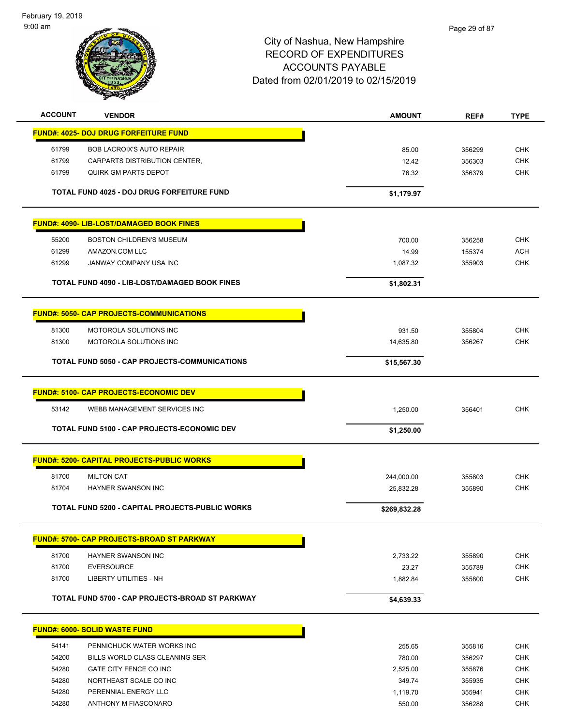February 19, 2019 9:00 am



| <b>ACCOUNT</b> | <b>VENDOR</b>                                        | <b>AMOUNT</b> | REF#   | <b>TYPE</b> |
|----------------|------------------------------------------------------|---------------|--------|-------------|
|                | <b>FUND#: 4025- DOJ DRUG FORFEITURE FUND</b>         |               |        |             |
| 61799          | <b>BOB LACROIX'S AUTO REPAIR</b>                     | 85.00         | 356299 | <b>CHK</b>  |
| 61799          | CARPARTS DISTRIBUTION CENTER,                        | 12.42         | 356303 | <b>CHK</b>  |
| 61799          | <b>QUIRK GM PARTS DEPOT</b>                          | 76.32         | 356379 | <b>CHK</b>  |
|                | TOTAL FUND 4025 - DOJ DRUG FORFEITURE FUND           | \$1,179.97    |        |             |
|                |                                                      |               |        |             |
|                | <b>FUND#: 4090- LIB-LOST/DAMAGED BOOK FINES</b>      |               |        |             |
| 55200          | <b>BOSTON CHILDREN'S MUSEUM</b>                      | 700.00        | 356258 | <b>CHK</b>  |
| 61299          | AMAZON.COM LLC                                       | 14.99         | 155374 | <b>ACH</b>  |
| 61299          | JANWAY COMPANY USA INC                               | 1,087.32      | 355903 | <b>CHK</b>  |
|                | <b>TOTAL FUND 4090 - LIB-LOST/DAMAGED BOOK FINES</b> | \$1,802.31    |        |             |
|                | <b>FUND#: 5050- CAP PROJECTS-COMMUNICATIONS</b>      |               |        |             |
|                |                                                      |               |        |             |
| 81300          | MOTOROLA SOLUTIONS INC                               | 931.50        | 355804 | <b>CHK</b>  |
| 81300          | MOTOROLA SOLUTIONS INC                               | 14,635.80     | 356267 | <b>CHK</b>  |
|                | TOTAL FUND 5050 - CAP PROJECTS-COMMUNICATIONS        | \$15,567.30   |        |             |
|                | <b>FUND#: 5100- CAP PROJECTS-ECONOMIC DEV</b>        |               |        |             |
| 53142          | WEBB MANAGEMENT SERVICES INC                         | 1,250.00      | 356401 | <b>CHK</b>  |
|                |                                                      |               |        |             |
|                | TOTAL FUND 5100 - CAP PROJECTS-ECONOMIC DEV          | \$1,250.00    |        |             |
|                | <b>FUND#: 5200- CAPITAL PROJECTS-PUBLIC WORKS</b>    |               |        |             |
| 81700          | <b>MILTON CAT</b>                                    | 244,000.00    | 355803 | <b>CHK</b>  |
| 81704          | HAYNER SWANSON INC                                   | 25,832.28     | 355890 | <b>CHK</b>  |
|                |                                                      |               |        |             |
|                | TOTAL FUND 5200 - CAPITAL PROJECTS-PUBLIC WORKS      | \$269,832.28  |        |             |
|                | <b>FUND#: 5700- CAP PROJECTS-BROAD ST PARKWAY</b>    |               |        |             |
| 81700          | HAYNER SWANSON INC                                   | 2,733.22      | 355890 | <b>CHK</b>  |
| 81700          | <b>EVERSOURCE</b>                                    | 23.27         | 355789 | <b>CHK</b>  |
| 81700          | LIBERTY UTILITIES - NH                               | 1,882.84      | 355800 | <b>CHK</b>  |
|                | TOTAL FUND 5700 - CAP PROJECTS-BROAD ST PARKWAY      | \$4,639.33    |        |             |
|                |                                                      |               |        |             |
|                | <b>FUND#: 6000- SOLID WASTE FUND</b>                 |               |        |             |
| 54141          | PENNICHUCK WATER WORKS INC                           | 255.65        | 355816 | <b>CHK</b>  |
| 54200          | BILLS WORLD CLASS CLEANING SER                       | 780.00        | 356297 | <b>CHK</b>  |
| 54280          | GATE CITY FENCE CO INC                               | 2,525.00      | 355876 | <b>CHK</b>  |
| 54280          | NORTHEAST SCALE CO INC                               | 349.74        | 355935 | <b>CHK</b>  |
| 54280          | PERENNIAL ENERGY LLC                                 | 1,119.70      | 355941 | <b>CHK</b>  |
| 54280          | ANTHONY M FIASCONARO                                 | 550.00        | 356288 | <b>CHK</b>  |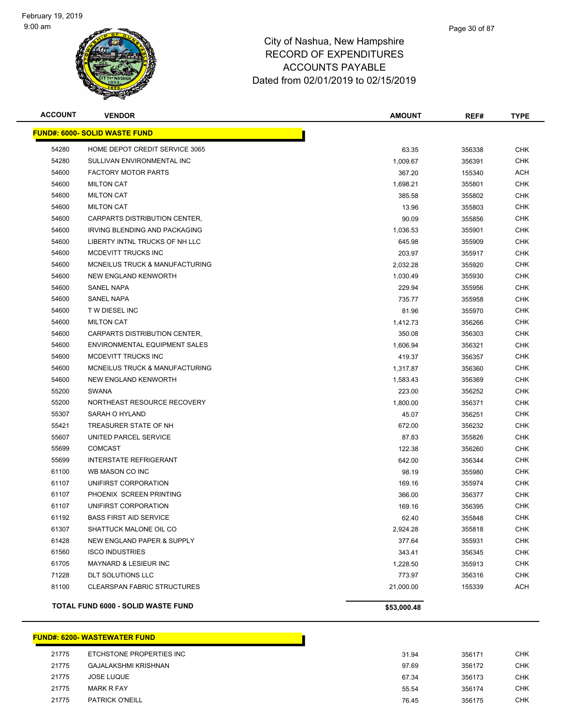

| <b>ACCOUNT</b> | <b>VENDOR</b>                             | <b>AMOUNT</b> | REF#   | <b>TYPE</b> |
|----------------|-------------------------------------------|---------------|--------|-------------|
|                | <b>FUND#: 6000- SOLID WASTE FUND</b>      |               |        |             |
| 54280          | HOME DEPOT CREDIT SERVICE 3065            | 63.35         | 356338 | <b>CHK</b>  |
| 54280          | SULLIVAN ENVIRONMENTAL INC                | 1,009.67      | 356391 | <b>CHK</b>  |
| 54600          | <b>FACTORY MOTOR PARTS</b>                | 367.20        | 155340 | <b>ACH</b>  |
| 54600          | <b>MILTON CAT</b>                         | 1,698.21      | 355801 | <b>CHK</b>  |
| 54600          | <b>MILTON CAT</b>                         | 385.58        | 355802 | CHK         |
| 54600          | <b>MILTON CAT</b>                         | 13.96         | 355803 | <b>CHK</b>  |
| 54600          | CARPARTS DISTRIBUTION CENTER,             | 90.09         | 355856 | <b>CHK</b>  |
| 54600          | <b>IRVING BLENDING AND PACKAGING</b>      | 1,036.53      | 355901 | <b>CHK</b>  |
| 54600          | LIBERTY INTNL TRUCKS OF NH LLC            | 645.98        | 355909 | <b>CHK</b>  |
| 54600          | MCDEVITT TRUCKS INC                       | 203.97        | 355917 | CHK         |
| 54600          | MCNEILUS TRUCK & MANUFACTURING            | 2,032.28      | 355920 | CHK         |
| 54600          | NEW ENGLAND KENWORTH                      | 1,030.49      | 355930 | CHK         |
| 54600          | <b>SANEL NAPA</b>                         | 229.94        | 355956 | CHK         |
| 54600          | <b>SANEL NAPA</b>                         | 735.77        | 355958 | CHK         |
| 54600          | T W DIESEL INC                            | 81.96         | 355970 | <b>CHK</b>  |
| 54600          | <b>MILTON CAT</b>                         | 1,412.73      | 356266 | <b>CHK</b>  |
| 54600          | CARPARTS DISTRIBUTION CENTER,             | 350.08        | 356303 | <b>CHK</b>  |
| 54600          | <b>ENVIRONMENTAL EQUIPMENT SALES</b>      | 1,606.94      | 356321 | <b>CHK</b>  |
| 54600          | MCDEVITT TRUCKS INC                       | 419.37        | 356357 | <b>CHK</b>  |
| 54600          | MCNEILUS TRUCK & MANUFACTURING            | 1,317.87      | 356360 | <b>CHK</b>  |
| 54600          | NEW ENGLAND KENWORTH                      | 1,583.43      | 356369 | <b>CHK</b>  |
| 55200          | <b>SWANA</b>                              | 223.00        | 356252 | <b>CHK</b>  |
| 55200          | NORTHEAST RESOURCE RECOVERY               | 1,800.00      | 356371 | <b>CHK</b>  |
| 55307          | SARAH O HYLAND                            | 45.07         | 356251 | <b>CHK</b>  |
| 55421          | TREASURER STATE OF NH                     | 672.00        | 356232 | CHK         |
| 55607          | UNITED PARCEL SERVICE                     | 87.83         | 355826 | <b>CHK</b>  |
| 55699          | <b>COMCAST</b>                            | 122.38        | 356260 | <b>CHK</b>  |
| 55699          | <b>INTERSTATE REFRIGERANT</b>             | 642.00        | 356344 | <b>CHK</b>  |
| 61100          | WB MASON CO INC                           | 98.19         | 355980 | <b>CHK</b>  |
| 61107          | UNIFIRST CORPORATION                      | 169.16        | 355974 | CHK         |
| 61107          | PHOENIX SCREEN PRINTING                   | 366.00        | 356377 | CHK         |
| 61107          | UNIFIRST CORPORATION                      | 169.16        | 356395 | CHK         |
| 61192          | <b>BASS FIRST AID SERVICE</b>             | 62.40         | 355848 | <b>CHK</b>  |
| 61307          | SHATTUCK MALONE OIL CO                    | 2,924.28      | 355818 | <b>CHK</b>  |
| 61428          | NEW ENGLAND PAPER & SUPPLY                | 377.64        | 355931 | <b>CHK</b>  |
| 61560          | <b>ISCO INDUSTRIES</b>                    | 343.41        | 356345 | <b>CHK</b>  |
| 61705          | MAYNARD & LESIEUR INC                     | 1,228.50      | 355913 | <b>CHK</b>  |
| 71228          | DLT SOLUTIONS LLC                         | 773.97        | 356316 | <b>CHK</b>  |
| 81100          | <b>CLEARSPAN FABRIC STRUCTURES</b>        | 21,000.00     | 155339 | <b>ACH</b>  |
|                | <b>TOTAL FUND 6000 - SOLID WASTE FUND</b> | \$53,000.48   |        |             |

### **FUND#: 6200- WASTEWATER FUND**

| 21775 | ETCHSTONE PROPERTIES INC | 31.94 | 356171 | СНК        |
|-------|--------------------------|-------|--------|------------|
| 21775 | GAJALAKSHMI KRISHNAN     | 97.69 | 356172 | <b>CHK</b> |
| 21775 | <b>JOSE LUQUE</b>        | 67.34 | 356173 | <b>CHK</b> |
| 21775 | <b>MARK R FAY</b>        | 55.54 | 356174 | CHK        |
| 21775 | <b>PATRICK O'NEILL</b>   | 76.45 | 356175 | СНК        |

Т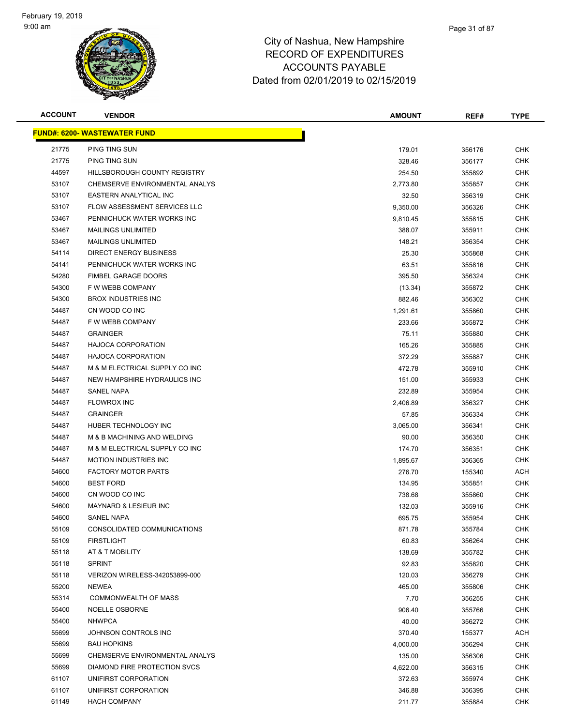

| <b>ACCOUNT</b> | <b>VENDOR</b>                       | <b>AMOUNT</b> | REF#   | <b>TYPE</b> |
|----------------|-------------------------------------|---------------|--------|-------------|
|                | <b>FUND#: 6200- WASTEWATER FUND</b> |               |        |             |
| 21775          | PING TING SUN                       | 179.01        | 356176 | <b>CHK</b>  |
| 21775          | PING TING SUN                       | 328.46        | 356177 | <b>CHK</b>  |
| 44597          | HILLSBOROUGH COUNTY REGISTRY        | 254.50        | 355892 | CHK         |
| 53107          | CHEMSERVE ENVIRONMENTAL ANALYS      | 2,773.80      | 355857 | <b>CHK</b>  |
| 53107          | EASTERN ANALYTICAL INC              | 32.50         | 356319 | <b>CHK</b>  |
| 53107          | FLOW ASSESSMENT SERVICES LLC        | 9,350.00      | 356326 | <b>CHK</b>  |
| 53467          | PENNICHUCK WATER WORKS INC          | 9,810.45      | 355815 | <b>CHK</b>  |
| 53467          | <b>MAILINGS UNLIMITED</b>           | 388.07        | 355911 | <b>CHK</b>  |
| 53467          | <b>MAILINGS UNLIMITED</b>           | 148.21        | 356354 | <b>CHK</b>  |
| 54114          | <b>DIRECT ENERGY BUSINESS</b>       | 25.30         | 355868 | <b>CHK</b>  |
| 54141          | PENNICHUCK WATER WORKS INC          | 63.51         | 355816 | CHK         |
| 54280          | <b>FIMBEL GARAGE DOORS</b>          | 395.50        | 356324 | CHK         |
| 54300          | F W WEBB COMPANY                    | (13.34)       | 355872 | <b>CHK</b>  |
| 54300          | <b>BROX INDUSTRIES INC</b>          | 882.46        | 356302 | CHK         |
| 54487          | CN WOOD CO INC                      | 1,291.61      | 355860 | <b>CHK</b>  |
| 54487          | F W WEBB COMPANY                    | 233.66        | 355872 | <b>CHK</b>  |
| 54487          | <b>GRAINGER</b>                     | 75.11         | 355880 | <b>CHK</b>  |
| 54487          | <b>HAJOCA CORPORATION</b>           | 165.26        | 355885 | <b>CHK</b>  |
| 54487          | <b>HAJOCA CORPORATION</b>           | 372.29        | 355887 | <b>CHK</b>  |
| 54487          | M & M ELECTRICAL SUPPLY CO INC      | 472.78        | 355910 | <b>CHK</b>  |
| 54487          | NEW HAMPSHIRE HYDRAULICS INC        | 151.00        | 355933 | <b>CHK</b>  |
| 54487          | <b>SANEL NAPA</b>                   | 232.89        | 355954 | <b>CHK</b>  |
| 54487          | <b>FLOWROX INC</b>                  | 2,406.89      | 356327 | <b>CHK</b>  |
| 54487          | <b>GRAINGER</b>                     | 57.85         | 356334 | <b>CHK</b>  |
| 54487          | HUBER TECHNOLOGY INC                | 3,065.00      | 356341 | CHK         |
| 54487          | M & B MACHINING AND WELDING         | 90.00         | 356350 | <b>CHK</b>  |
| 54487          | M & M ELECTRICAL SUPPLY CO INC      | 174.70        | 356351 | <b>CHK</b>  |
| 54487          | <b>MOTION INDUSTRIES INC</b>        | 1,895.67      | 356365 | <b>CHK</b>  |
| 54600          | <b>FACTORY MOTOR PARTS</b>          | 276.70        | 155340 | ACH         |
| 54600          | <b>BEST FORD</b>                    | 134.95        | 355851 | CHK         |
| 54600          | CN WOOD CO INC                      | 738.68        | 355860 | CHK         |
| 54600          | <b>MAYNARD &amp; LESIEUR INC</b>    | 132.03        | 355916 | CHK         |
| 54600          | <b>SANEL NAPA</b>                   | 695.75        | 355954 | <b>CHK</b>  |
| 55109          | CONSOLIDATED COMMUNICATIONS         | 871.78        | 355784 | <b>CHK</b>  |
| 55109          | <b>FIRSTLIGHT</b>                   | 60.83         | 356264 | <b>CHK</b>  |
| 55118          | AT & T MOBILITY                     | 138.69        | 355782 | <b>CHK</b>  |
| 55118          | <b>SPRINT</b>                       | 92.83         | 355820 | <b>CHK</b>  |
| 55118          | VERIZON WIRELESS-342053899-000      | 120.03        | 356279 | <b>CHK</b>  |
| 55200          | <b>NEWEA</b>                        | 465.00        | 355806 | <b>CHK</b>  |
| 55314          | COMMONWEALTH OF MASS                | 7.70          | 356255 | <b>CHK</b>  |
| 55400          | NOELLE OSBORNE                      | 906.40        | 355766 | <b>CHK</b>  |
| 55400          | <b>NHWPCA</b>                       | 40.00         | 356272 | <b>CHK</b>  |
| 55699          | JOHNSON CONTROLS INC                | 370.40        | 155377 | ACH         |
| 55699          | <b>BAU HOPKINS</b>                  | 4,000.00      | 356294 | <b>CHK</b>  |
| 55699          | CHEMSERVE ENVIRONMENTAL ANALYS      | 135.00        | 356306 | <b>CHK</b>  |
| 55699          | DIAMOND FIRE PROTECTION SVCS        | 4,622.00      | 356315 | <b>CHK</b>  |
| 61107          | UNIFIRST CORPORATION                | 372.63        | 355974 | <b>CHK</b>  |
| 61107          | UNIFIRST CORPORATION                | 346.88        | 356395 | <b>CHK</b>  |
| 61149          | <b>HACH COMPANY</b>                 | 211.77        | 355884 | <b>CHK</b>  |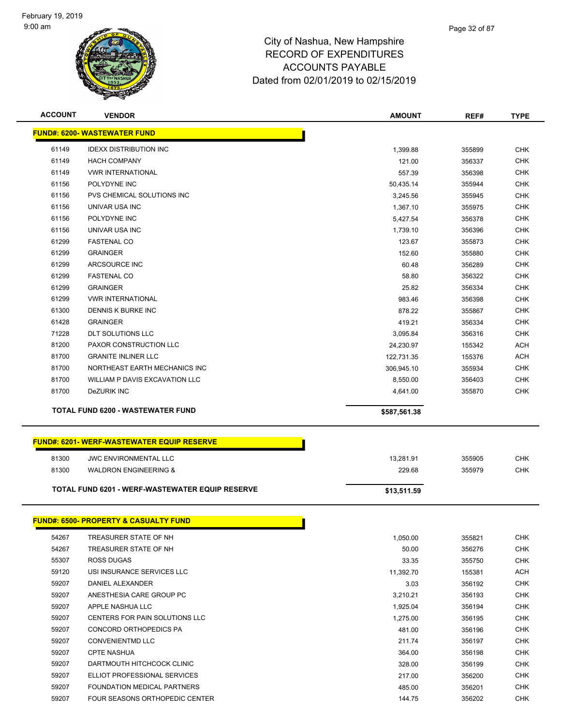

| <b>ACCOUNT</b> | <b>VENDOR</b>                                          | <b>AMOUNT</b> | REF#   | <b>TYPE</b> |
|----------------|--------------------------------------------------------|---------------|--------|-------------|
|                | <b>FUND#: 6200- WASTEWATER FUND</b>                    |               |        |             |
| 61149          | <b>IDEXX DISTRIBUTION INC</b>                          | 1,399.88      | 355899 | <b>CHK</b>  |
| 61149          | <b>HACH COMPANY</b>                                    | 121.00        | 356337 | <b>CHK</b>  |
| 61149          | <b>VWR INTERNATIONAL</b>                               | 557.39        | 356398 | <b>CHK</b>  |
| 61156          | POLYDYNE INC                                           | 50,435.14     | 355944 | <b>CHK</b>  |
| 61156          | PVS CHEMICAL SOLUTIONS INC                             | 3,245.56      | 355945 | <b>CHK</b>  |
| 61156          | UNIVAR USA INC                                         | 1,367.10      | 355975 | <b>CHK</b>  |
| 61156          | POLYDYNE INC                                           | 5,427.54      | 356378 | <b>CHK</b>  |
| 61156          | UNIVAR USA INC                                         | 1,739.10      | 356396 | <b>CHK</b>  |
| 61299          | <b>FASTENAL CO</b>                                     | 123.67        | 355873 | <b>CHK</b>  |
| 61299          | <b>GRAINGER</b>                                        | 152.60        | 355880 | <b>CHK</b>  |
| 61299          | ARCSOURCE INC                                          | 60.48         | 356289 | <b>CHK</b>  |
| 61299          | <b>FASTENAL CO</b>                                     | 58.80         | 356322 | <b>CHK</b>  |
| 61299          | <b>GRAINGER</b>                                        | 25.82         | 356334 | CHK         |
| 61299          | <b>VWR INTERNATIONAL</b>                               | 983.46        | 356398 | <b>CHK</b>  |
| 61300          | DENNIS K BURKE INC                                     | 878.22        | 355867 | <b>CHK</b>  |
| 61428          | <b>GRAINGER</b>                                        | 419.21        | 356334 | <b>CHK</b>  |
| 71228          | <b>DLT SOLUTIONS LLC</b>                               | 3,095.84      | 356316 | <b>CHK</b>  |
| 81200          | PAXOR CONSTRUCTION LLC                                 | 24,230.97     | 155342 | <b>ACH</b>  |
| 81700          | <b>GRANITE INLINER LLC</b>                             | 122,731.35    | 155376 | <b>ACH</b>  |
| 81700          | NORTHEAST EARTH MECHANICS INC                          | 306,945.10    | 355934 | <b>CHK</b>  |
| 81700          | WILLIAM P DAVIS EXCAVATION LLC                         | 8,550.00      | 356403 | <b>CHK</b>  |
| 81700          | DeZURIK INC                                            | 4,641.00      | 355870 | <b>CHK</b>  |
|                |                                                        |               |        |             |
|                | <b>TOTAL FUND 6200 - WASTEWATER FUND</b>               | \$587,561.38  |        |             |
|                |                                                        |               |        |             |
|                | <b>FUND#: 6201-WERF-WASTEWATER EQUIP RESERVE</b>       |               |        |             |
| 81300          | <b>JWC ENVIRONMENTAL LLC</b>                           | 13,281.91     | 355905 | <b>CHK</b>  |
| 81300          | <b>WALDRON ENGINEERING &amp;</b>                       | 229.68        | 355979 | <b>CHK</b>  |
|                | <b>TOTAL FUND 6201 - WERF-WASTEWATER EQUIP RESERVE</b> | \$13,511.59   |        |             |
|                |                                                        |               |        |             |
|                | <u> FUND#: 6500- PROPERTY &amp; CASUALTY FUND</u>      |               |        |             |
| 54267          | TREASURER STATE OF NH                                  | 1,050.00      | 355821 | <b>CHK</b>  |
| 54267          | TREASURER STATE OF NH                                  | 50.00         | 356276 | <b>CHK</b>  |
| 55307          | ROSS DUGAS                                             | 33.35         | 355750 | <b>CHK</b>  |
| 59120          | USI INSURANCE SERVICES LLC                             | 11,392.70     | 155381 | ACH         |
| 59207          | DANIEL ALEXANDER                                       | 3.03          | 356192 | <b>CHK</b>  |
| 59207          | ANESTHESIA CARE GROUP PC                               | 3,210.21      | 356193 | CHK         |
| 59207          | APPLE NASHUA LLC                                       | 1,925.04      | 356194 | CHK         |
| 59207          | CENTERS FOR PAIN SOLUTIONS LLC                         | 1,275.00      | 356195 | CHK         |
| 59207          | CONCORD ORTHOPEDICS PA                                 | 481.00        | 356196 | <b>CHK</b>  |
| 59207          | <b>CONVENIENTMD LLC</b>                                | 211.74        | 356197 | CHK         |
| 59207          | <b>CPTE NASHUA</b>                                     | 364.00        | 356198 | <b>CHK</b>  |
| 59207          | DARTMOUTH HITCHCOCK CLINIC                             | 328.00        | 356199 | <b>CHK</b>  |
| 59207          | ELLIOT PROFESSIONAL SERVICES                           | 217.00        | 356200 | <b>CHK</b>  |
| 59207          | FOUNDATION MEDICAL PARTNERS                            | 485.00        | 356201 | <b>CHK</b>  |
|                |                                                        |               |        |             |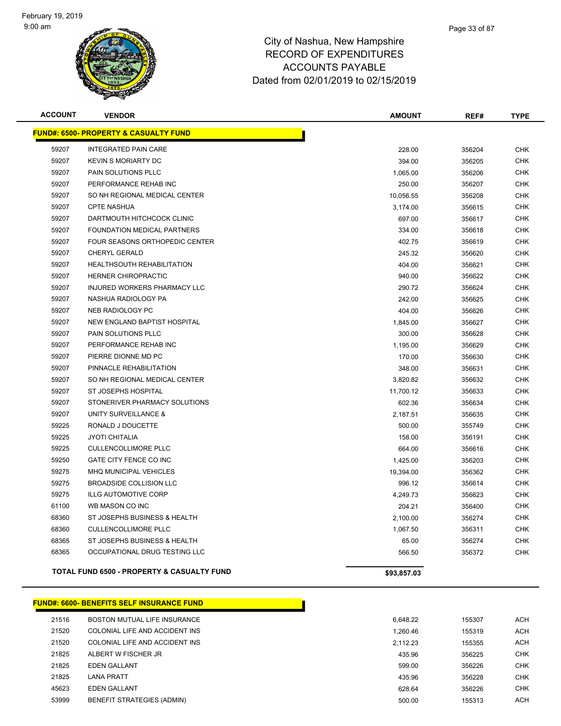

| <b>ACCOUNT</b> | <b>VENDOR</b>                                         | <b>AMOUNT</b> | REF#   | <b>TYPE</b> |
|----------------|-------------------------------------------------------|---------------|--------|-------------|
|                | <b>FUND#: 6500- PROPERTY &amp; CASUALTY FUND</b>      |               |        |             |
| 59207          | <b>INTEGRATED PAIN CARE</b>                           | 228.00        | 356204 | <b>CHK</b>  |
| 59207          | <b>KEVIN S MORIARTY DC</b>                            | 394.00        | 356205 | <b>CHK</b>  |
| 59207          | PAIN SOLUTIONS PLLC                                   | 1,065.00      | 356206 | <b>CHK</b>  |
| 59207          | PERFORMANCE REHAB INC                                 | 250.00        | 356207 | <b>CHK</b>  |
| 59207          | SO NH REGIONAL MEDICAL CENTER                         | 10,056.55     | 356208 | <b>CHK</b>  |
| 59207          | <b>CPTE NASHUA</b>                                    | 3,174.00      | 356615 | <b>CHK</b>  |
| 59207          | DARTMOUTH HITCHCOCK CLINIC                            | 697.00        | 356617 | <b>CHK</b>  |
| 59207          | FOUNDATION MEDICAL PARTNERS                           | 334.00        | 356618 | <b>CHK</b>  |
| 59207          | FOUR SEASONS ORTHOPEDIC CENTER                        | 402.75        | 356619 | <b>CHK</b>  |
| 59207          | <b>CHERYL GERALD</b>                                  | 245.32        | 356620 | <b>CHK</b>  |
| 59207          | <b>HEALTHSOUTH REHABILITATION</b>                     | 404.00        | 356621 | <b>CHK</b>  |
| 59207          | <b>HERNER CHIROPRACTIC</b>                            | 940.00        | 356622 | <b>CHK</b>  |
| 59207          | INJURED WORKERS PHARMACY LLC                          | 290.72        | 356624 | <b>CHK</b>  |
| 59207          | NASHUA RADIOLOGY PA                                   | 242.00        | 356625 | <b>CHK</b>  |
| 59207          | NEB RADIOLOGY PC                                      | 404.00        | 356626 | <b>CHK</b>  |
| 59207          | NEW ENGLAND BAPTIST HOSPITAL                          | 1,845.00      | 356627 | <b>CHK</b>  |
| 59207          | PAIN SOLUTIONS PLLC                                   | 300.00        | 356628 | <b>CHK</b>  |
| 59207          | PERFORMANCE REHAB INC                                 | 1,195.00      | 356629 | <b>CHK</b>  |
| 59207          | PIERRE DIONNE MD PC                                   | 170.00        | 356630 | <b>CHK</b>  |
| 59207          | PINNACLE REHABILITATION                               | 348.00        | 356631 | <b>CHK</b>  |
| 59207          | SO NH REGIONAL MEDICAL CENTER                         | 3,820.82      | 356632 | CHK         |
| 59207          | ST JOSEPHS HOSPITAL                                   | 11,700.12     | 356633 | <b>CHK</b>  |
| 59207          | STONERIVER PHARMACY SOLUTIONS                         | 602.36        | 356634 | <b>CHK</b>  |
| 59207          | UNITY SURVEILLANCE &                                  | 2,187.51      | 356635 | <b>CHK</b>  |
| 59225          | RONALD J DOUCETTE                                     | 500.00        | 355749 | <b>CHK</b>  |
| 59225          | <b>JYOTI CHITALIA</b>                                 | 158.00        | 356191 | <b>CHK</b>  |
| 59225          | <b>CULLENCOLLIMORE PLLC</b>                           | 664.00        | 356616 | <b>CHK</b>  |
| 59250          | GATE CITY FENCE CO INC                                | 1,425.00      | 356203 | <b>CHK</b>  |
| 59275          | MHQ MUNICIPAL VEHICLES                                | 19,394.00     | 356362 | <b>CHK</b>  |
| 59275          | <b>BROADSIDE COLLISION LLC</b>                        | 996.12        | 356614 | <b>CHK</b>  |
| 59275          | <b>ILLG AUTOMOTIVE CORP</b>                           | 4,249.73      | 356623 | CHK         |
| 61100          | WB MASON CO INC                                       | 204.21        | 356400 | <b>CHK</b>  |
| 68360          | ST JOSEPHS BUSINESS & HEALTH                          | 2,100.00      | 356274 | <b>CHK</b>  |
| 68360          | <b>CULLENCOLLIMORE PLLC</b>                           | 1,067.50      | 356311 | <b>CHK</b>  |
| 68365          | ST JOSEPHS BUSINESS & HEALTH                          | 65.00         | 356274 | <b>CHK</b>  |
| 68365          | OCCUPATIONAL DRUG TESTING LLC                         | 566.50        | 356372 | <b>CHK</b>  |
|                | <b>TOTAL FUND 6500 - PROPERTY &amp; CASUALTY FUND</b> | \$93,857.03   |        |             |

**FUND#: 6600- BENEFITS SELF INSURANCE FUND**

| 21516 | BOSTON MUTUAL LIFE INSURANCE      | 6.648.22 | 155307 | ACH        |
|-------|-----------------------------------|----------|--------|------------|
| 21520 | COLONIAL LIFE AND ACCIDENT INS    | 1.260.46 | 155319 | ACH        |
| 21520 | COLONIAL LIFE AND ACCIDENT INS    | 2.112.23 | 155355 | <b>ACH</b> |
| 21825 | ALBERT W FISCHER JR               | 435.96   | 356225 | <b>CHK</b> |
| 21825 | <b>EDEN GALLANT</b>               | 599.00   | 356226 | <b>CHK</b> |
| 21825 | <b>LANA PRATT</b>                 | 435.96   | 356228 | <b>CHK</b> |
| 45623 | <b>EDEN GALLANT</b>               | 628.64   | 356226 | CHK        |
| 53999 | <b>BENEFIT STRATEGIES (ADMIN)</b> | 500.00   | 155313 | <b>ACH</b> |
|       |                                   |          |        |            |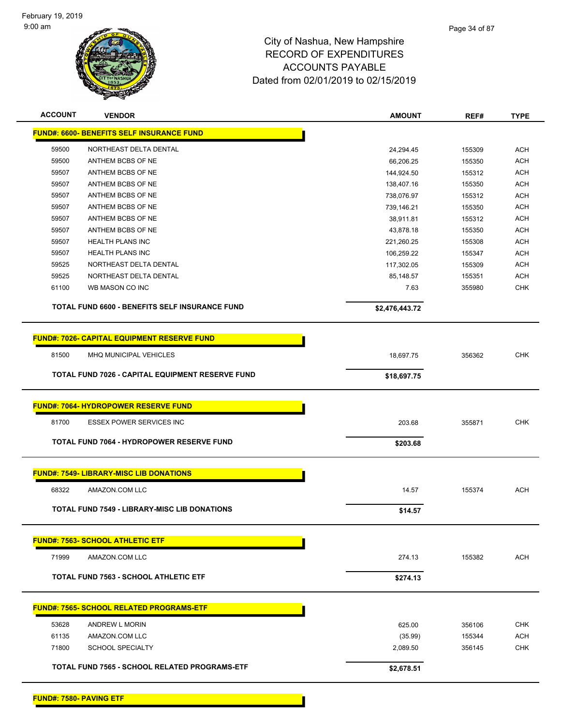

| <b>FUND#: 6600- BENEFITS SELF INSURANCE FUND</b><br>59500<br>NORTHEAST DELTA DENTAL<br>24,294.45<br>59500<br>ANTHEM BCBS OF NE<br>66,206.25<br>59507<br>ANTHEM BCBS OF NE<br>144,924.50<br>59507<br>ANTHEM BCBS OF NE<br>138,407.16<br>59507<br>ANTHEM BCBS OF NE<br>738,076.97<br>59507<br>ANTHEM BCBS OF NE<br>739,146.21<br>ANTHEM BCBS OF NE<br>59507<br>38,911.81<br>59507<br>ANTHEM BCBS OF NE<br>43,878.18<br>59507<br><b>HEALTH PLANS INC</b><br>221,260.25<br>59507<br><b>HEALTH PLANS INC</b><br>106,259.22<br>59525<br>NORTHEAST DELTA DENTAL<br>117,302.05<br>59525<br>NORTHEAST DELTA DENTAL<br>85,148.57<br>61100<br>WB MASON CO INC<br>7.63<br>TOTAL FUND 6600 - BENEFITS SELF INSURANCE FUND<br>\$2,476,443.72<br><b>FUND#: 7026- CAPITAL EQUIPMENT RESERVE FUND</b><br>81500<br>MHQ MUNICIPAL VEHICLES<br>18,697.75<br>TOTAL FUND 7026 - CAPITAL EQUIPMENT RESERVE FUND<br>\$18,697.75 | 155309<br>155350<br>155312<br>155350<br>155312<br>155350<br>155312<br>155350<br>155308<br>155347<br>155309 | <b>ACH</b><br><b>ACH</b><br><b>ACH</b><br>ACH<br>ACH<br><b>ACH</b><br><b>ACH</b><br>ACH |
|---------------------------------------------------------------------------------------------------------------------------------------------------------------------------------------------------------------------------------------------------------------------------------------------------------------------------------------------------------------------------------------------------------------------------------------------------------------------------------------------------------------------------------------------------------------------------------------------------------------------------------------------------------------------------------------------------------------------------------------------------------------------------------------------------------------------------------------------------------------------------------------------------------|------------------------------------------------------------------------------------------------------------|-----------------------------------------------------------------------------------------|
|                                                                                                                                                                                                                                                                                                                                                                                                                                                                                                                                                                                                                                                                                                                                                                                                                                                                                                         |                                                                                                            |                                                                                         |
|                                                                                                                                                                                                                                                                                                                                                                                                                                                                                                                                                                                                                                                                                                                                                                                                                                                                                                         |                                                                                                            |                                                                                         |
|                                                                                                                                                                                                                                                                                                                                                                                                                                                                                                                                                                                                                                                                                                                                                                                                                                                                                                         |                                                                                                            |                                                                                         |
|                                                                                                                                                                                                                                                                                                                                                                                                                                                                                                                                                                                                                                                                                                                                                                                                                                                                                                         |                                                                                                            |                                                                                         |
|                                                                                                                                                                                                                                                                                                                                                                                                                                                                                                                                                                                                                                                                                                                                                                                                                                                                                                         |                                                                                                            |                                                                                         |
|                                                                                                                                                                                                                                                                                                                                                                                                                                                                                                                                                                                                                                                                                                                                                                                                                                                                                                         |                                                                                                            |                                                                                         |
|                                                                                                                                                                                                                                                                                                                                                                                                                                                                                                                                                                                                                                                                                                                                                                                                                                                                                                         |                                                                                                            |                                                                                         |
|                                                                                                                                                                                                                                                                                                                                                                                                                                                                                                                                                                                                                                                                                                                                                                                                                                                                                                         |                                                                                                            |                                                                                         |
|                                                                                                                                                                                                                                                                                                                                                                                                                                                                                                                                                                                                                                                                                                                                                                                                                                                                                                         |                                                                                                            |                                                                                         |
|                                                                                                                                                                                                                                                                                                                                                                                                                                                                                                                                                                                                                                                                                                                                                                                                                                                                                                         |                                                                                                            | ACH                                                                                     |
|                                                                                                                                                                                                                                                                                                                                                                                                                                                                                                                                                                                                                                                                                                                                                                                                                                                                                                         |                                                                                                            | ACH                                                                                     |
|                                                                                                                                                                                                                                                                                                                                                                                                                                                                                                                                                                                                                                                                                                                                                                                                                                                                                                         |                                                                                                            | ACH                                                                                     |
|                                                                                                                                                                                                                                                                                                                                                                                                                                                                                                                                                                                                                                                                                                                                                                                                                                                                                                         | 155351                                                                                                     | <b>ACH</b>                                                                              |
|                                                                                                                                                                                                                                                                                                                                                                                                                                                                                                                                                                                                                                                                                                                                                                                                                                                                                                         | 355980                                                                                                     | <b>CHK</b>                                                                              |
|                                                                                                                                                                                                                                                                                                                                                                                                                                                                                                                                                                                                                                                                                                                                                                                                                                                                                                         |                                                                                                            |                                                                                         |
|                                                                                                                                                                                                                                                                                                                                                                                                                                                                                                                                                                                                                                                                                                                                                                                                                                                                                                         |                                                                                                            |                                                                                         |
|                                                                                                                                                                                                                                                                                                                                                                                                                                                                                                                                                                                                                                                                                                                                                                                                                                                                                                         |                                                                                                            | <b>CHK</b>                                                                              |
|                                                                                                                                                                                                                                                                                                                                                                                                                                                                                                                                                                                                                                                                                                                                                                                                                                                                                                         | 356362                                                                                                     |                                                                                         |
|                                                                                                                                                                                                                                                                                                                                                                                                                                                                                                                                                                                                                                                                                                                                                                                                                                                                                                         |                                                                                                            |                                                                                         |
| <b>FUND#: 7064- HYDROPOWER RESERVE FUND</b>                                                                                                                                                                                                                                                                                                                                                                                                                                                                                                                                                                                                                                                                                                                                                                                                                                                             |                                                                                                            |                                                                                         |
| <b>ESSEX POWER SERVICES INC</b><br>81700<br>203.68                                                                                                                                                                                                                                                                                                                                                                                                                                                                                                                                                                                                                                                                                                                                                                                                                                                      | 355871                                                                                                     | <b>CHK</b>                                                                              |
|                                                                                                                                                                                                                                                                                                                                                                                                                                                                                                                                                                                                                                                                                                                                                                                                                                                                                                         |                                                                                                            |                                                                                         |
| TOTAL FUND 7064 - HYDROPOWER RESERVE FUND<br>\$203.68                                                                                                                                                                                                                                                                                                                                                                                                                                                                                                                                                                                                                                                                                                                                                                                                                                                   |                                                                                                            |                                                                                         |
| <b>FUND#: 7549- LIBRARY-MISC LIB DONATIONS</b>                                                                                                                                                                                                                                                                                                                                                                                                                                                                                                                                                                                                                                                                                                                                                                                                                                                          |                                                                                                            |                                                                                         |
| 68322<br>AMAZON.COM LLC<br>14.57                                                                                                                                                                                                                                                                                                                                                                                                                                                                                                                                                                                                                                                                                                                                                                                                                                                                        | 155374                                                                                                     | <b>ACH</b>                                                                              |
| <b>TOTAL FUND 7549 - LIBRARY-MISC LIB DONATIONS</b><br>\$14.57                                                                                                                                                                                                                                                                                                                                                                                                                                                                                                                                                                                                                                                                                                                                                                                                                                          |                                                                                                            |                                                                                         |
|                                                                                                                                                                                                                                                                                                                                                                                                                                                                                                                                                                                                                                                                                                                                                                                                                                                                                                         |                                                                                                            |                                                                                         |
| <b>FUND#: 7563- SCHOOL ATHLETIC ETF</b>                                                                                                                                                                                                                                                                                                                                                                                                                                                                                                                                                                                                                                                                                                                                                                                                                                                                 |                                                                                                            |                                                                                         |
| 71999<br>AMAZON.COM LLC<br>274.13                                                                                                                                                                                                                                                                                                                                                                                                                                                                                                                                                                                                                                                                                                                                                                                                                                                                       | 155382                                                                                                     | <b>ACH</b>                                                                              |
| <b>TOTAL FUND 7563 - SCHOOL ATHLETIC ETF</b><br>\$274.13                                                                                                                                                                                                                                                                                                                                                                                                                                                                                                                                                                                                                                                                                                                                                                                                                                                |                                                                                                            |                                                                                         |
| <b>FUND#: 7565- SCHOOL RELATED PROGRAMS-ETF</b>                                                                                                                                                                                                                                                                                                                                                                                                                                                                                                                                                                                                                                                                                                                                                                                                                                                         |                                                                                                            |                                                                                         |
|                                                                                                                                                                                                                                                                                                                                                                                                                                                                                                                                                                                                                                                                                                                                                                                                                                                                                                         |                                                                                                            |                                                                                         |
| 53628<br><b>ANDREW L MORIN</b><br>625.00                                                                                                                                                                                                                                                                                                                                                                                                                                                                                                                                                                                                                                                                                                                                                                                                                                                                | 356106                                                                                                     | <b>CHK</b>                                                                              |
| 61135<br>AMAZON.COM LLC<br>(35.99)<br>71800<br><b>SCHOOL SPECIALTY</b>                                                                                                                                                                                                                                                                                                                                                                                                                                                                                                                                                                                                                                                                                                                                                                                                                                  | 155344                                                                                                     | <b>ACH</b>                                                                              |
| 2,089.50                                                                                                                                                                                                                                                                                                                                                                                                                                                                                                                                                                                                                                                                                                                                                                                                                                                                                                |                                                                                                            |                                                                                         |
| TOTAL FUND 7565 - SCHOOL RELATED PROGRAMS-ETF<br>\$2,678.51                                                                                                                                                                                                                                                                                                                                                                                                                                                                                                                                                                                                                                                                                                                                                                                                                                             | 356145                                                                                                     | CHK                                                                                     |

Page 34 of 87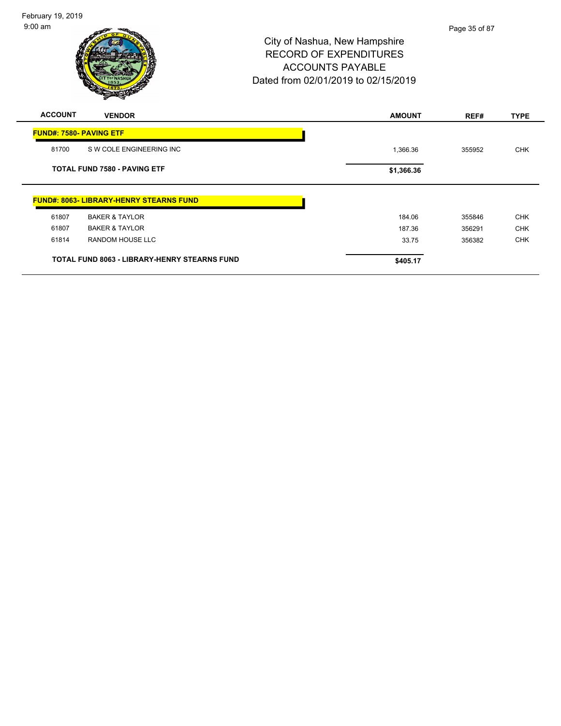| <b>ACCOUNT</b>                      | <b>VENDOR</b>                                       | <b>AMOUNT</b> | REF#   | <b>TYPE</b> |
|-------------------------------------|-----------------------------------------------------|---------------|--------|-------------|
| <b>FUND#: 7580- PAVING ETF</b>      |                                                     |               |        |             |
| 81700                               | S W COLE ENGINEERING INC                            | 1,366.36      | 355952 | <b>CHK</b>  |
| <b>TOTAL FUND 7580 - PAVING ETF</b> |                                                     | \$1,366.36    |        |             |
|                                     | <b>FUND#: 8063- LIBRARY-HENRY STEARNS FUND</b>      |               |        |             |
| 61807                               | <b>BAKER &amp; TAYLOR</b>                           | 184.06        | 355846 | <b>CHK</b>  |
| 61807                               | <b>BAKER &amp; TAYLOR</b>                           | 187.36        | 356291 | <b>CHK</b>  |
| 61814                               | <b>RANDOM HOUSE LLC</b>                             | 33.75         | 356382 | <b>CHK</b>  |
|                                     | <b>TOTAL FUND 8063 - LIBRARY-HENRY STEARNS FUND</b> | \$405.17      |        |             |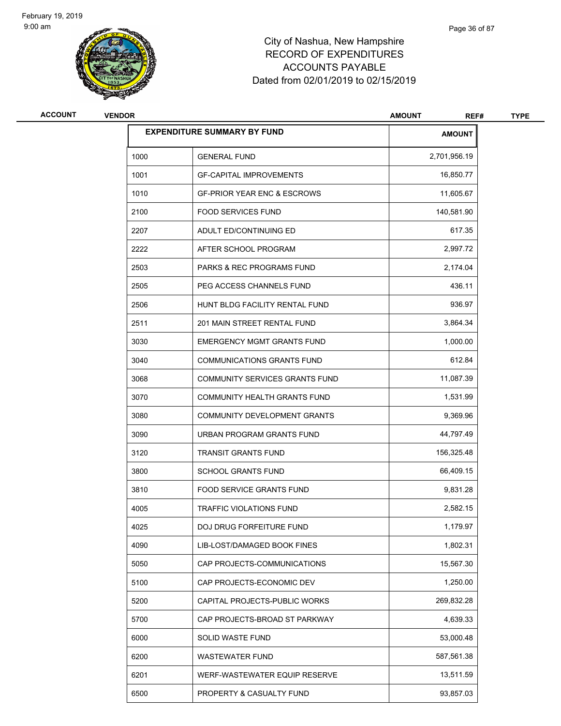

| <b>ACCOUNT</b> | <b>VENDOR</b> |                                        | <b>AMOUNT</b><br>REF# | <b>TYPE</b> |
|----------------|---------------|----------------------------------------|-----------------------|-------------|
|                |               | <b>EXPENDITURE SUMMARY BY FUND</b>     | <b>AMOUNT</b>         |             |
|                | 1000          | <b>GENERAL FUND</b>                    | 2,701,956.19          |             |
|                | 1001          | <b>GF-CAPITAL IMPROVEMENTS</b>         | 16,850.77             |             |
|                | 1010          | <b>GF-PRIOR YEAR ENC &amp; ESCROWS</b> | 11,605.67             |             |
|                | 2100          | <b>FOOD SERVICES FUND</b>              | 140,581.90            |             |
|                | 2207          | ADULT ED/CONTINUING ED                 | 617.35                |             |
|                | 2222          | AFTER SCHOOL PROGRAM                   | 2,997.72              |             |
|                | 2503          | <b>PARKS &amp; REC PROGRAMS FUND</b>   | 2,174.04              |             |
|                | 2505          | PEG ACCESS CHANNELS FUND               | 436.11                |             |
|                | 2506          | HUNT BLDG FACILITY RENTAL FUND         | 936.97                |             |
|                | 2511          | 201 MAIN STREET RENTAL FUND            | 3,864.34              |             |
|                | 3030          | <b>EMERGENCY MGMT GRANTS FUND</b>      | 1,000.00              |             |
|                | 3040          | <b>COMMUNICATIONS GRANTS FUND</b>      | 612.84                |             |
|                | 3068          | COMMUNITY SERVICES GRANTS FUND         | 11,087.39             |             |
|                | 3070          | COMMUNITY HEALTH GRANTS FUND           | 1,531.99              |             |
|                | 3080          | COMMUNITY DEVELOPMENT GRANTS           | 9,369.96              |             |
|                | 3090          | URBAN PROGRAM GRANTS FUND              | 44,797.49             |             |
|                | 3120          | <b>TRANSIT GRANTS FUND</b>             | 156,325.48            |             |
|                | 3800          | <b>SCHOOL GRANTS FUND</b>              | 66,409.15             |             |
|                | 3810          | FOOD SERVICE GRANTS FUND               | 9,831.28              |             |
|                | 4005          | <b>TRAFFIC VIOLATIONS FUND</b>         | 2,582.15              |             |
|                | 4025          | DOJ DRUG FORFEITURE FUND               | 1,179.97              |             |
|                | 4090          | LIB-LOST/DAMAGED BOOK FINES            | 1,802.31              |             |
|                | 5050          | CAP PROJECTS-COMMUNICATIONS            | 15,567.30             |             |
|                | 5100          | CAP PROJECTS-ECONOMIC DEV              | 1,250.00              |             |
|                | 5200          | CAPITAL PROJECTS-PUBLIC WORKS          | 269,832.28            |             |
|                | 5700          | CAP PROJECTS-BROAD ST PARKWAY          | 4,639.33              |             |
|                | 6000          | SOLID WASTE FUND                       | 53,000.48             |             |
|                | 6200          | <b>WASTEWATER FUND</b>                 | 587,561.38            |             |
|                | 6201          | WERF-WASTEWATER EQUIP RESERVE          | 13,511.59             |             |
|                | 6500          | PROPERTY & CASUALTY FUND               | 93,857.03             |             |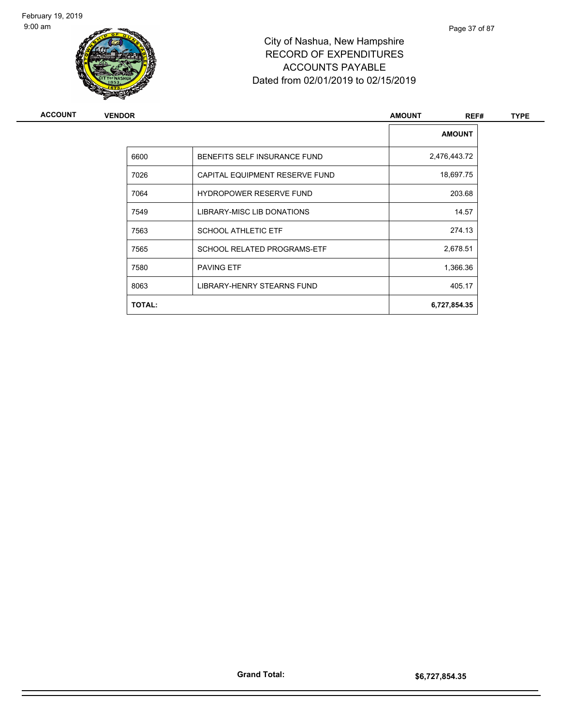

# City of Nashua, New Hampshire RECORD OF EXPENDITURES ACCOUNTS PAYABLE Dated from 02/01/2019 to 02/15/2019

| <b>AMOUNT</b><br>6600<br>BENEFITS SELF INSURANCE FUND<br>2,476,443.72<br>7026<br>18,697.75<br>CAPITAL EQUIPMENT RESERVE FUND<br>203.68<br><b>HYDROPOWER RESERVE FUND</b><br>7064<br>14.57<br>7549<br>LIBRARY-MISC LIB DONATIONS<br>274.13<br>7563<br><b>SCHOOL ATHLETIC ETF</b><br>2,678.51<br><b>SCHOOL RELATED PROGRAMS-ETF</b><br>7565<br>1,366.36<br><b>PAVING ETF</b><br>7580<br>405.17<br>8063<br>LIBRARY-HENRY STEARNS FUND<br><b>TOTAL:</b><br>6,727,854.35 | <b>ACCOUNT</b> | <b>VENDOR</b> | <b>AMOUNT</b><br>REF# | <b>TYPE</b> |
|---------------------------------------------------------------------------------------------------------------------------------------------------------------------------------------------------------------------------------------------------------------------------------------------------------------------------------------------------------------------------------------------------------------------------------------------------------------------|----------------|---------------|-----------------------|-------------|
|                                                                                                                                                                                                                                                                                                                                                                                                                                                                     |                |               |                       |             |
|                                                                                                                                                                                                                                                                                                                                                                                                                                                                     |                |               |                       |             |
|                                                                                                                                                                                                                                                                                                                                                                                                                                                                     |                |               |                       |             |
|                                                                                                                                                                                                                                                                                                                                                                                                                                                                     |                |               |                       |             |
|                                                                                                                                                                                                                                                                                                                                                                                                                                                                     |                |               |                       |             |
|                                                                                                                                                                                                                                                                                                                                                                                                                                                                     |                |               |                       |             |
|                                                                                                                                                                                                                                                                                                                                                                                                                                                                     |                |               |                       |             |
|                                                                                                                                                                                                                                                                                                                                                                                                                                                                     |                |               |                       |             |
|                                                                                                                                                                                                                                                                                                                                                                                                                                                                     |                |               |                       |             |
|                                                                                                                                                                                                                                                                                                                                                                                                                                                                     |                |               |                       |             |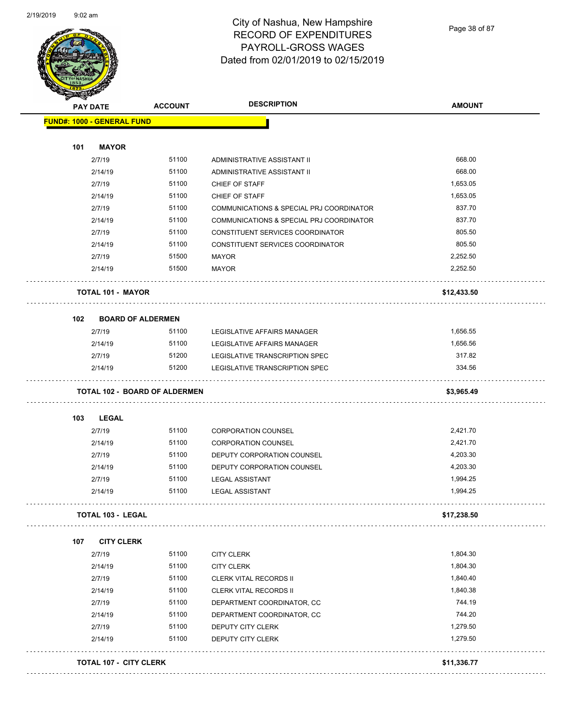

Page 38 of 87

| <b>PAY DATE</b> |                                      | <b>ACCOUNT</b> | <b>DESCRIPTION</b>                       | <b>AMOUNT</b> |
|-----------------|--------------------------------------|----------------|------------------------------------------|---------------|
|                 | <b>FUND#: 1000 - GENERAL FUND</b>    |                |                                          |               |
|                 |                                      |                |                                          |               |
| 101             | <b>MAYOR</b>                         |                |                                          |               |
|                 | 2/7/19                               | 51100          | ADMINISTRATIVE ASSISTANT II              | 668.00        |
|                 | 2/14/19                              | 51100          | ADMINISTRATIVE ASSISTANT II              | 668.00        |
|                 | 2/7/19                               | 51100          | CHIEF OF STAFF                           | 1,653.05      |
|                 | 2/14/19                              | 51100          | CHIEF OF STAFF                           | 1,653.05      |
|                 | 2/7/19                               | 51100          | COMMUNICATIONS & SPECIAL PRJ COORDINATOR | 837.70        |
|                 | 2/14/19                              | 51100          | COMMUNICATIONS & SPECIAL PRJ COORDINATOR | 837.70        |
|                 | 2/7/19                               | 51100          | CONSTITUENT SERVICES COORDINATOR         | 805.50        |
|                 | 2/14/19                              | 51100          | CONSTITUENT SERVICES COORDINATOR         | 805.50        |
|                 | 2/7/19                               | 51500          | MAYOR                                    | 2,252.50      |
|                 | 2/14/19                              | 51500          | <b>MAYOR</b>                             | 2,252.50      |
|                 | <b>TOTAL 101 - MAYOR</b>             |                |                                          | \$12,433.50   |
| 102             | <b>BOARD OF ALDERMEN</b>             |                |                                          |               |
|                 | 2/7/19                               | 51100          | LEGISLATIVE AFFAIRS MANAGER              | 1,656.55      |
|                 | 2/14/19                              | 51100          | LEGISLATIVE AFFAIRS MANAGER              | 1,656.56      |
|                 | 2/7/19                               | 51200          | LEGISLATIVE TRANSCRIPTION SPEC           | 317.82        |
|                 | 2/14/19                              | 51200          | LEGISLATIVE TRANSCRIPTION SPEC           | 334.56        |
|                 | <b>TOTAL 102 - BOARD OF ALDERMEN</b> |                |                                          | \$3,965.49    |
| 103             | LEGAL                                |                |                                          |               |
|                 | 2/7/19                               | 51100          | <b>CORPORATION COUNSEL</b>               | 2,421.70      |
|                 | 2/14/19                              | 51100          | <b>CORPORATION COUNSEL</b>               | 2,421.70      |
|                 | 2/7/19                               | 51100          | DEPUTY CORPORATION COUNSEL               | 4,203.30      |
|                 | 2/14/19                              | 51100          | DEPUTY CORPORATION COUNSEL               | 4,203.30      |
|                 | 2/7/19                               | 51100          | <b>LEGAL ASSISTANT</b>                   | 1,994.25      |
|                 | 2/14/19                              | 51100          | <b>LEGAL ASSISTANT</b>                   | 1,994.25      |
|                 | <b>TOTAL 103 - LEGAL</b>             |                |                                          | \$17,238.50   |
| 107             | <b>CITY CLERK</b>                    |                |                                          |               |
|                 | 2/7/19                               | 51100          | <b>CITY CLERK</b>                        | 1,804.30      |
|                 | 2/14/19                              | 51100          | <b>CITY CLERK</b>                        | 1,804.30      |
|                 | 2/7/19                               | 51100          | CLERK VITAL RECORDS II                   | 1,840.40      |
|                 | 2/14/19                              | 51100          | CLERK VITAL RECORDS II                   | 1,840.38      |
|                 | 2/7/19                               | 51100          | DEPARTMENT COORDINATOR, CC               | 744.19        |
|                 | 2/14/19                              | 51100          | DEPARTMENT COORDINATOR, CC               | 744.20        |
|                 |                                      | 51100          | DEPUTY CITY CLERK                        | 1,279.50      |
|                 | 2/7/19                               |                |                                          |               |
|                 | 2/14/19                              | 51100          | DEPUTY CITY CLERK                        | 1,279.50      |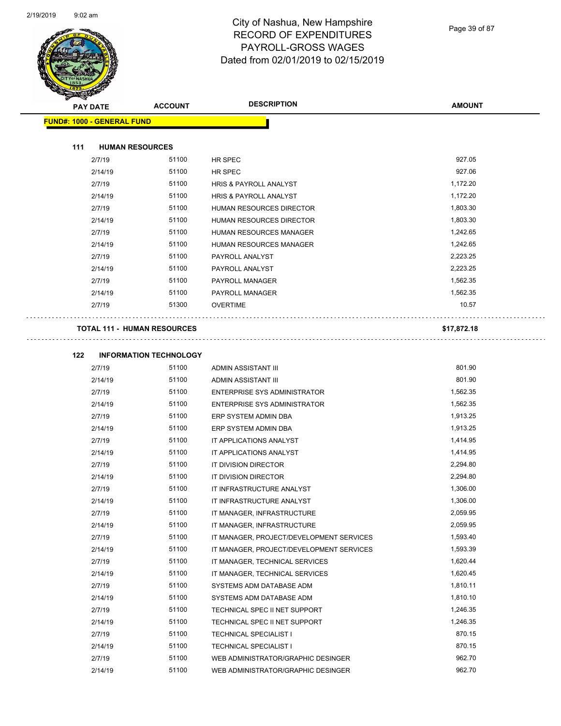÷.



#### City of Nashua, New Hampshire RECORD OF EXPENDITURES PAYROLL-GROSS WAGES Dated from 02/01/2019 to 02/15/2019

| <b>TOLERA</b>                     |                                    |                                          |               |
|-----------------------------------|------------------------------------|------------------------------------------|---------------|
| <b>PAY DATE</b>                   | <b>ACCOUNT</b>                     | <b>DESCRIPTION</b>                       | <b>AMOUNT</b> |
| <b>FUND#: 1000 - GENERAL FUND</b> |                                    |                                          |               |
|                                   |                                    |                                          |               |
| 111                               | <b>HUMAN RESOURCES</b>             |                                          |               |
| 2/7/19                            | 51100                              | HR SPEC                                  | 927.05        |
| 2/14/19                           | 51100                              | HR SPEC                                  | 927.06        |
| 2/7/19                            | 51100                              | HRIS & PAYROLL ANALYST                   | 1,172.20      |
| 2/14/19                           | 51100                              | HRIS & PAYROLL ANALYST                   | 1,172.20      |
| 2/7/19                            | 51100                              | <b>HUMAN RESOURCES DIRECTOR</b>          | 1,803.30      |
| 2/14/19                           | 51100                              | <b>HUMAN RESOURCES DIRECTOR</b>          | 1,803.30      |
| 2/7/19                            | 51100                              | HUMAN RESOURCES MANAGER                  | 1,242.65      |
| 2/14/19                           | 51100                              | HUMAN RESOURCES MANAGER                  | 1,242.65      |
| 2/7/19                            | 51100                              | PAYROLL ANALYST                          | 2,223.25      |
| 2/14/19                           | 51100                              | PAYROLL ANALYST                          | 2,223.25      |
| 2/7/19                            | 51100                              | PAYROLL MANAGER                          | 1,562.35      |
| 2/14/19                           | 51100                              | <b>PAYROLL MANAGER</b>                   | 1,562.35      |
| 2/7/19                            | 51300                              | <b>OVERTIME</b>                          | 10.57         |
|                                   |                                    |                                          |               |
|                                   | <b>TOTAL 111 - HUMAN RESOURCES</b> |                                          | \$17,872.18   |
|                                   |                                    |                                          |               |
| 122                               | <b>INFORMATION TECHNOLOGY</b>      |                                          |               |
| 2/7/19                            | 51100                              | ADMIN ASSISTANT III                      | 801.90        |
| 2/14/19                           | 51100                              | ADMIN ASSISTANT III                      | 801.90        |
| 2/7/19                            | 51100                              | ENTERPRISE SYS ADMINISTRATOR             | 1,562.35      |
| 2/14/19                           | 51100                              | ENTERPRISE SYS ADMINISTRATOR             | 1,562.35      |
| 2/7/19                            | 51100                              | ERP SYSTEM ADMIN DBA                     | 1,913.25      |
| 2/14/19                           | 51100                              | ERP SYSTEM ADMIN DBA                     | 1,913.25      |
| 2/7/19                            | 51100                              | IT APPLICATIONS ANALYST                  | 1,414.95      |
| 2/14/19                           | 51100                              | IT APPLICATIONS ANALYST                  | 1,414.95      |
| 2/7/19                            | 51100                              | IT DIVISION DIRECTOR                     | 2,294.80      |
| 2/14/19                           | 51100                              | IT DIVISION DIRECTOR                     | 2,294.80      |
| 2/7/19                            | 51100                              | IT INFRASTRUCTURE ANALYST                | 1,306.00      |
| 2/14/19                           | 51100                              | IT INFRASTRUCTURE ANALYST                | 1,306.00      |
| 2/7/19                            | 51100                              | IT MANAGER, INFRASTRUCTURE               | 2,059.95      |
| 2/14/19                           | 51100                              | IT MANAGER, INFRASTRUCTURE               | 2,059.95      |
| 2/7/19                            | 51100                              | IT MANAGER, PROJECT/DEVELOPMENT SERVICES | 1,593.40      |
| 2/14/19                           | 51100                              | IT MANAGER, PROJECT/DEVELOPMENT SERVICES | 1,593.39      |
| 2/7/19                            | 51100                              | IT MANAGER, TECHNICAL SERVICES           | 1,620.44      |
| 2/14/19                           | 51100                              | IT MANAGER, TECHNICAL SERVICES           | 1,620.45      |
| 2/7/19                            | 51100                              | SYSTEMS ADM DATABASE ADM                 | 1,810.11      |
| 2/14/19                           | 51100                              | SYSTEMS ADM DATABASE ADM                 | 1,810.10      |
| 2/7/19                            | 51100                              | TECHNICAL SPEC II NET SUPPORT            | 1,246.35      |
| 2/14/19                           | 51100                              | TECHNICAL SPEC II NET SUPPORT            | 1,246.35      |
| 2/7/19                            | 51100                              | <b>TECHNICAL SPECIALIST I</b>            | 870.15        |
| 2/14/19                           | 51100                              | <b>TECHNICAL SPECIALIST I</b>            | 870.15        |
| 2/7/19                            | 51100                              | WEB ADMINISTRATOR/GRAPHIC DESINGER       | 962.70        |
| 2/14/19                           | 51100                              | WEB ADMINISTRATOR/GRAPHIC DESINGER       | 962.70        |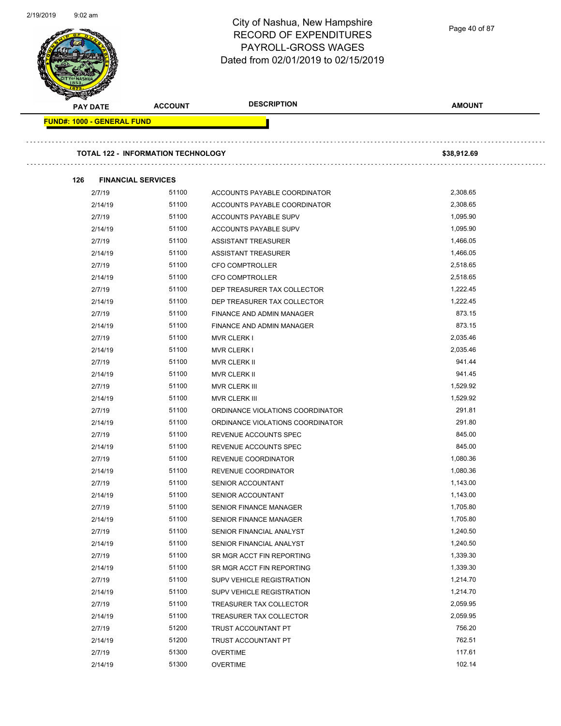|  |                                   | City of Nashua, New Hampshire<br><b>RECORD OF EXPENDITURES</b><br>PAYROLL-GROSS WAGES<br>Dated from 02/01/2019 to 02/15/2019 |                                  | Page 40 of 87 |  |
|--|-----------------------------------|------------------------------------------------------------------------------------------------------------------------------|----------------------------------|---------------|--|
|  | <b>PAY DATE</b>                   | <b>ACCOUNT</b>                                                                                                               | <b>DESCRIPTION</b>               | <b>AMOUNT</b> |  |
|  | <b>FUND#: 1000 - GENERAL FUND</b> |                                                                                                                              |                                  |               |  |
|  |                                   |                                                                                                                              |                                  |               |  |
|  |                                   | <b>TOTAL 122 - INFORMATION TECHNOLOGY</b>                                                                                    |                                  | \$38,912.69   |  |
|  | 126                               | <b>FINANCIAL SERVICES</b>                                                                                                    |                                  |               |  |
|  | 2/7/19                            | 51100                                                                                                                        | ACCOUNTS PAYABLE COORDINATOR     | 2,308.65      |  |
|  | 2/14/19                           | 51100                                                                                                                        | ACCOUNTS PAYABLE COORDINATOR     | 2,308.65      |  |
|  | 2/7/19                            | 51100                                                                                                                        | ACCOUNTS PAYABLE SUPV            | 1,095.90      |  |
|  | 2/14/19                           | 51100                                                                                                                        | ACCOUNTS PAYABLE SUPV            | 1,095.90      |  |
|  | 2/7/19                            | 51100                                                                                                                        | ASSISTANT TREASURER              | 1,466.05      |  |
|  | 2/14/19                           | 51100                                                                                                                        | <b>ASSISTANT TREASURER</b>       | 1,466.05      |  |
|  | 2/7/19                            | 51100                                                                                                                        | CFO COMPTROLLER                  | 2,518.65      |  |
|  | 2/14/19                           | 51100                                                                                                                        | <b>CFO COMPTROLLER</b>           | 2,518.65      |  |
|  | 2/7/19                            | 51100                                                                                                                        | DEP TREASURER TAX COLLECTOR      | 1,222.45      |  |
|  | 2/14/19                           | 51100                                                                                                                        | DEP TREASURER TAX COLLECTOR      | 1,222.45      |  |
|  | 2/7/19                            | 51100                                                                                                                        | FINANCE AND ADMIN MANAGER        | 873.15        |  |
|  | 2/14/19                           | 51100                                                                                                                        | FINANCE AND ADMIN MANAGER        | 873.15        |  |
|  | 2/7/19                            | 51100                                                                                                                        | <b>MVR CLERK I</b>               | 2,035.46      |  |
|  | 2/14/19                           | 51100                                                                                                                        | <b>MVR CLERK I</b>               | 2,035.46      |  |
|  | 2/7/19                            | 51100                                                                                                                        | <b>MVR CLERK II</b>              | 941.44        |  |
|  | 2/14/19                           | 51100                                                                                                                        | MVR CLERK II                     | 941.45        |  |
|  | 2/7/19                            | 51100                                                                                                                        | <b>MVR CLERK III</b>             | 1,529.92      |  |
|  | 2/14/19                           | 51100                                                                                                                        | MVR CLERK III                    | 1,529.92      |  |
|  | 2/7/19                            | 51100                                                                                                                        | ORDINANCE VIOLATIONS COORDINATOR | 291.81        |  |
|  | 2/14/19                           | 51100                                                                                                                        | ORDINANCE VIOLATIONS COORDINATOR | 291.80        |  |
|  | 2/7/19                            | 51100                                                                                                                        | REVENUE ACCOUNTS SPEC            | 845.00        |  |
|  | 2/14/19                           | 51100                                                                                                                        | REVENUE ACCOUNTS SPEC            | 845.00        |  |
|  | 2/7/19                            | 51100                                                                                                                        | REVENUE COORDINATOR              | 1,080.36      |  |
|  | 2/14/19                           | 51100                                                                                                                        | REVENUE COORDINATOR              | 1,080.36      |  |
|  | 2/7/19                            | 51100                                                                                                                        | SENIOR ACCOUNTANT                | 1,143.00      |  |
|  | 2/14/19                           | 51100                                                                                                                        | SENIOR ACCOUNTANT                | 1,143.00      |  |
|  | 2/7/19                            | 51100                                                                                                                        | SENIOR FINANCE MANAGER           | 1,705.80      |  |
|  | 2/14/19                           | 51100                                                                                                                        | SENIOR FINANCE MANAGER           | 1,705.80      |  |
|  | 2/7/19                            | 51100                                                                                                                        | SENIOR FINANCIAL ANALYST         | 1,240.50      |  |
|  | 2/14/19                           | 51100                                                                                                                        | SENIOR FINANCIAL ANALYST         | 1,240.50      |  |
|  | 2/7/19                            | 51100                                                                                                                        | SR MGR ACCT FIN REPORTING        | 1,339.30      |  |
|  | 2/14/19                           | 51100                                                                                                                        | SR MGR ACCT FIN REPORTING        | 1,339.30      |  |
|  | 2/7/19                            | 51100                                                                                                                        | SUPV VEHICLE REGISTRATION        | 1,214.70      |  |
|  | 2/14/19                           | 51100                                                                                                                        | SUPV VEHICLE REGISTRATION        | 1,214.70      |  |
|  | 2/7/19                            | 51100                                                                                                                        | TREASURER TAX COLLECTOR          | 2,059.95      |  |
|  | 2/14/19                           | 51100                                                                                                                        | TREASURER TAX COLLECTOR          | 2,059.95      |  |
|  | 2/7/19                            | 51200                                                                                                                        | TRUST ACCOUNTANT PT              | 756.20        |  |
|  | 2/14/19                           | 51200                                                                                                                        | TRUST ACCOUNTANT PT              | 762.51        |  |
|  | 2/7/19                            | 51300                                                                                                                        | <b>OVERTIME</b>                  | 117.61        |  |

2/19/2019 9:02 am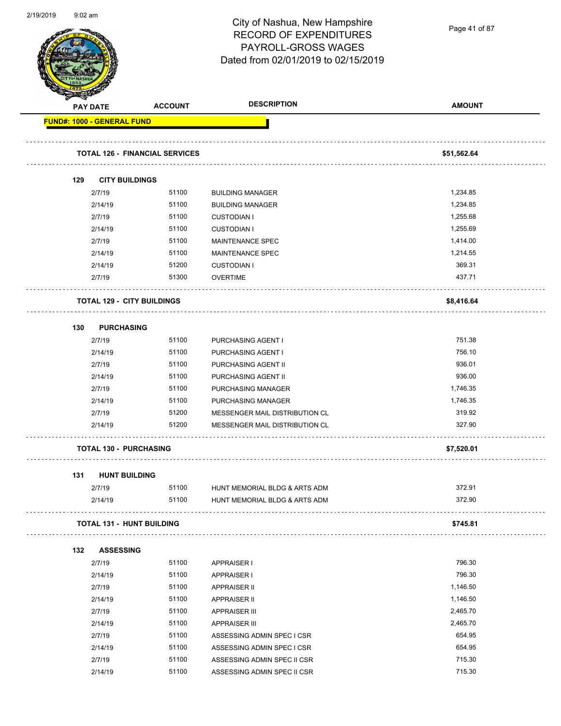

Page 41 of 87

| <b>REAL AND</b>                   |                 |                                       |                                |               |
|-----------------------------------|-----------------|---------------------------------------|--------------------------------|---------------|
|                                   | <b>PAY DATE</b> | <b>ACCOUNT</b>                        | <b>DESCRIPTION</b>             | <b>AMOUNT</b> |
| <b>FUND#: 1000 - GENERAL FUND</b> |                 |                                       |                                |               |
|                                   |                 | <b>TOTAL 126 - FINANCIAL SERVICES</b> |                                | \$51,562.64   |
|                                   |                 |                                       |                                |               |
| 129                               |                 | <b>CITY BUILDINGS</b>                 |                                |               |
|                                   | 2/7/19          | 51100                                 | <b>BUILDING MANAGER</b>        | 1,234.85      |
|                                   | 2/14/19         | 51100                                 | <b>BUILDING MANAGER</b>        | 1,234.85      |
|                                   | 2/7/19          | 51100                                 | <b>CUSTODIAN I</b>             | 1,255.68      |
|                                   | 2/14/19         | 51100                                 | <b>CUSTODIAN I</b>             | 1,255.69      |
|                                   | 2/7/19          | 51100                                 | <b>MAINTENANCE SPEC</b>        | 1,414.00      |
|                                   | 2/14/19         | 51100                                 | MAINTENANCE SPEC               | 1,214.55      |
|                                   | 2/14/19         | 51200                                 | <b>CUSTODIAN I</b>             | 369.31        |
|                                   | 2/7/19          | 51300                                 | <b>OVERTIME</b>                | 437.71        |
|                                   |                 | <b>TOTAL 129 - CITY BUILDINGS</b>     |                                | \$8,416.64    |
|                                   |                 |                                       |                                |               |
| 130                               |                 | <b>PURCHASING</b>                     |                                |               |
|                                   | 2/7/19          | 51100                                 | PURCHASING AGENT I             | 751.38        |
|                                   | 2/14/19         | 51100                                 | PURCHASING AGENT I             | 756.10        |
|                                   | 2/7/19          | 51100                                 | PURCHASING AGENT II            | 936.01        |
|                                   | 2/14/19         | 51100                                 | PURCHASING AGENT II            | 936.00        |
|                                   | 2/7/19          | 51100                                 | PURCHASING MANAGER             | 1,746.35      |
|                                   | 2/14/19         | 51100                                 | PURCHASING MANAGER             | 1,746.35      |
|                                   | 2/7/19          | 51200                                 | MESSENGER MAIL DISTRIBUTION CL | 319.92        |
|                                   | 2/14/19         | 51200                                 | MESSENGER MAIL DISTRIBUTION CL | 327.90        |
|                                   |                 | <b>TOTAL 130 - PURCHASING</b>         |                                | \$7,520.01    |
| 131                               |                 | <b>HUNT BUILDING</b>                  |                                |               |
|                                   | 2/7/19          | 51100                                 | HUNT MEMORIAL BLDG & ARTS ADM  | 372.91        |
|                                   | 2/14/19         | 51100                                 | HUNT MEMORIAL BLDG & ARTS ADM  | 372.90        |
|                                   |                 | <b>TOTAL 131 - HUNT BUILDING</b>      |                                | \$745.81      |
| 132                               |                 | <b>ASSESSING</b>                      |                                |               |
|                                   | 2/7/19          | 51100                                 | <b>APPRAISER I</b>             | 796.30        |
|                                   | 2/14/19         | 51100                                 | APPRAISER I                    | 796.30        |
|                                   | 2/7/19          | 51100                                 | <b>APPRAISER II</b>            | 1,146.50      |
|                                   | 2/14/19         | 51100                                 | <b>APPRAISER II</b>            | 1,146.50      |
|                                   | 2/7/19          | 51100                                 | <b>APPRAISER III</b>           | 2,465.70      |
|                                   | 2/14/19         | 51100                                 | <b>APPRAISER III</b>           | 2,465.70      |
|                                   | 2/7/19          | 51100                                 | ASSESSING ADMIN SPEC I CSR     | 654.95        |
|                                   | 2/14/19         | 51100                                 | ASSESSING ADMIN SPEC I CSR     | 654.95        |
|                                   | 2/7/19          | 51100                                 | ASSESSING ADMIN SPEC II CSR    | 715.30        |
|                                   | 2/14/19         | 51100                                 | ASSESSING ADMIN SPEC II CSR    | 715.30        |
|                                   |                 |                                       |                                |               |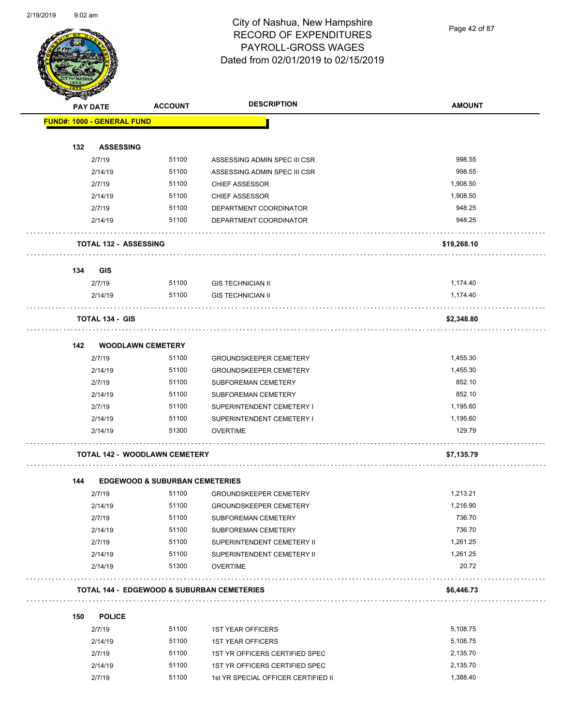

Page 42 of 87

| <b>ACCOUNT</b>                    | <b>DESCRIPTION</b>                                                                                                                                                                                    | <b>AMOUNT</b>                                                                                                                                                                                                                                                                                                                                                                                                                                                                                                                                                                                                                                                                                        |
|-----------------------------------|-------------------------------------------------------------------------------------------------------------------------------------------------------------------------------------------------------|------------------------------------------------------------------------------------------------------------------------------------------------------------------------------------------------------------------------------------------------------------------------------------------------------------------------------------------------------------------------------------------------------------------------------------------------------------------------------------------------------------------------------------------------------------------------------------------------------------------------------------------------------------------------------------------------------|
| <b>FUND#: 1000 - GENERAL FUND</b> |                                                                                                                                                                                                       |                                                                                                                                                                                                                                                                                                                                                                                                                                                                                                                                                                                                                                                                                                      |
|                                   |                                                                                                                                                                                                       |                                                                                                                                                                                                                                                                                                                                                                                                                                                                                                                                                                                                                                                                                                      |
|                                   |                                                                                                                                                                                                       | 998.55                                                                                                                                                                                                                                                                                                                                                                                                                                                                                                                                                                                                                                                                                               |
|                                   |                                                                                                                                                                                                       | 998.55                                                                                                                                                                                                                                                                                                                                                                                                                                                                                                                                                                                                                                                                                               |
|                                   |                                                                                                                                                                                                       | 1,908.50                                                                                                                                                                                                                                                                                                                                                                                                                                                                                                                                                                                                                                                                                             |
|                                   |                                                                                                                                                                                                       | 1,908.50                                                                                                                                                                                                                                                                                                                                                                                                                                                                                                                                                                                                                                                                                             |
|                                   |                                                                                                                                                                                                       | 948.25                                                                                                                                                                                                                                                                                                                                                                                                                                                                                                                                                                                                                                                                                               |
| 51100                             | DEPARTMENT COORDINATOR                                                                                                                                                                                | 948.25                                                                                                                                                                                                                                                                                                                                                                                                                                                                                                                                                                                                                                                                                               |
|                                   |                                                                                                                                                                                                       |                                                                                                                                                                                                                                                                                                                                                                                                                                                                                                                                                                                                                                                                                                      |
| <b>TOTAL 132 - ASSESSING</b>      |                                                                                                                                                                                                       | \$19,268.10                                                                                                                                                                                                                                                                                                                                                                                                                                                                                                                                                                                                                                                                                          |
|                                   |                                                                                                                                                                                                       |                                                                                                                                                                                                                                                                                                                                                                                                                                                                                                                                                                                                                                                                                                      |
|                                   |                                                                                                                                                                                                       | 1,174.40                                                                                                                                                                                                                                                                                                                                                                                                                                                                                                                                                                                                                                                                                             |
|                                   |                                                                                                                                                                                                       | 1,174.40                                                                                                                                                                                                                                                                                                                                                                                                                                                                                                                                                                                                                                                                                             |
|                                   |                                                                                                                                                                                                       |                                                                                                                                                                                                                                                                                                                                                                                                                                                                                                                                                                                                                                                                                                      |
| <b>TOTAL 134 - GIS</b>            |                                                                                                                                                                                                       | \$2,348.80                                                                                                                                                                                                                                                                                                                                                                                                                                                                                                                                                                                                                                                                                           |
|                                   |                                                                                                                                                                                                       |                                                                                                                                                                                                                                                                                                                                                                                                                                                                                                                                                                                                                                                                                                      |
|                                   |                                                                                                                                                                                                       | 1,455.30                                                                                                                                                                                                                                                                                                                                                                                                                                                                                                                                                                                                                                                                                             |
|                                   |                                                                                                                                                                                                       | 1,455.30                                                                                                                                                                                                                                                                                                                                                                                                                                                                                                                                                                                                                                                                                             |
|                                   |                                                                                                                                                                                                       | 852.10                                                                                                                                                                                                                                                                                                                                                                                                                                                                                                                                                                                                                                                                                               |
|                                   |                                                                                                                                                                                                       | 852.10                                                                                                                                                                                                                                                                                                                                                                                                                                                                                                                                                                                                                                                                                               |
|                                   |                                                                                                                                                                                                       | 1,195.60                                                                                                                                                                                                                                                                                                                                                                                                                                                                                                                                                                                                                                                                                             |
|                                   |                                                                                                                                                                                                       | 1,195.60                                                                                                                                                                                                                                                                                                                                                                                                                                                                                                                                                                                                                                                                                             |
| 51300                             | <b>OVERTIME</b>                                                                                                                                                                                       | 129.79                                                                                                                                                                                                                                                                                                                                                                                                                                                                                                                                                                                                                                                                                               |
|                                   |                                                                                                                                                                                                       | \$7,135.79                                                                                                                                                                                                                                                                                                                                                                                                                                                                                                                                                                                                                                                                                           |
|                                   |                                                                                                                                                                                                       |                                                                                                                                                                                                                                                                                                                                                                                                                                                                                                                                                                                                                                                                                                      |
|                                   |                                                                                                                                                                                                       |                                                                                                                                                                                                                                                                                                                                                                                                                                                                                                                                                                                                                                                                                                      |
| 51100                             | <b>GROUNDSKEEPER CEMETERY</b>                                                                                                                                                                         | 1,213.21                                                                                                                                                                                                                                                                                                                                                                                                                                                                                                                                                                                                                                                                                             |
| 51100                             | <b>GROUNDSKEEPER CEMETERY</b>                                                                                                                                                                         | 1,216.90                                                                                                                                                                                                                                                                                                                                                                                                                                                                                                                                                                                                                                                                                             |
| 51100                             | SUBFOREMAN CEMETERY                                                                                                                                                                                   | 736.70                                                                                                                                                                                                                                                                                                                                                                                                                                                                                                                                                                                                                                                                                               |
| 51100                             | SUBFOREMAN CEMETERY                                                                                                                                                                                   | 736.70                                                                                                                                                                                                                                                                                                                                                                                                                                                                                                                                                                                                                                                                                               |
| 51100                             | SUPERINTENDENT CEMETERY II                                                                                                                                                                            | 1,261.25                                                                                                                                                                                                                                                                                                                                                                                                                                                                                                                                                                                                                                                                                             |
| 51100                             | SUPERINTENDENT CEMETERY II                                                                                                                                                                            | 1,261.25                                                                                                                                                                                                                                                                                                                                                                                                                                                                                                                                                                                                                                                                                             |
| 51300                             | <b>OVERTIME</b>                                                                                                                                                                                       | 20.72                                                                                                                                                                                                                                                                                                                                                                                                                                                                                                                                                                                                                                                                                                |
|                                   |                                                                                                                                                                                                       | \$6,446.73                                                                                                                                                                                                                                                                                                                                                                                                                                                                                                                                                                                                                                                                                           |
|                                   |                                                                                                                                                                                                       |                                                                                                                                                                                                                                                                                                                                                                                                                                                                                                                                                                                                                                                                                                      |
|                                   |                                                                                                                                                                                                       | 5,108.75                                                                                                                                                                                                                                                                                                                                                                                                                                                                                                                                                                                                                                                                                             |
|                                   |                                                                                                                                                                                                       | 5,108.75                                                                                                                                                                                                                                                                                                                                                                                                                                                                                                                                                                                                                                                                                             |
|                                   |                                                                                                                                                                                                       | 2,135.70                                                                                                                                                                                                                                                                                                                                                                                                                                                                                                                                                                                                                                                                                             |
|                                   |                                                                                                                                                                                                       | 2,135.70                                                                                                                                                                                                                                                                                                                                                                                                                                                                                                                                                                                                                                                                                             |
|                                   |                                                                                                                                                                                                       | 1,388.40                                                                                                                                                                                                                                                                                                                                                                                                                                                                                                                                                                                                                                                                                             |
|                                   | <b>ASSESSING</b><br>51100<br>51100<br>51100<br>51100<br>51100<br>51100<br>51100<br><b>WOODLAWN CEMETERY</b><br>51100<br>51100<br>51100<br>51100<br>51100<br>51100<br>51100<br>51100<br>51100<br>51100 | ASSESSING ADMIN SPEC III CSR<br>ASSESSING ADMIN SPEC III CSR<br><b>CHIEF ASSESSOR</b><br><b>CHIEF ASSESSOR</b><br>DEPARTMENT COORDINATOR<br><b>GIS TECHNICIAN II</b><br><b>GIS TECHNICIAN II</b><br><b>GROUNDSKEEPER CEMETERY</b><br><b>GROUNDSKEEPER CEMETERY</b><br>SUBFOREMAN CEMETERY<br>SUBFOREMAN CEMETERY<br>SUPERINTENDENT CEMETERY I<br>SUPERINTENDENT CEMETERY I<br><b>TOTAL 142 - WOODLAWN CEMETERY</b><br><b>EDGEWOOD &amp; SUBURBAN CEMETERIES</b><br><b>TOTAL 144 - EDGEWOOD &amp; SUBURBAN CEMETERIES</b><br><b>1ST YEAR OFFICERS</b><br><b>1ST YEAR OFFICERS</b><br>1ST YR OFFICERS CERTIFIED SPEC<br>1ST YR OFFICERS CERTIFIED SPEC<br>51100<br>1st YR SPECIAL OFFICER CERTIFIED II |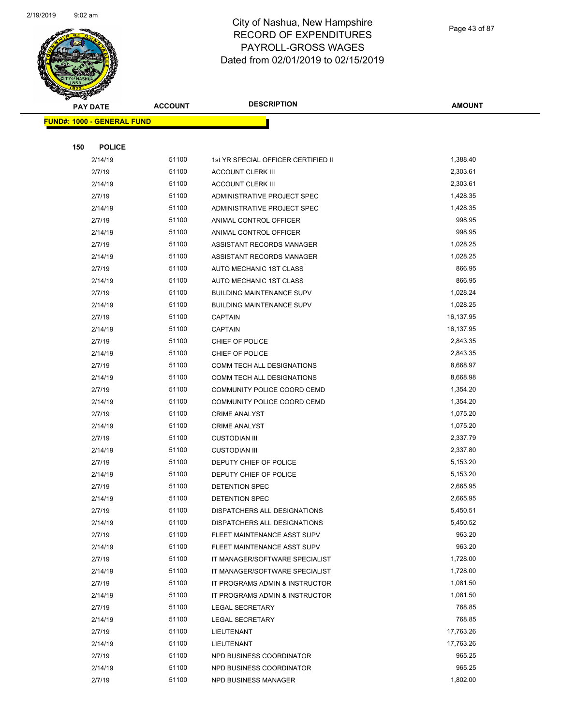

Page 43 of 87

| <b>PAY DATE</b>                   | <b>ACCOUNT</b> | <b>DESCRIPTION</b>                  | <b>AMOUNT</b>       |
|-----------------------------------|----------------|-------------------------------------|---------------------|
| <b>FUND#: 1000 - GENERAL FUND</b> |                |                                     |                     |
|                                   |                |                                     |                     |
| 150<br><b>POLICE</b>              |                |                                     |                     |
| 2/14/19                           | 51100          | 1st YR SPECIAL OFFICER CERTIFIED II | 1,388.40            |
| 2/7/19                            | 51100          | <b>ACCOUNT CLERK III</b>            | 2,303.61            |
| 2/14/19                           | 51100          | <b>ACCOUNT CLERK III</b>            | 2,303.61            |
| 2/7/19                            | 51100          | ADMINISTRATIVE PROJECT SPEC         | 1,428.35            |
| 2/14/19                           | 51100          | ADMINISTRATIVE PROJECT SPEC         | 1,428.35            |
| 2/7/19                            | 51100          | ANIMAL CONTROL OFFICER              | 998.95              |
| 2/14/19                           | 51100          | ANIMAL CONTROL OFFICER              | 998.95              |
| 2/7/19                            | 51100          | ASSISTANT RECORDS MANAGER           | 1,028.25            |
| 2/14/19                           | 51100          | ASSISTANT RECORDS MANAGER           | 1,028.25            |
| 2/7/19                            | 51100          | AUTO MECHANIC 1ST CLASS             | 866.95              |
| 2/14/19                           | 51100          | AUTO MECHANIC 1ST CLASS             | 866.95              |
| 2/7/19                            | 51100          | <b>BUILDING MAINTENANCE SUPV</b>    | 1,028.24            |
| 2/14/19                           | 51100          | <b>BUILDING MAINTENANCE SUPV</b>    | 1,028.25            |
| 2/7/19                            | 51100          | <b>CAPTAIN</b>                      | 16,137.95           |
| 2/14/19                           | 51100          | <b>CAPTAIN</b>                      | 16,137.95           |
| 2/7/19                            | 51100          | CHIEF OF POLICE                     | 2,843.35            |
| 2/14/19                           | 51100          | CHIEF OF POLICE                     | 2,843.35            |
| 2/7/19                            | 51100          | COMM TECH ALL DESIGNATIONS          | 8,668.97            |
| 2/14/19                           | 51100          | COMM TECH ALL DESIGNATIONS          | 8,668.98            |
| 2/7/19                            | 51100          | COMMUNITY POLICE COORD CEMD         | 1,354.20            |
| 2/14/19                           | 51100          | COMMUNITY POLICE COORD CEMD         | 1,354.20            |
| 2/7/19                            | 51100          | <b>CRIME ANALYST</b>                | 1,075.20            |
| 2/14/19                           | 51100          | <b>CRIME ANALYST</b>                | 1,075.20            |
| 2/7/19                            | 51100          | <b>CUSTODIAN III</b>                | 2,337.79            |
| 2/14/19                           | 51100          | <b>CUSTODIAN III</b>                | 2,337.80            |
| 2/7/19                            | 51100          | DEPUTY CHIEF OF POLICE              | 5,153.20            |
| 2/14/19                           | 51100          | DEPUTY CHIEF OF POLICE              | 5,153.20            |
| 2/7/19                            | 51100          | <b>DETENTION SPEC</b>               | 2,665.95            |
| 2/14/19                           | 51100          | DETENTION SPEC                      | 2,665.95            |
| 2/7/19                            | 51100          | DISPATCHERS ALL DESIGNATIONS        | 5,450.51            |
| 2/14/19                           | 51100          | DISPATCHERS ALL DESIGNATIONS        | 5,450.52            |
| 2/7/19                            | 51100          | FLEET MAINTENANCE ASST SUPV         | 963.20              |
| 2/14/19                           | 51100          | FLEET MAINTENANCE ASST SUPV         | 963.20              |
| 2/7/19                            | 51100          | IT MANAGER/SOFTWARE SPECIALIST      | 1,728.00            |
| 2/14/19                           | 51100          | IT MANAGER/SOFTWARE SPECIALIST      | 1,728.00            |
| 2/7/19                            | 51100          | IT PROGRAMS ADMIN & INSTRUCTOR      | 1,081.50            |
| 2/14/19                           | 51100          | IT PROGRAMS ADMIN & INSTRUCTOR      | 1,081.50            |
| 2/7/19                            | 51100          | LEGAL SECRETARY                     | 768.85              |
| 2/14/19                           | 51100          | LEGAL SECRETARY                     | 768.85              |
| 2/7/19                            | 51100          | LIEUTENANT                          | 17,763.26           |
| 2/14/19                           | 51100          | LIEUTENANT                          | 17,763.26<br>965.25 |
| 2/7/19                            | 51100          | NPD BUSINESS COORDINATOR            |                     |
| 2/14/19                           | 51100          | NPD BUSINESS COORDINATOR            | 965.25<br>1,802.00  |
| 2/7/19                            | 51100          | NPD BUSINESS MANAGER                |                     |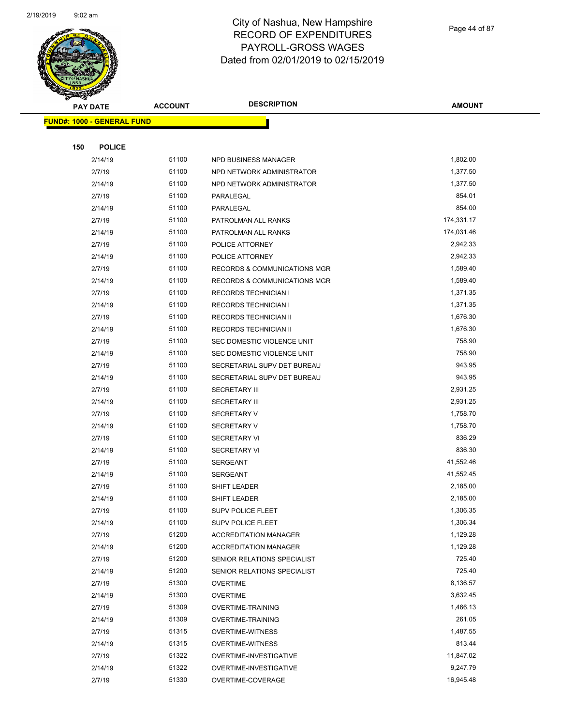

Page 44 of 87

| <b>PAY DATE</b>                   | <b>ACCOUNT</b> | <b>DESCRIPTION</b>           | <b>AMOUNT</b> |
|-----------------------------------|----------------|------------------------------|---------------|
| <b>FUND#: 1000 - GENERAL FUND</b> |                |                              |               |
|                                   |                |                              |               |
| 150                               | <b>POLICE</b>  |                              |               |
| 2/14/19                           | 51100          | NPD BUSINESS MANAGER         | 1,802.00      |
| 2/7/19                            | 51100          | NPD NETWORK ADMINISTRATOR    | 1,377.50      |
| 2/14/19                           | 51100          | NPD NETWORK ADMINISTRATOR    | 1,377.50      |
| 2/7/19                            | 51100          | PARALEGAL                    | 854.01        |
| 2/14/19                           | 51100          | PARALEGAL                    | 854.00        |
| 2/7/19                            | 51100          | PATROLMAN ALL RANKS          | 174,331.17    |
| 2/14/19                           | 51100          | PATROLMAN ALL RANKS          | 174,031.46    |
| 2/7/19                            | 51100          | POLICE ATTORNEY              | 2,942.33      |
| 2/14/19                           | 51100          | POLICE ATTORNEY              | 2,942.33      |
| 2/7/19                            | 51100          | RECORDS & COMMUNICATIONS MGR | 1,589.40      |
| 2/14/19                           | 51100          | RECORDS & COMMUNICATIONS MGR | 1,589.40      |
| 2/7/19                            | 51100          | <b>RECORDS TECHNICIAN I</b>  | 1,371.35      |
| 2/14/19                           | 51100          | <b>RECORDS TECHNICIAN I</b>  | 1,371.35      |
| 2/7/19                            | 51100          | RECORDS TECHNICIAN II        | 1,676.30      |
| 2/14/19                           | 51100          | RECORDS TECHNICIAN II        | 1,676.30      |
| 2/7/19                            | 51100          | SEC DOMESTIC VIOLENCE UNIT   | 758.90        |
| 2/14/19                           | 51100          | SEC DOMESTIC VIOLENCE UNIT   | 758.90        |
| 2/7/19                            | 51100          | SECRETARIAL SUPV DET BUREAU  | 943.95        |
| 2/14/19                           | 51100          | SECRETARIAL SUPV DET BUREAU  | 943.95        |
| 2/7/19                            | 51100          | <b>SECRETARY III</b>         | 2,931.25      |
| 2/14/19                           | 51100          | <b>SECRETARY III</b>         | 2,931.25      |
| 2/7/19                            | 51100          | <b>SECRETARY V</b>           | 1,758.70      |
| 2/14/19                           | 51100          | <b>SECRETARY V</b>           | 1,758.70      |
| 2/7/19                            | 51100          | <b>SECRETARY VI</b>          | 836.29        |
| 2/14/19                           | 51100          | <b>SECRETARY VI</b>          | 836.30        |
| 2/7/19                            | 51100          | <b>SERGEANT</b>              | 41,552.46     |
| 2/14/19                           | 51100          | SERGEANT                     | 41,552.45     |
| 2/7/19                            | 51100          | SHIFT LEADER                 | 2,185.00      |
| 2/14/19                           | 51100          | SHIFT LEADER                 | 2,185.00      |
| 2/7/19                            | 51100          | <b>SUPV POLICE FLEET</b>     | 1,306.35      |
| 2/14/19                           | 51100          | <b>SUPV POLICE FLEET</b>     | 1,306.34      |
| 2/7/19                            | 51200          | <b>ACCREDITATION MANAGER</b> | 1,129.28      |
| 2/14/19                           | 51200          | <b>ACCREDITATION MANAGER</b> | 1,129.28      |
| 2/7/19                            | 51200          | SENIOR RELATIONS SPECIALIST  | 725.40        |
| 2/14/19                           | 51200          | SENIOR RELATIONS SPECIALIST  | 725.40        |
| 2/7/19                            | 51300          | <b>OVERTIME</b>              | 8,136.57      |
| 2/14/19                           | 51300          | <b>OVERTIME</b>              | 3,632.45      |
| 2/7/19                            | 51309          | <b>OVERTIME-TRAINING</b>     | 1,466.13      |
| 2/14/19                           | 51309          | <b>OVERTIME-TRAINING</b>     | 261.05        |
| 2/7/19                            | 51315          | <b>OVERTIME-WITNESS</b>      | 1,487.55      |
| 2/14/19                           | 51315          | <b>OVERTIME-WITNESS</b>      | 813.44        |
| 2/7/19                            | 51322          | OVERTIME-INVESTIGATIVE       | 11,847.02     |
| 2/14/19                           | 51322          | OVERTIME-INVESTIGATIVE       | 9,247.79      |
| 2/7/19                            | 51330          | OVERTIME-COVERAGE            | 16,945.48     |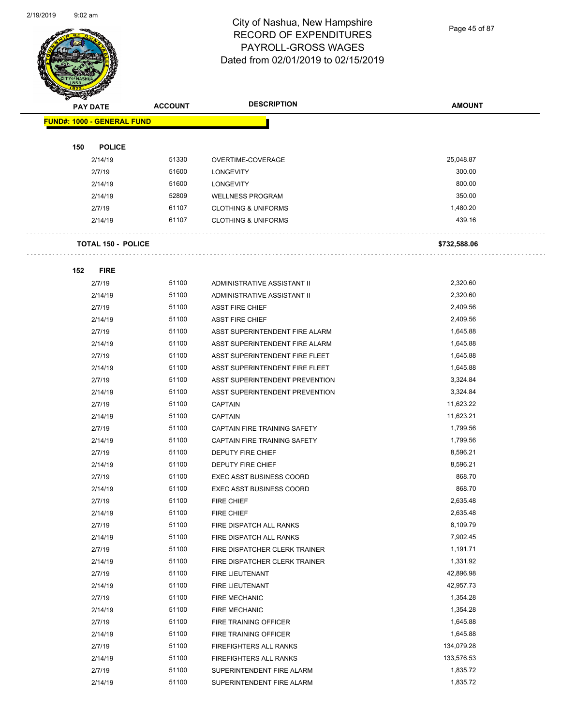$\overline{a}$ 



## City of Nashua, New Hampshire RECORD OF EXPENDITURES PAYROLL-GROSS WAGES Dated from 02/01/2019 to 02/15/2019

Page 45 of 87

| <b>PAY DATE</b>                   | <b>ACCOUNT</b> | <b>DESCRIPTION</b>                                               | <b>AMOUNT</b>        |
|-----------------------------------|----------------|------------------------------------------------------------------|----------------------|
| <b>FUND#: 1000 - GENERAL FUND</b> |                |                                                                  |                      |
|                                   |                |                                                                  |                      |
| 150<br><b>POLICE</b>              |                |                                                                  |                      |
| 2/14/19                           | 51330          | OVERTIME-COVERAGE                                                | 25,048.87            |
| 2/7/19                            | 51600          | <b>LONGEVITY</b>                                                 | 300.00               |
| 2/14/19                           | 51600          | <b>LONGEVITY</b>                                                 | 800.00               |
| 2/14/19                           | 52809          | <b>WELLNESS PROGRAM</b>                                          | 350.00               |
| 2/7/19                            | 61107          | <b>CLOTHING &amp; UNIFORMS</b>                                   | 1,480.20             |
| 2/14/19                           | 61107          | <b>CLOTHING &amp; UNIFORMS</b>                                   | 439.16               |
|                                   |                |                                                                  |                      |
| <b>TOTAL 150 - POLICE</b>         |                |                                                                  | \$732,588.06         |
|                                   |                |                                                                  |                      |
| 152<br><b>FIRE</b>                |                |                                                                  |                      |
| 2/7/19                            | 51100          | ADMINISTRATIVE ASSISTANT II                                      | 2,320.60             |
| 2/14/19                           | 51100          | ADMINISTRATIVE ASSISTANT II                                      | 2,320.60             |
| 2/7/19                            | 51100<br>51100 | <b>ASST FIRE CHIEF</b>                                           | 2,409.56             |
| 2/14/19                           | 51100          | <b>ASST FIRE CHIEF</b>                                           | 2,409.56<br>1,645.88 |
| 2/7/19                            | 51100          | ASST SUPERINTENDENT FIRE ALARM<br>ASST SUPERINTENDENT FIRE ALARM | 1,645.88             |
| 2/14/19<br>2/7/19                 | 51100          |                                                                  | 1,645.88             |
|                                   | 51100          | ASST SUPERINTENDENT FIRE FLEET                                   | 1,645.88             |
| 2/14/19                           | 51100          | ASST SUPERINTENDENT FIRE FLEET                                   | 3,324.84             |
| 2/7/19                            | 51100          | ASST SUPERINTENDENT PREVENTION                                   | 3,324.84             |
| 2/14/19                           | 51100          | ASST SUPERINTENDENT PREVENTION                                   | 11,623.22            |
| 2/7/19                            | 51100          | <b>CAPTAIN</b>                                                   | 11,623.21            |
| 2/14/19<br>2/7/19                 | 51100          | <b>CAPTAIN</b><br>CAPTAIN FIRE TRAINING SAFETY                   | 1,799.56             |
| 2/14/19                           | 51100          | CAPTAIN FIRE TRAINING SAFETY                                     | 1,799.56             |
| 2/7/19                            | 51100          | <b>DEPUTY FIRE CHIEF</b>                                         | 8,596.21             |
| 2/14/19                           | 51100          | DEPUTY FIRE CHIEF                                                | 8,596.21             |
| 2/7/19                            | 51100          | <b>EXEC ASST BUSINESS COORD</b>                                  | 868.70               |
| 2/14/19                           | 51100          | <b>EXEC ASST BUSINESS COORD</b>                                  | 868.70               |
| 2/7/19                            | 51100          | <b>FIRE CHIEF</b>                                                | 2,635.48             |
| 2/14/19                           | 51100          | <b>FIRE CHIEF</b>                                                | 2,635.48             |
| 2/7/19                            | 51100          | FIRE DISPATCH ALL RANKS                                          | 8,109.79             |
| 2/14/19                           | 51100          | FIRE DISPATCH ALL RANKS                                          | 7,902.45             |
| 2/7/19                            | 51100          | FIRE DISPATCHER CLERK TRAINER                                    | 1,191.71             |
| 2/14/19                           | 51100          | FIRE DISPATCHER CLERK TRAINER                                    | 1,331.92             |
| 2/7/19                            | 51100          | FIRE LIEUTENANT                                                  | 42,896.98            |
| 2/14/19                           | 51100          | FIRE LIEUTENANT                                                  | 42,957.73            |
| 2/7/19                            | 51100          | FIRE MECHANIC                                                    | 1,354.28             |
| 2/14/19                           | 51100          | <b>FIRE MECHANIC</b>                                             | 1,354.28             |
| 2/7/19                            | 51100          | FIRE TRAINING OFFICER                                            | 1,645.88             |
| 2/14/19                           | 51100          | FIRE TRAINING OFFICER                                            | 1,645.88             |
| 2/7/19                            | 51100          | FIREFIGHTERS ALL RANKS                                           | 134,079.28           |
| 2/14/19                           | 51100          | FIREFIGHTERS ALL RANKS                                           | 133,576.53           |
| 2/7/19                            | 51100          | SUPERINTENDENT FIRE ALARM                                        | 1,835.72             |
| 2/14/19                           | 51100          | SUPERINTENDENT FIRE ALARM                                        | 1,835.72             |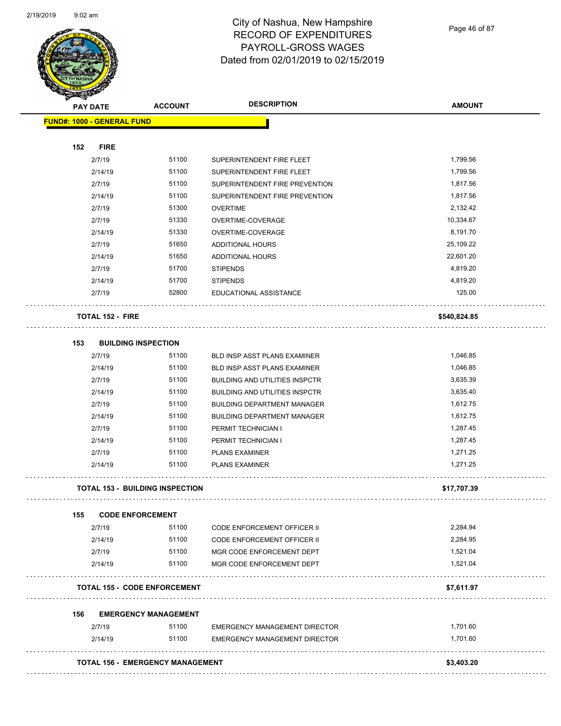

Page 46 of 87

| <b>SARAHA</b><br><b>PAY DATE</b> |                            | <b>ACCOUNT</b>                         | <b>DESCRIPTION</b>                    | <b>AMOUNT</b> |
|----------------------------------|----------------------------|----------------------------------------|---------------------------------------|---------------|
|                                  | FUND#: 1000 - GENERAL FUND |                                        |                                       |               |
| 152                              | <b>FIRE</b>                |                                        |                                       |               |
|                                  | 2/7/19                     | 51100                                  | SUPERINTENDENT FIRE FLEET             | 1,799.56      |
|                                  | 2/14/19                    | 51100                                  | SUPERINTENDENT FIRE FLEET             | 1,799.56      |
|                                  | 2/7/19                     | 51100                                  | SUPERINTENDENT FIRE PREVENTION        | 1,817.56      |
|                                  | 2/14/19                    | 51100                                  | SUPERINTENDENT FIRE PREVENTION        | 1,817.56      |
|                                  | 2/7/19                     | 51300                                  | <b>OVERTIME</b>                       | 2,132.42      |
|                                  | 2/7/19                     | 51330                                  | OVERTIME-COVERAGE                     | 10,334.67     |
|                                  | 2/14/19                    | 51330                                  | OVERTIME-COVERAGE                     | 8,191.70      |
|                                  | 2/7/19                     | 51650                                  | ADDITIONAL HOURS                      | 25,109.22     |
|                                  | 2/14/19                    | 51650                                  | ADDITIONAL HOURS                      | 22,601.20     |
|                                  | 2/7/19                     | 51700                                  | <b>STIPENDS</b>                       | 4,819.20      |
|                                  | 2/14/19                    | 51700                                  | <b>STIPENDS</b>                       | 4,819.20      |
|                                  | 2/7/19                     | 52800                                  | EDUCATIONAL ASSISTANCE                | 125.00        |
|                                  | <b>TOTAL 152 - FIRE</b>    |                                        |                                       | \$540,824.85  |
| 153                              |                            | <b>BUILDING INSPECTION</b>             |                                       |               |
|                                  | 2/7/19                     | 51100                                  | <b>BLD INSP ASST PLANS EXAMINER</b>   | 1,046.85      |
|                                  | 2/14/19                    | 51100                                  | BLD INSP ASST PLANS EXAMINER          | 1,046.85      |
|                                  | 2/7/19                     | 51100                                  | <b>BUILDING AND UTILITIES INSPCTR</b> | 3,635.39      |
|                                  | 2/14/19                    | 51100                                  | <b>BUILDING AND UTILITIES INSPCTR</b> | 3,635.40      |
|                                  | 2/7/19                     | 51100                                  | <b>BUILDING DEPARTMENT MANAGER</b>    | 1,612.75      |
|                                  | 2/14/19                    | 51100                                  | <b>BUILDING DEPARTMENT MANAGER</b>    | 1,612.75      |
|                                  | 2/7/19                     | 51100                                  | PERMIT TECHNICIAN I                   | 1,287.45      |
|                                  | 2/14/19                    | 51100                                  | PERMIT TECHNICIAN I                   | 1,287.45      |
|                                  | 2/7/19                     | 51100                                  | <b>PLANS EXAMINER</b>                 | 1,271.25      |
|                                  | 2/14/19                    | 51100                                  | <b>PLANS EXAMINER</b>                 | 1,271.25      |
|                                  |                            | <b>TOTAL 153 - BUILDING INSPECTION</b> |                                       | \$17,707.39   |
| 155                              |                            | <b>CODE ENFORCEMENT</b>                |                                       |               |
|                                  | 2/7/19                     | 51100                                  | <b>CODE ENFORCEMENT OFFICER II</b>    | 2,284.94      |
|                                  | 2/14/19                    | 51100                                  | <b>CODE ENFORCEMENT OFFICER II</b>    | 2,284.95      |
|                                  | 2/7/19                     | 51100                                  | MGR CODE ENFORCEMENT DEPT             | 1,521.04      |
|                                  | 2/14/19                    | 51100                                  | MGR CODE ENFORCEMENT DEPT             | 1,521.04      |
|                                  |                            | <b>TOTAL 155 - CODE ENFORCEMENT</b>    |                                       | \$7,611.97    |
| 156                              |                            | <b>EMERGENCY MANAGEMENT</b>            |                                       |               |
|                                  | 2/7/19                     | 51100                                  | <b>EMERGENCY MANAGEMENT DIRECTOR</b>  | 1,701.60      |
|                                  | 2/14/19                    | 51100                                  | <b>EMERGENCY MANAGEMENT DIRECTOR</b>  | 1,701.60      |
|                                  |                            |                                        |                                       |               |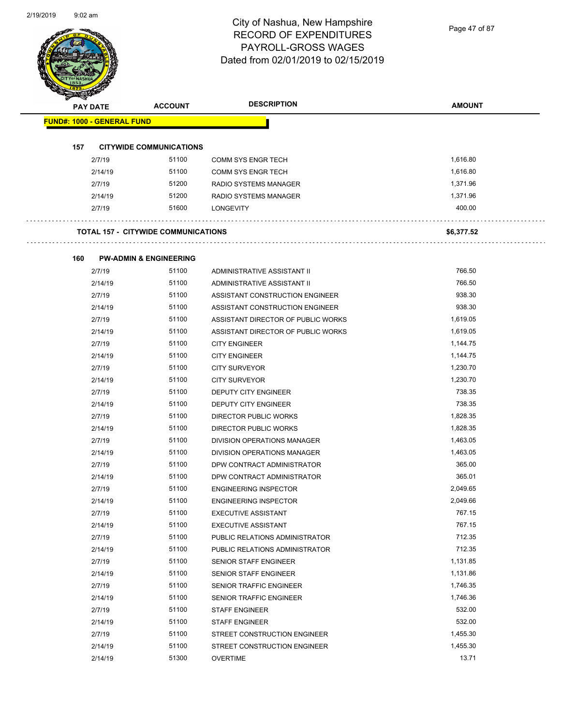Page 47 of 87

|     |                                   | <b>ACCOUNT</b>                             | <b>DESCRIPTION</b>                 | <b>AMOUNT</b> |
|-----|-----------------------------------|--------------------------------------------|------------------------------------|---------------|
|     | <b>PAY DATE</b>                   |                                            |                                    |               |
|     | <b>FUND#: 1000 - GENERAL FUND</b> |                                            |                                    |               |
| 157 |                                   | <b>CITYWIDE COMMUNICATIONS</b>             |                                    |               |
|     | 2/7/19                            | 51100                                      | COMM SYS ENGR TECH                 | 1,616.80      |
|     | 2/14/19                           | 51100                                      | <b>COMM SYS ENGR TECH</b>          | 1,616.80      |
|     | 2/7/19                            | 51200                                      | RADIO SYSTEMS MANAGER              | 1,371.96      |
|     | 2/14/19                           | 51200                                      | RADIO SYSTEMS MANAGER              | 1,371.96      |
|     | 2/7/19                            | 51600                                      | <b>LONGEVITY</b>                   | 400.00        |
|     |                                   | <b>TOTAL 157 - CITYWIDE COMMUNICATIONS</b> |                                    | \$6,377.52    |
|     |                                   |                                            |                                    |               |
| 160 | 2/7/19                            | <b>PW-ADMIN &amp; ENGINEERING</b><br>51100 | ADMINISTRATIVE ASSISTANT II        | 766.50        |
|     | 2/14/19                           | 51100                                      | ADMINISTRATIVE ASSISTANT II        | 766.50        |
|     | 2/7/19                            | 51100                                      | ASSISTANT CONSTRUCTION ENGINEER    | 938.30        |
|     | 2/14/19                           | 51100                                      | ASSISTANT CONSTRUCTION ENGINEER    | 938.30        |
|     | 2/7/19                            | 51100                                      | ASSISTANT DIRECTOR OF PUBLIC WORKS | 1,619.05      |
|     | 2/14/19                           | 51100                                      | ASSISTANT DIRECTOR OF PUBLIC WORKS | 1,619.05      |
|     | 2/7/19                            | 51100                                      | <b>CITY ENGINEER</b>               | 1,144.75      |
|     | 2/14/19                           | 51100                                      | <b>CITY ENGINEER</b>               | 1,144.75      |
|     | 2/7/19                            | 51100                                      | <b>CITY SURVEYOR</b>               | 1,230.70      |
|     | 2/14/19                           | 51100                                      | <b>CITY SURVEYOR</b>               | 1,230.70      |
|     | 2/7/19                            | 51100                                      | DEPUTY CITY ENGINEER               | 738.35        |
|     | 2/14/19                           | 51100                                      | DEPUTY CITY ENGINEER               | 738.35        |
|     | 2/7/19                            | 51100                                      | DIRECTOR PUBLIC WORKS              | 1,828.35      |
|     | 2/14/19                           | 51100                                      | DIRECTOR PUBLIC WORKS              | 1,828.35      |
|     | 2/7/19                            | 51100                                      | DIVISION OPERATIONS MANAGER        | 1,463.05      |
|     | 2/14/19                           | 51100                                      | DIVISION OPERATIONS MANAGER        | 1,463.05      |
|     | 2/7/19                            | 51100                                      | DPW CONTRACT ADMINISTRATOR         | 365.00        |
|     | 2/14/19                           | 51100                                      | DPW CONTRACT ADMINISTRATOR         | 365.01        |
|     | 2/7/19                            | 51100                                      | <b>ENGINEERING INSPECTOR</b>       | 2,049.65      |
|     | 2/14/19                           | 51100                                      | <b>ENGINEERING INSPECTOR</b>       | 2,049.66      |
|     | 2/7/19                            | 51100                                      | <b>EXECUTIVE ASSISTANT</b>         | 767.15        |
|     | 2/14/19                           | 51100                                      | <b>EXECUTIVE ASSISTANT</b>         | 767.15        |
|     | 2/7/19                            | 51100                                      | PUBLIC RELATIONS ADMINISTRATOR     | 712.35        |
|     | 2/14/19                           | 51100                                      | PUBLIC RELATIONS ADMINISTRATOR     | 712.35        |
|     | 2/7/19                            | 51100                                      | SENIOR STAFF ENGINEER              | 1,131.85      |
|     | 2/14/19                           | 51100                                      | <b>SENIOR STAFF ENGINEER</b>       | 1,131.86      |
|     | 2/7/19                            | 51100                                      | SENIOR TRAFFIC ENGINEER            | 1,746.35      |
|     | 2/14/19                           | 51100                                      | SENIOR TRAFFIC ENGINEER            | 1,746.36      |
|     | 2/7/19                            | 51100                                      | STAFF ENGINEER                     | 532.00        |
|     | 2/14/19                           | 51100                                      | STAFF ENGINEER                     | 532.00        |
|     | 2/7/19                            | 51100                                      | STREET CONSTRUCTION ENGINEER       | 1,455.30      |
|     | 2/14/19                           | 51100                                      | STREET CONSTRUCTION ENGINEER       | 1,455.30      |
|     | 2/14/19                           | 51300                                      | <b>OVERTIME</b>                    | 13.71         |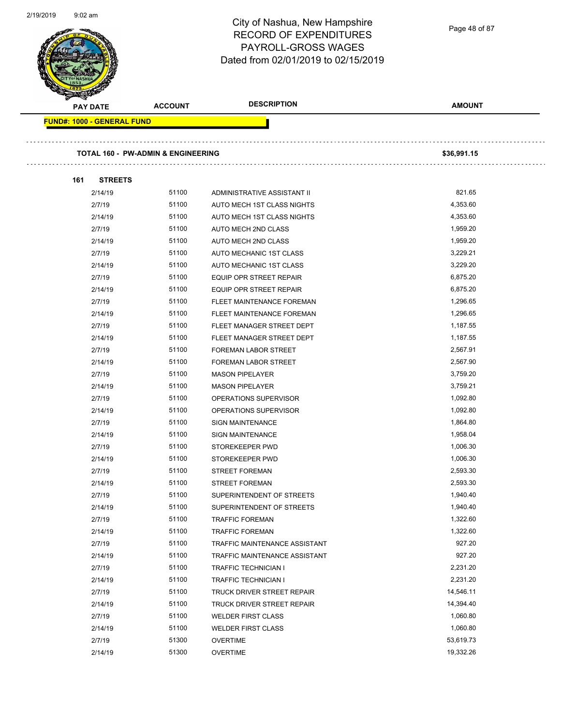Page 48 of 87

l,

| <b>PAY DATE</b>                   |                | <b>ACCOUNT</b>                                | <b>DESCRIPTION</b>            | <b>AMOUNT</b> |
|-----------------------------------|----------------|-----------------------------------------------|-------------------------------|---------------|
| <b>FUND#: 1000 - GENERAL FUND</b> |                |                                               |                               |               |
|                                   |                | <b>TOTAL 160 - PW-ADMIN &amp; ENGINEERING</b> |                               | \$36,991.15   |
| 161                               | <b>STREETS</b> |                                               |                               |               |
| 2/14/19                           |                | 51100                                         | ADMINISTRATIVE ASSISTANT II   | 821.65        |
| 2/7/19                            |                | 51100                                         | AUTO MECH 1ST CLASS NIGHTS    | 4,353.60      |
| 2/14/19                           |                | 51100                                         | AUTO MECH 1ST CLASS NIGHTS    | 4,353.60      |
| 2/7/19                            |                | 51100                                         | AUTO MECH 2ND CLASS           | 1,959.20      |
| 2/14/19                           |                | 51100                                         | AUTO MECH 2ND CLASS           | 1,959.20      |
| 2/7/19                            |                | 51100                                         | AUTO MECHANIC 1ST CLASS       | 3,229.21      |
| 2/14/19                           |                | 51100                                         | AUTO MECHANIC 1ST CLASS       | 3,229.20      |
| 2/7/19                            |                | 51100                                         | EQUIP OPR STREET REPAIR       | 6,875.20      |
| 2/14/19                           |                | 51100                                         | EQUIP OPR STREET REPAIR       | 6,875.20      |
| 2/7/19                            |                | 51100                                         | FLEET MAINTENANCE FOREMAN     | 1,296.65      |
| 2/14/19                           |                | 51100                                         | FLEET MAINTENANCE FOREMAN     | 1,296.65      |
| 2/7/19                            |                | 51100                                         | FLEET MANAGER STREET DEPT     | 1,187.55      |
| 2/14/19                           |                | 51100                                         | FLEET MANAGER STREET DEPT     | 1,187.55      |
| 2/7/19                            |                | 51100                                         | FOREMAN LABOR STREET          | 2,567.91      |
| 2/14/19                           |                | 51100                                         | <b>FOREMAN LABOR STREET</b>   | 2,567.90      |
| 2/7/19                            |                | 51100                                         | <b>MASON PIPELAYER</b>        | 3,759.20      |
| 2/14/19                           |                | 51100                                         | <b>MASON PIPELAYER</b>        | 3,759.21      |
| 2/7/19                            |                | 51100                                         | OPERATIONS SUPERVISOR         | 1,092.80      |
| 2/14/19                           |                | 51100                                         | OPERATIONS SUPERVISOR         | 1,092.80      |
| 2/7/19                            |                | 51100                                         | <b>SIGN MAINTENANCE</b>       | 1,864.80      |
| 2/14/19                           |                | 51100                                         | <b>SIGN MAINTENANCE</b>       | 1,958.04      |
| 2/7/19                            |                | 51100                                         | STOREKEEPER PWD               | 1,006.30      |
| 2/14/19                           |                | 51100                                         | STOREKEEPER PWD               | 1,006.30      |
| 2/7/19                            |                | 51100                                         | <b>STREET FOREMAN</b>         | 2,593.30      |
| 2/14/19                           |                | 51100                                         | <b>STREET FOREMAN</b>         | 2,593.30      |
| 2/7/19                            |                | 51100                                         | SUPERINTENDENT OF STREETS     | 1,940.40      |
| 2/14/19                           |                | 51100                                         | SUPERINTENDENT OF STREETS     | 1,940.40      |
| 2/7/19                            |                | 51100                                         | <b>TRAFFIC FOREMAN</b>        | 1,322.60      |
| 2/14/19                           |                | 51100                                         | <b>TRAFFIC FOREMAN</b>        | 1,322.60      |
| 2/7/19                            |                | 51100                                         | TRAFFIC MAINTENANCE ASSISTANT | 927.20        |
| 2/14/19                           |                | 51100                                         | TRAFFIC MAINTENANCE ASSISTANT | 927.20        |
| 2/7/19                            |                | 51100                                         | TRAFFIC TECHNICIAN I          | 2,231.20      |
| 2/14/19                           |                | 51100                                         | TRAFFIC TECHNICIAN I          | 2,231.20      |
| 2/7/19                            |                | 51100                                         | TRUCK DRIVER STREET REPAIR    | 14,546.11     |
| 2/14/19                           |                | 51100                                         | TRUCK DRIVER STREET REPAIR    | 14,394.40     |
| 2/7/19                            |                | 51100                                         | <b>WELDER FIRST CLASS</b>     | 1,060.80      |
| 2/14/19                           |                | 51100                                         | <b>WELDER FIRST CLASS</b>     | 1,060.80      |
| 2/7/19                            |                | 51300                                         | <b>OVERTIME</b>               | 53,619.73     |
| 2/14/19                           |                | 51300                                         | <b>OVERTIME</b>               | 19,332.26     |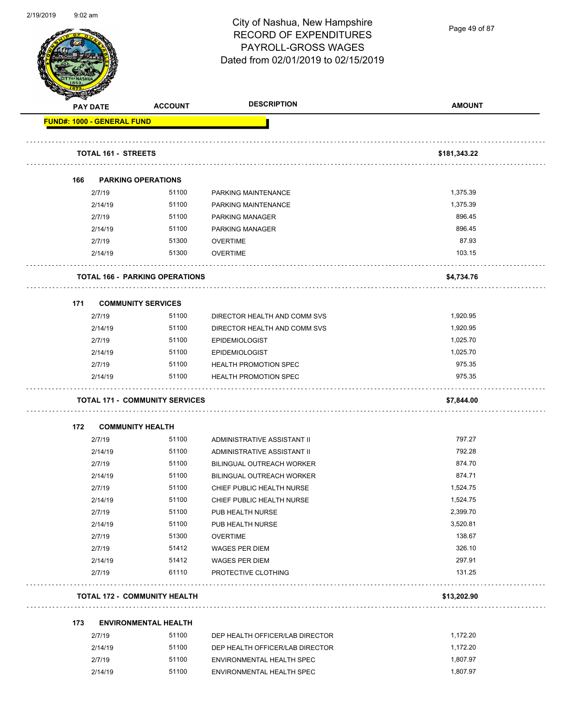

Page 49 of 87

|     | <b>PAY DATE</b>                   | <b>ACCOUNT</b>                        | <b>DESCRIPTION</b>                                           | <b>AMOUNT</b>        |
|-----|-----------------------------------|---------------------------------------|--------------------------------------------------------------|----------------------|
|     | <b>FUND#: 1000 - GENERAL FUND</b> |                                       |                                                              |                      |
|     | <b>TOTAL 161 - STREETS</b>        |                                       |                                                              | \$181,343.22         |
| 166 |                                   | <b>PARKING OPERATIONS</b>             |                                                              |                      |
|     | 2/7/19                            | 51100                                 | PARKING MAINTENANCE                                          | 1,375.39             |
|     | 2/14/19                           | 51100                                 | PARKING MAINTENANCE                                          | 1,375.39             |
|     | 2/7/19                            | 51100                                 | <b>PARKING MANAGER</b>                                       | 896.45               |
|     | 2/14/19                           | 51100                                 | <b>PARKING MANAGER</b>                                       | 896.45               |
|     | 2/7/19                            | 51300                                 | <b>OVERTIME</b>                                              | 87.93                |
|     | 2/14/19                           | 51300                                 | <b>OVERTIME</b>                                              | 103.15               |
|     |                                   | <b>TOTAL 166 - PARKING OPERATIONS</b> |                                                              | \$4,734.76           |
|     |                                   |                                       |                                                              |                      |
| 171 |                                   | <b>COMMUNITY SERVICES</b>             |                                                              |                      |
|     | 2/7/19                            | 51100<br>51100                        | DIRECTOR HEALTH AND COMM SVS<br>DIRECTOR HEALTH AND COMM SVS | 1,920.95<br>1,920.95 |
|     | 2/14/19<br>2/7/19                 | 51100                                 |                                                              | 1,025.70             |
|     | 2/14/19                           | 51100                                 | <b>EPIDEMIOLOGIST</b><br><b>EPIDEMIOLOGIST</b>               | 1,025.70             |
|     | 2/7/19                            | 51100                                 | <b>HEALTH PROMOTION SPEC</b>                                 | 975.35               |
|     | 2/14/19                           | 51100                                 | <b>HEALTH PROMOTION SPEC</b>                                 | 975.35               |
|     |                                   |                                       |                                                              |                      |
|     |                                   | <b>TOTAL 171 - COMMUNITY SERVICES</b> |                                                              | \$7,844.00           |
| 172 | <b>COMMUNITY HEALTH</b>           |                                       |                                                              |                      |
|     | 2/7/19                            | 51100                                 | ADMINISTRATIVE ASSISTANT II                                  | 797.27               |
|     | 2/14/19                           | 51100                                 | ADMINISTRATIVE ASSISTANT II                                  | 792.28               |
|     | 2/7/19                            | 51100                                 | BILINGUAL OUTREACH WORKER                                    | 874.70               |
|     | 2/14/19                           | 51100                                 | <b>BILINGUAL OUTREACH WORKER</b>                             | 874.71               |
|     | 2/7/19                            | 51100                                 | CHIEF PUBLIC HEALTH NURSE                                    | 1,524.75             |
|     | 2/14/19                           | 51100                                 | CHIEF PUBLIC HEALTH NURSE                                    | 1,524.75             |
|     | 2/7/19                            | 51100                                 | PUB HEALTH NURSE                                             | 2,399.70             |
|     | 2/14/19                           | 51100                                 | PUB HEALTH NURSE                                             | 3,520.81             |
|     | 2/7/19                            | 51300                                 | <b>OVERTIME</b>                                              | 138.67               |
|     | 2/7/19                            | 51412                                 | WAGES PER DIEM                                               | 326.10               |
|     | 2/14/19<br>2/7/19                 | 51412<br>61110                        | WAGES PER DIEM<br>PROTECTIVE CLOTHING                        | 297.91<br>131.25     |
|     |                                   | <b>TOTAL 172 - COMMUNITY HEALTH</b>   |                                                              | \$13,202.90          |
|     |                                   |                                       |                                                              |                      |
| 173 |                                   | <b>ENVIRONMENTAL HEALTH</b>           |                                                              |                      |
|     | 2/7/19                            | 51100                                 | DEP HEALTH OFFICER/LAB DIRECTOR                              | 1,172.20             |
|     | 2/14/19<br>2/7/19                 | 51100<br>51100                        | DEP HEALTH OFFICER/LAB DIRECTOR<br>ENVIRONMENTAL HEALTH SPEC | 1,172.20<br>1,807.97 |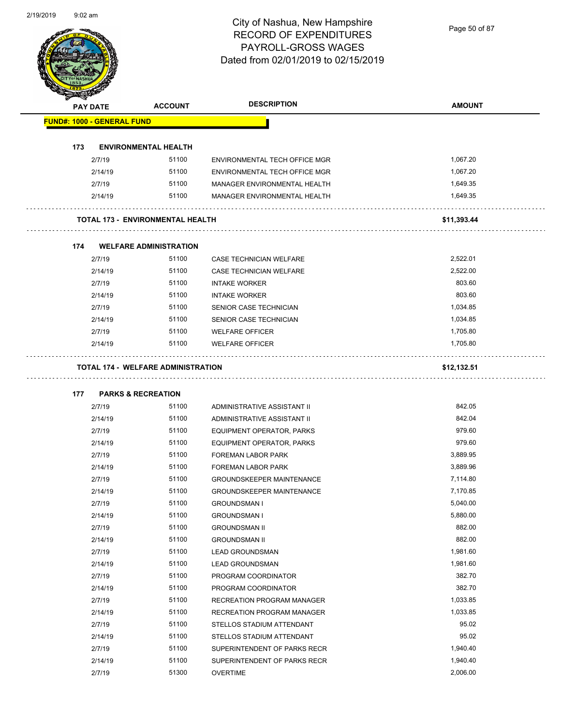Page 50 of 87

|     | <b>PAY DATE</b>                   | <b>ACCOUNT</b>                            | <b>DESCRIPTION</b>               | <b>AMOUNT</b> |
|-----|-----------------------------------|-------------------------------------------|----------------------------------|---------------|
|     | <b>FUND#: 1000 - GENERAL FUND</b> |                                           |                                  |               |
| 173 |                                   | <b>ENVIRONMENTAL HEALTH</b>               |                                  |               |
|     | 2/7/19                            | 51100                                     | ENVIRONMENTAL TECH OFFICE MGR    | 1,067.20      |
|     | 2/14/19                           | 51100                                     | ENVIRONMENTAL TECH OFFICE MGR    | 1,067.20      |
|     | 2/7/19                            | 51100                                     | MANAGER ENVIRONMENTAL HEALTH     | 1,649.35      |
|     | 2/14/19                           | 51100                                     | MANAGER ENVIRONMENTAL HEALTH     | 1,649.35      |
|     |                                   | <b>TOTAL 173 - ENVIRONMENTAL HEALTH</b>   |                                  | \$11,393.44   |
| 174 |                                   | <b>WELFARE ADMINISTRATION</b>             |                                  |               |
|     | 2/7/19                            | 51100                                     | CASE TECHNICIAN WELFARE          | 2,522.01      |
|     | 2/14/19                           | 51100                                     | <b>CASE TECHNICIAN WELFARE</b>   | 2,522.00      |
|     | 2/7/19                            | 51100                                     | <b>INTAKE WORKER</b>             | 803.60        |
|     | 2/14/19                           | 51100                                     | <b>INTAKE WORKER</b>             | 803.60        |
|     | 2/7/19                            | 51100                                     | SENIOR CASE TECHNICIAN           | 1,034.85      |
|     | 2/14/19                           | 51100                                     | SENIOR CASE TECHNICIAN           | 1,034.85      |
|     | 2/7/19                            | 51100                                     | <b>WELFARE OFFICER</b>           | 1,705.80      |
|     | 2/14/19                           | 51100                                     | <b>WELFARE OFFICER</b>           | 1,705.80      |
|     |                                   | <b>TOTAL 174 - WELFARE ADMINISTRATION</b> |                                  | \$12,132.51   |
|     |                                   |                                           |                                  |               |
| 177 |                                   | <b>PARKS &amp; RECREATION</b>             |                                  |               |
|     | 2/7/19                            | 51100                                     | ADMINISTRATIVE ASSISTANT II      | 842.05        |
|     | 2/14/19                           | 51100                                     | ADMINISTRATIVE ASSISTANT II      | 842.04        |
|     | 2/7/19                            | 51100                                     | EQUIPMENT OPERATOR, PARKS        | 979.60        |
|     | 2/14/19                           | 51100                                     | <b>EQUIPMENT OPERATOR, PARKS</b> | 979.60        |
|     | 2/7/19                            | 51100                                     | FOREMAN LABOR PARK               | 3,889.95      |
|     | 2/14/19                           | 51100                                     | FOREMAN LABOR PARK               | 3,889.96      |
|     | 2/7/19                            | 51100                                     | <b>GROUNDSKEEPER MAINTENANCE</b> | 7,114.80      |
|     | 2/14/19                           | 51100                                     | <b>GROUNDSKEEPER MAINTENANCE</b> | 7,170.85      |
|     | 2/7/19                            | 51100                                     | <b>GROUNDSMAN I</b>              | 5,040.00      |
|     | 2/14/19                           | 51100                                     | <b>GROUNDSMAN I</b>              | 5,880.00      |
|     | 2/7/19                            | 51100                                     | <b>GROUNDSMAN II</b>             | 882.00        |
|     | 2/14/19                           | 51100                                     | <b>GROUNDSMAN II</b>             | 882.00        |
|     | 2/7/19                            | 51100                                     | <b>LEAD GROUNDSMAN</b>           | 1,981.60      |
|     | 2/14/19                           | 51100                                     | <b>LEAD GROUNDSMAN</b>           | 1,981.60      |
|     | 2/7/19                            | 51100                                     | PROGRAM COORDINATOR              | 382.70        |
|     | 2/14/19                           | 51100                                     | PROGRAM COORDINATOR              | 382.70        |
|     | 2/7/19                            | 51100                                     | RECREATION PROGRAM MANAGER       | 1,033.85      |
|     | 2/14/19                           | 51100                                     | RECREATION PROGRAM MANAGER       | 1,033.85      |
|     | 2/7/19                            | 51100                                     | STELLOS STADIUM ATTENDANT        | 95.02         |
|     | 2/14/19                           | 51100                                     | STELLOS STADIUM ATTENDANT        | 95.02         |
|     | 2/7/19                            | 51100                                     | SUPERINTENDENT OF PARKS RECR     | 1,940.40      |
|     | 2/14/19                           | 51100                                     | SUPERINTENDENT OF PARKS RECR     | 1,940.40      |
|     | 2/7/19                            | 51300                                     | <b>OVERTIME</b>                  | 2,006.00      |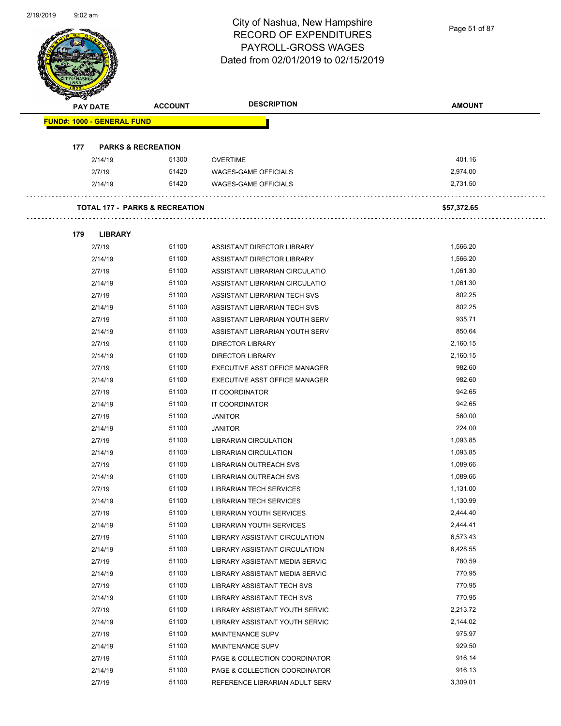Page 51 of 87

|     | <b>PAY DATE</b>                   | <b>ACCOUNT</b>                            | <b>DESCRIPTION</b>                                               | <b>AMOUNT</b>        |
|-----|-----------------------------------|-------------------------------------------|------------------------------------------------------------------|----------------------|
|     | <b>FUND#: 1000 - GENERAL FUND</b> |                                           |                                                                  |                      |
| 177 |                                   | <b>PARKS &amp; RECREATION</b>             |                                                                  |                      |
|     | 2/14/19                           | 51300                                     | <b>OVERTIME</b>                                                  | 401.16               |
|     | 2/7/19                            | 51420                                     | WAGES-GAME OFFICIALS                                             | 2,974.00             |
|     | 2/14/19                           | 51420                                     | <b>WAGES-GAME OFFICIALS</b>                                      | 2,731.50             |
|     |                                   | <b>TOTAL 177 - PARKS &amp; RECREATION</b> |                                                                  | \$57,372.65          |
|     |                                   |                                           |                                                                  |                      |
| 179 | <b>LIBRARY</b>                    |                                           |                                                                  |                      |
|     | 2/7/19                            | 51100                                     | ASSISTANT DIRECTOR LIBRARY                                       | 1,566.20             |
|     | 2/14/19                           | 51100                                     | ASSISTANT DIRECTOR LIBRARY                                       | 1,566.20             |
|     | 2/7/19                            | 51100<br>51100                            | ASSISTANT LIBRARIAN CIRCULATIO                                   | 1,061.30<br>1,061.30 |
|     | 2/14/19                           | 51100                                     | ASSISTANT LIBRARIAN CIRCULATIO                                   | 802.25               |
|     | 2/7/19                            | 51100                                     | ASSISTANT LIBRARIAN TECH SVS<br>ASSISTANT LIBRARIAN TECH SVS     | 802.25               |
|     | 2/14/19                           | 51100                                     |                                                                  | 935.71               |
|     | 2/7/19                            |                                           | ASSISTANT LIBRARIAN YOUTH SERV                                   |                      |
|     | 2/14/19                           | 51100                                     | ASSISTANT LIBRARIAN YOUTH SERV                                   | 850.64               |
|     | 2/7/19                            | 51100<br>51100                            | <b>DIRECTOR LIBRARY</b>                                          | 2,160.15<br>2,160.15 |
|     | 2/14/19                           |                                           | <b>DIRECTOR LIBRARY</b>                                          | 982.60               |
|     | 2/7/19                            | 51100<br>51100                            | EXECUTIVE ASST OFFICE MANAGER                                    | 982.60               |
|     | 2/14/19                           | 51100                                     | EXECUTIVE ASST OFFICE MANAGER                                    | 942.65               |
|     | 2/7/19                            | 51100                                     | IT COORDINATOR                                                   | 942.65               |
|     | 2/14/19                           | 51100                                     | IT COORDINATOR                                                   | 560.00               |
|     | 2/7/19                            |                                           | <b>JANITOR</b>                                                   |                      |
|     | 2/14/19                           | 51100                                     | <b>JANITOR</b>                                                   | 224.00               |
|     | 2/7/19                            | 51100<br>51100                            | <b>LIBRARIAN CIRCULATION</b>                                     | 1,093.85             |
|     | 2/14/19                           | 51100                                     | <b>LIBRARIAN CIRCULATION</b>                                     | 1,093.85             |
|     | 2/7/19                            | 51100                                     | LIBRARIAN OUTREACH SVS                                           | 1,089.66             |
|     | 2/14/19                           |                                           | LIBRARIAN OUTREACH SVS                                           | 1,089.66             |
|     | 2/7/19                            | 51100                                     | <b>LIBRARIAN TECH SERVICES</b><br><b>LIBRARIAN TECH SERVICES</b> | 1,131.00             |
|     | 2/14/19                           | 51100<br>51100                            |                                                                  | 1,130.99             |
|     | 2/7/19                            | 51100                                     | <b>LIBRARIAN YOUTH SERVICES</b>                                  | 2,444.40<br>2,444.41 |
|     | 2/14/19                           |                                           | <b>LIBRARIAN YOUTH SERVICES</b>                                  |                      |
|     | 2/7/19                            | 51100                                     | LIBRARY ASSISTANT CIRCULATION                                    | 6,573.43             |
|     | 2/14/19                           | 51100                                     | LIBRARY ASSISTANT CIRCULATION                                    | 6,428.55             |
|     | 2/7/19                            | 51100                                     | LIBRARY ASSISTANT MEDIA SERVIC                                   | 780.59               |
|     | 2/14/19                           | 51100                                     | LIBRARY ASSISTANT MEDIA SERVIC                                   | 770.95               |
|     | 2/7/19                            | 51100                                     | LIBRARY ASSISTANT TECH SVS                                       | 770.95               |
|     | 2/14/19                           | 51100                                     | LIBRARY ASSISTANT TECH SVS                                       | 770.95               |
|     | 2/7/19                            | 51100                                     | LIBRARY ASSISTANT YOUTH SERVIC                                   | 2,213.72             |
|     | 2/14/19                           | 51100                                     | LIBRARY ASSISTANT YOUTH SERVIC                                   | 2,144.02             |
|     | 2/7/19                            | 51100                                     | MAINTENANCE SUPV                                                 | 975.97               |
|     | 2/14/19                           | 51100                                     | MAINTENANCE SUPV                                                 | 929.50               |
|     | 2/7/19                            | 51100                                     | PAGE & COLLECTION COORDINATOR                                    | 916.14               |
|     | 2/14/19                           | 51100                                     | PAGE & COLLECTION COORDINATOR                                    | 916.13               |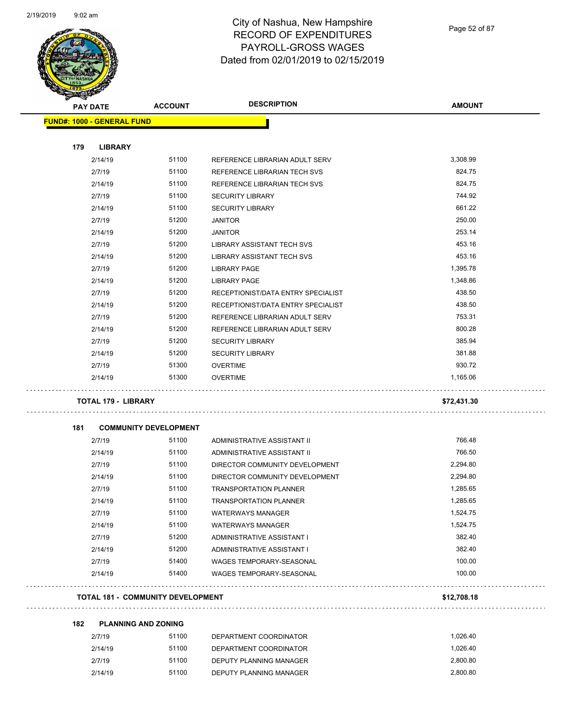

| <b>PAY DATE</b>                   | <b>ACCOUNT</b>                           | <b>DESCRIPTION</b>                                           | <b>AMOUNT</b> |
|-----------------------------------|------------------------------------------|--------------------------------------------------------------|---------------|
| <b>FUND#: 1000 - GENERAL FUND</b> |                                          |                                                              |               |
|                                   |                                          |                                                              |               |
| 179<br><b>LIBRARY</b>             | 51100                                    |                                                              | 3,308.99      |
| 2/14/19                           | 51100                                    | REFERENCE LIBRARIAN ADULT SERV                               | 824.75        |
| 2/7/19<br>2/14/19                 | 51100                                    | REFERENCE LIBRARIAN TECH SVS<br>REFERENCE LIBRARIAN TECH SVS | 824.75        |
| 2/7/19                            | 51100                                    | <b>SECURITY LIBRARY</b>                                      | 744.92        |
| 2/14/19                           | 51100                                    | <b>SECURITY LIBRARY</b>                                      | 661.22        |
| 2/7/19                            | 51200                                    | <b>JANITOR</b>                                               | 250.00        |
| 2/14/19                           | 51200                                    | <b>JANITOR</b>                                               | 253.14        |
| 2/7/19                            | 51200                                    | LIBRARY ASSISTANT TECH SVS                                   | 453.16        |
| 2/14/19                           | 51200                                    | LIBRARY ASSISTANT TECH SVS                                   | 453.16        |
| 2/7/19                            | 51200                                    | LIBRARY PAGE                                                 | 1,395.78      |
| 2/14/19                           | 51200                                    | <b>LIBRARY PAGE</b>                                          | 1,348.86      |
| 2/7/19                            | 51200                                    | RECEPTIONIST/DATA ENTRY SPECIALIST                           | 438.50        |
| 2/14/19                           | 51200                                    | RECEPTIONIST/DATA ENTRY SPECIALIST                           | 438.50        |
| 2/7/19                            | 51200                                    | REFERENCE LIBRARIAN ADULT SERV                               | 753.31        |
| 2/14/19                           | 51200                                    | REFERENCE LIBRARIAN ADULT SERV                               | 800.28        |
| 2/7/19                            | 51200                                    | <b>SECURITY LIBRARY</b>                                      | 385.94        |
| 2/14/19                           | 51200                                    | <b>SECURITY LIBRARY</b>                                      | 381.88        |
| 2/7/19                            | 51300                                    | <b>OVERTIME</b>                                              | 930.72        |
| 2/14/19                           | 51300                                    | <b>OVERTIME</b>                                              | 1,165.06      |
| <b>TOTAL 179 - LIBRARY</b>        |                                          |                                                              | \$72,431.30   |
| 181                               | <b>COMMUNITY DEVELOPMENT</b>             |                                                              |               |
| 2/7/19                            | 51100                                    | ADMINISTRATIVE ASSISTANT II                                  | 766.48        |
| 2/14/19                           | 51100                                    | ADMINISTRATIVE ASSISTANT II                                  | 766.50        |
| 2/7/19                            | 51100                                    | DIRECTOR COMMUNITY DEVELOPMENT                               | 2,294.80      |
| 2/14/19                           | 51100                                    | DIRECTOR COMMUNITY DEVELOPMENT                               | 2,294.80      |
| 2/7/19                            | 51100                                    | <b>TRANSPORTATION PLANNER</b>                                | 1,285.65      |
| 2/14/19                           | 51100                                    | <b>TRANSPORTATION PLANNER</b>                                | 1,285.65      |
| 2/7/19                            | 51100                                    | <b>WATERWAYS MANAGER</b>                                     | 1,524.75      |
| 2/14/19                           | 51100                                    | <b>WATERWAYS MANAGER</b>                                     | 1,524.75      |
| 2/7/19                            | 51200                                    | ADMINISTRATIVE ASSISTANT I                                   | 382.40        |
| 2/14/19                           | 51200                                    | ADMINISTRATIVE ASSISTANT I                                   | 382.40        |
| 2/7/19                            | 51400                                    | WAGES TEMPORARY-SEASONAL                                     | 100.00        |
| 2/14/19                           | 51400                                    | <b>WAGES TEMPORARY-SEASONAL</b>                              | 100.00        |
|                                   | <b>TOTAL 181 - COMMUNITY DEVELOPMENT</b> |                                                              | \$12,708.18   |
| 182                               | <b>PLANNING AND ZONING</b>               |                                                              |               |
| 2/7/19                            | 51100                                    | DEPARTMENT COORDINATOR                                       | 1,026.40      |
| 2/14/19                           | 51100                                    | DEPARTMENT COORDINATOR                                       | 1,026.40      |
| 2/7/19                            | 51100                                    | DEPUTY PLANNING MANAGER                                      | 2,800.80      |

2/14/19 51100 DEPUTY PLANNING MANAGER 2,800.80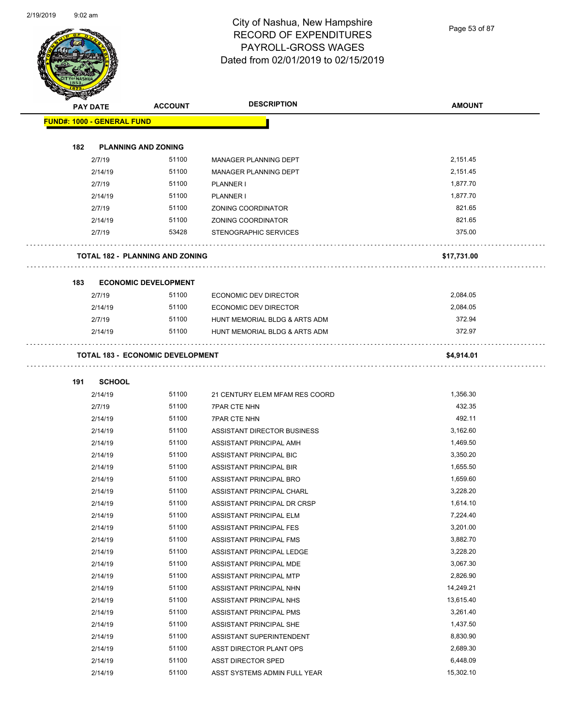Page 53 of 87

| A.                                | <b>PAY DATE</b> | <b>ACCOUNT</b>                          | <b>DESCRIPTION</b>             | <b>AMOUNT</b> |
|-----------------------------------|-----------------|-----------------------------------------|--------------------------------|---------------|
| <b>FUND#: 1000 - GENERAL FUND</b> |                 |                                         |                                |               |
| 182                               |                 | <b>PLANNING AND ZONING</b>              |                                |               |
|                                   | 2/7/19          | 51100                                   | MANAGER PLANNING DEPT          | 2,151.45      |
|                                   | 2/14/19         | 51100                                   | MANAGER PLANNING DEPT          | 2,151.45      |
|                                   | 2/7/19          | 51100                                   | PLANNER I                      | 1,877.70      |
|                                   | 2/14/19         | 51100                                   | PLANNER I                      | 1,877.70      |
|                                   | 2/7/19          | 51100                                   | ZONING COORDINATOR             | 821.65        |
|                                   | 2/14/19         | 51100                                   | <b>ZONING COORDINATOR</b>      | 821.65        |
|                                   | 2/7/19          | 53428                                   | STENOGRAPHIC SERVICES          | 375.00        |
|                                   |                 | <b>TOTAL 182 - PLANNING AND ZONING</b>  |                                | \$17,731.00   |
| 183                               |                 | <b>ECONOMIC DEVELOPMENT</b>             |                                |               |
|                                   | 2/7/19          | 51100                                   | ECONOMIC DEV DIRECTOR          | 2,084.05      |
|                                   | 2/14/19         | 51100                                   | <b>ECONOMIC DEV DIRECTOR</b>   | 2,084.05      |
|                                   | 2/7/19          | 51100                                   | HUNT MEMORIAL BLDG & ARTS ADM  | 372.94        |
|                                   | 2/14/19         | 51100                                   | HUNT MEMORIAL BLDG & ARTS ADM  | 372.97        |
|                                   |                 | <b>TOTAL 183 - ECONOMIC DEVELOPMENT</b> |                                | \$4,914.01    |
| 191                               | <b>SCHOOL</b>   |                                         |                                |               |
|                                   | 2/14/19         | 51100                                   | 21 CENTURY ELEM MFAM RES COORD | 1,356.30      |
|                                   | 2/7/19          | 51100                                   | <b>7PAR CTE NHN</b>            | 432.35        |
|                                   | 2/14/19         | 51100                                   | <b>7PAR CTE NHN</b>            | 492.11        |
|                                   | 2/14/19         | 51100                                   | ASSISTANT DIRECTOR BUSINESS    | 3,162.60      |
|                                   | 2/14/19         | 51100                                   | ASSISTANT PRINCIPAL AMH        | 1,469.50      |
|                                   | 2/14/19         | 51100                                   | ASSISTANT PRINCIPAL BIC        | 3,350.20      |
|                                   | 2/14/19         | 51100                                   | ASSISTANT PRINCIPAL BIR        | 1,655.50      |
|                                   | 2/14/19         | 51100                                   | ASSISTANT PRINCIPAL BRO        | 1,659.60      |
|                                   | 2/14/19         | 51100                                   | ASSISTANT PRINCIPAL CHARL      | 3.228.20      |
|                                   | 2/14/19         | 51100                                   | ASSISTANT PRINCIPAL DR CRSP    | 1,614.10      |
|                                   | 2/14/19         | 51100                                   | ASSISTANT PRINCIPAL ELM        | 7,224.40      |
|                                   | 2/14/19         | 51100                                   | ASSISTANT PRINCIPAL FES        | 3,201.00      |
|                                   | 2/14/19         | 51100                                   | ASSISTANT PRINCIPAL FMS        | 3,882.70      |
|                                   | 2/14/19         | 51100                                   | ASSISTANT PRINCIPAL LEDGE      | 3,228.20      |
|                                   | 2/14/19         | 51100                                   | ASSISTANT PRINCIPAL MDE        | 3,067.30      |
|                                   | 2/14/19         | 51100                                   | ASSISTANT PRINCIPAL MTP        | 2,826.90      |
|                                   | 2/14/19         | 51100                                   | ASSISTANT PRINCIPAL NHN        | 14,249.21     |
|                                   | 2/14/19         | 51100                                   | ASSISTANT PRINCIPAL NHS        | 13,615.40     |
|                                   | 2/14/19         | 51100                                   | ASSISTANT PRINCIPAL PMS        | 3,261.40      |
|                                   | 2/14/19         | 51100                                   | ASSISTANT PRINCIPAL SHE        | 1,437.50      |
|                                   | 2/14/19         | 51100                                   | ASSISTANT SUPERINTENDENT       | 8,830.90      |
|                                   | 2/14/19         | 51100                                   | ASST DIRECTOR PLANT OPS        | 2,689.30      |
|                                   | 2/14/19         | 51100                                   | ASST DIRECTOR SPED             | 6,448.09      |
|                                   | 2/14/19         | 51100                                   | ASST SYSTEMS ADMIN FULL YEAR   | 15,302.10     |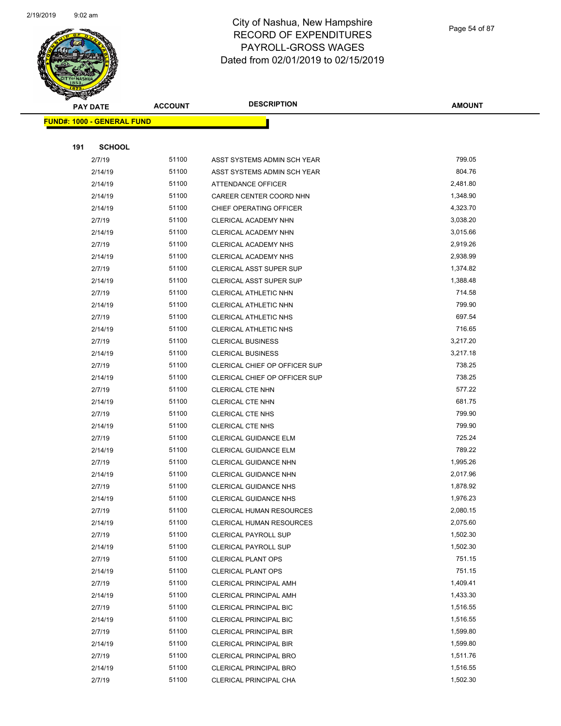

Page 54 of 87

| <b>PAY DATE</b>                   | <b>ACCOUNT</b> | <b>DESCRIPTION</b>                                             | <b>AMOUNT</b>        |
|-----------------------------------|----------------|----------------------------------------------------------------|----------------------|
| <b>FUND#: 1000 - GENERAL FUND</b> |                |                                                                |                      |
|                                   |                |                                                                |                      |
| 191<br><b>SCHOOL</b>              |                |                                                                |                      |
| 2/7/19                            | 51100          | ASST SYSTEMS ADMIN SCH YEAR                                    | 799.05               |
| 2/14/19                           | 51100          | ASST SYSTEMS ADMIN SCH YEAR                                    | 804.76               |
| 2/14/19                           | 51100          | ATTENDANCE OFFICER                                             | 2,481.80             |
| 2/14/19                           | 51100          | CAREER CENTER COORD NHN                                        | 1,348.90             |
| 2/14/19                           | 51100          | CHIEF OPERATING OFFICER                                        | 4,323.70             |
| 2/7/19                            | 51100          | CLERICAL ACADEMY NHN                                           | 3,038.20             |
| 2/14/19                           | 51100          | CLERICAL ACADEMY NHN                                           | 3,015.66             |
| 2/7/19                            | 51100          | CLERICAL ACADEMY NHS                                           | 2,919.26             |
| 2/14/19                           | 51100          | <b>CLERICAL ACADEMY NHS</b>                                    | 2,938.99             |
| 2/7/19                            | 51100          | CLERICAL ASST SUPER SUP                                        | 1,374.82             |
| 2/14/19                           | 51100          | CLERICAL ASST SUPER SUP                                        | 1,388.48             |
| 2/7/19                            | 51100          | CLERICAL ATHLETIC NHN                                          | 714.58               |
| 2/14/19                           | 51100          | CLERICAL ATHLETIC NHN                                          | 799.90               |
| 2/7/19                            | 51100          | CLERICAL ATHLETIC NHS                                          | 697.54               |
| 2/14/19                           | 51100          | CLERICAL ATHLETIC NHS                                          | 716.65               |
| 2/7/19                            | 51100          | <b>CLERICAL BUSINESS</b>                                       | 3,217.20             |
| 2/14/19                           | 51100          | <b>CLERICAL BUSINESS</b>                                       | 3,217.18             |
| 2/7/19                            | 51100          | CLERICAL CHIEF OP OFFICER SUP                                  | 738.25               |
| 2/14/19                           | 51100          | CLERICAL CHIEF OP OFFICER SUP                                  | 738.25               |
| 2/7/19                            | 51100          | <b>CLERICAL CTE NHN</b>                                        | 577.22               |
| 2/14/19                           | 51100          | <b>CLERICAL CTE NHN</b>                                        | 681.75               |
| 2/7/19                            | 51100          | <b>CLERICAL CTE NHS</b>                                        | 799.90               |
| 2/14/19                           | 51100          | <b>CLERICAL CTE NHS</b>                                        | 799.90               |
| 2/7/19                            | 51100          | CLERICAL GUIDANCE ELM                                          | 725.24               |
| 2/14/19                           | 51100          | CLERICAL GUIDANCE ELM                                          | 789.22               |
| 2/7/19                            | 51100          | <b>CLERICAL GUIDANCE NHN</b>                                   | 1,995.26             |
| 2/14/19                           | 51100          | <b>CLERICAL GUIDANCE NHN</b>                                   | 2,017.96             |
| 2/7/19                            | 51100          | <b>CLERICAL GUIDANCE NHS</b>                                   | 1,878.92             |
| 2/14/19                           | 51100          | <b>CLERICAL GUIDANCE NHS</b>                                   | 1,976.23             |
| 2/7/19                            | 51100          | <b>CLERICAL HUMAN RESOURCES</b>                                | 2,080.15             |
| 2/14/19                           | 51100          | <b>CLERICAL HUMAN RESOURCES</b>                                | 2,075.60             |
| 2/7/19                            | 51100          | <b>CLERICAL PAYROLL SUP</b>                                    | 1,502.30             |
| 2/14/19                           | 51100          | <b>CLERICAL PAYROLL SUP</b>                                    | 1,502.30             |
| 2/7/19                            | 51100          | <b>CLERICAL PLANT OPS</b>                                      | 751.15               |
| 2/14/19                           | 51100          | <b>CLERICAL PLANT OPS</b>                                      | 751.15               |
| 2/7/19                            | 51100          | <b>CLERICAL PRINCIPAL AMH</b>                                  | 1,409.41             |
| 2/14/19                           | 51100          | <b>CLERICAL PRINCIPAL AMH</b>                                  | 1,433.30             |
| 2/7/19                            | 51100<br>51100 | <b>CLERICAL PRINCIPAL BIC</b>                                  | 1,516.55<br>1,516.55 |
| 2/14/19                           | 51100          | CLERICAL PRINCIPAL BIC                                         | 1,599.80             |
| 2/7/19<br>2/14/19                 | 51100          | <b>CLERICAL PRINCIPAL BIR</b><br><b>CLERICAL PRINCIPAL BIR</b> | 1,599.80             |
| 2/7/19                            | 51100          | <b>CLERICAL PRINCIPAL BRO</b>                                  | 1,511.76             |
| 2/14/19                           | 51100          | <b>CLERICAL PRINCIPAL BRO</b>                                  | 1,516.55             |
| 2/7/19                            | 51100          | CLERICAL PRINCIPAL CHA                                         | 1,502.30             |
|                                   |                |                                                                |                      |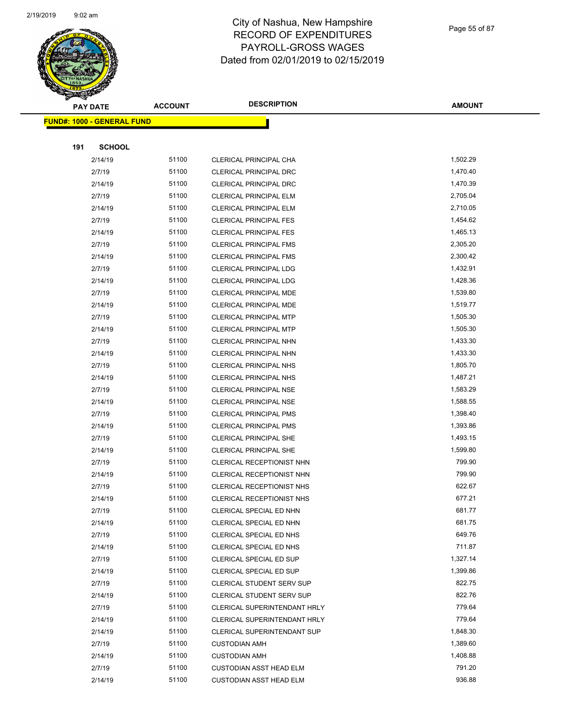

Page 55 of 87

| $\tilde{\phantom{a}}$ | <b>PAY DATE</b>                   | <b>ACCOUNT</b> | <b>DESCRIPTION</b>               | <b>AMOUNT</b>        |
|-----------------------|-----------------------------------|----------------|----------------------------------|----------------------|
|                       | <b>FUND#: 1000 - GENERAL FUND</b> |                |                                  |                      |
|                       |                                   |                |                                  |                      |
| 191                   | <b>SCHOOL</b>                     |                |                                  |                      |
|                       | 2/14/19                           | 51100          | CLERICAL PRINCIPAL CHA           | 1,502.29             |
|                       | 2/7/19                            | 51100          | <b>CLERICAL PRINCIPAL DRC</b>    | 1,470.40             |
|                       | 2/14/19                           | 51100          | <b>CLERICAL PRINCIPAL DRC</b>    | 1,470.39             |
|                       | 2/7/19                            | 51100          | <b>CLERICAL PRINCIPAL ELM</b>    | 2,705.04             |
|                       | 2/14/19                           | 51100          | <b>CLERICAL PRINCIPAL ELM</b>    | 2,710.05             |
|                       | 2/7/19                            | 51100          | <b>CLERICAL PRINCIPAL FES</b>    | 1,454.62             |
|                       | 2/14/19                           | 51100          | <b>CLERICAL PRINCIPAL FES</b>    | 1,465.13             |
|                       | 2/7/19                            | 51100          | <b>CLERICAL PRINCIPAL FMS</b>    | 2,305.20             |
|                       | 2/14/19                           | 51100          | <b>CLERICAL PRINCIPAL FMS</b>    | 2,300.42             |
|                       | 2/7/19                            | 51100          | <b>CLERICAL PRINCIPAL LDG</b>    | 1,432.91             |
|                       | 2/14/19                           | 51100          | <b>CLERICAL PRINCIPAL LDG</b>    | 1,428.36             |
|                       | 2/7/19                            | 51100          | CLERICAL PRINCIPAL MDE           | 1,539.80             |
|                       | 2/14/19                           | 51100          | CLERICAL PRINCIPAL MDE           | 1,519.77             |
|                       | 2/7/19                            | 51100          | <b>CLERICAL PRINCIPAL MTP</b>    | 1,505.30             |
|                       | 2/14/19                           | 51100          | <b>CLERICAL PRINCIPAL MTP</b>    | 1,505.30             |
|                       | 2/7/19                            | 51100          | CLERICAL PRINCIPAL NHN           | 1,433.30             |
|                       | 2/14/19                           | 51100          | CLERICAL PRINCIPAL NHN           | 1,433.30             |
|                       | 2/7/19                            | 51100          | CLERICAL PRINCIPAL NHS           | 1,805.70             |
|                       | 2/14/19                           | 51100          | CLERICAL PRINCIPAL NHS           | 1,487.21             |
|                       | 2/7/19                            | 51100          | <b>CLERICAL PRINCIPAL NSE</b>    | 1,583.29             |
|                       | 2/14/19                           | 51100          | <b>CLERICAL PRINCIPAL NSE</b>    | 1,588.55             |
|                       | 2/7/19                            | 51100          | CLERICAL PRINCIPAL PMS           | 1,398.40             |
|                       | 2/14/19                           | 51100          | <b>CLERICAL PRINCIPAL PMS</b>    | 1,393.86             |
|                       | 2/7/19                            | 51100          | <b>CLERICAL PRINCIPAL SHE</b>    | 1,493.15             |
|                       | 2/14/19                           | 51100          | <b>CLERICAL PRINCIPAL SHE</b>    | 1,599.80             |
|                       | 2/7/19                            | 51100          | CLERICAL RECEPTIONIST NHN        | 799.90               |
|                       | 2/14/19                           | 51100          | CLERICAL RECEPTIONIST NHN        | 799.90               |
|                       | 2/7/19                            | 51100          | CLERICAL RECEPTIONIST NHS        | 622.67               |
|                       | 2/14/19                           | 51100          | CLERICAL RECEPTIONIST NHS        | 677.21               |
|                       | 2/7/19                            | 51100          | CLERICAL SPECIAL ED NHN          | 681.77               |
|                       | 2/14/19                           | 51100          | CLERICAL SPECIAL ED NHN          | 681.75               |
|                       | 2/7/19                            | 51100          | CLERICAL SPECIAL ED NHS          | 649.76               |
|                       | 2/14/19                           | 51100          | CLERICAL SPECIAL ED NHS          | 711.87               |
|                       | 2/7/19                            | 51100          | CLERICAL SPECIAL ED SUP          | 1,327.14             |
|                       | 2/14/19                           | 51100          | CLERICAL SPECIAL ED SUP          | 1,399.86             |
|                       | 2/7/19                            | 51100          | <b>CLERICAL STUDENT SERV SUP</b> | 822.75               |
|                       | 2/14/19                           | 51100          | <b>CLERICAL STUDENT SERV SUP</b> | 822.76               |
|                       | 2/7/19                            | 51100          | CLERICAL SUPERINTENDANT HRLY     | 779.64               |
|                       | 2/14/19                           | 51100          | CLERICAL SUPERINTENDANT HRLY     | 779.64               |
|                       | 2/14/19                           | 51100          | CLERICAL SUPERINTENDANT SUP      | 1,848.30             |
|                       | 2/7/19                            | 51100<br>51100 | <b>CUSTODIAN AMH</b>             | 1,389.60<br>1,408.88 |
|                       | 2/14/19                           |                | <b>CUSTODIAN AMH</b>             |                      |
|                       | 2/7/19                            | 51100          | CUSTODIAN ASST HEAD ELM          | 791.20               |
|                       | 2/14/19                           | 51100          | <b>CUSTODIAN ASST HEAD ELM</b>   | 936.88               |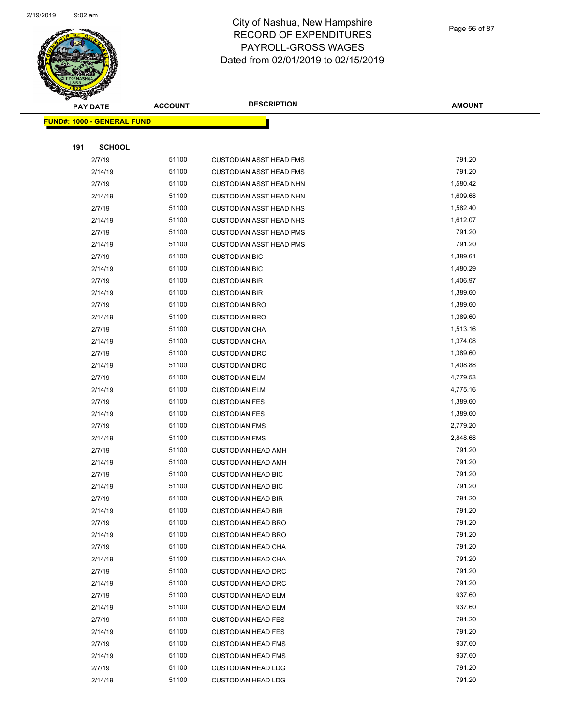

Page 56 of 87

| <b>PAY DATE</b> |                                   | <b>ACCOUNT</b> | <b>DESCRIPTION</b>                                     | <b>AMOUNT</b>    |
|-----------------|-----------------------------------|----------------|--------------------------------------------------------|------------------|
|                 | <b>FUND#: 1000 - GENERAL FUND</b> |                |                                                        |                  |
|                 |                                   |                |                                                        |                  |
| 191             | <b>SCHOOL</b>                     |                |                                                        |                  |
|                 | 2/7/19                            | 51100          | <b>CUSTODIAN ASST HEAD FMS</b>                         | 791.20           |
|                 | 2/14/19                           | 51100          | <b>CUSTODIAN ASST HEAD FMS</b>                         | 791.20           |
|                 | 2/7/19                            | 51100          | <b>CUSTODIAN ASST HEAD NHN</b>                         | 1,580.42         |
|                 | 2/14/19                           | 51100          | <b>CUSTODIAN ASST HEAD NHN</b>                         | 1,609.68         |
|                 | 2/7/19                            | 51100          | <b>CUSTODIAN ASST HEAD NHS</b>                         | 1,582.40         |
|                 | 2/14/19                           | 51100          | <b>CUSTODIAN ASST HEAD NHS</b>                         | 1,612.07         |
|                 | 2/7/19                            | 51100          | <b>CUSTODIAN ASST HEAD PMS</b>                         | 791.20           |
|                 | 2/14/19                           | 51100          | <b>CUSTODIAN ASST HEAD PMS</b>                         | 791.20           |
|                 | 2/7/19                            | 51100          | <b>CUSTODIAN BIC</b>                                   | 1,389.61         |
|                 | 2/14/19                           | 51100          | <b>CUSTODIAN BIC</b>                                   | 1,480.29         |
|                 | 2/7/19                            | 51100          | <b>CUSTODIAN BIR</b>                                   | 1,406.97         |
|                 | 2/14/19                           | 51100          | <b>CUSTODIAN BIR</b>                                   | 1,389.60         |
|                 | 2/7/19                            | 51100          | <b>CUSTODIAN BRO</b>                                   | 1,389.60         |
|                 | 2/14/19                           | 51100          | <b>CUSTODIAN BRO</b>                                   | 1,389.60         |
|                 | 2/7/19                            | 51100          | <b>CUSTODIAN CHA</b>                                   | 1,513.16         |
|                 | 2/14/19                           | 51100          | <b>CUSTODIAN CHA</b>                                   | 1,374.08         |
|                 | 2/7/19                            | 51100          | <b>CUSTODIAN DRC</b>                                   | 1,389.60         |
|                 | 2/14/19                           | 51100          | <b>CUSTODIAN DRC</b>                                   | 1,408.88         |
|                 | 2/7/19                            | 51100          | <b>CUSTODIAN ELM</b>                                   | 4,779.53         |
|                 | 2/14/19                           | 51100          | <b>CUSTODIAN ELM</b>                                   | 4,775.16         |
|                 | 2/7/19                            | 51100          | <b>CUSTODIAN FES</b>                                   | 1,389.60         |
|                 | 2/14/19                           | 51100          | <b>CUSTODIAN FES</b>                                   | 1,389.60         |
|                 | 2/7/19                            | 51100          | <b>CUSTODIAN FMS</b>                                   | 2,779.20         |
|                 | 2/14/19                           | 51100          | <b>CUSTODIAN FMS</b>                                   | 2,848.68         |
|                 | 2/7/19                            | 51100          | <b>CUSTODIAN HEAD AMH</b>                              | 791.20           |
|                 | 2/14/19                           | 51100          | <b>CUSTODIAN HEAD AMH</b>                              | 791.20           |
|                 | 2/7/19                            | 51100          | <b>CUSTODIAN HEAD BIC</b>                              | 791.20           |
|                 | 2/14/19                           | 51100          | <b>CUSTODIAN HEAD BIC</b>                              | 791.20           |
|                 | 2/7/19                            | 51100          | <b>CUSTODIAN HEAD BIR</b>                              | 791.20           |
|                 | 2/14/19                           | 51100          | <b>CUSTODIAN HEAD BIR</b>                              | 791.20           |
|                 | 2/7/19                            | 51100          | <b>CUSTODIAN HEAD BRO</b>                              | 791.20           |
|                 | 2/14/19                           | 51100          | <b>CUSTODIAN HEAD BRO</b>                              | 791.20           |
|                 | 2/7/19                            | 51100<br>51100 | <b>CUSTODIAN HEAD CHA</b>                              | 791.20<br>791.20 |
|                 | 2/14/19<br>2/7/19                 | 51100          | <b>CUSTODIAN HEAD CHA</b>                              | 791.20           |
|                 | 2/14/19                           | 51100          | <b>CUSTODIAN HEAD DRC</b><br><b>CUSTODIAN HEAD DRC</b> | 791.20           |
|                 | 2/7/19                            | 51100          | <b>CUSTODIAN HEAD ELM</b>                              | 937.60           |
|                 | 2/14/19                           | 51100          | <b>CUSTODIAN HEAD ELM</b>                              | 937.60           |
|                 | 2/7/19                            | 51100          | <b>CUSTODIAN HEAD FES</b>                              | 791.20           |
|                 | 2/14/19                           | 51100          | <b>CUSTODIAN HEAD FES</b>                              | 791.20           |
|                 | 2/7/19                            | 51100          | <b>CUSTODIAN HEAD FMS</b>                              | 937.60           |
|                 | 2/14/19                           | 51100          | <b>CUSTODIAN HEAD FMS</b>                              | 937.60           |
|                 | 2/7/19                            | 51100          | <b>CUSTODIAN HEAD LDG</b>                              | 791.20           |
|                 | 2/14/19                           | 51100          | <b>CUSTODIAN HEAD LDG</b>                              | 791.20           |
|                 |                                   |                |                                                        |                  |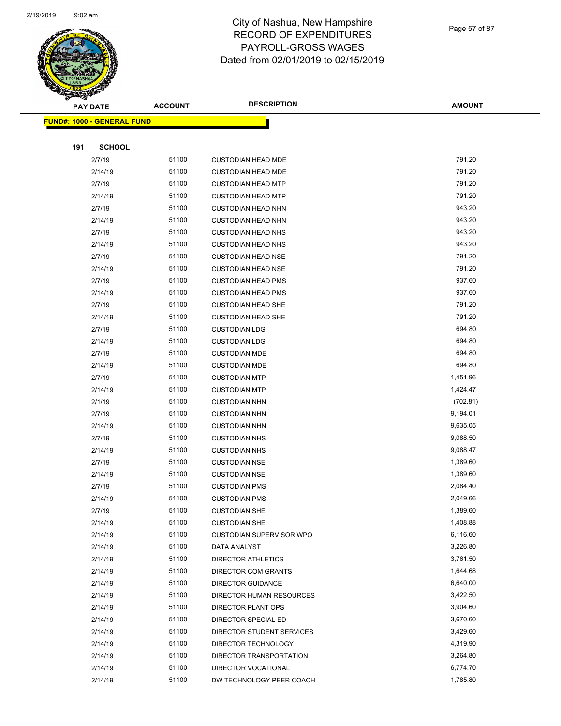

Page 57 of 87

|     | <b>PAY DATE</b>                   | <b>ACCOUNT</b> | <b>DESCRIPTION</b>                               | <b>AMOUNT</b>        |
|-----|-----------------------------------|----------------|--------------------------------------------------|----------------------|
|     | <b>FUND#: 1000 - GENERAL FUND</b> |                |                                                  |                      |
|     |                                   |                |                                                  |                      |
| 191 | <b>SCHOOL</b>                     |                |                                                  |                      |
|     | 2/7/19                            | 51100          | <b>CUSTODIAN HEAD MDE</b>                        | 791.20               |
|     | 2/14/19                           | 51100          | <b>CUSTODIAN HEAD MDE</b>                        | 791.20               |
|     | 2/7/19                            | 51100          | <b>CUSTODIAN HEAD MTP</b>                        | 791.20               |
|     | 2/14/19                           | 51100          | <b>CUSTODIAN HEAD MTP</b>                        | 791.20               |
|     | 2/7/19                            | 51100          | <b>CUSTODIAN HEAD NHN</b>                        | 943.20               |
|     | 2/14/19                           | 51100          | <b>CUSTODIAN HEAD NHN</b>                        | 943.20               |
|     | 2/7/19                            | 51100          | <b>CUSTODIAN HEAD NHS</b>                        | 943.20               |
|     | 2/14/19                           | 51100          | <b>CUSTODIAN HEAD NHS</b>                        | 943.20               |
|     | 2/7/19                            | 51100          | <b>CUSTODIAN HEAD NSE</b>                        | 791.20               |
|     | 2/14/19                           | 51100          | <b>CUSTODIAN HEAD NSE</b>                        | 791.20               |
|     | 2/7/19                            | 51100          | <b>CUSTODIAN HEAD PMS</b>                        | 937.60               |
|     | 2/14/19                           | 51100          | <b>CUSTODIAN HEAD PMS</b>                        | 937.60               |
|     | 2/7/19                            | 51100          | <b>CUSTODIAN HEAD SHE</b>                        | 791.20               |
|     | 2/14/19                           | 51100          | <b>CUSTODIAN HEAD SHE</b>                        | 791.20               |
|     | 2/7/19                            | 51100          | <b>CUSTODIAN LDG</b>                             | 694.80               |
|     | 2/14/19                           | 51100          | <b>CUSTODIAN LDG</b>                             | 694.80               |
|     | 2/7/19                            | 51100          | <b>CUSTODIAN MDE</b>                             | 694.80               |
|     | 2/14/19                           | 51100          | <b>CUSTODIAN MDE</b>                             | 694.80               |
|     | 2/7/19                            | 51100          | <b>CUSTODIAN MTP</b>                             | 1,451.96             |
|     | 2/14/19                           | 51100          | <b>CUSTODIAN MTP</b>                             | 1,424.47             |
|     | 2/1/19                            | 51100          | <b>CUSTODIAN NHN</b>                             | (702.81)             |
|     | 2/7/19                            | 51100          | <b>CUSTODIAN NHN</b>                             | 9,194.01             |
|     | 2/14/19                           | 51100          | <b>CUSTODIAN NHN</b>                             | 9,635.05             |
|     | 2/7/19                            | 51100          | <b>CUSTODIAN NHS</b>                             | 9,088.50             |
|     | 2/14/19                           | 51100          | <b>CUSTODIAN NHS</b>                             | 9,088.47             |
|     | 2/7/19                            | 51100          | <b>CUSTODIAN NSE</b>                             | 1,389.60             |
|     | 2/14/19                           | 51100          | <b>CUSTODIAN NSE</b>                             | 1,389.60             |
|     | 2/7/19                            | 51100          | <b>CUSTODIAN PMS</b>                             | 2,084.40             |
|     | 2/14/19                           | 51100          | <b>CUSTODIAN PMS</b>                             | 2,049.66             |
|     | 2/7/19                            | 51100          | <b>CUSTODIAN SHE</b>                             | 1,389.60             |
|     | 2/14/19                           | 51100          | <b>CUSTODIAN SHE</b>                             | 1,408.88             |
|     | 2/14/19                           | 51100          | <b>CUSTODIAN SUPERVISOR WPO</b>                  | 6,116.60             |
|     | 2/14/19                           | 51100          | DATA ANALYST                                     | 3,226.80             |
|     | 2/14/19                           | 51100          | DIRECTOR ATHLETICS                               | 3,761.50             |
|     | 2/14/19                           | 51100<br>51100 | <b>DIRECTOR COM GRANTS</b>                       | 1,644.68<br>6,640.00 |
|     | 2/14/19                           | 51100          | DIRECTOR GUIDANCE                                | 3,422.50             |
|     | 2/14/19                           |                | DIRECTOR HUMAN RESOURCES                         |                      |
|     | 2/14/19<br>2/14/19                | 51100<br>51100 | DIRECTOR PLANT OPS<br>DIRECTOR SPECIAL ED        | 3,904.60<br>3,670.60 |
|     |                                   | 51100          |                                                  | 3,429.60             |
|     | 2/14/19<br>2/14/19                | 51100          | DIRECTOR STUDENT SERVICES<br>DIRECTOR TECHNOLOGY | 4,319.90             |
|     | 2/14/19                           | 51100          | DIRECTOR TRANSPORTATION                          | 3,264.80             |
|     | 2/14/19                           | 51100          | DIRECTOR VOCATIONAL                              | 6,774.70             |
|     | 2/14/19                           | 51100          | DW TECHNOLOGY PEER COACH                         | 1,785.80             |
|     |                                   |                |                                                  |                      |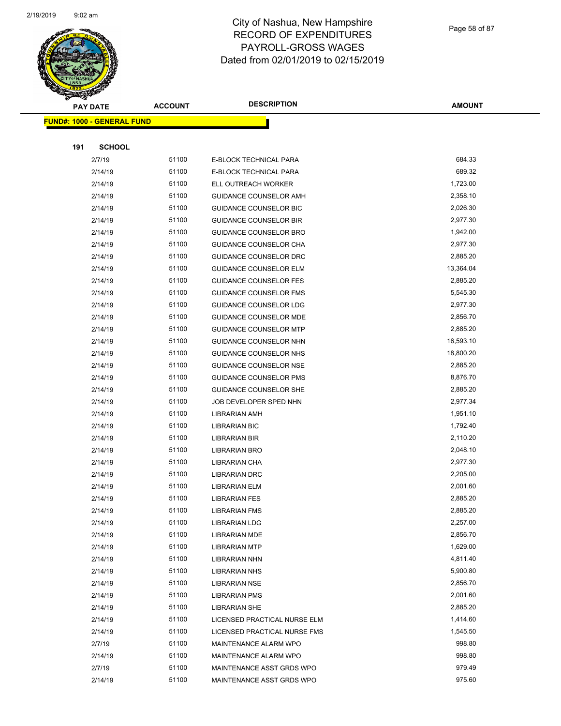

Page 58 of 87

| <b>PAY DATE</b>                   | <b>ACCOUNT</b> | <b>DESCRIPTION</b>            | <b>AMOUNT</b> |
|-----------------------------------|----------------|-------------------------------|---------------|
| <b>FUND#: 1000 - GENERAL FUND</b> |                |                               |               |
|                                   |                |                               |               |
| 191<br><b>SCHOOL</b>              |                |                               |               |
| 2/7/19                            | 51100          | E-BLOCK TECHNICAL PARA        | 684.33        |
| 2/14/19                           | 51100          | E-BLOCK TECHNICAL PARA        | 689.32        |
| 2/14/19                           | 51100          | ELL OUTREACH WORKER           | 1,723.00      |
| 2/14/19                           | 51100          | <b>GUIDANCE COUNSELOR AMH</b> | 2,358.10      |
| 2/14/19                           | 51100          | <b>GUIDANCE COUNSELOR BIC</b> | 2,026.30      |
| 2/14/19                           | 51100          | <b>GUIDANCE COUNSELOR BIR</b> | 2,977.30      |
| 2/14/19                           | 51100          | <b>GUIDANCE COUNSELOR BRO</b> | 1,942.00      |
| 2/14/19                           | 51100          | GUIDANCE COUNSELOR CHA        | 2,977.30      |
| 2/14/19                           | 51100          | GUIDANCE COUNSELOR DRC        | 2,885.20      |
| 2/14/19                           | 51100          | <b>GUIDANCE COUNSELOR ELM</b> | 13,364.04     |
| 2/14/19                           | 51100          | <b>GUIDANCE COUNSELOR FES</b> | 2,885.20      |
| 2/14/19                           | 51100          | <b>GUIDANCE COUNSELOR FMS</b> | 5,545.30      |
| 2/14/19                           | 51100          | <b>GUIDANCE COUNSELOR LDG</b> | 2,977.30      |
| 2/14/19                           | 51100          | GUIDANCE COUNSELOR MDE        | 2,856.70      |
| 2/14/19                           | 51100          | <b>GUIDANCE COUNSELOR MTP</b> | 2,885.20      |
| 2/14/19                           | 51100          | GUIDANCE COUNSELOR NHN        | 16,593.10     |
| 2/14/19                           | 51100          | GUIDANCE COUNSELOR NHS        | 18,800.20     |
| 2/14/19                           | 51100          | <b>GUIDANCE COUNSELOR NSE</b> | 2,885.20      |
| 2/14/19                           | 51100          | <b>GUIDANCE COUNSELOR PMS</b> | 8,876.70      |
| 2/14/19                           | 51100          | <b>GUIDANCE COUNSELOR SHE</b> | 2,885.20      |
| 2/14/19                           | 51100          | JOB DEVELOPER SPED NHN        | 2,977.34      |
| 2/14/19                           | 51100          | LIBRARIAN AMH                 | 1,951.10      |
| 2/14/19                           | 51100          | <b>LIBRARIAN BIC</b>          | 1,792.40      |
| 2/14/19                           | 51100          | LIBRARIAN BIR                 | 2,110.20      |
| 2/14/19                           | 51100          | LIBRARIAN BRO                 | 2,048.10      |
| 2/14/19                           | 51100          | LIBRARIAN CHA                 | 2,977.30      |
| 2/14/19                           | 51100          | <b>LIBRARIAN DRC</b>          | 2,205.00      |
| 2/14/19                           | 51100          | <b>LIBRARIAN ELM</b>          | 2,001.60      |
| 2/14/19                           | 51100          | <b>LIBRARIAN FES</b>          | 2,885.20      |
| 2/14/19                           | 51100          | <b>LIBRARIAN FMS</b>          | 2,885.20      |
| 2/14/19                           | 51100          | <b>LIBRARIAN LDG</b>          | 2,257.00      |
| 2/14/19                           | 51100          | LIBRARIAN MDE                 | 2,856.70      |
| 2/14/19                           | 51100          | <b>LIBRARIAN MTP</b>          | 1,629.00      |
| 2/14/19                           | 51100          | LIBRARIAN NHN                 | 4,811.40      |
| 2/14/19                           | 51100          | <b>LIBRARIAN NHS</b>          | 5,900.80      |
| 2/14/19                           | 51100          | <b>LIBRARIAN NSE</b>          | 2,856.70      |
| 2/14/19                           | 51100          | <b>LIBRARIAN PMS</b>          | 2,001.60      |
| 2/14/19                           | 51100          | <b>LIBRARIAN SHE</b>          | 2,885.20      |
| 2/14/19                           | 51100          | LICENSED PRACTICAL NURSE ELM  | 1,414.60      |
| 2/14/19                           | 51100          | LICENSED PRACTICAL NURSE FMS  | 1,545.50      |
| 2/7/19                            | 51100          | MAINTENANCE ALARM WPO         | 998.80        |
| 2/14/19                           | 51100          | MAINTENANCE ALARM WPO         | 998.80        |
| 2/7/19                            | 51100          | MAINTENANCE ASST GRDS WPO     | 979.49        |
| 2/14/19                           | 51100          | MAINTENANCE ASST GRDS WPO     | 975.60        |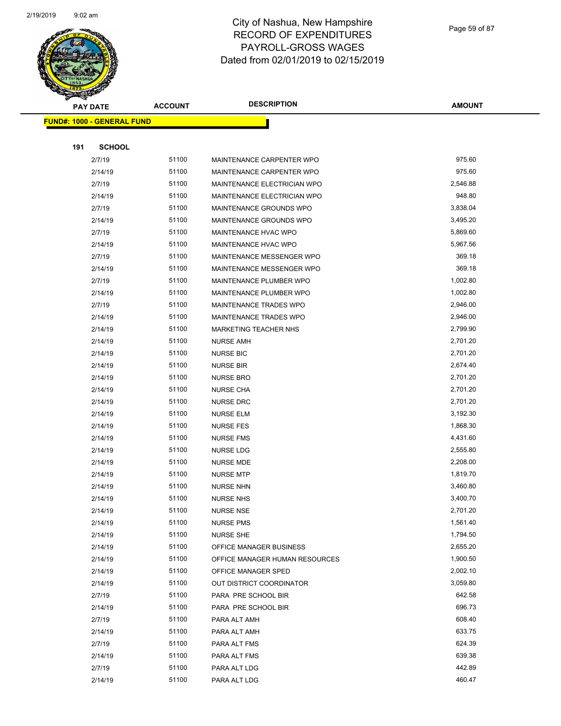

Page 59 of 87

|     | <b>PAY DATE</b>                   | <b>ACCOUNT</b> | <b>DESCRIPTION</b>             | <b>AMOUNT</b> |
|-----|-----------------------------------|----------------|--------------------------------|---------------|
|     | <b>FUND#: 1000 - GENERAL FUND</b> |                |                                |               |
|     |                                   |                |                                |               |
| 191 | <b>SCHOOL</b>                     |                |                                |               |
|     | 2/7/19                            | 51100          | MAINTENANCE CARPENTER WPO      | 975.60        |
|     | 2/14/19                           | 51100          | MAINTENANCE CARPENTER WPO      | 975.60        |
|     | 2/7/19                            | 51100          | MAINTENANCE ELECTRICIAN WPO    | 2,546.88      |
|     | 2/14/19                           | 51100          | MAINTENANCE ELECTRICIAN WPO    | 948.80        |
|     | 2/7/19                            | 51100          | MAINTENANCE GROUNDS WPO        | 3,838.04      |
|     | 2/14/19                           | 51100          | MAINTENANCE GROUNDS WPO        | 3,495.20      |
|     | 2/7/19                            | 51100          | MAINTENANCE HVAC WPO           | 5,869.60      |
|     | 2/14/19                           | 51100          | MAINTENANCE HVAC WPO           | 5,967.56      |
|     | 2/7/19                            | 51100          | MAINTENANCE MESSENGER WPO      | 369.18        |
|     | 2/14/19                           | 51100          | MAINTENANCE MESSENGER WPO      | 369.18        |
|     | 2/7/19                            | 51100          | MAINTENANCE PLUMBER WPO        | 1,002.80      |
|     | 2/14/19                           | 51100          | MAINTENANCE PLUMBER WPO        | 1,002.80      |
|     | 2/7/19                            | 51100          | MAINTENANCE TRADES WPO         | 2,946.00      |
|     | 2/14/19                           | 51100          | MAINTENANCE TRADES WPO         | 2,946.00      |
|     | 2/14/19                           | 51100          | MARKETING TEACHER NHS          | 2,799.90      |
|     | 2/14/19                           | 51100          | <b>NURSE AMH</b>               | 2,701.20      |
|     | 2/14/19                           | 51100          | <b>NURSE BIC</b>               | 2,701.20      |
|     | 2/14/19                           | 51100          | <b>NURSE BIR</b>               | 2,674.40      |
|     | 2/14/19                           | 51100          | <b>NURSE BRO</b>               | 2,701.20      |
|     | 2/14/19                           | 51100          | <b>NURSE CHA</b>               | 2,701.20      |
|     | 2/14/19                           | 51100          | <b>NURSE DRC</b>               | 2,701.20      |
|     | 2/14/19                           | 51100          | <b>NURSE ELM</b>               | 3,192.30      |
|     | 2/14/19                           | 51100          | <b>NURSE FES</b>               | 1,868.30      |
|     | 2/14/19                           | 51100          | <b>NURSE FMS</b>               | 4,431.60      |
|     | 2/14/19                           | 51100          | <b>NURSE LDG</b>               | 2,555.80      |
|     | 2/14/19                           | 51100          | <b>NURSE MDE</b>               | 2,208.00      |
|     | 2/14/19                           | 51100          | <b>NURSE MTP</b>               | 1,819.70      |
|     | 2/14/19                           | 51100          | <b>NURSE NHN</b>               | 3,460.80      |
|     | 2/14/19                           | 51100          | <b>NURSE NHS</b>               | 3,400.70      |
|     | 2/14/19                           | 51100          | NURSE NSE                      | 2,701.20      |
|     | 2/14/19                           | 51100          | <b>NURSE PMS</b>               | 1,561.40      |
|     | 2/14/19                           | 51100          | <b>NURSE SHE</b>               | 1,794.50      |
|     | 2/14/19                           | 51100          | OFFICE MANAGER BUSINESS        | 2,655.20      |
|     | 2/14/19                           | 51100          | OFFICE MANAGER HUMAN RESOURCES | 1,900.50      |
|     | 2/14/19                           | 51100          | OFFICE MANAGER SPED            | 2,002.10      |
|     | 2/14/19                           | 51100          | OUT DISTRICT COORDINATOR       | 3,059.80      |
|     | 2/7/19                            | 51100          | PARA PRE SCHOOL BIR            | 642.58        |
|     | 2/14/19                           | 51100          | PARA PRE SCHOOL BIR            | 696.73        |
|     | 2/7/19                            | 51100          | PARA ALT AMH                   | 608.40        |
|     | 2/14/19                           | 51100          | PARA ALT AMH                   | 633.75        |
|     | 2/7/19                            | 51100          | PARA ALT FMS                   | 624.39        |
|     | 2/14/19                           | 51100          | PARA ALT FMS                   | 639.38        |
|     | 2/7/19                            | 51100          | PARA ALT LDG                   | 442.89        |
|     | 2/14/19                           | 51100          | PARA ALT LDG                   | 460.47        |
|     |                                   |                |                                |               |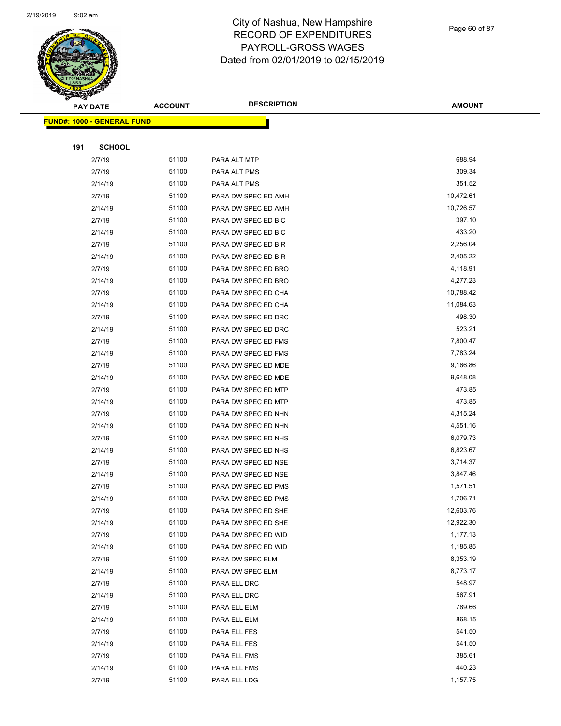

Page 60 of 87

| <b>PAY DATE</b>                   | <b>ACCOUNT</b> | <b>DESCRIPTION</b>  | <b>AMOUNT</b>    |
|-----------------------------------|----------------|---------------------|------------------|
| <b>FUND#: 1000 - GENERAL FUND</b> |                |                     |                  |
|                                   |                |                     |                  |
| <b>SCHOOL</b><br>191              |                |                     |                  |
| 2/7/19                            | 51100          | PARA ALT MTP        | 688.94           |
| 2/7/19                            | 51100          | PARA ALT PMS        | 309.34           |
| 2/14/19                           | 51100          | PARA ALT PMS        | 351.52           |
| 2/7/19                            | 51100          | PARA DW SPEC ED AMH | 10,472.61        |
| 2/14/19                           | 51100          | PARA DW SPEC ED AMH | 10,726.57        |
| 2/7/19                            | 51100          | PARA DW SPEC ED BIC | 397.10           |
| 2/14/19                           | 51100          | PARA DW SPEC ED BIC | 433.20           |
| 2/7/19                            | 51100          | PARA DW SPEC ED BIR | 2,256.04         |
| 2/14/19                           | 51100          | PARA DW SPEC ED BIR | 2,405.22         |
| 2/7/19                            | 51100          | PARA DW SPEC ED BRO | 4,118.91         |
| 2/14/19                           | 51100          | PARA DW SPEC ED BRO | 4,277.23         |
| 2/7/19                            | 51100          | PARA DW SPEC ED CHA | 10,788.42        |
| 2/14/19                           | 51100          | PARA DW SPEC ED CHA | 11,084.63        |
| 2/7/19                            | 51100          | PARA DW SPEC ED DRC | 498.30           |
| 2/14/19                           | 51100          | PARA DW SPEC ED DRC | 523.21           |
| 2/7/19                            | 51100          | PARA DW SPEC ED FMS | 7,800.47         |
| 2/14/19                           | 51100          | PARA DW SPEC ED FMS | 7,783.24         |
| 2/7/19                            | 51100          | PARA DW SPEC ED MDE | 9,166.86         |
| 2/14/19                           | 51100          | PARA DW SPEC ED MDE | 9,648.08         |
| 2/7/19                            | 51100          | PARA DW SPEC ED MTP | 473.85           |
| 2/14/19                           | 51100          | PARA DW SPEC ED MTP | 473.85           |
| 2/7/19                            | 51100          | PARA DW SPEC ED NHN | 4,315.24         |
| 2/14/19                           | 51100          | PARA DW SPEC ED NHN | 4,551.16         |
| 2/7/19                            | 51100          | PARA DW SPEC ED NHS | 6,079.73         |
| 2/14/19                           | 51100          | PARA DW SPEC ED NHS | 6,823.67         |
| 2/7/19                            | 51100          | PARA DW SPEC ED NSE | 3,714.37         |
| 2/14/19                           | 51100          | PARA DW SPEC ED NSE | 3,847.46         |
| 2/7/19                            | 51100          | PARA DW SPEC ED PMS | 1,571.51         |
| 2/14/19                           | 51100          | PARA DW SPEC ED PMS | 1,706.71         |
| 2/7/19                            | 51100          | PARA DW SPEC ED SHE | 12,603.76        |
| 2/14/19                           | 51100          | PARA DW SPEC ED SHE | 12,922.30        |
| 2/7/19                            | 51100          | PARA DW SPEC ED WID | 1,177.13         |
| 2/14/19                           | 51100          | PARA DW SPEC ED WID | 1,185.85         |
| 2/7/19                            | 51100          | PARA DW SPEC ELM    | 8,353.19         |
| 2/14/19                           | 51100          | PARA DW SPEC ELM    | 8,773.17         |
| 2/7/19                            | 51100          | PARA ELL DRC        | 548.97           |
| 2/14/19                           | 51100          | PARA ELL DRC        | 567.91           |
| 2/7/19                            | 51100          | PARA ELL ELM        | 789.66           |
| 2/14/19                           | 51100          | PARA ELL ELM        | 868.15           |
| 2/7/19                            | 51100          | PARA ELL FES        | 541.50           |
| 2/14/19                           | 51100<br>51100 | PARA ELL FES        | 541.50<br>385.61 |
| 2/7/19                            |                | PARA ELL FMS        | 440.23           |
| 2/14/19                           | 51100<br>51100 | PARA ELL FMS        | 1,157.75         |
| 2/7/19                            |                | PARA ELL LDG        |                  |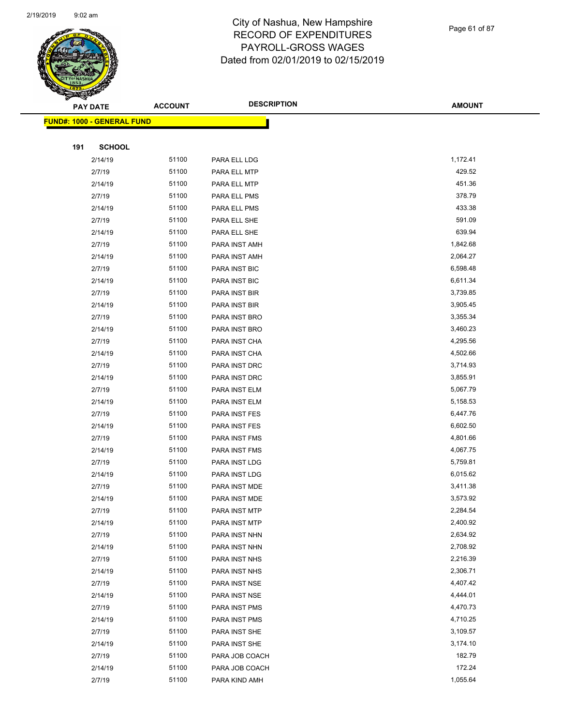

Page 61 of 87

|     | <b>PAY DATE</b>                   | <b>ACCOUNT</b> | <b>DESCRIPTION</b>              | <b>AMOUNT</b>        |
|-----|-----------------------------------|----------------|---------------------------------|----------------------|
|     | <b>FUND#: 1000 - GENERAL FUND</b> |                |                                 |                      |
|     |                                   |                |                                 |                      |
| 191 | <b>SCHOOL</b>                     |                |                                 |                      |
|     | 2/14/19                           | 51100          | PARA ELL LDG                    | 1,172.41             |
|     | 2/7/19                            | 51100          | PARA ELL MTP                    | 429.52               |
|     | 2/14/19                           | 51100          | PARA ELL MTP                    | 451.36               |
|     | 2/7/19                            | 51100          | PARA ELL PMS                    | 378.79               |
|     | 2/14/19                           | 51100          | PARA ELL PMS                    | 433.38               |
|     | 2/7/19                            | 51100          | PARA ELL SHE                    | 591.09               |
|     | 2/14/19                           | 51100          | PARA ELL SHE                    | 639.94               |
|     | 2/7/19                            | 51100          | PARA INST AMH                   | 1,842.68             |
|     | 2/14/19                           | 51100          | PARA INST AMH                   | 2,064.27             |
|     | 2/7/19                            | 51100          | PARA INST BIC                   | 6,598.48             |
|     | 2/14/19                           | 51100          | PARA INST BIC                   | 6,611.34             |
|     | 2/7/19                            | 51100          | PARA INST BIR                   | 3,739.85             |
|     | 2/14/19                           | 51100          | PARA INST BIR                   | 3,905.45             |
|     | 2/7/19                            | 51100          | PARA INST BRO                   | 3,355.34             |
|     | 2/14/19                           | 51100          | PARA INST BRO                   | 3,460.23             |
|     | 2/7/19                            | 51100          | PARA INST CHA                   | 4,295.56             |
|     | 2/14/19                           | 51100          | PARA INST CHA                   | 4,502.66             |
|     | 2/7/19                            | 51100          | PARA INST DRC                   | 3,714.93             |
|     | 2/14/19                           | 51100          | PARA INST DRC                   | 3,855.91             |
|     | 2/7/19                            | 51100          | PARA INST ELM                   | 5,067.79             |
|     | 2/14/19                           | 51100          | PARA INST ELM                   | 5,158.53             |
|     | 2/7/19                            | 51100          | PARA INST FES                   | 6,447.76             |
|     | 2/14/19                           | 51100          | PARA INST FES                   | 6,602.50             |
|     | 2/7/19                            | 51100          | PARA INST FMS                   | 4,801.66             |
|     | 2/14/19                           | 51100          | PARA INST FMS                   | 4,067.75             |
|     | 2/7/19                            | 51100          | PARA INST LDG                   | 5,759.81             |
|     | 2/14/19                           | 51100          | PARA INST LDG                   | 6,015.62             |
|     | 2/7/19                            | 51100          | PARA INST MDE                   | 3,411.38             |
|     | 2/14/19                           | 51100          | PARA INST MDE                   | 3,573.92             |
|     | 2/7/19                            | 51100          | PARA INST MTP                   | 2,284.54             |
|     | 2/14/19                           | 51100          | PARA INST MTP                   | 2,400.92             |
|     | 2/7/19                            | 51100          | PARA INST NHN                   | 2,634.92             |
|     | 2/14/19                           | 51100          | PARA INST NHN                   | 2,708.92             |
|     | 2/7/19                            | 51100          | PARA INST NHS                   | 2,216.39             |
|     | 2/14/19                           | 51100          | PARA INST NHS                   | 2,306.71<br>4,407.42 |
|     | 2/7/19                            | 51100<br>51100 | PARA INST NSE                   | 4,444.01             |
|     | 2/14/19                           |                | PARA INST NSE                   | 4,470.73             |
|     | 2/7/19                            | 51100          | PARA INST PMS                   |                      |
|     | 2/14/19                           | 51100<br>51100 | PARA INST PMS                   | 4,710.25<br>3,109.57 |
|     | 2/7/19<br>2/14/19                 | 51100          | PARA INST SHE                   | 3,174.10             |
|     | 2/7/19                            | 51100          | PARA INST SHE<br>PARA JOB COACH | 182.79               |
|     | 2/14/19                           | 51100          | PARA JOB COACH                  | 172.24               |
|     | 2/7/19                            | 51100          | PARA KIND AMH                   | 1,055.64             |
|     |                                   |                |                                 |                      |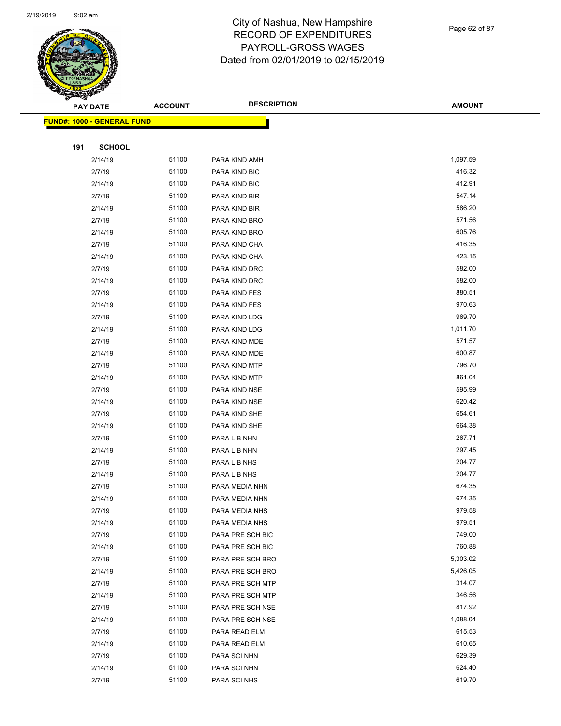

Page 62 of 87

|     | <b>PAY DATE</b>                   | <b>ACCOUNT</b> | <b>DESCRIPTION</b>                   | <b>AMOUNT</b>      |
|-----|-----------------------------------|----------------|--------------------------------------|--------------------|
|     | <b>FUND#: 1000 - GENERAL FUND</b> |                |                                      |                    |
|     |                                   |                |                                      |                    |
| 191 | <b>SCHOOL</b>                     |                |                                      |                    |
|     | 2/14/19                           | 51100          | PARA KIND AMH                        | 1,097.59           |
|     | 2/7/19                            | 51100          | PARA KIND BIC                        | 416.32             |
|     | 2/14/19                           | 51100          | PARA KIND BIC                        | 412.91             |
|     | 2/7/19                            | 51100          | PARA KIND BIR                        | 547.14             |
|     | 2/14/19                           | 51100          | PARA KIND BIR                        | 586.20             |
|     | 2/7/19                            | 51100          | PARA KIND BRO                        | 571.56             |
|     | 2/14/19                           | 51100          | PARA KIND BRO                        | 605.76             |
|     | 2/7/19                            | 51100          | PARA KIND CHA                        | 416.35             |
|     | 2/14/19                           | 51100          | PARA KIND CHA                        | 423.15             |
|     | 2/7/19                            | 51100          | PARA KIND DRC                        | 582.00             |
|     | 2/14/19                           | 51100          | PARA KIND DRC                        | 582.00             |
|     | 2/7/19                            | 51100          | PARA KIND FES                        | 880.51             |
|     | 2/14/19                           | 51100          | PARA KIND FES                        | 970.63             |
|     | 2/7/19                            | 51100          | PARA KIND LDG                        | 969.70             |
|     | 2/14/19                           | 51100          | PARA KIND LDG                        | 1,011.70           |
|     | 2/7/19                            | 51100          | PARA KIND MDE                        | 571.57             |
|     | 2/14/19                           | 51100          | PARA KIND MDE                        | 600.87             |
|     | 2/7/19                            | 51100          | PARA KIND MTP                        | 796.70             |
|     | 2/14/19                           | 51100          | PARA KIND MTP                        | 861.04             |
|     | 2/7/19                            | 51100          | PARA KIND NSE                        | 595.99             |
|     | 2/14/19                           | 51100          | PARA KIND NSE                        | 620.42             |
|     | 2/7/19                            | 51100          | PARA KIND SHE                        | 654.61             |
|     | 2/14/19                           | 51100          | PARA KIND SHE                        | 664.38             |
|     | 2/7/19                            | 51100          | PARA LIB NHN                         | 267.71             |
|     | 2/14/19                           | 51100          | PARA LIB NHN                         | 297.45             |
|     | 2/7/19                            | 51100          | PARA LIB NHS                         | 204.77             |
|     | 2/14/19                           | 51100          | PARA LIB NHS                         | 204.77             |
|     | 2/7/19                            | 51100          | PARA MEDIA NHN                       | 674.35             |
|     | 2/14/19                           | 51100          | PARA MEDIA NHN                       | 674.35             |
|     | 2/7/19                            | 51100          | PARA MEDIA NHS                       | 979.58             |
|     | 2/14/19                           | 51100          | PARA MEDIA NHS                       | 979.51             |
|     | 2/7/19                            | 51100          | PARA PRE SCH BIC<br>PARA PRE SCH BIC | 749.00             |
|     | 2/14/19<br>2/7/19                 | 51100<br>51100 | PARA PRE SCH BRO                     | 760.88<br>5,303.02 |
|     | 2/14/19                           | 51100          | PARA PRE SCH BRO                     | 5,426.05           |
|     | 2/7/19                            | 51100          | PARA PRE SCH MTP                     | 314.07             |
|     | 2/14/19                           | 51100          | PARA PRE SCH MTP                     | 346.56             |
|     | 2/7/19                            | 51100          | PARA PRE SCH NSE                     | 817.92             |
|     | 2/14/19                           | 51100          | PARA PRE SCH NSE                     | 1,088.04           |
|     | 2/7/19                            | 51100          | PARA READ ELM                        | 615.53             |
|     | 2/14/19                           | 51100          | PARA READ ELM                        | 610.65             |
|     | 2/7/19                            | 51100          | PARA SCI NHN                         | 629.39             |
|     | 2/14/19                           | 51100          | PARA SCI NHN                         | 624.40             |
|     | 2/7/19                            | 51100          | PARA SCI NHS                         | 619.70             |
|     |                                   |                |                                      |                    |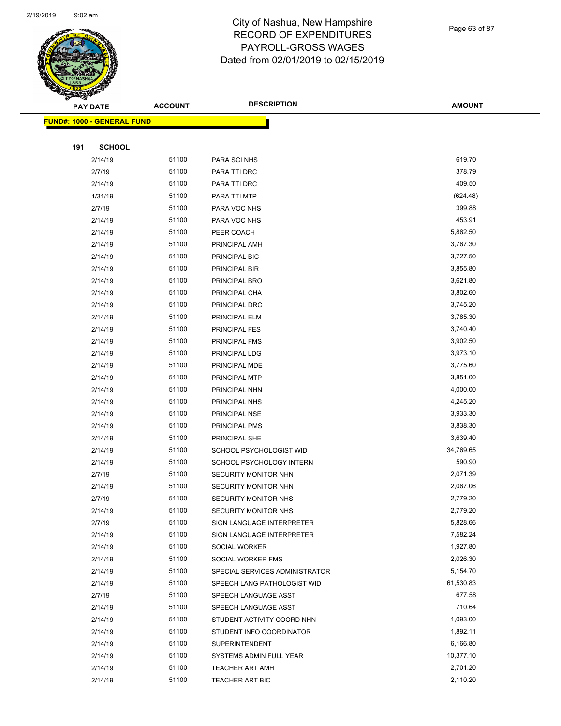

Page 63 of 87

| <b>PAY DATE</b>                   | <b>ACCOUNT</b> | <b>DESCRIPTION</b>             | <b>AMOUNT</b> |
|-----------------------------------|----------------|--------------------------------|---------------|
| <b>FUND#: 1000 - GENERAL FUND</b> |                |                                |               |
|                                   |                |                                |               |
| 191<br><b>SCHOOL</b>              |                |                                |               |
| 2/14/19                           | 51100          | PARA SCI NHS                   | 619.70        |
| 2/7/19                            | 51100          | PARA TTI DRC                   | 378.79        |
| 2/14/19                           | 51100          | PARA TTI DRC                   | 409.50        |
| 1/31/19                           | 51100          | PARA TTI MTP                   | (624.48)      |
| 2/7/19                            | 51100          | PARA VOC NHS                   | 399.88        |
| 2/14/19                           | 51100          | PARA VOC NHS                   | 453.91        |
| 2/14/19                           | 51100          | PEER COACH                     | 5,862.50      |
| 2/14/19                           | 51100          | PRINCIPAL AMH                  | 3,767.30      |
| 2/14/19                           | 51100          | PRINCIPAL BIC                  | 3,727.50      |
| 2/14/19                           | 51100          | PRINCIPAL BIR                  | 3,855.80      |
| 2/14/19                           | 51100          | PRINCIPAL BRO                  | 3,621.80      |
| 2/14/19                           | 51100          | PRINCIPAL CHA                  | 3,802.60      |
| 2/14/19                           | 51100          | PRINCIPAL DRC                  | 3,745.20      |
| 2/14/19                           | 51100          | PRINCIPAL ELM                  | 3,785.30      |
| 2/14/19                           | 51100          | PRINCIPAL FES                  | 3,740.40      |
| 2/14/19                           | 51100          | PRINCIPAL FMS                  | 3,902.50      |
| 2/14/19                           | 51100          | PRINCIPAL LDG                  | 3,973.10      |
| 2/14/19                           | 51100          | PRINCIPAL MDE                  | 3,775.60      |
| 2/14/19                           | 51100          | PRINCIPAL MTP                  | 3,851.00      |
| 2/14/19                           | 51100          | PRINCIPAL NHN                  | 4,000.00      |
| 2/14/19                           | 51100          | PRINCIPAL NHS                  | 4,245.20      |
| 2/14/19                           | 51100          | PRINCIPAL NSE                  | 3,933.30      |
| 2/14/19                           | 51100          | PRINCIPAL PMS                  | 3,838.30      |
| 2/14/19                           | 51100          | PRINCIPAL SHE                  | 3,639.40      |
| 2/14/19                           | 51100          | SCHOOL PSYCHOLOGIST WID        | 34,769.65     |
| 2/14/19                           | 51100          | SCHOOL PSYCHOLOGY INTERN       | 590.90        |
| 2/7/19                            | 51100          | SECURITY MONITOR NHN           | 2,071.39      |
| 2/14/19                           | 51100          | SECURITY MONITOR NHN           | 2,067.06      |
| 2/7/19                            | 51100          | SECURITY MONITOR NHS           | 2,779.20      |
| 2/14/19                           | 51100          | SECURITY MONITOR NHS           | 2,779.20      |
| 2/7/19                            | 51100          | SIGN LANGUAGE INTERPRETER      | 5,828.66      |
| 2/14/19                           | 51100          | SIGN LANGUAGE INTERPRETER      | 7,582.24      |
| 2/14/19                           | 51100          | SOCIAL WORKER                  | 1,927.80      |
| 2/14/19                           | 51100          | SOCIAL WORKER FMS              | 2,026.30      |
| 2/14/19                           | 51100          | SPECIAL SERVICES ADMINISTRATOR | 5,154.70      |
| 2/14/19                           | 51100          | SPEECH LANG PATHOLOGIST WID    | 61,530.83     |
| 2/7/19                            | 51100          | SPEECH LANGUAGE ASST           | 677.58        |
| 2/14/19                           | 51100          | SPEECH LANGUAGE ASST           | 710.64        |
| 2/14/19                           | 51100          | STUDENT ACTIVITY COORD NHN     | 1,093.00      |
| 2/14/19                           | 51100          | STUDENT INFO COORDINATOR       | 1,892.11      |
| 2/14/19                           | 51100          | <b>SUPERINTENDENT</b>          | 6,166.80      |
| 2/14/19                           | 51100          | SYSTEMS ADMIN FULL YEAR        | 10,377.10     |
| 2/14/19                           | 51100          | <b>TEACHER ART AMH</b>         | 2,701.20      |
| 2/14/19                           | 51100          | <b>TEACHER ART BIC</b>         | 2,110.20      |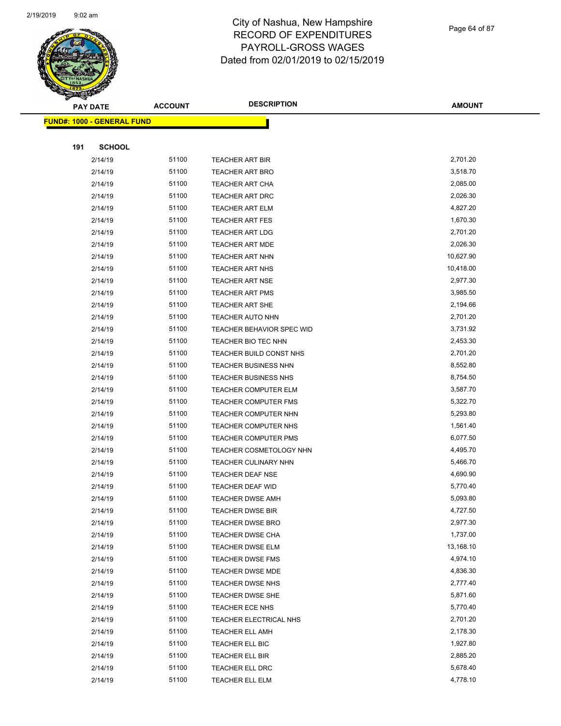

Page 64 of 87

|     | <b>PAY DATE</b>                   | <b>ACCOUNT</b> | <b>DESCRIPTION</b>             | <b>AMOUNT</b> |
|-----|-----------------------------------|----------------|--------------------------------|---------------|
|     | <b>FUND#: 1000 - GENERAL FUND</b> |                |                                |               |
|     |                                   |                |                                |               |
| 191 | <b>SCHOOL</b>                     |                |                                |               |
|     | 2/14/19                           | 51100          | <b>TEACHER ART BIR</b>         | 2,701.20      |
|     | 2/14/19                           | 51100          | TEACHER ART BRO                | 3,518.70      |
|     | 2/14/19                           | 51100          | TEACHER ART CHA                | 2,085.00      |
|     | 2/14/19                           | 51100          | <b>TEACHER ART DRC</b>         | 2,026.30      |
|     | 2/14/19                           | 51100          | <b>TEACHER ART ELM</b>         | 4,827.20      |
|     | 2/14/19                           | 51100          | <b>TEACHER ART FES</b>         | 1,670.30      |
|     | 2/14/19                           | 51100          | <b>TEACHER ART LDG</b>         | 2,701.20      |
|     | 2/14/19                           | 51100          | <b>TEACHER ART MDE</b>         | 2,026.30      |
|     | 2/14/19                           | 51100          | <b>TEACHER ART NHN</b>         | 10,627.90     |
|     | 2/14/19                           | 51100          | <b>TEACHER ART NHS</b>         | 10,418.00     |
|     | 2/14/19                           | 51100          | <b>TEACHER ART NSE</b>         | 2,977.30      |
|     | 2/14/19                           | 51100          | <b>TEACHER ART PMS</b>         | 3,985.50      |
|     | 2/14/19                           | 51100          | <b>TEACHER ART SHE</b>         | 2,194.66      |
|     | 2/14/19                           | 51100          | TEACHER AUTO NHN               | 2,701.20      |
|     | 2/14/19                           | 51100          | TEACHER BEHAVIOR SPEC WID      | 3,731.92      |
|     | 2/14/19                           | 51100          | TEACHER BIO TEC NHN            | 2,453.30      |
|     | 2/14/19                           | 51100          | TEACHER BUILD CONST NHS        | 2,701.20      |
|     | 2/14/19                           | 51100          | TEACHER BUSINESS NHN           | 8,552.80      |
|     | 2/14/19                           | 51100          | TEACHER BUSINESS NHS           | 8,754.50      |
|     | 2/14/19                           | 51100          | <b>TEACHER COMPUTER ELM</b>    | 3,587.70      |
|     | 2/14/19                           | 51100          | <b>TEACHER COMPUTER FMS</b>    | 5,322.70      |
|     | 2/14/19                           | 51100          | <b>TEACHER COMPUTER NHN</b>    | 5,293.80      |
|     | 2/14/19                           | 51100          | <b>TEACHER COMPUTER NHS</b>    | 1,561.40      |
|     | 2/14/19                           | 51100          | <b>TEACHER COMPUTER PMS</b>    | 6,077.50      |
|     | 2/14/19                           | 51100          | <b>TEACHER COSMETOLOGY NHN</b> | 4,495.70      |
|     | 2/14/19                           | 51100          | TEACHER CULINARY NHN           | 5,466.70      |
|     | 2/14/19                           | 51100          | TEACHER DEAF NSE               | 4,690.90      |
|     | 2/14/19                           | 51100          | TEACHER DEAF WID               | 5,770.40      |
|     | 2/14/19                           | 51100          | <b>TEACHER DWSE AMH</b>        | 5,093.80      |
|     | 2/14/19                           | 51100          | <b>TEACHER DWSE BIR</b>        | 4,727.50      |
|     | 2/14/19                           | 51100          | <b>TEACHER DWSE BRO</b>        | 2,977.30      |
|     | 2/14/19                           | 51100          | <b>TEACHER DWSE CHA</b>        | 1,737.00      |
|     | 2/14/19                           | 51100          | <b>TEACHER DWSE ELM</b>        | 13,168.10     |
|     | 2/14/19                           | 51100          | <b>TEACHER DWSE FMS</b>        | 4,974.10      |
|     | 2/14/19                           | 51100          | <b>TEACHER DWSE MDE</b>        | 4,836.30      |
|     | 2/14/19                           | 51100          | <b>TEACHER DWSE NHS</b>        | 2,777.40      |
|     | 2/14/19                           | 51100          | <b>TEACHER DWSE SHE</b>        | 5,871.60      |
|     | 2/14/19                           | 51100          | <b>TEACHER ECE NHS</b>         | 5,770.40      |
|     | 2/14/19                           | 51100          | TEACHER ELECTRICAL NHS         | 2,701.20      |
|     | 2/14/19                           | 51100          | <b>TEACHER ELL AMH</b>         | 2,178.30      |
|     | 2/14/19                           | 51100          | TEACHER ELL BIC                | 1,927.80      |
|     | 2/14/19                           | 51100          | TEACHER ELL BIR                | 2,885.20      |
|     | 2/14/19                           | 51100          | <b>TEACHER ELL DRC</b>         | 5,678.40      |
|     | 2/14/19                           | 51100          | TEACHER ELL ELM                | 4,778.10      |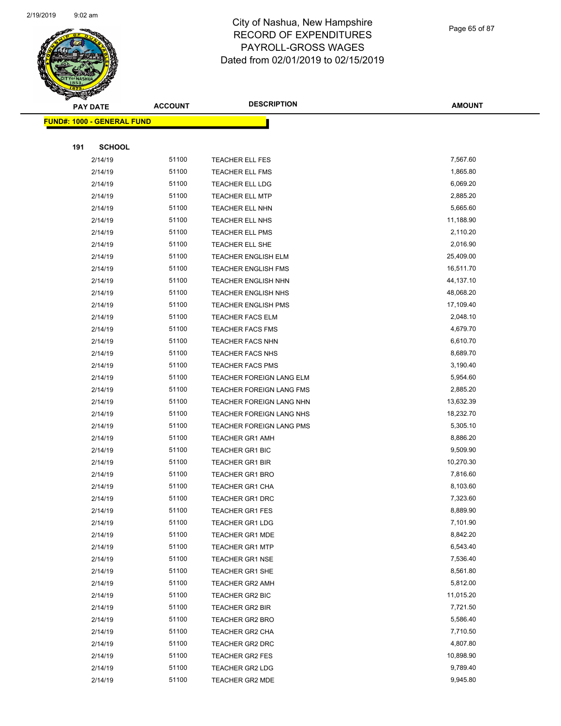

Page 65 of 87

|     | <b>PAY DATE</b>                   | <b>ACCOUNT</b> | <b>DESCRIPTION</b>              | <b>AMOUNT</b>         |
|-----|-----------------------------------|----------------|---------------------------------|-----------------------|
|     | <b>FUND#: 1000 - GENERAL FUND</b> |                |                                 |                       |
|     |                                   |                |                                 |                       |
| 191 | <b>SCHOOL</b>                     |                |                                 |                       |
|     | 2/14/19                           | 51100          | TEACHER ELL FES                 | 7,567.60              |
|     | 2/14/19                           | 51100          | <b>TEACHER ELL FMS</b>          | 1,865.80              |
|     | 2/14/19                           | 51100          | TEACHER ELL LDG                 | 6,069.20              |
|     | 2/14/19                           | 51100          | <b>TEACHER ELL MTP</b>          | 2,885.20              |
|     | 2/14/19                           | 51100          | <b>TEACHER ELL NHN</b>          | 5,665.60              |
|     | 2/14/19                           | 51100          | TEACHER ELL NHS                 | 11,188.90             |
|     | 2/14/19                           | 51100          | <b>TEACHER ELL PMS</b>          | 2,110.20              |
|     | 2/14/19                           | 51100          | TEACHER ELL SHE                 | 2,016.90              |
|     | 2/14/19                           | 51100          | <b>TEACHER ENGLISH ELM</b>      | 25,409.00             |
|     | 2/14/19                           | 51100          | <b>TEACHER ENGLISH FMS</b>      | 16,511.70             |
|     | 2/14/19                           | 51100          | <b>TEACHER ENGLISH NHN</b>      | 44,137.10             |
|     | 2/14/19                           | 51100          | <b>TEACHER ENGLISH NHS</b>      | 48,068.20             |
|     | 2/14/19                           | 51100          | <b>TEACHER ENGLISH PMS</b>      | 17,109.40             |
|     | 2/14/19                           | 51100          | <b>TEACHER FACS ELM</b>         | 2,048.10              |
|     | 2/14/19                           | 51100          | <b>TEACHER FACS FMS</b>         | 4,679.70              |
|     | 2/14/19                           | 51100          | <b>TEACHER FACS NHN</b>         | 6,610.70              |
|     | 2/14/19                           | 51100          | <b>TEACHER FACS NHS</b>         | 8,689.70              |
|     | 2/14/19                           | 51100          | <b>TEACHER FACS PMS</b>         | 3,190.40              |
|     | 2/14/19                           | 51100          | TEACHER FOREIGN LANG ELM        | 5,954.60              |
|     | 2/14/19                           | 51100          | TEACHER FOREIGN LANG FMS        | 2,885.20              |
|     | 2/14/19                           | 51100          | TEACHER FOREIGN LANG NHN        | 13,632.39             |
|     | 2/14/19                           | 51100          | TEACHER FOREIGN LANG NHS        | 18,232.70             |
|     | 2/14/19                           | 51100          | <b>TEACHER FOREIGN LANG PMS</b> | 5,305.10              |
|     | 2/14/19                           | 51100          | <b>TEACHER GR1 AMH</b>          | 8,886.20              |
|     | 2/14/19                           | 51100          | <b>TEACHER GR1 BIC</b>          | 9,509.90              |
|     | 2/14/19                           | 51100          | <b>TEACHER GR1 BIR</b>          | 10,270.30             |
|     | 2/14/19                           | 51100          | <b>TEACHER GR1 BRO</b>          | 7,816.60              |
|     | 2/14/19                           | 51100          | <b>TEACHER GR1 CHA</b>          | 8,103.60              |
|     | 2/14/19                           | 51100          | <b>TEACHER GR1 DRC</b>          | 7,323.60              |
|     | 2/14/19                           | 51100          | <b>TEACHER GR1 FES</b>          | 8,889.90              |
|     | 2/14/19                           | 51100          | <b>TEACHER GR1 LDG</b>          | 7,101.90              |
|     | 2/14/19                           | 51100          | <b>TEACHER GR1 MDE</b>          | 8,842.20              |
|     | 2/14/19                           | 51100          | <b>TEACHER GR1 MTP</b>          | 6,543.40              |
|     | 2/14/19                           | 51100          | <b>TEACHER GR1 NSE</b>          | 7,536.40              |
|     | 2/14/19                           | 51100          | TEACHER GR1 SHE                 | 8,561.80              |
|     | 2/14/19                           | 51100          | <b>TEACHER GR2 AMH</b>          | 5,812.00              |
|     | 2/14/19                           | 51100          | TEACHER GR2 BIC                 | 11,015.20             |
|     | 2/14/19                           | 51100          | <b>TEACHER GR2 BIR</b>          | 7,721.50              |
|     | 2/14/19                           | 51100          | TEACHER GR2 BRO                 | 5,586.40              |
|     | 2/14/19                           | 51100          | TEACHER GR2 CHA                 | 7,710.50              |
|     | 2/14/19                           | 51100          | TEACHER GR2 DRC                 | 4,807.80              |
|     | 2/14/19                           | 51100          | TEACHER GR2 FES                 | 10,898.90<br>9,789.40 |
|     | 2/14/19                           | 51100<br>51100 | TEACHER GR2 LDG                 | 9,945.80              |
|     | 2/14/19                           |                | TEACHER GR2 MDE                 |                       |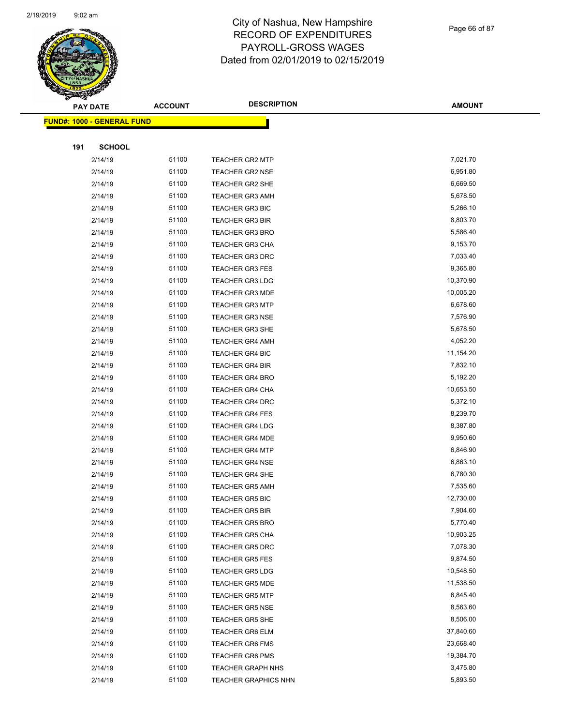

#### Page 66 of 87

| $\tilde{\phantom{a}}$ | <b>PAY DATE</b>                   | <b>ACCOUNT</b> | <b>DESCRIPTION</b>          | <b>AMOUNT</b> |
|-----------------------|-----------------------------------|----------------|-----------------------------|---------------|
|                       | <b>FUND#: 1000 - GENERAL FUND</b> |                |                             |               |
|                       |                                   |                |                             |               |
| 191                   | <b>SCHOOL</b>                     |                |                             |               |
|                       | 2/14/19                           | 51100          | <b>TEACHER GR2 MTP</b>      | 7,021.70      |
|                       | 2/14/19                           | 51100          | <b>TEACHER GR2 NSE</b>      | 6,951.80      |
|                       | 2/14/19                           | 51100          | TEACHER GR2 SHE             | 6,669.50      |
|                       | 2/14/19                           | 51100          | <b>TEACHER GR3 AMH</b>      | 5,678.50      |
|                       | 2/14/19                           | 51100          | <b>TEACHER GR3 BIC</b>      | 5,266.10      |
|                       | 2/14/19                           | 51100          | <b>TEACHER GR3 BIR</b>      | 8,803.70      |
|                       | 2/14/19                           | 51100          | <b>TEACHER GR3 BRO</b>      | 5,586.40      |
|                       | 2/14/19                           | 51100          | <b>TEACHER GR3 CHA</b>      | 9,153.70      |
|                       | 2/14/19                           | 51100          | <b>TEACHER GR3 DRC</b>      | 7,033.40      |
|                       | 2/14/19                           | 51100          | TEACHER GR3 FES             | 9,365.80      |
|                       | 2/14/19                           | 51100          | <b>TEACHER GR3 LDG</b>      | 10,370.90     |
|                       | 2/14/19                           | 51100          | <b>TEACHER GR3 MDE</b>      | 10,005.20     |
|                       | 2/14/19                           | 51100          | <b>TEACHER GR3 MTP</b>      | 6,678.60      |
|                       | 2/14/19                           | 51100          | <b>TEACHER GR3 NSE</b>      | 7,576.90      |
|                       | 2/14/19                           | 51100          | <b>TEACHER GR3 SHE</b>      | 5,678.50      |
|                       | 2/14/19                           | 51100          | <b>TEACHER GR4 AMH</b>      | 4,052.20      |
|                       | 2/14/19                           | 51100          | <b>TEACHER GR4 BIC</b>      | 11,154.20     |
|                       | 2/14/19                           | 51100          | <b>TEACHER GR4 BIR</b>      | 7,832.10      |
|                       | 2/14/19                           | 51100          | <b>TEACHER GR4 BRO</b>      | 5,192.20      |
|                       | 2/14/19                           | 51100          | TEACHER GR4 CHA             | 10,653.50     |
|                       | 2/14/19                           | 51100          | <b>TEACHER GR4 DRC</b>      | 5,372.10      |
|                       | 2/14/19                           | 51100          | <b>TEACHER GR4 FES</b>      | 8,239.70      |
|                       | 2/14/19                           | 51100          | <b>TEACHER GR4 LDG</b>      | 8,387.80      |
|                       | 2/14/19                           | 51100          | <b>TEACHER GR4 MDE</b>      | 9,950.60      |
|                       | 2/14/19                           | 51100          | <b>TEACHER GR4 MTP</b>      | 6,846.90      |
|                       | 2/14/19                           | 51100          | <b>TEACHER GR4 NSE</b>      | 6,863.10      |
|                       | 2/14/19                           | 51100          | <b>TEACHER GR4 SHE</b>      | 6,780.30      |
|                       | 2/14/19                           | 51100          | <b>TEACHER GR5 AMH</b>      | 7,535.60      |
|                       | 2/14/19                           | 51100          | <b>TEACHER GR5 BIC</b>      | 12,730.00     |
|                       | 2/14/19                           | 51100          | TEACHER GR5 BIR             | 7,904.60      |
|                       | 2/14/19                           | 51100          | <b>TEACHER GR5 BRO</b>      | 5,770.40      |
|                       | 2/14/19                           | 51100          | <b>TEACHER GR5 CHA</b>      | 10,903.25     |
|                       | 2/14/19                           | 51100          | <b>TEACHER GR5 DRC</b>      | 7,078.30      |
|                       | 2/14/19                           | 51100          | <b>TEACHER GR5 FES</b>      | 9,874.50      |
|                       | 2/14/19                           | 51100          | <b>TEACHER GR5 LDG</b>      | 10,548.50     |
|                       | 2/14/19                           | 51100          | <b>TEACHER GR5 MDE</b>      | 11,538.50     |
|                       | 2/14/19                           | 51100          | <b>TEACHER GR5 MTP</b>      | 6,845.40      |
|                       | 2/14/19                           | 51100          | <b>TEACHER GR5 NSE</b>      | 8,563.60      |
|                       | 2/14/19                           | 51100          | <b>TEACHER GR5 SHE</b>      | 8,506.00      |
|                       | 2/14/19                           | 51100          | TEACHER GR6 ELM             | 37,840.60     |
|                       | 2/14/19                           | 51100          | <b>TEACHER GR6 FMS</b>      | 23,668.40     |
|                       | 2/14/19                           | 51100          | <b>TEACHER GR6 PMS</b>      | 19,384.70     |
|                       | 2/14/19                           | 51100          | <b>TEACHER GRAPH NHS</b>    | 3,475.80      |
|                       | 2/14/19                           | 51100          | <b>TEACHER GRAPHICS NHN</b> | 5,893.50      |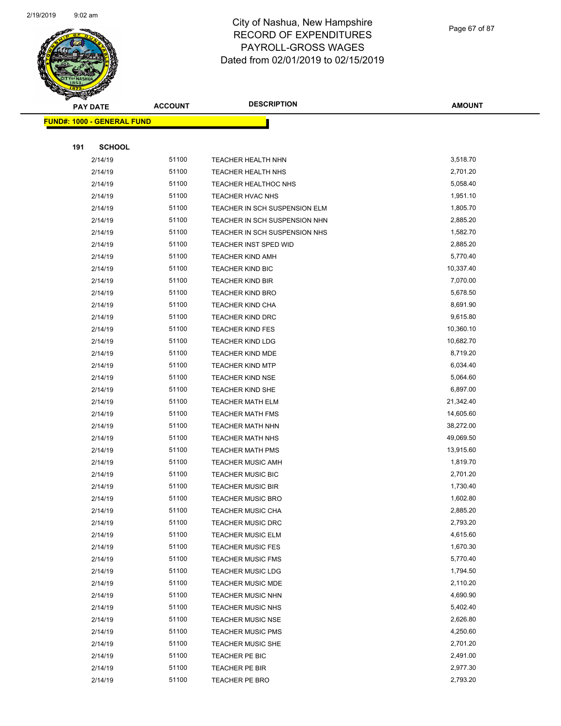

Page 67 of 87

| <b>PAY DATE</b>                   | <b>ACCOUNT</b> | <b>DESCRIPTION</b>            | <b>AMOUNT</b> |
|-----------------------------------|----------------|-------------------------------|---------------|
| <b>FUND#: 1000 - GENERAL FUND</b> |                |                               |               |
|                                   |                |                               |               |
| <b>SCHOOL</b><br>191              |                |                               |               |
| 2/14/19                           | 51100          | <b>TEACHER HEALTH NHN</b>     | 3,518.70      |
| 2/14/19                           | 51100          | <b>TEACHER HEALTH NHS</b>     | 2,701.20      |
| 2/14/19                           | 51100          | <b>TEACHER HEALTHOC NHS</b>   | 5,058.40      |
| 2/14/19                           | 51100          | TEACHER HVAC NHS              | 1,951.10      |
| 2/14/19                           | 51100          | TEACHER IN SCH SUSPENSION ELM | 1,805.70      |
| 2/14/19                           | 51100          | TEACHER IN SCH SUSPENSION NHN | 2,885.20      |
| 2/14/19                           | 51100          | TEACHER IN SCH SUSPENSION NHS | 1,582.70      |
| 2/14/19                           | 51100          | TEACHER INST SPED WID         | 2,885.20      |
| 2/14/19                           | 51100          | <b>TEACHER KIND AMH</b>       | 5,770.40      |
| 2/14/19                           | 51100          | TEACHER KIND BIC              | 10,337.40     |
| 2/14/19                           | 51100          | <b>TEACHER KIND BIR</b>       | 7,070.00      |
| 2/14/19                           | 51100          | <b>TEACHER KIND BRO</b>       | 5,678.50      |
| 2/14/19                           | 51100          | <b>TEACHER KIND CHA</b>       | 8,691.90      |
| 2/14/19                           | 51100          | <b>TEACHER KIND DRC</b>       | 9,615.80      |
| 2/14/19                           | 51100          | <b>TEACHER KIND FES</b>       | 10,360.10     |
| 2/14/19                           | 51100          | <b>TEACHER KIND LDG</b>       | 10,682.70     |
| 2/14/19                           | 51100          | <b>TEACHER KIND MDE</b>       | 8,719.20      |
| 2/14/19                           | 51100          | <b>TEACHER KIND MTP</b>       | 6,034.40      |
| 2/14/19                           | 51100          | <b>TEACHER KIND NSE</b>       | 5,064.60      |
| 2/14/19                           | 51100          | <b>TEACHER KIND SHE</b>       | 6,897.00      |
| 2/14/19                           | 51100          | <b>TEACHER MATH ELM</b>       | 21,342.40     |
| 2/14/19                           | 51100          | <b>TEACHER MATH FMS</b>       | 14,605.60     |
| 2/14/19                           | 51100          | <b>TEACHER MATH NHN</b>       | 38,272.00     |
| 2/14/19                           | 51100          | <b>TEACHER MATH NHS</b>       | 49,069.50     |
| 2/14/19                           | 51100          | TEACHER MATH PMS              | 13,915.60     |
| 2/14/19                           | 51100          | <b>TEACHER MUSIC AMH</b>      | 1,819.70      |
| 2/14/19                           | 51100          | <b>TEACHER MUSIC BIC</b>      | 2,701.20      |
| 2/14/19                           | 51100          | <b>TEACHER MUSIC BIR</b>      | 1,730.40      |
| 2/14/19                           | 51100          | <b>TEACHER MUSIC BRO</b>      | 1,602.80      |
| 2/14/19                           | 51100          | TEACHER MUSIC CHA             | 2,885.20      |
| 2/14/19                           | 51100          | <b>TEACHER MUSIC DRC</b>      | 2,793.20      |
| 2/14/19                           | 51100          | <b>TEACHER MUSIC ELM</b>      | 4,615.60      |
| 2/14/19                           | 51100          | <b>TEACHER MUSIC FES</b>      | 1,670.30      |
| 2/14/19                           | 51100          | <b>TEACHER MUSIC FMS</b>      | 5,770.40      |
| 2/14/19                           | 51100          | <b>TEACHER MUSIC LDG</b>      | 1,794.50      |
| 2/14/19                           | 51100          | <b>TEACHER MUSIC MDE</b>      | 2,110.20      |
| 2/14/19                           | 51100          | <b>TEACHER MUSIC NHN</b>      | 4,690.90      |
| 2/14/19                           | 51100          | TEACHER MUSIC NHS             | 5,402.40      |
| 2/14/19                           | 51100          | <b>TEACHER MUSIC NSE</b>      | 2,626.80      |
| 2/14/19                           | 51100          | <b>TEACHER MUSIC PMS</b>      | 4,250.60      |
| 2/14/19                           | 51100          | <b>TEACHER MUSIC SHE</b>      | 2,701.20      |
| 2/14/19                           | 51100          | TEACHER PE BIC                | 2,491.00      |
| 2/14/19                           | 51100          | TEACHER PE BIR                | 2,977.30      |
| 2/14/19                           | 51100          | TEACHER PE BRO                | 2,793.20      |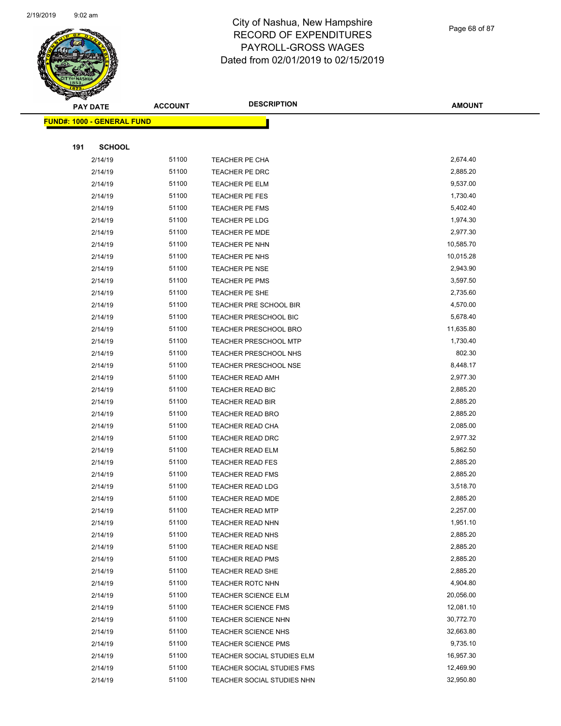

Page 68 of 87

|     | <b>PAY DATE</b>                   | <b>ACCOUNT</b> | <b>DESCRIPTION</b>           | <b>AMOUNT</b> |
|-----|-----------------------------------|----------------|------------------------------|---------------|
|     | <b>FUND#: 1000 - GENERAL FUND</b> |                |                              |               |
|     |                                   |                |                              |               |
| 191 | <b>SCHOOL</b>                     |                |                              |               |
|     | 2/14/19                           | 51100          | TEACHER PE CHA               | 2,674.40      |
|     | 2/14/19                           | 51100          | TEACHER PE DRC               | 2,885.20      |
|     | 2/14/19                           | 51100          | TEACHER PE ELM               | 9,537.00      |
|     | 2/14/19                           | 51100          | TEACHER PE FES               | 1,730.40      |
|     | 2/14/19                           | 51100          | TEACHER PE FMS               | 5,402.40      |
|     | 2/14/19                           | 51100          | TEACHER PE LDG               | 1,974.30      |
|     | 2/14/19                           | 51100          | TEACHER PE MDE               | 2,977.30      |
|     | 2/14/19                           | 51100          | TEACHER PE NHN               | 10,585.70     |
|     | 2/14/19                           | 51100          | TEACHER PE NHS               | 10,015.28     |
|     | 2/14/19                           | 51100          | <b>TEACHER PE NSE</b>        | 2,943.90      |
|     | 2/14/19                           | 51100          | <b>TEACHER PE PMS</b>        | 3,597.50      |
|     | 2/14/19                           | 51100          | TEACHER PE SHE               | 2,735.60      |
|     | 2/14/19                           | 51100          | TEACHER PRE SCHOOL BIR       | 4,570.00      |
|     | 2/14/19                           | 51100          | <b>TEACHER PRESCHOOL BIC</b> | 5,678.40      |
|     | 2/14/19                           | 51100          | <b>TEACHER PRESCHOOL BRO</b> | 11,635.80     |
|     | 2/14/19                           | 51100          | <b>TEACHER PRESCHOOL MTP</b> | 1,730.40      |
|     | 2/14/19                           | 51100          | <b>TEACHER PRESCHOOL NHS</b> | 802.30        |
|     | 2/14/19                           | 51100          | <b>TEACHER PRESCHOOL NSE</b> | 8,448.17      |
|     | 2/14/19                           | 51100          | <b>TEACHER READ AMH</b>      | 2,977.30      |
|     | 2/14/19                           | 51100          | <b>TEACHER READ BIC</b>      | 2,885.20      |
|     | 2/14/19                           | 51100          | TEACHER READ BIR             | 2,885.20      |
|     | 2/14/19                           | 51100          | <b>TEACHER READ BRO</b>      | 2,885.20      |
|     | 2/14/19                           | 51100          | <b>TEACHER READ CHA</b>      | 2,085.00      |
|     | 2/14/19                           | 51100          | <b>TEACHER READ DRC</b>      | 2,977.32      |
|     | 2/14/19                           | 51100          | <b>TEACHER READ ELM</b>      | 5,862.50      |
|     | 2/14/19                           | 51100          | <b>TEACHER READ FES</b>      | 2,885.20      |
|     | 2/14/19                           | 51100          | <b>TEACHER READ FMS</b>      | 2,885.20      |
|     | 2/14/19                           | 51100          | <b>TEACHER READ LDG</b>      | 3,518.70      |
|     | 2/14/19                           | 51100          | <b>TEACHER READ MDE</b>      | 2,885.20      |
|     | 2/14/19                           | 51100          | <b>TEACHER READ MTP</b>      | 2,257.00      |
|     | 2/14/19                           | 51100          | TEACHER READ NHN             | 1,951.10      |
|     | 2/14/19                           | 51100          | <b>TEACHER READ NHS</b>      | 2,885.20      |
|     | 2/14/19                           | 51100          | <b>TEACHER READ NSE</b>      | 2,885.20      |
|     | 2/14/19                           | 51100          | <b>TEACHER READ PMS</b>      | 2,885.20      |
|     | 2/14/19                           | 51100          | TEACHER READ SHE             | 2,885.20      |
|     | 2/14/19                           | 51100          | <b>TEACHER ROTC NHN</b>      | 4,904.80      |
|     | 2/14/19                           | 51100          | <b>TEACHER SCIENCE ELM</b>   | 20,056.00     |
|     | 2/14/19                           | 51100          | <b>TEACHER SCIENCE FMS</b>   | 12,081.10     |
|     | 2/14/19                           | 51100          | <b>TEACHER SCIENCE NHN</b>   | 30,772.70     |
|     | 2/14/19                           | 51100          | TEACHER SCIENCE NHS          | 32,663.80     |
|     | 2/14/19                           | 51100          | <b>TEACHER SCIENCE PMS</b>   | 9,735.10      |
|     | 2/14/19                           | 51100          | TEACHER SOCIAL STUDIES ELM   | 16,957.30     |
|     | 2/14/19                           | 51100          | TEACHER SOCIAL STUDIES FMS   | 12,469.90     |
|     | 2/14/19                           | 51100          | TEACHER SOCIAL STUDIES NHN   | 32,950.80     |
|     |                                   |                |                              |               |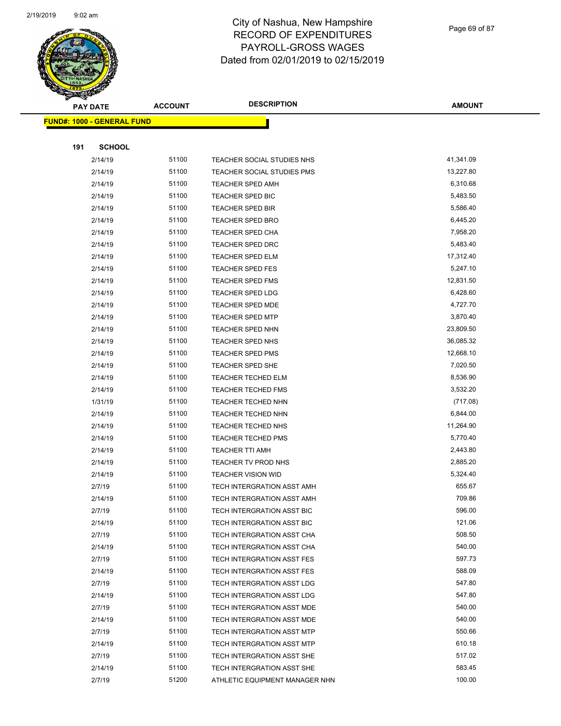

Page 69 of 87

|     | <b>PAY DATE</b>                   | <b>ACCOUNT</b> | <b>DESCRIPTION</b>             | <b>AMOUNT</b> |
|-----|-----------------------------------|----------------|--------------------------------|---------------|
|     | <b>FUND#: 1000 - GENERAL FUND</b> |                |                                |               |
|     |                                   |                |                                |               |
| 191 | <b>SCHOOL</b>                     |                |                                |               |
|     | 2/14/19                           | 51100          | TEACHER SOCIAL STUDIES NHS     | 41,341.09     |
|     | 2/14/19                           | 51100          | TEACHER SOCIAL STUDIES PMS     | 13,227.80     |
|     | 2/14/19                           | 51100          | <b>TEACHER SPED AMH</b>        | 6,310.68      |
|     | 2/14/19                           | 51100          | <b>TEACHER SPED BIC</b>        | 5,483.50      |
|     | 2/14/19                           | 51100          | <b>TEACHER SPED BIR</b>        | 5,586.40      |
|     | 2/14/19                           | 51100          | <b>TEACHER SPED BRO</b>        | 6,445.20      |
|     | 2/14/19                           | 51100          | <b>TEACHER SPED CHA</b>        | 7,958.20      |
|     | 2/14/19                           | 51100          | <b>TEACHER SPED DRC</b>        | 5,483.40      |
|     | 2/14/19                           | 51100          | <b>TEACHER SPED ELM</b>        | 17,312.40     |
|     | 2/14/19                           | 51100          | <b>TEACHER SPED FES</b>        | 5,247.10      |
|     | 2/14/19                           | 51100          | <b>TEACHER SPED FMS</b>        | 12,831.50     |
|     | 2/14/19                           | 51100          | <b>TEACHER SPED LDG</b>        | 6,428.60      |
|     | 2/14/19                           | 51100          | <b>TEACHER SPED MDE</b>        | 4,727.70      |
|     | 2/14/19                           | 51100          | <b>TEACHER SPED MTP</b>        | 3,870.40      |
|     | 2/14/19                           | 51100          | <b>TEACHER SPED NHN</b>        | 23,809.50     |
|     | 2/14/19                           | 51100          | <b>TEACHER SPED NHS</b>        | 36,085.32     |
|     | 2/14/19                           | 51100          | <b>TEACHER SPED PMS</b>        | 12,668.10     |
|     | 2/14/19                           | 51100          | <b>TEACHER SPED SHE</b>        | 7,020.50      |
|     | 2/14/19                           | 51100          | <b>TEACHER TECHED ELM</b>      | 8,536.90      |
|     | 2/14/19                           | 51100          | <b>TEACHER TECHED FMS</b>      | 3,532.20      |
|     | 1/31/19                           | 51100          | <b>TEACHER TECHED NHN</b>      | (717.08)      |
|     | 2/14/19                           | 51100          | <b>TEACHER TECHED NHN</b>      | 6,844.00      |
|     | 2/14/19                           | 51100          | <b>TEACHER TECHED NHS</b>      | 11,264.90     |
|     | 2/14/19                           | 51100          | <b>TEACHER TECHED PMS</b>      | 5,770.40      |
|     | 2/14/19                           | 51100          | <b>TEACHER TTI AMH</b>         | 2,443.80      |
|     | 2/14/19                           | 51100          | TEACHER TV PROD NHS            | 2,885.20      |
|     | 2/14/19                           | 51100          | <b>TEACHER VISION WID</b>      | 5,324.40      |
|     | 2/7/19                            | 51100          | TECH INTERGRATION ASST AMH     | 655.67        |
|     | 2/14/19                           | 51100          | TECH INTERGRATION ASST AMH     | 709.86        |
|     | 2/7/19                            | 51100          | TECH INTERGRATION ASST BIC     | 596.00        |
|     | 2/14/19                           | 51100          | TECH INTERGRATION ASST BIC     | 121.06        |
|     | 2/7/19                            | 51100          | TECH INTERGRATION ASST CHA     | 508.50        |
|     | 2/14/19                           | 51100          | TECH INTERGRATION ASST CHA     | 540.00        |
|     | 2/7/19                            | 51100          | TECH INTERGRATION ASST FES     | 597.73        |
|     | 2/14/19                           | 51100          | TECH INTERGRATION ASST FES     | 588.09        |
|     | 2/7/19                            | 51100          | TECH INTERGRATION ASST LDG     | 547.80        |
|     | 2/14/19                           | 51100          | TECH INTERGRATION ASST LDG     | 547.80        |
|     | 2/7/19                            | 51100          | TECH INTERGRATION ASST MDE     | 540.00        |
|     | 2/14/19                           | 51100          | TECH INTERGRATION ASST MDE     | 540.00        |
|     | 2/7/19                            | 51100          | TECH INTERGRATION ASST MTP     | 550.66        |
|     | 2/14/19                           | 51100          | TECH INTERGRATION ASST MTP     | 610.18        |
|     | 2/7/19                            | 51100          | TECH INTERGRATION ASST SHE     | 517.02        |
|     | 2/14/19                           | 51100          | TECH INTERGRATION ASST SHE     | 583.45        |
|     | 2/7/19                            | 51200          | ATHLETIC EQUIPMENT MANAGER NHN | 100.00        |
|     |                                   |                |                                |               |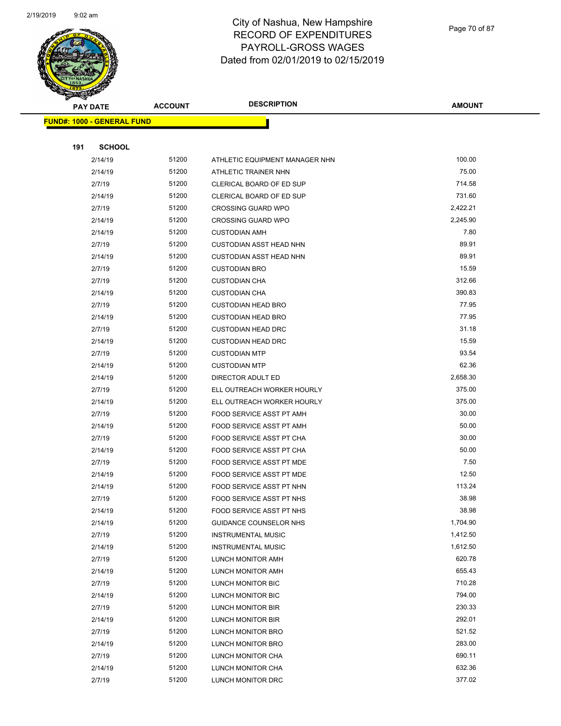

Page 70 of 87

| <b>PAY DATE</b>                   | <b>ACCOUNT</b> | <b>DESCRIPTION</b>                                     | <b>AMOUNT</b>        |
|-----------------------------------|----------------|--------------------------------------------------------|----------------------|
| <b>FUND#: 1000 - GENERAL FUND</b> |                |                                                        |                      |
|                                   |                |                                                        |                      |
| 191<br><b>SCHOOL</b>              |                |                                                        |                      |
| 2/14/19                           | 51200          | ATHLETIC EQUIPMENT MANAGER NHN                         | 100.00               |
| 2/14/19                           | 51200          | ATHLETIC TRAINER NHN                                   | 75.00                |
| 2/7/19                            | 51200          | CLERICAL BOARD OF ED SUP                               | 714.58               |
| 2/14/19                           | 51200          | CLERICAL BOARD OF ED SUP                               | 731.60               |
| 2/7/19                            | 51200          | <b>CROSSING GUARD WPO</b>                              | 2,422.21             |
| 2/14/19                           | 51200          | <b>CROSSING GUARD WPO</b>                              | 2,245.90             |
| 2/14/19                           | 51200          | <b>CUSTODIAN AMH</b>                                   | 7.80                 |
| 2/7/19                            | 51200          | <b>CUSTODIAN ASST HEAD NHN</b>                         | 89.91                |
| 2/14/19                           | 51200          | <b>CUSTODIAN ASST HEAD NHN</b>                         | 89.91                |
| 2/7/19                            | 51200          | <b>CUSTODIAN BRO</b>                                   | 15.59                |
| 2/7/19                            | 51200          | <b>CUSTODIAN CHA</b>                                   | 312.66               |
| 2/14/19                           | 51200          | <b>CUSTODIAN CHA</b>                                   | 390.83               |
| 2/7/19                            | 51200          | <b>CUSTODIAN HEAD BRO</b>                              | 77.95                |
| 2/14/19                           | 51200          | <b>CUSTODIAN HEAD BRO</b>                              | 77.95                |
| 2/7/19                            | 51200          | <b>CUSTODIAN HEAD DRC</b>                              | 31.18                |
| 2/14/19                           | 51200          | <b>CUSTODIAN HEAD DRC</b>                              | 15.59                |
| 2/7/19                            | 51200          | <b>CUSTODIAN MTP</b>                                   | 93.54                |
| 2/14/19                           | 51200          | <b>CUSTODIAN MTP</b>                                   | 62.36                |
| 2/14/19                           | 51200          | DIRECTOR ADULT ED                                      | 2,658.30             |
| 2/7/19                            | 51200          | ELL OUTREACH WORKER HOURLY                             | 375.00               |
| 2/14/19                           | 51200          | ELL OUTREACH WORKER HOURLY                             | 375.00               |
| 2/7/19                            | 51200          | FOOD SERVICE ASST PT AMH                               | 30.00                |
| 2/14/19                           | 51200          | FOOD SERVICE ASST PT AMH                               | 50.00                |
| 2/7/19                            | 51200          | FOOD SERVICE ASST PT CHA                               | 30.00                |
| 2/14/19                           | 51200          | FOOD SERVICE ASST PT CHA                               | 50.00                |
| 2/7/19                            | 51200          | FOOD SERVICE ASST PT MDE                               | 7.50                 |
| 2/14/19                           | 51200          | FOOD SERVICE ASST PT MDE                               | 12.50                |
| 2/14/19                           | 51200          | FOOD SERVICE ASST PT NHN                               | 113.24               |
| 2/7/19                            | 51200          | FOOD SERVICE ASST PT NHS                               | 38.98                |
| 2/14/19                           | 51200          | FOOD SERVICE ASST PT NHS                               | 38.98                |
| 2/14/19                           | 51200<br>51200 | GUIDANCE COUNSELOR NHS                                 | 1,704.90<br>1,412.50 |
| 2/7/19<br>2/14/19                 | 51200          | <b>INSTRUMENTAL MUSIC</b><br><b>INSTRUMENTAL MUSIC</b> | 1,612.50             |
| 2/7/19                            | 51200          | LUNCH MONITOR AMH                                      | 620.78               |
| 2/14/19                           | 51200          | LUNCH MONITOR AMH                                      | 655.43               |
| 2/7/19                            | 51200          | LUNCH MONITOR BIC                                      | 710.28               |
| 2/14/19                           | 51200          | LUNCH MONITOR BIC                                      | 794.00               |
| 2/7/19                            | 51200          | LUNCH MONITOR BIR                                      | 230.33               |
| 2/14/19                           | 51200          | LUNCH MONITOR BIR                                      | 292.01               |
| 2/7/19                            | 51200          | LUNCH MONITOR BRO                                      | 521.52               |
| 2/14/19                           | 51200          | LUNCH MONITOR BRO                                      | 283.00               |
| 2/7/19                            | 51200          | LUNCH MONITOR CHA                                      | 690.11               |
| 2/14/19                           | 51200          | LUNCH MONITOR CHA                                      | 632.36               |
| 2/7/19                            | 51200          | LUNCH MONITOR DRC                                      | 377.02               |
|                                   |                |                                                        |                      |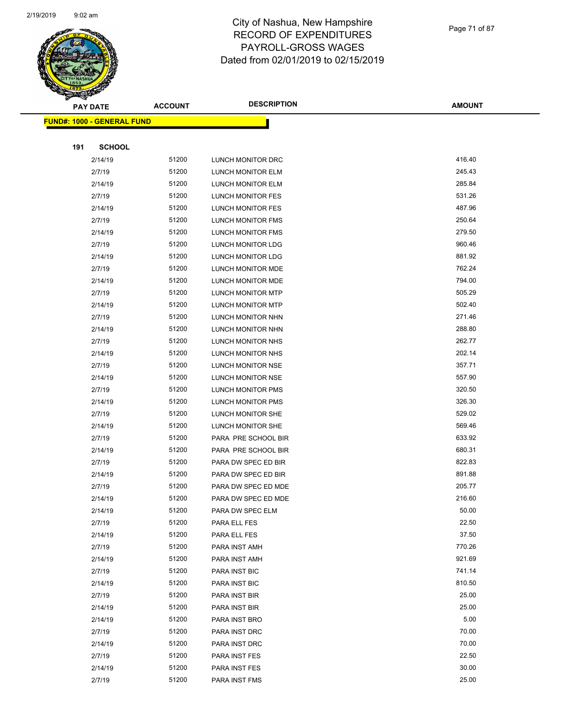

Page 71 of 87

|     | <b>PAY DATE</b>                    | <b>ACCOUNT</b> | <b>DESCRIPTION</b>       | <b>AMOUNT</b> |
|-----|------------------------------------|----------------|--------------------------|---------------|
|     | <u> FUND#: 1000 - GENERAL FUND</u> |                |                          |               |
|     |                                    |                |                          |               |
| 191 | <b>SCHOOL</b>                      |                |                          |               |
|     | 2/14/19                            | 51200          | LUNCH MONITOR DRC        | 416.40        |
|     | 2/7/19                             | 51200          | LUNCH MONITOR ELM        | 245.43        |
|     | 2/14/19                            | 51200          | LUNCH MONITOR ELM        | 285.84        |
|     | 2/7/19                             | 51200          | LUNCH MONITOR FES        | 531.26        |
|     | 2/14/19                            | 51200          | LUNCH MONITOR FES        | 487.96        |
|     | 2/7/19                             | 51200          | LUNCH MONITOR FMS        | 250.64        |
|     | 2/14/19                            | 51200          | <b>LUNCH MONITOR FMS</b> | 279.50        |
|     | 2/7/19                             | 51200          | LUNCH MONITOR LDG        | 960.46        |
|     | 2/14/19                            | 51200          | LUNCH MONITOR LDG        | 881.92        |
|     | 2/7/19                             | 51200          | LUNCH MONITOR MDE        | 762.24        |
|     | 2/14/19                            | 51200          | <b>LUNCH MONITOR MDE</b> | 794.00        |
|     | 2/7/19                             | 51200          | LUNCH MONITOR MTP        | 505.29        |
|     | 2/14/19                            | 51200          | LUNCH MONITOR MTP        | 502.40        |
|     | 2/7/19                             | 51200          | LUNCH MONITOR NHN        | 271.46        |
|     | 2/14/19                            | 51200          | LUNCH MONITOR NHN        | 288.80        |
|     | 2/7/19                             | 51200          | LUNCH MONITOR NHS        | 262.77        |
|     | 2/14/19                            | 51200          | LUNCH MONITOR NHS        | 202.14        |
|     | 2/7/19                             | 51200          | LUNCH MONITOR NSE        | 357.71        |
|     | 2/14/19                            | 51200          | LUNCH MONITOR NSE        | 557.90        |
|     | 2/7/19                             | 51200          | LUNCH MONITOR PMS        | 320.50        |
|     | 2/14/19                            | 51200          | LUNCH MONITOR PMS        | 326.30        |
|     | 2/7/19                             | 51200          | LUNCH MONITOR SHE        | 529.02        |
|     | 2/14/19                            | 51200          | LUNCH MONITOR SHE        | 569.46        |
|     | 2/7/19                             | 51200          | PARA PRE SCHOOL BIR      | 633.92        |
|     | 2/14/19                            | 51200          | PARA PRE SCHOOL BIR      | 680.31        |
|     | 2/7/19                             | 51200          | PARA DW SPEC ED BIR      | 822.83        |
|     | 2/14/19                            | 51200          | PARA DW SPEC ED BIR      | 891.88        |
|     | 2/7/19                             | 51200          | PARA DW SPEC ED MDE      | 205.77        |
|     | 2/14/19                            | 51200          | PARA DW SPEC ED MDE      | 216.60        |
|     | 2/14/19                            | 51200          | PARA DW SPEC ELM         | 50.00         |
|     | 2/7/19                             | 51200          | PARA ELL FES             | 22.50         |
|     | 2/14/19                            | 51200          | PARA ELL FES             | 37.50         |
|     | 2/7/19                             | 51200          | PARA INST AMH            | 770.26        |
|     | 2/14/19                            | 51200          | PARA INST AMH            | 921.69        |
|     | 2/7/19                             | 51200          | PARA INST BIC            | 741.14        |
|     | 2/14/19                            | 51200          | PARA INST BIC            | 810.50        |
|     | 2/7/19                             | 51200          | PARA INST BIR            | 25.00         |
|     | 2/14/19                            | 51200          | PARA INST BIR            | 25.00         |
|     | 2/14/19                            | 51200          | PARA INST BRO            | 5.00          |
|     | 2/7/19                             | 51200          | PARA INST DRC            | 70.00         |
|     | 2/14/19                            | 51200          | PARA INST DRC            | 70.00         |
|     | 2/7/19                             | 51200          | PARA INST FES            | 22.50         |
|     | 2/14/19                            | 51200          | PARA INST FES            | 30.00         |
|     | 2/7/19                             | 51200          | PARA INST FMS            | 25.00         |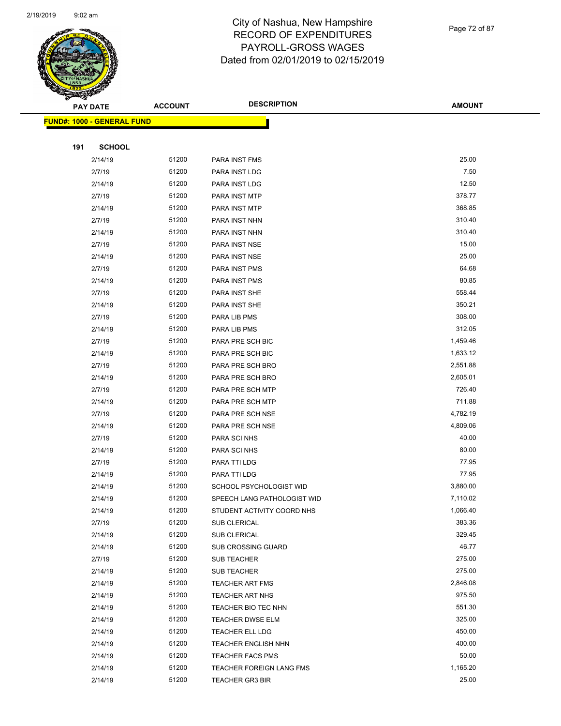

Page 72 of 87

**AMOUNT**

|     | <u> FUND#: 1000 - GENERAL FUND</u> |       |                             |          |  |
|-----|------------------------------------|-------|-----------------------------|----------|--|
|     |                                    |       |                             |          |  |
| 191 | <b>SCHOOL</b>                      |       |                             |          |  |
|     | 2/14/19                            | 51200 | PARA INST FMS               | 25.00    |  |
|     | 2/7/19                             | 51200 | PARA INST LDG               | 7.50     |  |
|     | 2/14/19                            | 51200 | PARA INST LDG               | 12.50    |  |
|     | 2/7/19                             | 51200 | PARA INST MTP               | 378.77   |  |
|     | 2/14/19                            | 51200 | PARA INST MTP               | 368.85   |  |
|     | 2/7/19                             | 51200 | PARA INST NHN               | 310.40   |  |
|     | 2/14/19                            | 51200 | PARA INST NHN               | 310.40   |  |
|     | 2/7/19                             | 51200 | PARA INST NSE               | 15.00    |  |
|     | 2/14/19                            | 51200 | PARA INST NSE               | 25.00    |  |
|     | 2/7/19                             | 51200 | PARA INST PMS               | 64.68    |  |
|     | 2/14/19                            | 51200 | PARA INST PMS               | 80.85    |  |
|     | 2/7/19                             | 51200 | PARA INST SHE               | 558.44   |  |
|     | 2/14/19                            | 51200 | PARA INST SHE               | 350.21   |  |
|     | 2/7/19                             | 51200 | PARA LIB PMS                | 308.00   |  |
|     | 2/14/19                            | 51200 | PARA LIB PMS                | 312.05   |  |
|     | 2/7/19                             | 51200 | PARA PRE SCH BIC            | 1,459.46 |  |
|     | 2/14/19                            | 51200 | PARA PRE SCH BIC            | 1,633.12 |  |
|     | 2/7/19                             | 51200 | PARA PRE SCH BRO            | 2,551.88 |  |
|     | 2/14/19                            | 51200 | PARA PRE SCH BRO            | 2,605.01 |  |
|     | 2/7/19                             | 51200 | PARA PRE SCH MTP            | 726.40   |  |
|     | 2/14/19                            | 51200 | PARA PRE SCH MTP            | 711.88   |  |
|     | 2/7/19                             | 51200 | PARA PRE SCH NSE            | 4,782.19 |  |
|     | 2/14/19                            | 51200 | PARA PRE SCH NSE            | 4,809.06 |  |
|     | 2/7/19                             | 51200 | PARA SCI NHS                | 40.00    |  |
|     | 2/14/19                            | 51200 | PARA SCI NHS                | 80.00    |  |
|     | 2/7/19                             | 51200 | PARA TTI LDG                | 77.95    |  |
|     | 2/14/19                            | 51200 | PARA TTI LDG                | 77.95    |  |
|     | 2/14/19                            | 51200 | SCHOOL PSYCHOLOGIST WID     | 3,880.00 |  |
|     | 2/14/19                            | 51200 | SPEECH LANG PATHOLOGIST WID | 7,110.02 |  |
|     | 2/14/19                            | 51200 | STUDENT ACTIVITY COORD NHS  | 1,066.40 |  |
|     | 2/7/19                             | 51200 | SUB CLERICAL                | 383.36   |  |
|     | 2/14/19                            | 51200 | SUB CLERICAL                | 329.45   |  |
|     | 2/14/19                            | 51200 | SUB CROSSING GUARD          | 46.77    |  |
|     | 2/7/19                             | 51200 | SUB TEACHER                 | 275.00   |  |
|     | 2/14/19                            | 51200 | SUB TEACHER                 | 275.00   |  |
|     | 2/14/19                            | 51200 | <b>TEACHER ART FMS</b>      | 2,846.08 |  |
|     | 2/14/19                            | 51200 | <b>TEACHER ART NHS</b>      | 975.50   |  |
|     | 2/14/19                            | 51200 | TEACHER BIO TEC NHN         | 551.30   |  |
|     | 2/14/19                            | 51200 | <b>TEACHER DWSE ELM</b>     | 325.00   |  |
|     | 2/14/19                            | 51200 | <b>TEACHER ELL LDG</b>      | 450.00   |  |
|     | 2/14/19                            | 51200 | <b>TEACHER ENGLISH NHN</b>  | 400.00   |  |
|     | 2/14/19                            | 51200 | <b>TEACHER FACS PMS</b>     | 50.00    |  |
|     | 2/14/19                            | 51200 | TEACHER FOREIGN LANG FMS    | 1,165.20 |  |
|     | 2/14/19                            | 51200 | <b>TEACHER GR3 BIR</b>      | 25.00    |  |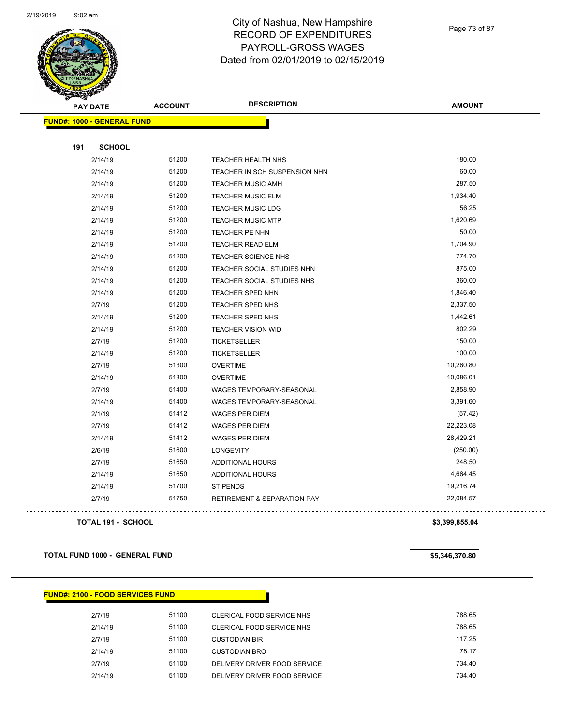

Page 73 of 87

|     | <b>PAY DATE</b>                   | <b>ACCOUNT</b> | <b>DESCRIPTION</b>                     | <b>AMOUNT</b> |
|-----|-----------------------------------|----------------|----------------------------------------|---------------|
|     | <b>FUND#: 1000 - GENERAL FUND</b> |                |                                        |               |
|     |                                   |                |                                        |               |
| 191 | <b>SCHOOL</b>                     |                |                                        |               |
|     | 2/14/19                           | 51200          | <b>TEACHER HEALTH NHS</b>              | 180.00        |
|     | 2/14/19                           | 51200          | TEACHER IN SCH SUSPENSION NHN          | 60.00         |
|     | 2/14/19                           | 51200          | <b>TEACHER MUSIC AMH</b>               | 287.50        |
|     | 2/14/19                           | 51200          | <b>TEACHER MUSIC ELM</b>               | 1,934.40      |
|     | 2/14/19                           | 51200          | <b>TEACHER MUSIC LDG</b>               | 56.25         |
|     | 2/14/19                           | 51200          | <b>TEACHER MUSIC MTP</b>               | 1,620.69      |
|     | 2/14/19                           | 51200          | TEACHER PE NHN                         | 50.00         |
|     | 2/14/19                           | 51200          | <b>TEACHER READ ELM</b>                | 1,704.90      |
|     | 2/14/19                           | 51200          | <b>TEACHER SCIENCE NHS</b>             | 774.70        |
|     | 2/14/19                           | 51200          | TEACHER SOCIAL STUDIES NHN             | 875.00        |
|     | 2/14/19                           | 51200          | TEACHER SOCIAL STUDIES NHS             | 360.00        |
|     | 2/14/19                           | 51200          | TEACHER SPED NHN                       | 1,846.40      |
|     | 2/7/19                            | 51200          | TEACHER SPED NHS                       | 2,337.50      |
|     | 2/14/19                           | 51200          | TEACHER SPED NHS                       | 1,442.61      |
|     | 2/14/19                           | 51200          | <b>TEACHER VISION WID</b>              | 802.29        |
|     | 2/7/19                            | 51200          | <b>TICKETSELLER</b>                    | 150.00        |
|     | 2/14/19                           | 51200          | <b>TICKETSELLER</b>                    | 100.00        |
|     | 2/7/19                            | 51300          | <b>OVERTIME</b>                        | 10,260.80     |
|     | 2/14/19                           | 51300          | <b>OVERTIME</b>                        | 10,086.01     |
|     | 2/7/19                            | 51400          | WAGES TEMPORARY-SEASONAL               | 2,858.90      |
|     | 2/14/19                           | 51400          | WAGES TEMPORARY-SEASONAL               | 3,391.60      |
|     | 2/1/19                            | 51412          | <b>WAGES PER DIEM</b>                  | (57.42)       |
|     | 2/7/19                            | 51412          | WAGES PER DIEM                         | 22,223.08     |
|     | 2/14/19                           | 51412          | <b>WAGES PER DIEM</b>                  | 28,429.21     |
|     | 2/6/19                            | 51600          | <b>LONGEVITY</b>                       | (250.00)      |
|     | 2/7/19                            | 51650          | <b>ADDITIONAL HOURS</b>                | 248.50        |
|     | 2/14/19                           | 51650          | <b>ADDITIONAL HOURS</b>                | 4,664.45      |
|     | 2/14/19                           | 51700          | <b>STIPENDS</b>                        | 19,216.74     |
|     | 2/7/19                            | 51750          | <b>RETIREMENT &amp; SEPARATION PAY</b> | 22,084.57     |

**TOTAL 191 - SCHOOL \$3,399,855.04**

 $\Box$  .

**TOTAL FUND 1000 - GENERAL FUND \$5,346,370.80** 

**FUND#: 2100 - FOOD SERVICES FUND**

| 2/7/19  | 51100 | CLERICAL FOOD SERVICE NHS    | 788.65 |
|---------|-------|------------------------------|--------|
| 2/14/19 | 51100 | CLERICAL FOOD SERVICE NHS    | 788.65 |
| 2/7/19  | 51100 | <b>CUSTODIAN BIR</b>         | 117.25 |
| 2/14/19 | 51100 | CUSTODIAN BRO                | 78.17  |
| 2/7/19  | 51100 | DELIVERY DRIVER FOOD SERVICE | 734.40 |
| 2/14/19 | 51100 | DELIVERY DRIVER FOOD SERVICE | 734.40 |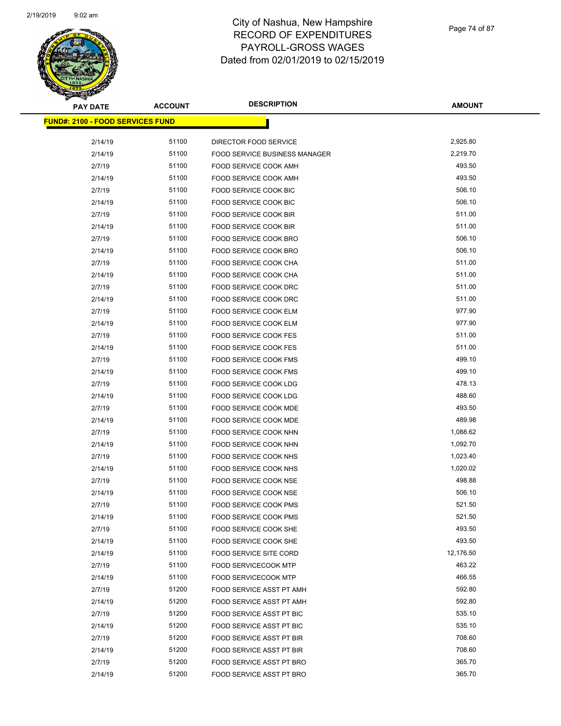

| <b>PAY DATE</b>                          | <b>ACCOUNT</b> | <b>DESCRIPTION</b>                   | <b>AMOUNT</b> |
|------------------------------------------|----------------|--------------------------------------|---------------|
| <u> FUND#: 2100 - FOOD SERVICES FUND</u> |                |                                      |               |
| 2/14/19                                  | 51100          | DIRECTOR FOOD SERVICE                | 2,925.80      |
| 2/14/19                                  | 51100          | <b>FOOD SERVICE BUSINESS MANAGER</b> | 2,219.70      |
| 2/7/19                                   | 51100          | FOOD SERVICE COOK AMH                | 493.50        |
| 2/14/19                                  | 51100          | FOOD SERVICE COOK AMH                | 493.50        |
| 2/7/19                                   | 51100          | FOOD SERVICE COOK BIC                | 506.10        |
| 2/14/19                                  | 51100          | FOOD SERVICE COOK BIC                | 506.10        |
| 2/7/19                                   | 51100          | FOOD SERVICE COOK BIR                | 511.00        |
| 2/14/19                                  | 51100          | FOOD SERVICE COOK BIR                | 511.00        |
| 2/7/19                                   | 51100          | FOOD SERVICE COOK BRO                | 506.10        |
| 2/14/19                                  | 51100          | FOOD SERVICE COOK BRO                | 506.10        |
| 2/7/19                                   | 51100          | FOOD SERVICE COOK CHA                | 511.00        |
| 2/14/19                                  | 51100          | FOOD SERVICE COOK CHA                | 511.00        |
| 2/7/19                                   | 51100          | FOOD SERVICE COOK DRC                | 511.00        |
| 2/14/19                                  | 51100          | FOOD SERVICE COOK DRC                | 511.00        |
| 2/7/19                                   | 51100          | FOOD SERVICE COOK ELM                | 977.90        |
| 2/14/19                                  | 51100          | FOOD SERVICE COOK ELM                | 977.90        |
| 2/7/19                                   | 51100          | <b>FOOD SERVICE COOK FES</b>         | 511.00        |
| 2/14/19                                  | 51100          | <b>FOOD SERVICE COOK FES</b>         | 511.00        |
| 2/7/19                                   | 51100          | FOOD SERVICE COOK FMS                | 499.10        |
| 2/14/19                                  | 51100          | <b>FOOD SERVICE COOK FMS</b>         | 499.10        |
| 2/7/19                                   | 51100          | FOOD SERVICE COOK LDG                | 478.13        |
| 2/14/19                                  | 51100          | FOOD SERVICE COOK LDG                | 488.60        |
| 2/7/19                                   | 51100          | <b>FOOD SERVICE COOK MDE</b>         | 493.50        |
| 2/14/19                                  | 51100          | FOOD SERVICE COOK MDE                | 489.98        |
| 2/7/19                                   | 51100          | FOOD SERVICE COOK NHN                | 1,088.62      |
| 2/14/19                                  | 51100          | FOOD SERVICE COOK NHN                | 1,092.70      |
| 2/7/19                                   | 51100          | FOOD SERVICE COOK NHS                | 1,023.40      |
| 2/14/19                                  | 51100          | <b>FOOD SERVICE COOK NHS</b>         | 1,020.02      |
| 2/7/19                                   | 51100          | FOOD SERVICE COOK NSE                | 498.88        |
| 2/14/19                                  | 51100          | <b>FOOD SERVICE COOK NSE</b>         | 506.10        |
| 2/7/19                                   | 51100          | FOOD SERVICE COOK PMS                | 521.50        |
| 2/14/19                                  | 51100          | FOOD SERVICE COOK PMS                | 521.50        |
| 2/7/19                                   | 51100          | FOOD SERVICE COOK SHE                | 493.50        |
| 2/14/19                                  | 51100          | FOOD SERVICE COOK SHE                | 493.50        |
| 2/14/19                                  | 51100          | FOOD SERVICE SITE CORD               | 12,176.50     |
| 2/7/19                                   | 51100          | <b>FOOD SERVICECOOK MTP</b>          | 463.22        |
| 2/14/19                                  | 51100          | <b>FOOD SERVICECOOK MTP</b>          | 466.55        |
| 2/7/19                                   | 51200          | FOOD SERVICE ASST PT AMH             | 592.80        |
| 2/14/19                                  | 51200          | FOOD SERVICE ASST PT AMH             | 592.80        |
| 2/7/19                                   | 51200          | FOOD SERVICE ASST PT BIC             | 535.10        |
| 2/14/19                                  | 51200          | FOOD SERVICE ASST PT BIC             | 535.10        |
| 2/7/19                                   | 51200          | FOOD SERVICE ASST PT BIR             | 708.60        |
| 2/14/19                                  | 51200          | FOOD SERVICE ASST PT BIR             | 708.60        |
| 2/7/19                                   | 51200          | FOOD SERVICE ASST PT BRO             | 365.70        |
| 2/14/19                                  | 51200          | FOOD SERVICE ASST PT BRO             | 365.70        |
|                                          |                |                                      |               |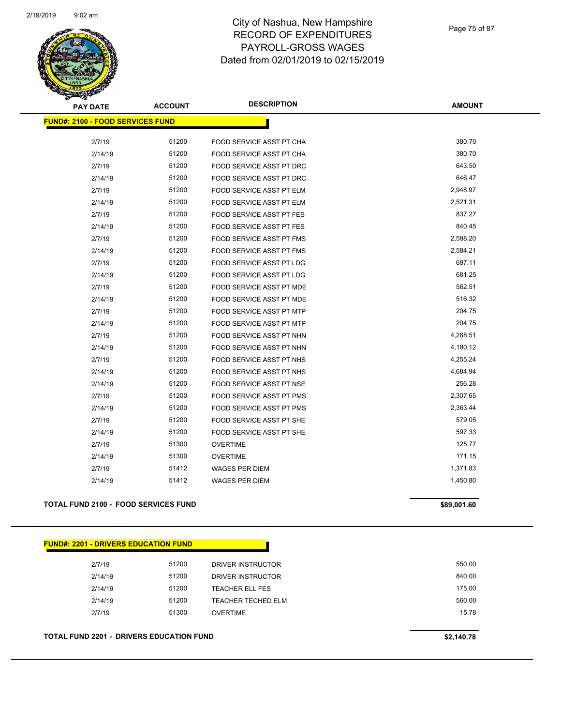

Page 75 of 87

| <b>PAY DATE</b>                         | <b>ACCOUNT</b> | <b>DESCRIPTION</b>              | <b>AMOUNT</b> |
|-----------------------------------------|----------------|---------------------------------|---------------|
| <b>FUND#: 2100 - FOOD SERVICES FUND</b> |                |                                 |               |
|                                         |                |                                 |               |
| 2/7/19                                  | 51200          | FOOD SERVICE ASST PT CHA        | 380.70        |
| 2/14/19                                 | 51200          | FOOD SERVICE ASST PT CHA        | 380.70        |
| 2/7/19                                  | 51200          | FOOD SERVICE ASST PT DRC        | 643.50        |
| 2/14/19                                 | 51200          | FOOD SERVICE ASST PT DRC        | 646.47        |
| 2/7/19                                  | 51200          | FOOD SERVICE ASST PT ELM        | 2,948.97      |
| 2/14/19                                 | 51200          | <b>FOOD SERVICE ASST PT ELM</b> | 2,521.31      |
| 2/7/19                                  | 51200          | FOOD SERVICE ASST PT FES        | 837.27        |
| 2/14/19                                 | 51200          | FOOD SERVICE ASST PT FES        | 840.45        |
| 2/7/19                                  | 51200          | <b>FOOD SERVICE ASST PT FMS</b> | 2,588.20      |
| 2/14/19                                 | 51200          | FOOD SERVICE ASST PT FMS        | 2,584.21      |
| 2/7/19                                  | 51200          | <b>FOOD SERVICE ASST PT LDG</b> | 687.11        |
| 2/14/19                                 | 51200          | FOOD SERVICE ASST PT LDG        | 681.25        |
| 2/7/19                                  | 51200          | <b>FOOD SERVICE ASST PT MDE</b> | 562.51        |
| 2/14/19                                 | 51200          | FOOD SERVICE ASST PT MDE        | 516.32        |
| 2/7/19                                  | 51200          | FOOD SERVICE ASST PT MTP        | 204.75        |
| 2/14/19                                 | 51200          | FOOD SERVICE ASST PT MTP        | 204.75        |
| 2/7/19                                  | 51200          | FOOD SERVICE ASST PT NHN        | 4,268.51      |
| 2/14/19                                 | 51200          | FOOD SERVICE ASST PT NHN        | 4,180.12      |
| 2/7/19                                  | 51200          | FOOD SERVICE ASST PT NHS        | 4,255.24      |
| 2/14/19                                 | 51200          | FOOD SERVICE ASST PT NHS        | 4,684.94      |
| 2/14/19                                 | 51200          | FOOD SERVICE ASST PT NSE        | 256.28        |
| 2/7/19                                  | 51200          | FOOD SERVICE ASST PT PMS        | 2,307.65      |
| 2/14/19                                 | 51200          | FOOD SERVICE ASST PT PMS        | 2,363.44      |
| 2/7/19                                  | 51200          | FOOD SERVICE ASST PT SHE        | 579.05        |
| 2/14/19                                 | 51200          | FOOD SERVICE ASST PT SHE        | 597.33        |
| 2/7/19                                  | 51300          | <b>OVERTIME</b>                 | 125.77        |
| 2/14/19                                 | 51300          | <b>OVERTIME</b>                 | 171.15        |
| 2/7/19                                  | 51412          | <b>WAGES PER DIEM</b>           | 1,371.83      |
| 2/14/19                                 | 51412          | <b>WAGES PER DIEM</b>           | 1,450.80      |
|                                         |                |                                 |               |

#### **TOTAL FUND 2100 - FOOD SERVICES FUND \$89,**

| \$89,001.60 |  |
|-------------|--|
|             |  |
|             |  |

| 2/7/19  | 51200 | DRIVER INSTRUCTOR      | 550.00 |
|---------|-------|------------------------|--------|
| 2/14/19 | 51200 | DRIVER INSTRUCTOR      | 840.00 |
| 2/14/19 | 51200 | <b>TEACHER ELL FES</b> | 175.00 |
| 2/14/19 | 51200 | TEACHER TECHED ELM     | 560.00 |
| 2/7/19  | 51300 | <b>OVERTIME</b>        | 15.78  |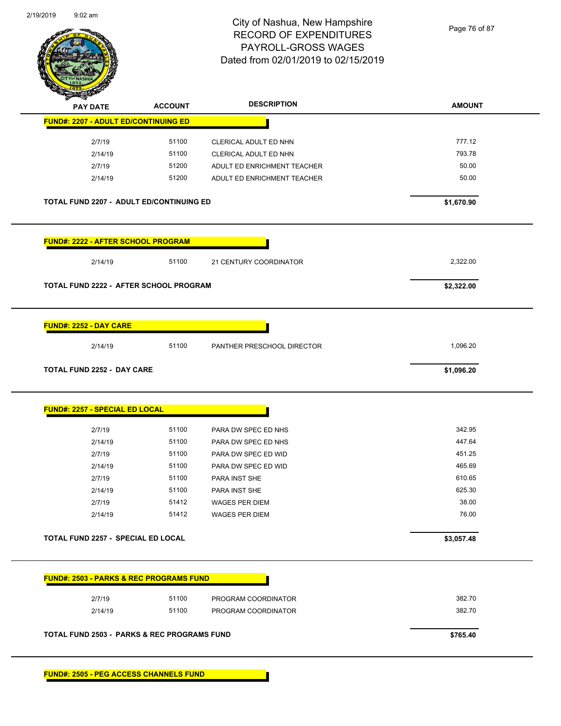

Page 76 of 87

|                                                                             | <b>ACCOUNT</b> | <b>DESCRIPTION</b>                             | <b>AMOUNT</b>  |
|-----------------------------------------------------------------------------|----------------|------------------------------------------------|----------------|
| <b>FUND#: 2207 - ADULT ED/CONTINUING ED</b>                                 |                |                                                |                |
| 2/7/19                                                                      | 51100          | CLERICAL ADULT ED NHN                          | 777.12         |
| 2/14/19                                                                     | 51100          | CLERICAL ADULT ED NHN                          | 793.78         |
| 2/7/19                                                                      | 51200          | ADULT ED ENRICHMENT TEACHER                    | 50.00          |
| 2/14/19                                                                     | 51200          | ADULT ED ENRICHMENT TEACHER                    | 50.00          |
| <b>TOTAL FUND 2207 - ADULT ED/CONTINUING ED</b>                             |                |                                                | \$1,670.90     |
| <b>FUND#: 2222 - AFTER SCHOOL PROGRAM</b>                                   |                |                                                |                |
| 2/14/19                                                                     | 51100          | 21 CENTURY COORDINATOR                         | 2,322.00       |
| TOTAL FUND 2222 - AFTER SCHOOL PROGRAM                                      |                |                                                | \$2,322.00     |
| <b>FUND#: 2252 - DAY CARE</b>                                               | 51100          |                                                |                |
|                                                                             |                | PANTHER PRESCHOOL DIRECTOR                     | 1,096.20       |
| 2/14/19                                                                     |                |                                                |                |
| <b>TOTAL FUND 2252 - DAY CARE</b>                                           |                |                                                | \$1,096.20     |
|                                                                             |                |                                                |                |
|                                                                             |                |                                                |                |
| 2/7/19                                                                      | 51100          | PARA DW SPEC ED NHS                            | 342.95         |
| 2/14/19                                                                     | 51100          | PARA DW SPEC ED NHS                            | 447.64         |
| 2/7/19                                                                      | 51100          | PARA DW SPEC ED WID                            | 451.25         |
| 2/14/19                                                                     | 51100          | PARA DW SPEC ED WID                            | 465.69         |
| 2/7/19                                                                      | 51100          | PARA INST SHE                                  | 610.65         |
| 2/14/19                                                                     | 51100          | PARA INST SHE                                  | 625.30         |
| 2/7/19<br>2/14/19                                                           | 51412<br>51412 | <b>WAGES PER DIEM</b><br><b>WAGES PER DIEM</b> | 38.00<br>76.00 |
| <b>FUND#: 2257 - SPECIAL ED LOCAL</b><br>TOTAL FUND 2257 - SPECIAL ED LOCAL |                |                                                | \$3,057.48     |
|                                                                             |                |                                                |                |
|                                                                             |                |                                                |                |
| 2/7/19                                                                      | 51100          | PROGRAM COORDINATOR                            | 382.70         |
| <b>FUND#: 2503 - PARKS &amp; REC PROGRAMS FUND</b><br>2/14/19               | 51100          | PROGRAM COORDINATOR                            | 382.70         |

**FUND#: 2505 - PEG ACCESS CHANNELS FUND**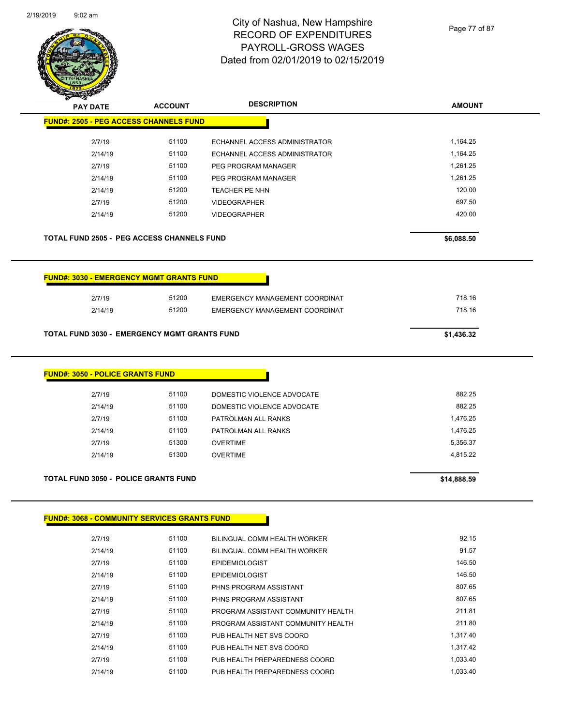

Page 77 of 87

| <b>PAY DATE</b>                                     | <b>ACCOUNT</b> | <b>DESCRIPTION</b>                 | <b>AMOUNT</b> |
|-----------------------------------------------------|----------------|------------------------------------|---------------|
| <b>FUND#: 2505 - PEG ACCESS CHANNELS FUND</b>       |                |                                    |               |
| 2/7/19                                              | 51100          | ECHANNEL ACCESS ADMINISTRATOR      | 1,164.25      |
| 2/14/19                                             | 51100          | ECHANNEL ACCESS ADMINISTRATOR      | 1,164.25      |
| 2/7/19                                              | 51100          | PEG PROGRAM MANAGER                | 1,261.25      |
| 2/14/19                                             | 51100          | PEG PROGRAM MANAGER                | 1,261.25      |
| 2/14/19                                             | 51200          | <b>TEACHER PE NHN</b>              | 120.00        |
| 2/7/19                                              | 51200          | <b>VIDEOGRAPHER</b>                | 697.50        |
| 2/14/19                                             | 51200          | <b>VIDEOGRAPHER</b>                | 420.00        |
| <b>TOTAL FUND 2505 - PEG ACCESS CHANNELS FUND</b>   |                |                                    | \$6,088.50    |
| <b>FUND#: 3030 - EMERGENCY MGMT GRANTS FUND</b>     |                |                                    |               |
| 2/7/19                                              | 51200          | EMERGENCY MANAGEMENT COORDINAT     | 718.16        |
| 2/14/19                                             | 51200          | EMERGENCY MANAGEMENT COORDINAT     | 718.16        |
|                                                     |                |                                    |               |
| TOTAL FUND 3030 - EMERGENCY MGMT GRANTS FUND        |                |                                    | \$1,436.32    |
| <b>FUND#: 3050 - POLICE GRANTS FUND</b>             |                |                                    |               |
| 2/7/19                                              | 51100          | DOMESTIC VIOLENCE ADVOCATE         | 882.25        |
| 2/14/19                                             | 51100          | DOMESTIC VIOLENCE ADVOCATE         | 882.25        |
| 2/7/19                                              | 51100          | PATROLMAN ALL RANKS                | 1,476.25      |
| 2/14/19                                             | 51100          | PATROLMAN ALL RANKS                | 1,476.25      |
| 2/7/19                                              | 51300          | <b>OVERTIME</b>                    | 5,356.37      |
| 2/14/19                                             | 51300          | <b>OVERTIME</b>                    | 4,815.22      |
|                                                     |                |                                    |               |
| <b>TOTAL FUND 3050 - POLICE GRANTS FUND</b>         |                |                                    | \$14,888.59   |
|                                                     |                |                                    |               |
| <b>FUND#: 3068 - COMMUNITY SERVICES GRANTS FUND</b> |                |                                    |               |
| 2/7/19                                              | 51100          | BILINGUAL COMM HEALTH WORKER       | 92.15         |
| 2/14/19                                             | 51100          | BILINGUAL COMM HEALTH WORKER       | 91.57         |
| 2/7/19                                              | 51100          | <b>EPIDEMIOLOGIST</b>              | 146.50        |
| 2/14/19                                             | 51100          | <b>EPIDEMIOLOGIST</b>              | 146.50        |
| 2/7/19                                              | 51100          | PHNS PROGRAM ASSISTANT             | 807.65        |
| 2/14/19                                             | 51100          | PHNS PROGRAM ASSISTANT             | 807.65        |
| 2/7/19                                              | 51100          | PROGRAM ASSISTANT COMMUNITY HEALTH | 211.81        |
| 2/14/19                                             | 51100          | PROGRAM ASSISTANT COMMUNITY HEALTH | 211.80        |
| 2/7/19                                              | 51100          | PUB HEALTH NET SVS COORD           | 1,317.40      |
| 2/14/19                                             | 51100          | PUB HEALTH NET SVS COORD           | 1,317.42      |
| 2/7/19                                              | 51100          | PUB HEALTH PREPAREDNESS COORD      | 1,033.40      |

2/14/19 51100 PUB HEALTH PREPAREDNESS COORD 1,033.40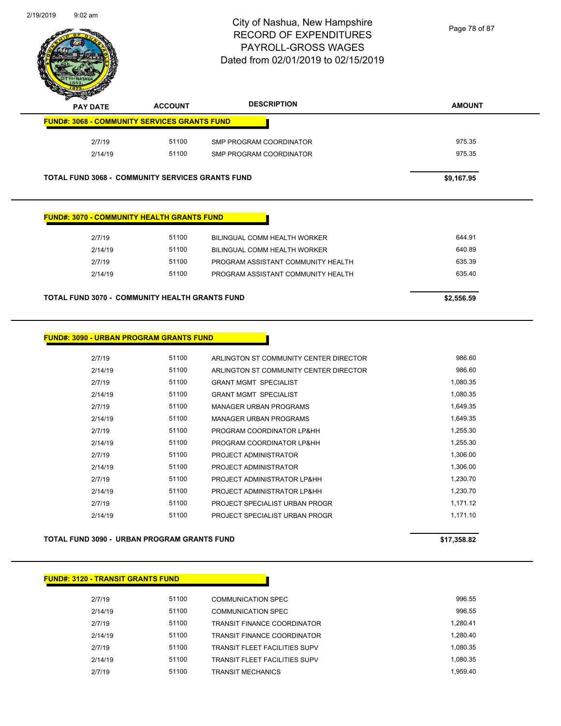

| $\tilde{\phantom{a}}$<br>$\sim$<br><b>PAY DATE</b>      | <b>ACCOUNT</b> | <b>DESCRIPTION</b>      | <b>AMOUNT</b> |
|---------------------------------------------------------|----------------|-------------------------|---------------|
| <b>FUND#: 3068 - COMMUNITY SERVICES GRANTS FUND</b>     |                |                         |               |
| 2/7/19                                                  | 51100          | SMP PROGRAM COORDINATOR | 975.35        |
| 2/14/19                                                 | 51100          | SMP PROGRAM COORDINATOR | 975.35        |
| <b>TOTAL FUND 3068 - COMMUNITY SERVICES GRANTS FUND</b> |                |                         | \$9.167.95    |

#### **FUND#: 3070 - COMMUNITY HEALTH GRANTS FUND**

| 2/7/19  | 51100 | BILINGUAL COMM HEALTH WORKER       | 644.91 |
|---------|-------|------------------------------------|--------|
| 2/14/19 | 51100 | BILINGUAL COMM HEALTH WORKER       | 640.89 |
| 2/7/19  | 51100 | PROGRAM ASSISTANT COMMUNITY HEALTH | 635.39 |
| 2/14/19 | 51100 | PROGRAM ASSISTANT COMMUNITY HEALTH | 635.40 |
|         |       |                                    |        |

#### **TOTAL FUND 3070 - COMMUNITY HEALTH GRANTS FUND \$2,556.59**

#### **FUND#: 3090 - URBAN PROGRAM GRANTS FUND**

| 2/7/19  | 51100 | ARLINGTON ST COMMUNITY CENTER DIRECTOR | 986.60   |
|---------|-------|----------------------------------------|----------|
| 2/14/19 | 51100 | ARLINGTON ST COMMUNITY CENTER DIRECTOR | 986.60   |
| 2/7/19  | 51100 | <b>GRANT MGMT SPECIALIST</b>           | 1.080.35 |
| 2/14/19 | 51100 | <b>GRANT MGMT SPECIALIST</b>           | 1,080.35 |
| 2/7/19  | 51100 | <b>MANAGER URBAN PROGRAMS</b>          | 1,649.35 |
| 2/14/19 | 51100 | MANAGER URBAN PROGRAMS                 | 1.649.35 |
| 2/7/19  | 51100 | PROGRAM COORDINATOR LP&HH              | 1,255.30 |
| 2/14/19 | 51100 | PROGRAM COORDINATOR LP&HH              | 1,255.30 |
| 2/7/19  | 51100 | PROJECT ADMINISTRATOR                  | 1.306.00 |
| 2/14/19 | 51100 | PROJECT ADMINISTRATOR                  | 1.306.00 |
| 2/7/19  | 51100 | PROJECT ADMINISTRATOR LP&HH            | 1.230.70 |
| 2/14/19 | 51100 | PROJECT ADMINISTRATOR LP&HH            | 1,230.70 |
| 2/7/19  | 51100 | PROJECT SPECIALIST URBAN PROGR         | 1,171.12 |
| 2/14/19 | 51100 | PROJECT SPECIALIST URBAN PROGR         | 1,171.10 |
|         |       |                                        |          |

#### **TOTAL FUND 3090 - URBAN PROGRAM GRANTS FUND \$17,358.82**

#### **FUND#: 3120 - TRANSIT GRANTS FUND**

| 2/7/19  | 51100 | <b>COMMUNICATION SPEC</b>            | 996.55   |
|---------|-------|--------------------------------------|----------|
| 2/14/19 | 51100 | COMMUNICATION SPEC                   | 996.55   |
| 2/7/19  | 51100 | <b>TRANSIT FINANCE COORDINATOR</b>   | 1.280.41 |
| 2/14/19 | 51100 | <b>TRANSIT FINANCE COORDINATOR</b>   | 1.280.40 |
| 2/7/19  | 51100 | <b>TRANSIT FLEET FACILITIES SUPV</b> | 1.080.35 |
| 2/14/19 | 51100 | <b>TRANSIT FLEET FACILITIES SUPV</b> | 1.080.35 |
| 2/7/19  | 51100 | <b>TRANSIT MECHANICS</b>             | 1.959.40 |
|         |       |                                      |          |

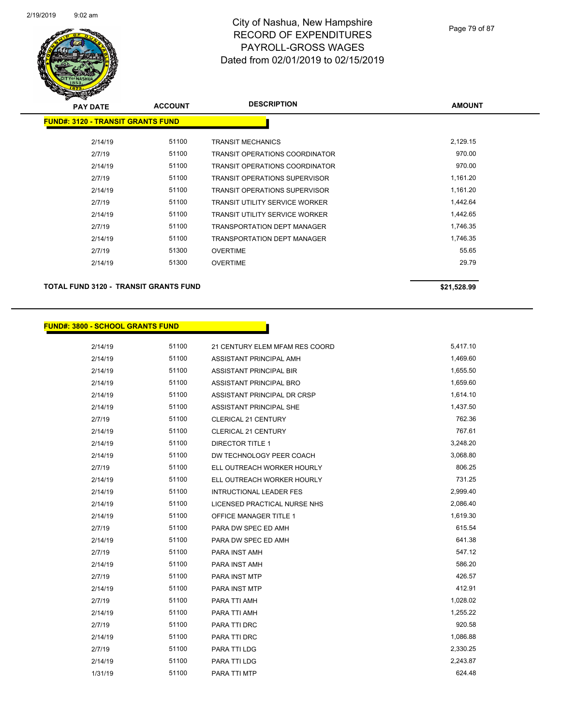

| <b>PAY DATE</b>                          | <b>ACCOUNT</b> | <b>DESCRIPTION</b>                    | <b>AMOUNT</b> |
|------------------------------------------|----------------|---------------------------------------|---------------|
| <b>FUND#: 3120 - TRANSIT GRANTS FUND</b> |                |                                       |               |
| 2/14/19                                  | 51100          | <b>TRANSIT MECHANICS</b>              | 2,129.15      |
| 2/7/19                                   | 51100          | <b>TRANSIT OPERATIONS COORDINATOR</b> | 970.00        |
| 2/14/19                                  | 51100          | <b>TRANSIT OPERATIONS COORDINATOR</b> | 970.00        |
| 2/7/19                                   | 51100          | <b>TRANSIT OPERATIONS SUPERVISOR</b>  | 1,161.20      |
| 2/14/19                                  | 51100          | <b>TRANSIT OPERATIONS SUPERVISOR</b>  | 1,161.20      |
| 2/7/19                                   | 51100          | TRANSIT UTILITY SERVICE WORKER        | 1,442.64      |
| 2/14/19                                  | 51100          | TRANSIT UTILITY SERVICE WORKER        | 1,442.65      |
| 2/7/19                                   | 51100          | <b>TRANSPORTATION DEPT MANAGER</b>    | 1,746.35      |
| 2/14/19                                  | 51100          | <b>TRANSPORTATION DEPT MANAGER</b>    | 1,746.35      |
| 2/7/19                                   | 51300          | <b>OVERTIME</b>                       | 55.65         |
| 2/14/19                                  | 51300          | <b>OVERTIME</b>                       | 29.79         |
|                                          |                |                                       |               |

**TOTAL FUND 3120 - TRANSIT GRANTS FUND \$21,528.99** 

#### **FUND#: 3800 - SCHOOL GRANTS FUND**

2/14/19 51100 21 CENTURY ELEM MFAM RES COORD 5,417.10 2/14/19 51100 ASSISTANT PRINCIPAL AMH 2/14/19 51100 ASSISTANT PRINCIPAL BIR 1,655.50 2/14/19 51100 ASSISTANT PRINCIPAL BRO 1,659.60 2/14/19 51100 ASSISTANT PRINCIPAL DR CRSP 1,614.10 2/14/19 51100 ASSISTANT PRINCIPAL SHE 1,437.50 2/7/19 51100 CLERICAL 21 CENTURY 762.36 2/14/19 51100 CLERICAL 21 CENTURY 767.61 2/14/19 51100 DIRECTOR TITLE 1 3,248.20 2/14/19 51100 DW TECHNOLOGY PEER COACH 3,068.80 2/7/19 51100 ELL OUTREACH WORKER HOURLY 506.25 2/14/19 51100 ELL OUTREACH WORKER HOURLY 731.25 2/14/19 51100 INTRUCTIONAL LEADER FES 2,999.40 2/14/19 51100 LICENSED PRACTICAL NURSE NHS 2,086.40 2/14/19 51100 OFFICE MANAGER TITLE 1 30 160 1619.30 2/7/19 51100 PARA DW SPEC ED AMH 615.54 2/14/19 51100 PARA DW SPEC ED AMH 641.38 2/7/19 51100 PARA INST AMH 2/14/19 51100 PARA INST AMH 586.20 2/7/19 51100 PARA INST MTP 426.57 2/14/19 51100 PARA INST MTP 412.91 2/7/19 51100 PARA TTI AMH 1,028.02 2/14/19 51100 PARA TTI AMH 1,255.22 2/7/19 51100 PARA TTI DRC 920.58 2/14/19 51100 PARA TTI DRC 1,086.88 2/7/19 51100 PARA TTI LDG 2,330.25 2/14/19 51100 PARA TTI LDG 2,243.87 1/31/19 51100 PARA TTI MTP 624.48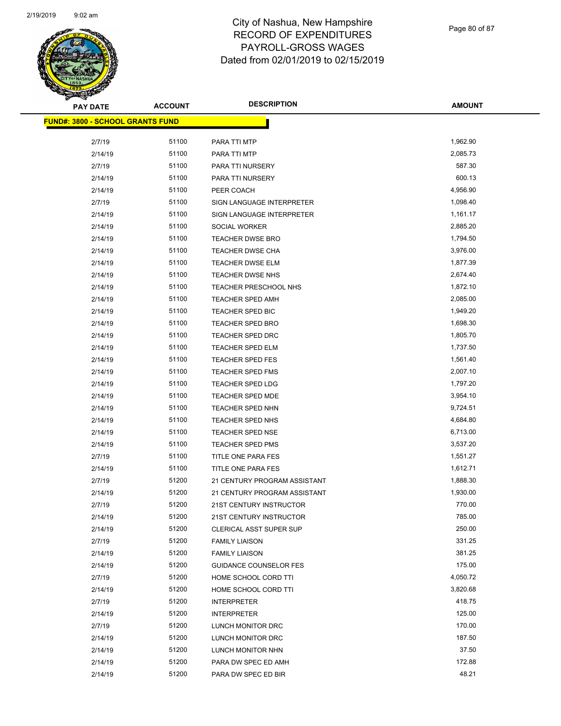

Page 80 of 87

| <b>PAY DATE</b>                         | <b>ACCOUNT</b> | <b>DESCRIPTION</b>             | <b>AMOUNT</b> |
|-----------------------------------------|----------------|--------------------------------|---------------|
| <b>FUND#: 3800 - SCHOOL GRANTS FUND</b> |                |                                |               |
|                                         | 51100          |                                | 1,962.90      |
| 2/7/19<br>2/14/19                       | 51100          | PARA TTI MTP<br>PARA TTI MTP   | 2,085.73      |
|                                         | 51100          |                                | 587.30        |
| 2/7/19                                  | 51100          | PARA TTI NURSERY               | 600.13        |
| 2/14/19                                 |                | PARA TTI NURSERY               |               |
| 2/14/19                                 | 51100          | PEER COACH                     | 4,956.90      |
| 2/7/19                                  | 51100          | SIGN LANGUAGE INTERPRETER      | 1,098.40      |
| 2/14/19                                 | 51100          | SIGN LANGUAGE INTERPRETER      | 1,161.17      |
| 2/14/19                                 | 51100          | SOCIAL WORKER                  | 2,885.20      |
| 2/14/19                                 | 51100          | <b>TEACHER DWSE BRO</b>        | 1,794.50      |
| 2/14/19                                 | 51100          | TEACHER DWSE CHA               | 3,976.00      |
| 2/14/19                                 | 51100          | TEACHER DWSE ELM               | 1,877.39      |
| 2/14/19                                 | 51100          | <b>TEACHER DWSE NHS</b>        | 2,674.40      |
| 2/14/19                                 | 51100          | TEACHER PRESCHOOL NHS          | 1,872.10      |
| 2/14/19                                 | 51100          | <b>TEACHER SPED AMH</b>        | 2,085.00      |
| 2/14/19                                 | 51100          | TEACHER SPED BIC               | 1,949.20      |
| 2/14/19                                 | 51100          | <b>TEACHER SPED BRO</b>        | 1,698.30      |
| 2/14/19                                 | 51100          | TEACHER SPED DRC               | 1,805.70      |
| 2/14/19                                 | 51100          | <b>TEACHER SPED ELM</b>        | 1,737.50      |
| 2/14/19                                 | 51100          | <b>TEACHER SPED FES</b>        | 1,561.40      |
| 2/14/19                                 | 51100          | <b>TEACHER SPED FMS</b>        | 2,007.10      |
| 2/14/19                                 | 51100          | <b>TEACHER SPED LDG</b>        | 1,797.20      |
| 2/14/19                                 | 51100          | TEACHER SPED MDE               | 3,954.10      |
| 2/14/19                                 | 51100          | TEACHER SPED NHN               | 9,724.51      |
| 2/14/19                                 | 51100          | <b>TEACHER SPED NHS</b>        | 4,684.80      |
| 2/14/19                                 | 51100          | <b>TEACHER SPED NSE</b>        | 6,713.00      |
| 2/14/19                                 | 51100          | TEACHER SPED PMS               | 3,537.20      |
| 2/7/19                                  | 51100          | TITLE ONE PARA FES             | 1,551.27      |
| 2/14/19                                 | 51100          | TITLE ONE PARA FES             | 1,612.71      |
| 2/7/19                                  | 51200          | 21 CENTURY PROGRAM ASSISTANT   | 1,888.30      |
| 2/14/19                                 | 51200          | 21 CENTURY PROGRAM ASSISTANT   | 1,930.00      |
| 2/7/19                                  | 51200          | 21ST CENTURY INSTRUCTOR        | 770.00        |
| 2/14/19                                 | 51200          | 21ST CENTURY INSTRUCTOR        | 785.00        |
| 2/14/19                                 | 51200          | <b>CLERICAL ASST SUPER SUP</b> | 250.00        |
| 2/7/19                                  | 51200          | <b>FAMILY LIAISON</b>          | 331.25        |
| 2/14/19                                 | 51200          | <b>FAMILY LIAISON</b>          | 381.25        |
| 2/14/19                                 | 51200          | <b>GUIDANCE COUNSELOR FES</b>  | 175.00        |
| 2/7/19                                  | 51200          | HOME SCHOOL CORD TTI           | 4,050.72      |
| 2/14/19                                 | 51200          | HOME SCHOOL CORD TTI           | 3,820.68      |
| 2/7/19                                  | 51200          | <b>INTERPRETER</b>             | 418.75        |
| 2/14/19                                 | 51200          | <b>INTERPRETER</b>             | 125.00        |
| 2/7/19                                  | 51200          | LUNCH MONITOR DRC              | 170.00        |
| 2/14/19                                 | 51200          | LUNCH MONITOR DRC              | 187.50        |
| 2/14/19                                 | 51200          | LUNCH MONITOR NHN              | 37.50         |
| 2/14/19                                 | 51200          | PARA DW SPEC ED AMH            | 172.88        |
| 2/14/19                                 | 51200          | PARA DW SPEC ED BIR            | 48.21         |
|                                         |                |                                |               |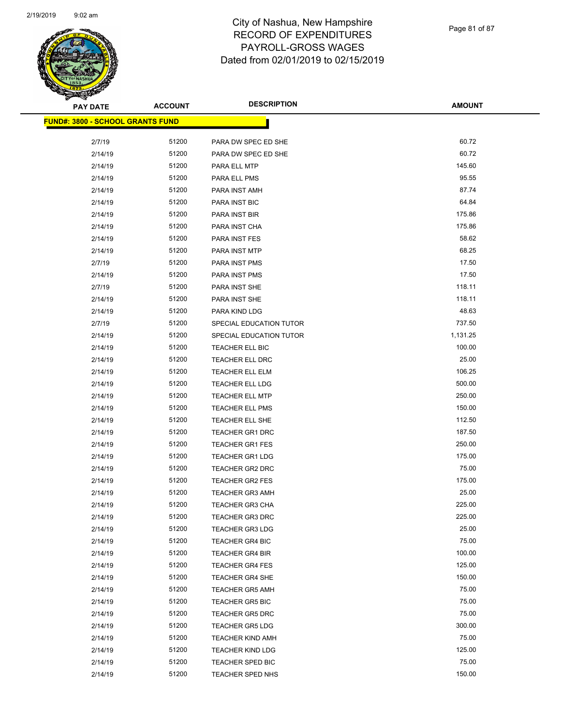

Page 81 of 87

| <b>PAY DATE</b>                         | <b>ACCOUNT</b> | <b>DESCRIPTION</b>      | <b>AMOUNT</b> |
|-----------------------------------------|----------------|-------------------------|---------------|
| <b>FUND#: 3800 - SCHOOL GRANTS FUND</b> |                |                         |               |
|                                         |                |                         |               |
| 2/7/19                                  | 51200          | PARA DW SPEC ED SHE     | 60.72         |
| 2/14/19                                 | 51200          | PARA DW SPEC ED SHE     | 60.72         |
| 2/14/19                                 | 51200          | PARA ELL MTP            | 145.60        |
| 2/14/19                                 | 51200          | PARA ELL PMS            | 95.55         |
| 2/14/19                                 | 51200          | PARA INST AMH           | 87.74         |
| 2/14/19                                 | 51200          | PARA INST BIC           | 64.84         |
| 2/14/19                                 | 51200          | PARA INST BIR           | 175.86        |
| 2/14/19                                 | 51200          | PARA INST CHA           | 175.86        |
| 2/14/19                                 | 51200          | PARA INST FES           | 58.62         |
| 2/14/19                                 | 51200          | PARA INST MTP           | 68.25         |
| 2/7/19                                  | 51200          | PARA INST PMS           | 17.50         |
| 2/14/19                                 | 51200          | PARA INST PMS           | 17.50         |
| 2/7/19                                  | 51200          | PARA INST SHE           | 118.11        |
| 2/14/19                                 | 51200          | PARA INST SHE           | 118.11        |
| 2/14/19                                 | 51200          | PARA KIND LDG           | 48.63         |
| 2/7/19                                  | 51200          | SPECIAL EDUCATION TUTOR | 737.50        |
| 2/14/19                                 | 51200          | SPECIAL EDUCATION TUTOR | 1,131.25      |
| 2/14/19                                 | 51200          | TEACHER ELL BIC         | 100.00        |
| 2/14/19                                 | 51200          | <b>TEACHER ELL DRC</b>  | 25.00         |
| 2/14/19                                 | 51200          | TEACHER ELL ELM         | 106.25        |
| 2/14/19                                 | 51200          | TEACHER ELL LDG         | 500.00        |
| 2/14/19                                 | 51200          | <b>TEACHER ELL MTP</b>  | 250.00        |
| 2/14/19                                 | 51200          | TEACHER ELL PMS         | 150.00        |
| 2/14/19                                 | 51200          | TEACHER ELL SHE         | 112.50        |
| 2/14/19                                 | 51200          | <b>TEACHER GR1 DRC</b>  | 187.50        |
| 2/14/19                                 | 51200          | TEACHER GR1 FES         | 250.00        |
| 2/14/19                                 | 51200          | <b>TEACHER GR1 LDG</b>  | 175.00        |
| 2/14/19                                 | 51200          | TEACHER GR2 DRC         | 75.00         |
| 2/14/19                                 | 51200          | <b>TEACHER GR2 FES</b>  | 175.00        |
| 2/14/19                                 | 51200          | <b>TEACHER GR3 AMH</b>  | 25.00         |
| 2/14/19                                 | 51200          | <b>TEACHER GR3 CHA</b>  | 225.00        |
| 2/14/19                                 | 51200          | <b>TEACHER GR3 DRC</b>  | 225.00        |
| 2/14/19                                 | 51200          | <b>TEACHER GR3 LDG</b>  | 25.00         |
| 2/14/19                                 | 51200          | TEACHER GR4 BIC         | 75.00         |
| 2/14/19                                 | 51200          | TEACHER GR4 BIR         | 100.00        |
| 2/14/19                                 | 51200          | <b>TEACHER GR4 FES</b>  | 125.00        |
| 2/14/19                                 | 51200          | <b>TEACHER GR4 SHE</b>  | 150.00        |
| 2/14/19                                 | 51200          | <b>TEACHER GR5 AMH</b>  | 75.00         |
| 2/14/19                                 | 51200          | <b>TEACHER GR5 BIC</b>  | 75.00         |
| 2/14/19                                 | 51200          | <b>TEACHER GR5 DRC</b>  | 75.00         |
| 2/14/19                                 | 51200          | <b>TEACHER GR5 LDG</b>  | 300.00        |
| 2/14/19                                 | 51200          | <b>TEACHER KIND AMH</b> | 75.00         |
| 2/14/19                                 | 51200          | <b>TEACHER KIND LDG</b> | 125.00        |
| 2/14/19                                 | 51200          | TEACHER SPED BIC        | 75.00         |
| 2/14/19                                 | 51200          | <b>TEACHER SPED NHS</b> | 150.00        |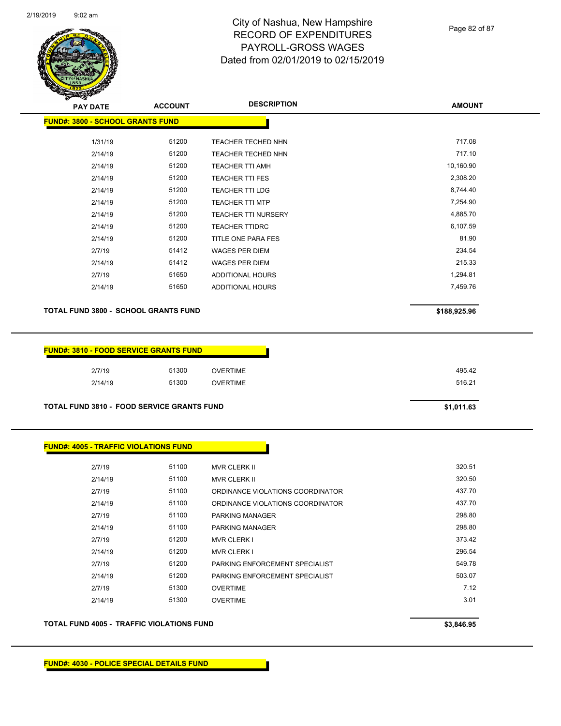

Page 82 of 87

| <b>PAY DATE</b>                         | <b>ACCOUNT</b> | <b>DESCRIPTION</b>         | <b>AMOUNT</b> |
|-----------------------------------------|----------------|----------------------------|---------------|
| <b>FUND#: 3800 - SCHOOL GRANTS FUND</b> |                |                            |               |
| 1/31/19                                 | 51200          | <b>TEACHER TECHED NHN</b>  | 717.08        |
| 2/14/19                                 | 51200          | <b>TEACHER TECHED NHN</b>  | 717.10        |
| 2/14/19                                 | 51200          | TEACHER TTI AMH            | 10,160.90     |
| 2/14/19                                 | 51200          | <b>TEACHER TTI FES</b>     | 2,308.20      |
| 2/14/19                                 | 51200          | <b>TEACHER TTI LDG</b>     | 8,744.40      |
| 2/14/19                                 | 51200          | <b>TEACHER TTI MTP</b>     | 7,254.90      |
| 2/14/19                                 | 51200          | <b>TEACHER TTI NURSERY</b> | 4,885.70      |
| 2/14/19                                 | 51200          | <b>TEACHER TTIDRC</b>      | 6,107.59      |
| 2/14/19                                 | 51200          | TITLE ONE PARA FES         | 81.90         |
| 2/7/19                                  | 51412          | WAGES PER DIEM             | 234.54        |
| 2/14/19                                 | 51412          | <b>WAGES PER DIEM</b>      | 215.33        |
| 2/7/19                                  | 51650          | ADDITIONAL HOURS           | 1,294.81      |
| 2/14/19                                 | 51650          | ADDITIONAL HOURS           | 7,459.76      |
|                                         |                |                            |               |

#### **TOTAL FUND 3800 - SCHOOL GRANTS FUND \$188,925.96**

| <u> UND#: 3810 - FOOD SERVICE GRANTS FUND</u> |         |       |                 |
|-----------------------------------------------|---------|-------|-----------------|
|                                               | 2/7/19  | 51300 | <b>OVERTIME</b> |
|                                               | 2/14/19 | 51300 | OVERTIME        |
|                                               |         |       |                 |

**TOTAL FUND 3810 - FOOD SERVICE GRANTS FUND \$1,011.63** 

| <b>FUND#: 4005 - TRAFFIC VIOLATIONS FUND</b> |       |                                  |        |
|----------------------------------------------|-------|----------------------------------|--------|
|                                              |       |                                  |        |
| 2/7/19                                       | 51100 | <b>MVR CLERK II</b>              | 320.51 |
| 2/14/19                                      | 51100 | <b>MVR CLERK II</b>              | 320.50 |
| 2/7/19                                       | 51100 | ORDINANCE VIOLATIONS COORDINATOR | 437.70 |
| 2/14/19                                      | 51100 | ORDINANCE VIOLATIONS COORDINATOR | 437.70 |
| 2/7/19                                       | 51100 | <b>PARKING MANAGER</b>           | 298.80 |
| 2/14/19                                      | 51100 | <b>PARKING MANAGER</b>           | 298.80 |
| 2/7/19                                       | 51200 | <b>MVR CLERK I</b>               | 373.42 |
| 2/14/19                                      | 51200 | <b>MVR CLERK I</b>               | 296.54 |
| 2/7/19                                       | 51200 | PARKING ENFORCEMENT SPECIALIST   | 549.78 |
| 2/14/19                                      | 51200 | PARKING ENFORCEMENT SPECIALIST   | 503.07 |
| 2/7/19                                       | 51300 | <b>OVERTIME</b>                  | 7.12   |
| 2/14/19                                      | 51300 | <b>OVERTIME</b>                  | 3.01   |
|                                              |       |                                  |        |

**TOTAL FUND 4005 - TRAFFIC VIOLATIONS FUND \$3,846.95**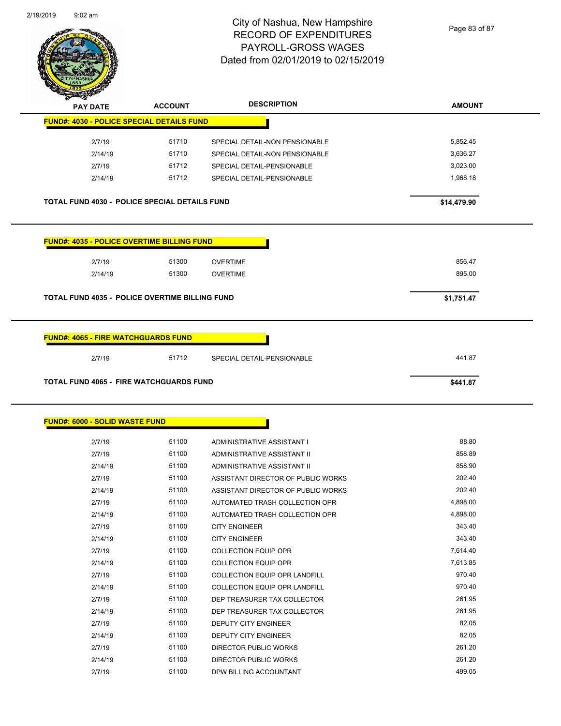

Page 83 of 87

| <b>STARK</b>                                      |                |                                    |               |
|---------------------------------------------------|----------------|------------------------------------|---------------|
| <b>PAY DATE</b>                                   | <b>ACCOUNT</b> | <b>DESCRIPTION</b>                 | <b>AMOUNT</b> |
| <b>FUND#: 4030 - POLICE SPECIAL DETAILS FUND</b>  |                |                                    |               |
| 2/7/19                                            | 51710          | SPECIAL DETAIL-NON PENSIONABLE     | 5,852.45      |
| 2/14/19                                           | 51710          | SPECIAL DETAIL-NON PENSIONABLE     | 3,636.27      |
| 2/7/19                                            | 51712          | SPECIAL DETAIL-PENSIONABLE         | 3,023.00      |
| 2/14/19                                           | 51712          | SPECIAL DETAIL-PENSIONABLE         | 1,968.18      |
| TOTAL FUND 4030 - POLICE SPECIAL DETAILS FUND     |                |                                    | \$14,479.90   |
| <b>FUND#: 4035 - POLICE OVERTIME BILLING FUND</b> |                |                                    |               |
| 2/7/19                                            | 51300          | <b>OVERTIME</b>                    | 856.47        |
| 2/14/19                                           | 51300          | <b>OVERTIME</b>                    | 895.00        |
| TOTAL FUND 4035 - POLICE OVERTIME BILLING FUND    |                |                                    | \$1,751.47    |
| <b>TOTAL FUND 4065 - FIRE WATCHGUARDS FUND</b>    |                |                                    | \$441.87      |
| <b>FUND#: 6000 - SOLID WASTE FUND</b>             |                |                                    |               |
| 2/7/19                                            | 51100          | ADMINISTRATIVE ASSISTANT I         | 88.80         |
| 2/7/19                                            | 51100          | ADMINISTRATIVE ASSISTANT II        | 858.89        |
| 2/14/19                                           | 51100          | ADMINISTRATIVE ASSISTANT II        | 858.90        |
| 2/7/19                                            | 51100          | ASSISTANT DIRECTOR OF PUBLIC WORKS | 202.40        |
| 2/14/19                                           | 51100          | ASSISTANT DIRECTOR OF PUBLIC WORKS | 202.40        |
| 2/7/19                                            | 51100          | AUTOMATED TRASH COLLECTION OPR     | 4,898.00      |
| 2/14/19                                           | 51100          | AUTOMATED TRASH COLLECTION OPR     | 4,898.00      |
| 2/7/19                                            | 51100          | <b>CITY ENGINEER</b>               | 343.40        |
| 2/14/19                                           | 51100          | <b>CITY ENGINEER</b>               | 343.40        |
| 2/7/19                                            | 51100          | <b>COLLECTION EQUIP OPR</b>        | 7,614.40      |
| 2/14/19                                           | 51100          | <b>COLLECTION EQUIP OPR</b>        | 7,613.85      |
| 2/7/19                                            | 51100          | COLLECTION EQUIP OPR LANDFILL      | 970.40        |
| 2/14/19                                           | 51100          | COLLECTION EQUIP OPR LANDFILL      | 970.40        |
| 2/7/19                                            | 51100          | DEP TREASURER TAX COLLECTOR        | 261.95        |
| 2/14/19                                           |                |                                    |               |
|                                                   | 51100          | DEP TREASURER TAX COLLECTOR        | 261.95        |
| 2/7/19                                            | 51100          | DEPUTY CITY ENGINEER               | 82.05         |

2/7/19 51100 DIRECTOR PUBLIC WORKS 261.20 2/14/19 51100 DIRECTOR PUBLIC WORKS 261.20 2/7/19 51100 DPW BILLING ACCOUNTANT 499.05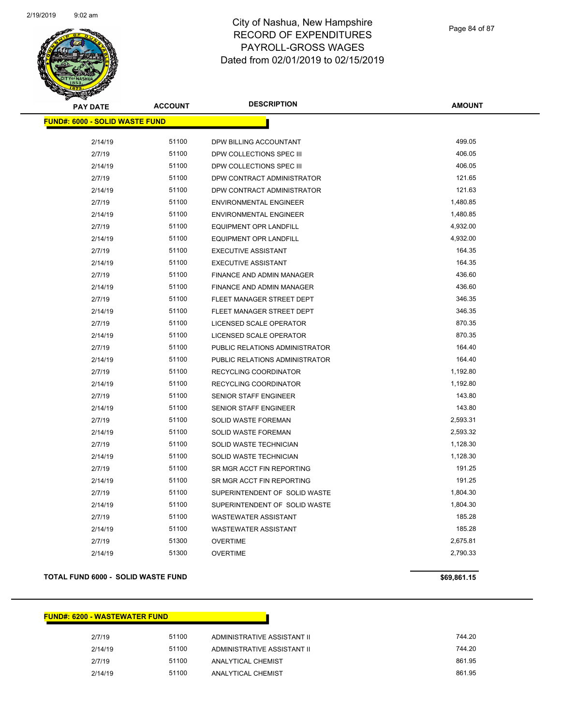

Page 84 of 87

| <b>PAY DATE</b>                        | <b>ACCOUNT</b> | <b>DESCRIPTION</b>               | <b>AMOUNT</b> |
|----------------------------------------|----------------|----------------------------------|---------------|
| <u> FUND#: 6000 - SOLID WASTE FUND</u> |                |                                  |               |
| 2/14/19                                | 51100          | DPW BILLING ACCOUNTANT           | 499.05        |
| 2/7/19                                 | 51100          | DPW COLLECTIONS SPEC III         | 406.05        |
| 2/14/19                                | 51100          | DPW COLLECTIONS SPEC III         | 406.05        |
| 2/7/19                                 | 51100          | DPW CONTRACT ADMINISTRATOR       | 121.65        |
| 2/14/19                                | 51100          | DPW CONTRACT ADMINISTRATOR       | 121.63        |
| 2/7/19                                 | 51100          | <b>ENVIRONMENTAL ENGINEER</b>    | 1,480.85      |
| 2/14/19                                | 51100          | <b>ENVIRONMENTAL ENGINEER</b>    | 1,480.85      |
| 2/7/19                                 | 51100          | <b>EQUIPMENT OPR LANDFILL</b>    | 4,932.00      |
| 2/14/19                                | 51100          | EQUIPMENT OPR LANDFILL           | 4,932.00      |
| 2/7/19                                 | 51100          | <b>EXECUTIVE ASSISTANT</b>       | 164.35        |
| 2/14/19                                | 51100          | <b>EXECUTIVE ASSISTANT</b>       | 164.35        |
| 2/7/19                                 | 51100          | <b>FINANCE AND ADMIN MANAGER</b> | 436.60        |
| 2/14/19                                | 51100          | <b>FINANCE AND ADMIN MANAGER</b> | 436.60        |
| 2/7/19                                 | 51100          | FLEET MANAGER STREET DEPT        | 346.35        |
| 2/14/19                                | 51100          | FLEET MANAGER STREET DEPT        | 346.35        |
| 2/7/19                                 | 51100          | LICENSED SCALE OPERATOR          | 870.35        |
| 2/14/19                                | 51100          | LICENSED SCALE OPERATOR          | 870.35        |
| 2/7/19                                 | 51100          | PUBLIC RELATIONS ADMINISTRATOR   | 164.40        |
| 2/14/19                                | 51100          | PUBLIC RELATIONS ADMINISTRATOR   | 164.40        |
| 2/7/19                                 | 51100          | RECYCLING COORDINATOR            | 1,192.80      |
| 2/14/19                                | 51100          | RECYCLING COORDINATOR            | 1,192.80      |
| 2/7/19                                 | 51100          | SENIOR STAFF ENGINEER            | 143.80        |
| 2/14/19                                | 51100          | <b>SENIOR STAFF ENGINEER</b>     | 143.80        |
| 2/7/19                                 | 51100          | SOLID WASTE FOREMAN              | 2,593.31      |
| 2/14/19                                | 51100          | SOLID WASTE FOREMAN              | 2,593.32      |
| 2/7/19                                 | 51100          | SOLID WASTE TECHNICIAN           | 1,128.30      |
| 2/14/19                                | 51100          | SOLID WASTE TECHNICIAN           | 1,128.30      |
| 2/7/19                                 | 51100          | SR MGR ACCT FIN REPORTING        | 191.25        |
| 2/14/19                                | 51100          | SR MGR ACCT FIN REPORTING        | 191.25        |
| 2/7/19                                 | 51100          | SUPERINTENDENT OF SOLID WASTE    | 1,804.30      |
| 2/14/19                                | 51100          | SUPERINTENDENT OF SOLID WASTE    | 1,804.30      |
| 2/7/19                                 | 51100          | <b>WASTEWATER ASSISTANT</b>      | 185.28        |
| 2/14/19                                | 51100          | WASTEWATER ASSISTANT             | 185.28        |
| 2/7/19                                 | 51300          | <b>OVERTIME</b>                  | 2,675.81      |
| 2/14/19                                | 51300          | <b>OVERTIME</b>                  | 2,790.33      |

#### **TOTAL FUND 6000 - SOLID WASTE FUND \$69,861.15 \$69,861.15**

| <b>FUND#: 6200 - WASTEWATER FUND</b> |       |                             |        |
|--------------------------------------|-------|-----------------------------|--------|
| 2/7/19                               | 51100 | ADMINISTRATIVE ASSISTANT II | 744.20 |
| 2/14/19                              | 51100 | ADMINISTRATIVE ASSISTANT II | 744.20 |
| 2/7/19                               | 51100 | ANALYTICAL CHEMIST          | 861.95 |
| 2/14/19                              | 51100 | ANALYTICAL CHEMIST          | 861.95 |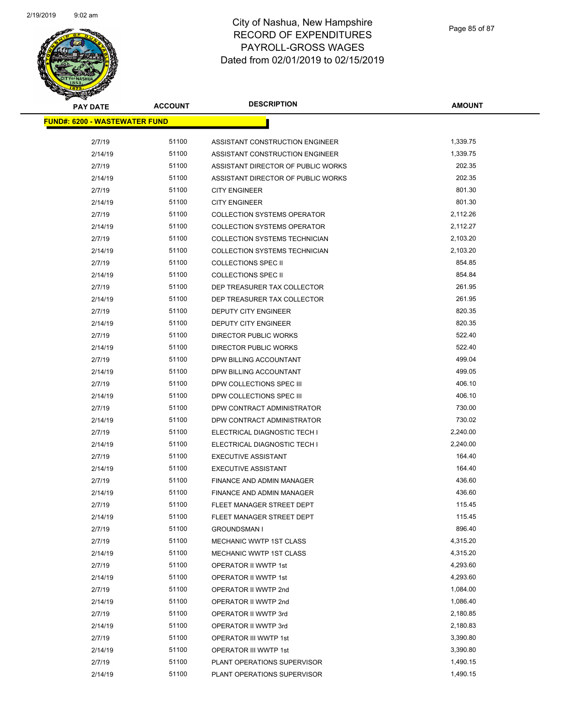

| <b>PAY DATE</b>                       | <b>ACCOUNT</b> | <b>DESCRIPTION</b>                 | <b>AMOUNT</b> |
|---------------------------------------|----------------|------------------------------------|---------------|
| <u> FUND#: 6200 - WASTEWATER FUND</u> |                |                                    |               |
|                                       |                |                                    |               |
| 2/7/19                                | 51100          | ASSISTANT CONSTRUCTION ENGINEER    | 1,339.75      |
| 2/14/19                               | 51100          | ASSISTANT CONSTRUCTION ENGINEER    | 1,339.75      |
| 2/7/19                                | 51100          | ASSISTANT DIRECTOR OF PUBLIC WORKS | 202.35        |
| 2/14/19                               | 51100          | ASSISTANT DIRECTOR OF PUBLIC WORKS | 202.35        |
| 2/7/19                                | 51100          | <b>CITY ENGINEER</b>               | 801.30        |
| 2/14/19                               | 51100          | <b>CITY ENGINEER</b>               | 801.30        |
| 2/7/19                                | 51100          | <b>COLLECTION SYSTEMS OPERATOR</b> | 2,112.26      |
| 2/14/19                               | 51100          | <b>COLLECTION SYSTEMS OPERATOR</b> | 2,112.27      |
| 2/7/19                                | 51100          | COLLECTION SYSTEMS TECHNICIAN      | 2,103.20      |
| 2/14/19                               | 51100          | COLLECTION SYSTEMS TECHNICIAN      | 2,103.20      |
| 2/7/19                                | 51100          | <b>COLLECTIONS SPEC II</b>         | 854.85        |
| 2/14/19                               | 51100          | <b>COLLECTIONS SPEC II</b>         | 854.84        |
| 2/7/19                                | 51100          | DEP TREASURER TAX COLLECTOR        | 261.95        |
| 2/14/19                               | 51100          | DEP TREASURER TAX COLLECTOR        | 261.95        |
| 2/7/19                                | 51100          | DEPUTY CITY ENGINEER               | 820.35        |
| 2/14/19                               | 51100          | DEPUTY CITY ENGINEER               | 820.35        |
| 2/7/19                                | 51100          | DIRECTOR PUBLIC WORKS              | 522.40        |
| 2/14/19                               | 51100          | DIRECTOR PUBLIC WORKS              | 522.40        |
| 2/7/19                                | 51100          | DPW BILLING ACCOUNTANT             | 499.04        |
| 2/14/19                               | 51100          | DPW BILLING ACCOUNTANT             | 499.05        |
| 2/7/19                                | 51100          | DPW COLLECTIONS SPEC III           | 406.10        |
| 2/14/19                               | 51100          | DPW COLLECTIONS SPEC III           | 406.10        |
| 2/7/19                                | 51100          | DPW CONTRACT ADMINISTRATOR         | 730.00        |
| 2/14/19                               | 51100          | DPW CONTRACT ADMINISTRATOR         | 730.02        |
| 2/7/19                                | 51100          | ELECTRICAL DIAGNOSTIC TECH I       | 2,240.00      |
| 2/14/19                               | 51100          | ELECTRICAL DIAGNOSTIC TECH I       | 2,240.00      |
| 2/7/19                                | 51100          | <b>EXECUTIVE ASSISTANT</b>         | 164.40        |
| 2/14/19                               | 51100          | <b>EXECUTIVE ASSISTANT</b>         | 164.40        |
| 2/7/19                                | 51100          | FINANCE AND ADMIN MANAGER          | 436.60        |
| 2/14/19                               | 51100          | FINANCE AND ADMIN MANAGER          | 436.60        |
| 2/7/19                                | 51100          | FLEET MANAGER STREET DEPT          | 115.45        |
| 2/14/19                               | 51100          | FLEET MANAGER STREET DEPT          | 115.45        |
| 2/7/19                                | 51100          | <b>GROUNDSMAN I</b>                | 896.40        |
| 2/7/19                                | 51100          | MECHANIC WWTP 1ST CLASS            | 4,315.20      |
| 2/14/19                               | 51100          | MECHANIC WWTP 1ST CLASS            | 4,315.20      |
| 2/7/19                                | 51100          | OPERATOR II WWTP 1st               | 4,293.60      |
| 2/14/19                               | 51100          | OPERATOR II WWTP 1st               | 4,293.60      |
| 2/7/19                                | 51100          | OPERATOR II WWTP 2nd               | 1,084.00      |
| 2/14/19                               | 51100          | OPERATOR II WWTP 2nd               | 1,086.40      |
| 2/7/19                                | 51100          | OPERATOR II WWTP 3rd               | 2,180.85      |
| 2/14/19                               | 51100          | OPERATOR II WWTP 3rd               | 2,180.83      |
| 2/7/19                                | 51100          | OPERATOR III WWTP 1st              | 3,390.80      |
| 2/14/19                               | 51100          | OPERATOR III WWTP 1st              | 3,390.80      |
| 2/7/19                                | 51100          | PLANT OPERATIONS SUPERVISOR        | 1,490.15      |
| 2/14/19                               | 51100          | PLANT OPERATIONS SUPERVISOR        | 1,490.15      |
|                                       |                |                                    |               |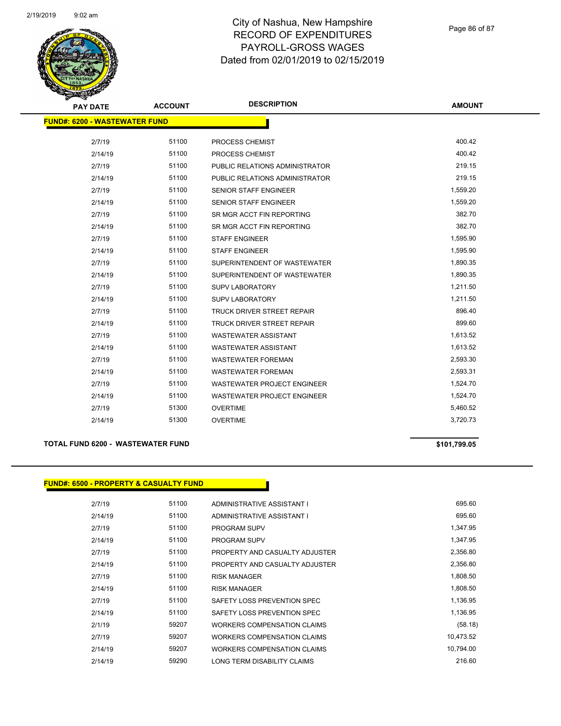

| <b>PAY DATE</b>                      | <b>ACCOUNT</b> | <b>DESCRIPTION</b>                 | <b>AMOUNT</b> |
|--------------------------------------|----------------|------------------------------------|---------------|
| <b>FUND#: 6200 - WASTEWATER FUND</b> |                |                                    |               |
|                                      |                |                                    |               |
| 2/7/19                               | 51100          | PROCESS CHEMIST                    | 400.42        |
| 2/14/19                              | 51100          | PROCESS CHEMIST                    | 400.42        |
| 2/7/19                               | 51100          | PUBLIC RELATIONS ADMINISTRATOR     | 219.15        |
| 2/14/19                              | 51100          | PUBLIC RELATIONS ADMINISTRATOR     | 219.15        |
| 2/7/19                               | 51100          | <b>SENIOR STAFF ENGINEER</b>       | 1,559.20      |
| 2/14/19                              | 51100          | <b>SENIOR STAFF ENGINEER</b>       | 1,559.20      |
| 2/7/19                               | 51100          | SR MGR ACCT FIN REPORTING          | 382.70        |
| 2/14/19                              | 51100          | SR MGR ACCT FIN REPORTING          | 382.70        |
| 2/7/19                               | 51100          | <b>STAFF ENGINEER</b>              | 1,595.90      |
| 2/14/19                              | 51100          | <b>STAFF ENGINEER</b>              | 1,595.90      |
| 2/7/19                               | 51100          | SUPERINTENDENT OF WASTEWATER       | 1,890.35      |
| 2/14/19                              | 51100          | SUPERINTENDENT OF WASTEWATER       | 1,890.35      |
| 2/7/19                               | 51100          | SUPV LABORATORY                    | 1,211.50      |
| 2/14/19                              | 51100          | SUPV LABORATORY                    | 1,211.50      |
| 2/7/19                               | 51100          | <b>TRUCK DRIVER STREET REPAIR</b>  | 896.40        |
| 2/14/19                              | 51100          | <b>TRUCK DRIVER STREET REPAIR</b>  | 899.60        |
| 2/7/19                               | 51100          | <b>WASTEWATER ASSISTANT</b>        | 1,613.52      |
| 2/14/19                              | 51100          | <b>WASTEWATER ASSISTANT</b>        | 1,613.52      |
| 2/7/19                               | 51100          | <b>WASTEWATER FOREMAN</b>          | 2,593.30      |
| 2/14/19                              | 51100          | <b>WASTEWATER FOREMAN</b>          | 2,593.31      |
| 2/7/19                               | 51100          | <b>WASTEWATER PROJECT ENGINEER</b> | 1,524.70      |
| 2/14/19                              | 51100          | WASTEWATER PROJECT ENGINEER        | 1,524.70      |
| 2/7/19                               | 51300          | <b>OVERTIME</b>                    | 5,460.52      |
| 2/14/19                              | 51300          | <b>OVERTIME</b>                    | 3,720.73      |

#### **TOTAL FUND 6200 - WASTEWATER FUND \$101,799.05**

# **FUND#: 6500 - PROPERTY & CASUALTY FUND**

| 2/7/19  | 51100 | ADMINISTRATIVE ASSISTANT I         | 695.60    |
|---------|-------|------------------------------------|-----------|
| 2/14/19 | 51100 | ADMINISTRATIVE ASSISTANT I         | 695.60    |
| 2/7/19  | 51100 | <b>PROGRAM SUPV</b>                | 1,347.95  |
| 2/14/19 | 51100 | <b>PROGRAM SUPV</b>                | 1.347.95  |
| 2/7/19  | 51100 | PROPERTY AND CASUALTY ADJUSTER     | 2,356.80  |
| 2/14/19 | 51100 | PROPERTY AND CASUALTY ADJUSTER     | 2,356.80  |
| 2/7/19  | 51100 | <b>RISK MANAGER</b>                | 1,808.50  |
| 2/14/19 | 51100 | <b>RISK MANAGER</b>                | 1,808.50  |
| 2/7/19  | 51100 | SAFETY LOSS PREVENTION SPEC        | 1,136.95  |
| 2/14/19 | 51100 | SAFETY LOSS PREVENTION SPEC        | 1,136.95  |
| 2/1/19  | 59207 | <b>WORKERS COMPENSATION CLAIMS</b> | (58.18)   |
| 2/7/19  | 59207 | WORKERS COMPENSATION CLAIMS        | 10,473.52 |
| 2/14/19 | 59207 | WORKERS COMPENSATION CLAIMS        | 10,794.00 |
| 2/14/19 | 59290 | LONG TERM DISABILITY CLAIMS        | 216.60    |